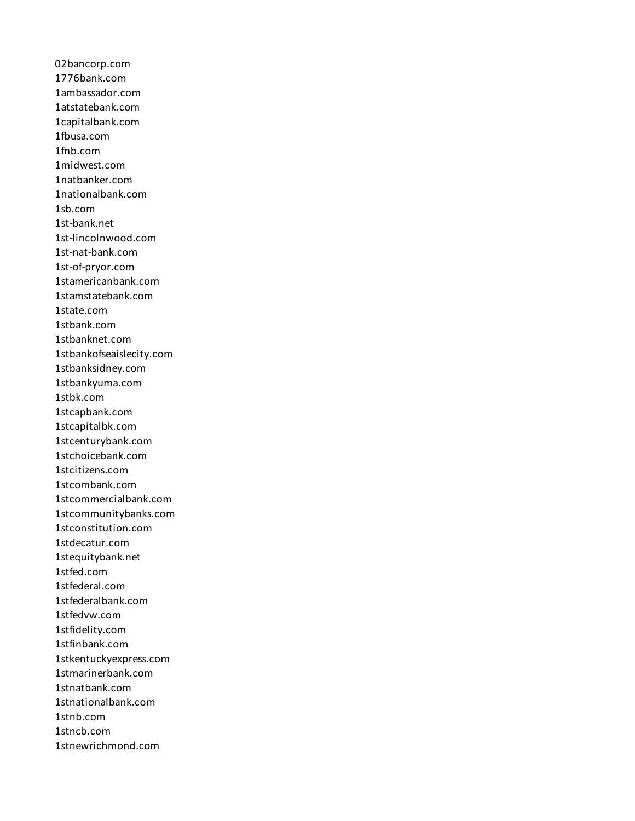02bancorp.com 1776bank.com 1ambassador.com 1atstatebank.com 1capitalbank.com 1fbusa.com 1fnb.com 1midwest.com 1natbanker.com 1nationalbank.com 1sb.com 1st-bank.net 1st-lincolnwood.com 1st-nat-bank.com 1st-of-pryor.com 1stamericanbank.com 1stamstatebank.com 1state.com 1stbank.com 1stbanknet.com 1stbankofseaislecity.com 1stbanksidney.com 1stbankyuma.com 1stbk.com 1stcapbank.com 1stcapitalbk.com 1stcenturybank.com 1stchoicebank.com 1stcitizens.com 1stcombank.com 1stcommercialbank.com 1stcommunitybanks.com 1stconstitution.com 1stdecatur.com 1stequitybank.net 1stfed.com 1stfederal.com 1stfederalbank.com 1stfedvw.com 1stfidelity.com 1stfinbank.com 1stkentuckyexpress.com 1stmarinerbank.com 1stnatbank.com 1stnationalbank.com 1stnb.com 1stncb.com 1stnewrichmond.com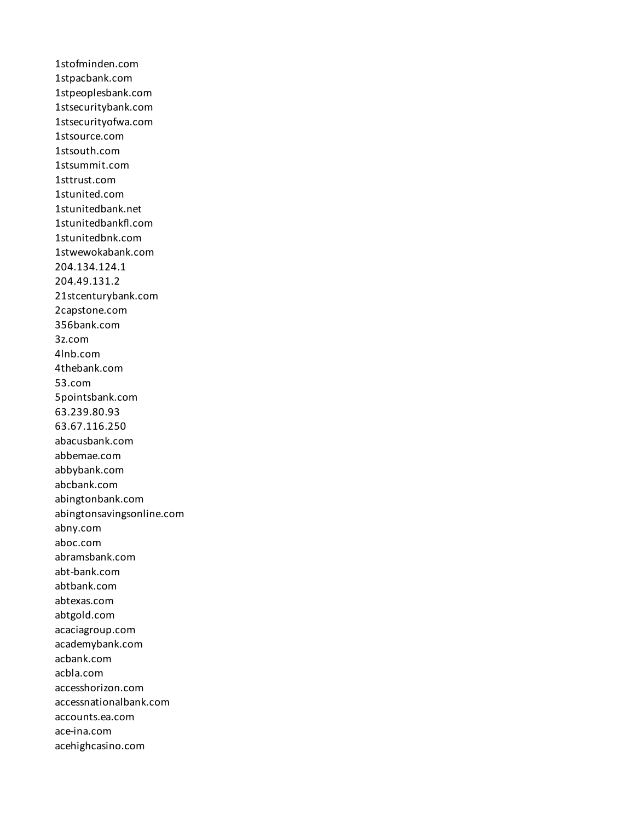1stofminden.com 1stpacbank.com 1stpeoplesbank.com 1stsecuritybank.com 1stsecurityofwa.com 1stsource.com 1stsouth.com 1stsummit.com 1sttrust.com 1stunited.com 1stunitedbank.net 1stunitedbankfl.com 1stunitedbnk.com 1stwewokabank.com 204.134.124.1 204.49.131.2 21stcenturybank.com 2capstone.com 356bank.com 3z.com 4lnb.com 4thebank.com 53.com 5pointsbank.com 63.239.80.93 63.67.116.250 abacusbank.com abbemae.com abbybank.com abcbank.com abingtonbank.com abingtonsavingsonline.com abny.com aboc.com abramsbank.com abt-bank.com abtbank.com abtexas.com abtgold.com acaciagroup.com academybank.com acbank.com acbla.com accesshorizon.com accessnationalbank.com accounts.ea.com ace-ina.com acehighcasino.com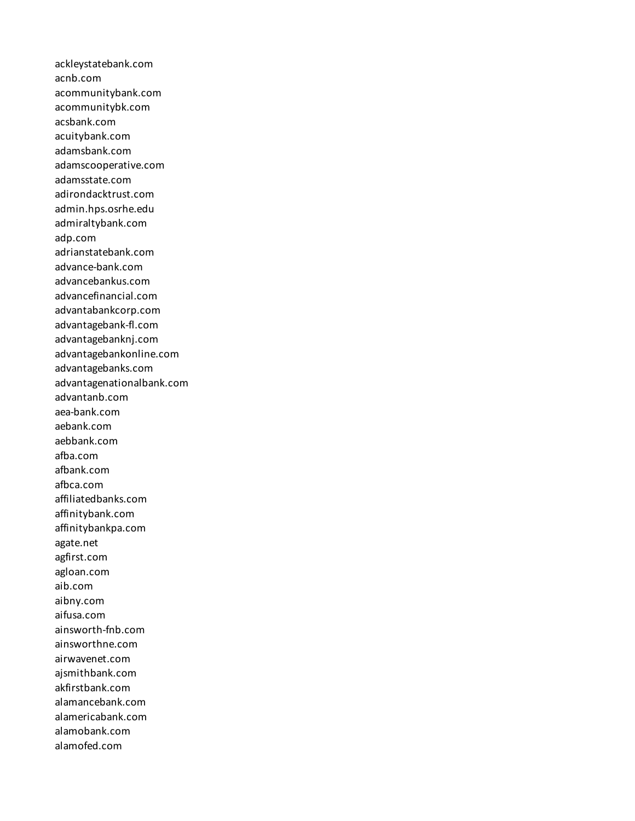ackleystatebank.com acnb.com acommunitybank.com acommunitybk.com acsbank.com acuitybank.com adamsbank.com adamscooperative.com adamsstate.com adirondacktrust.com admin.hps.osrhe.edu admiraltybank.com adp.com adrianstatebank.com advance-bank.com advancebankus.com advancefinancial.com advantabankcorp.com advantagebank-fl.com advantagebanknj.com advantagebankonline.com advantagebanks.com advantagenationalbank.com advantanb.com aea-bank.com aebank.com aebbank.com afba.com afbank.com afbca.com affiliatedbanks.com affinitybank.com affinitybankpa.com agate.net agfirst.com agloan.com aib.com aibny.com aifusa.com ainsworth-fnb.com ainsworthne.com airwavenet.com ajsmithbank.com akfirstbank.com alamancebank.com alamericabank.com alamobank.com alamofed.com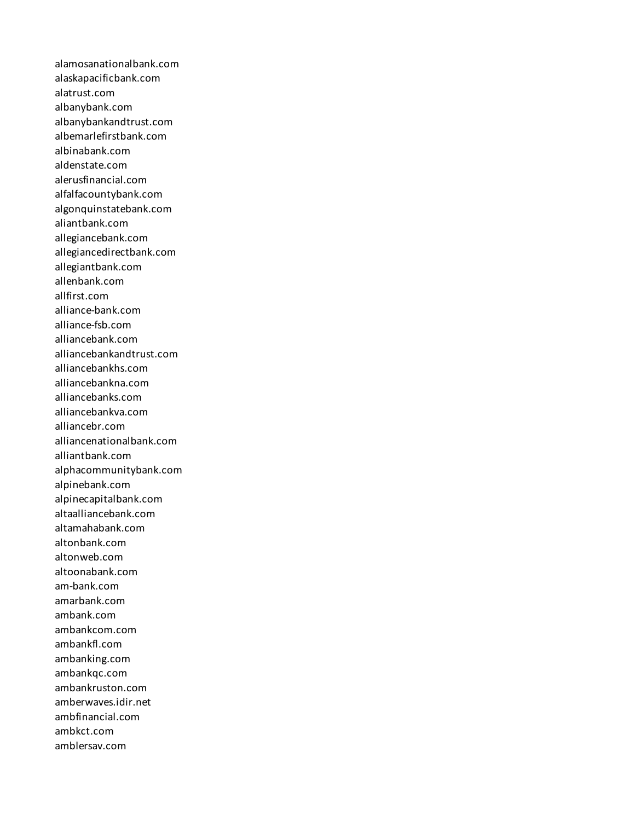alamosanationalbank.com alaskapacificbank.com alatrust.com albanybank.com albanybankandtrust.com albemarlefirstbank.com albinabank.com aldenstate.com alerusfinancial.com alfalfacountybank.com algonquinstatebank.com aliantbank.com allegiancebank.com allegiancedirectbank.com allegiantbank.com allenbank.com allfirst.com alliance-bank.com alliance-fsb.com alliancebank.com alliancebankandtrust.com alliancebankhs.com alliancebankna.com alliancebanks.com alliancebankva.com alliancebr.com alliancenationalbank.com alliantbank.com alphacommunitybank.com alpinebank.com alpinecapitalbank.com altaalliancebank.com altamahabank.com altonbank.com altonweb.com altoonabank.com am-bank.com amarbank.com ambank.com ambankcom.com ambankfl.com ambanking.com ambankqc.com ambankruston.com amberwaves.idir.net ambfinancial.com ambkct.com amblersav.com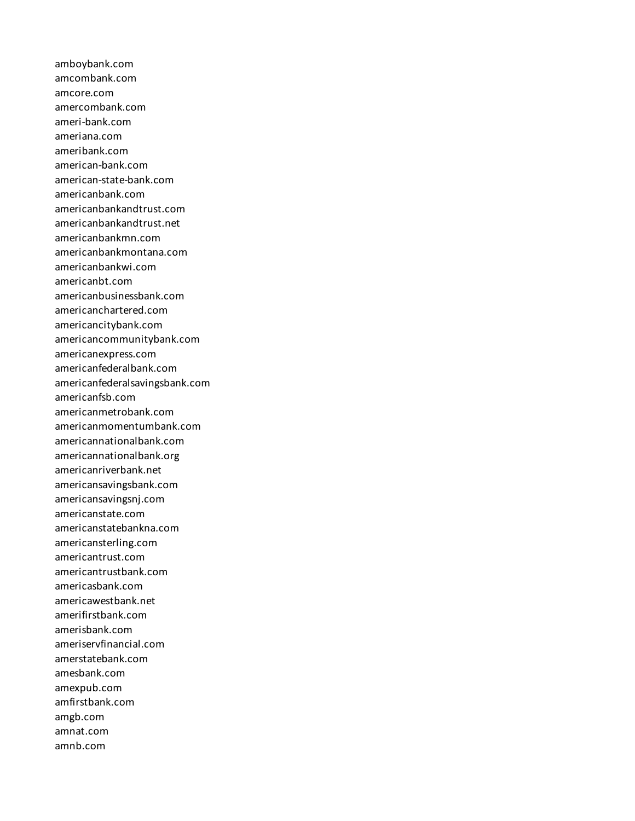amboybank.com amcombank.com amcore.com amercombank.com ameri-bank.com ameriana.com ameribank.com american-bank.com american-state-bank.com americanbank.com americanbankandtrust.com americanbankandtrust.net americanbankmn.com americanbankmontana.com americanbankwi.com americanbt.com americanbusinessbank.com americanchartered.com americancitybank.com americancommunitybank.com americanexpress.com americanfederalbank.com americanfederalsavingsbank.com americanfsb.com americanmetrobank.com americanmomentumbank.com americannationalbank.com americannationalbank.org americanriverbank.net americansavingsbank.com americansavingsnj.com americanstate.com americanstatebankna.com americansterling.com americantrust.com americantrustbank.com americasbank.com americawestbank.net amerifirstbank.com amerisbank.com ameriservfinancial.com amerstatebank.com amesbank.com amexpub.com amfirstbank.com amgb.com amnat.com amnb.com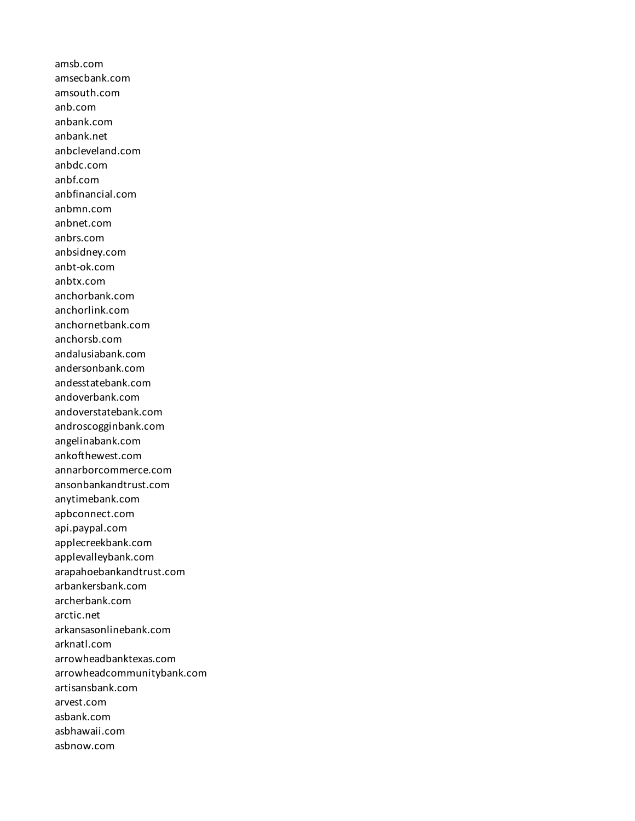amsb.com amsecbank.com amsouth.com anb.com anbank.com anbank.net anbcleveland.com anbdc.com anbf.com anbfinancial.com anbmn.com anbnet.com anbrs.com anbsidney.com anbt-ok.com anbtx.com anchorbank.com anchorlink.com anchornetbank.com anchorsb.com andalusiabank.com andersonbank.com andesstatebank.com andoverbank.com andoverstatebank.com androscogginbank.com angelinabank.com ankofthewest.com annarborcommerce.com ansonbankandtrust.com anytimebank.com apbconnect.com api.paypal.com applecreekbank.com applevalleybank.com arapahoebankandtrust.com arbankersbank.com archerbank.com arctic.net arkansasonlinebank.com arknatl.com arrowheadbanktexas.com arrowheadcommunitybank.com artisansbank.com arvest.com asbank.com asbhawaii.com asbnow.com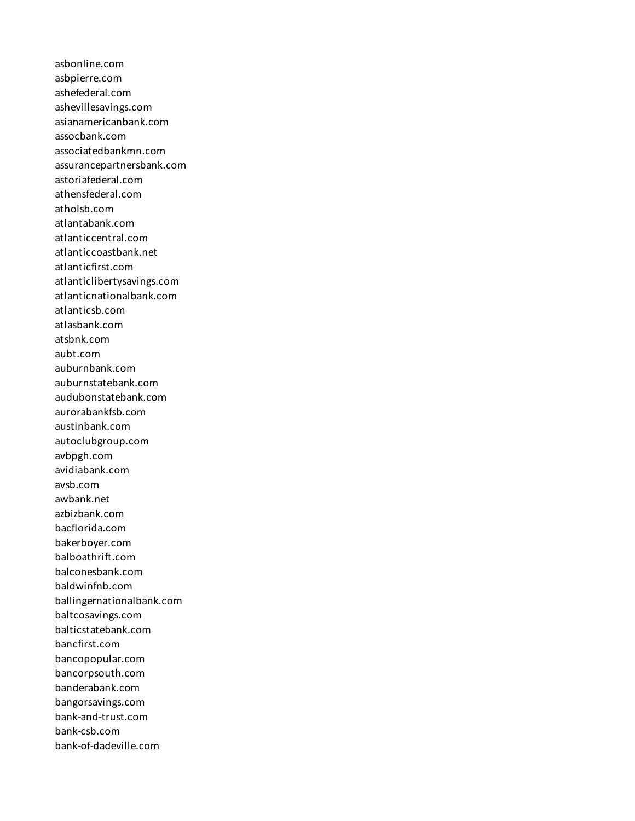asbonline.com asbpierre.com ashefederal.com ashevillesavings.com asianamericanbank.com assocbank.com associatedbankmn.com assurancepartnersbank.com astoriafederal.com athensfederal.com atholsb.com atlantabank.com atlanticcentral.com atlanticcoastbank.net atlanticfirst.com atlanticlibertysavings.com atlanticnationalbank.com atlanticsb.com atlasbank.com atsbnk.com aubt.com auburnbank.com auburnstatebank.com audubonstatebank.com aurorabankfsb.com austinbank.com autoclubgroup.com avbpgh.com avidiabank.com avsb.com awbank.net azbizbank.com bacflorida.com bakerboyer.com balboathrift.com balconesbank.com baldwinfnb.com ballingernationalbank.com baltcosavings.com balticstatebank.com bancfirst.com bancopopular.com bancorpsouth.com banderabank.com bangorsavings.com bank-and-trust.com bank-csb.com bank-of-dadeville.com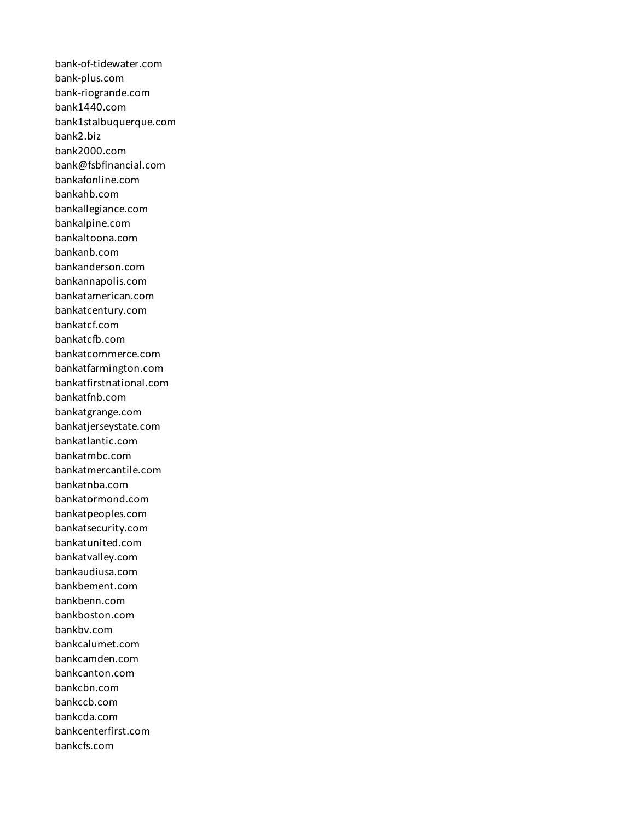bank-of-tidewater.com bank-plus.com bank-riogrande.com bank1440.com bank1stalbuquerque.com bank2.biz bank2000.com bank@fsbfinancial.com bankafonline.com bankahb.com bankallegiance.com bankalpine.com bankaltoona.com bankanb.com bankanderson.com bankannapolis.com bankatamerican.com bankatcentury.com bankatcf.com bankatcfb.com bankatcommerce.com bankatfarmington.com bankatfirstnational.com bankatfnb.com bankatgrange.com bankatjerseystate.com bankatlantic.com bankatmbc.com bankatmercantile.com bankatnba.com bankatormond.com bankatpeoples.com bankatsecurity.com bankatunited.com bankatvalley.com bankaudiusa.com bankbement.com bankbenn.com bankboston.com bankbv.com bankcalumet.com bankcamden.com bankcanton.com bankcbn.com bankccb.com bankcda.com bankcenterfirst.com bankcfs.com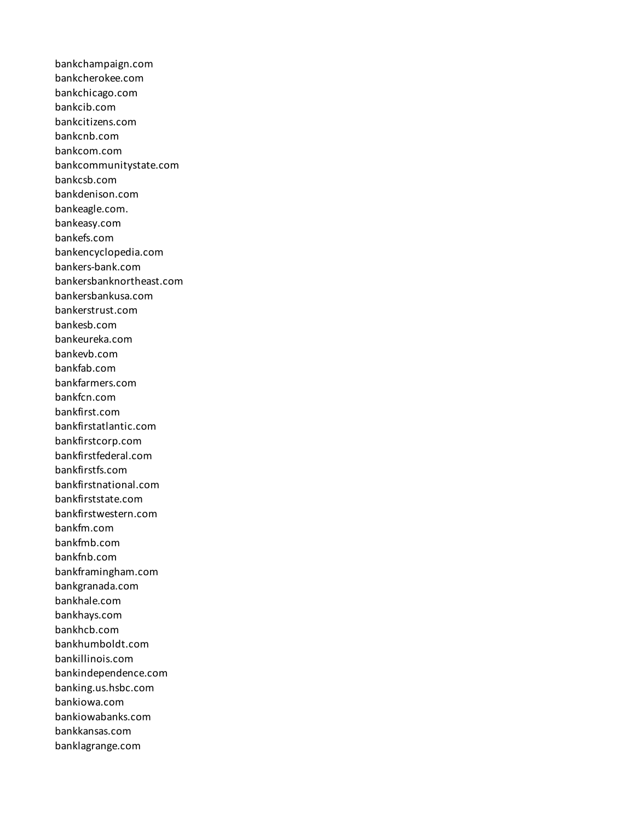bankchampaign.com bankcherokee.com bankchicago.com bankcib.com bankcitizens.com bankcnb.com bankcom.com bankcommunitystate.com bankcsb.com bankdenison.com bankeagle.com. bankeasy.com bankefs.com bankencyclopedia.com bankers-bank.com bankersbanknortheast.com bankersbankusa.com bankerstrust.com bankesb.com bankeureka.com bankevb.com bankfab.com bankfarmers.com bankfcn.com bankfirst.com bankfirstatlantic.com bankfirstcorp.com bankfirstfederal.com bankfirstfs.com bankfirstnational.com bankfirststate.com bankfirstwestern.com bankfm.com bankfmb.com bankfnb.com bankframingham.com bankgranada.com bankhale.com bankhays.com bankhcb.com bankhumboldt.com bankillinois.com bankindependence.com banking.us.hsbc.com bankiowa.com bankiowabanks.com bankkansas.com banklagrange.com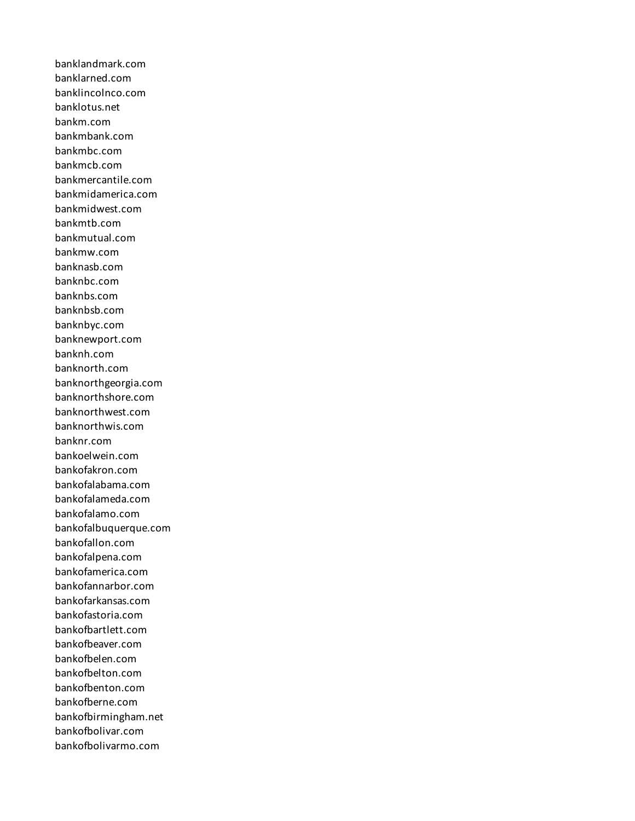banklandmark.com banklarned.com banklincolnco.com banklotus.net bankm.com bankmbank.com bankmbc.com bankmcb.com bankmercantile.com bankmidamerica.com bankmidwest.com bankmtb.com bankmutual.com bankmw.com banknasb.com banknbc.com banknbs.com banknbsb.com banknbyc.com banknewport.com banknh.com banknorth.com banknorthgeorgia.com banknorthshore.com banknorthwest.com banknorthwis.com banknr.com bankoelwein.com bankofakron.com bankofalabama.com bankofalameda.com bankofalamo.com bankofalbuquerque.com bankofallon.com bankofalpena.com bankofamerica.com bankofannarbor.com bankofarkansas.com bankofastoria.com bankofbartlett.com bankofbeaver.com bankofbelen.com bankofbelton.com bankofbenton.com bankofberne.com bankofbirmingham.net bankofbolivar.com bankofbolivarmo.com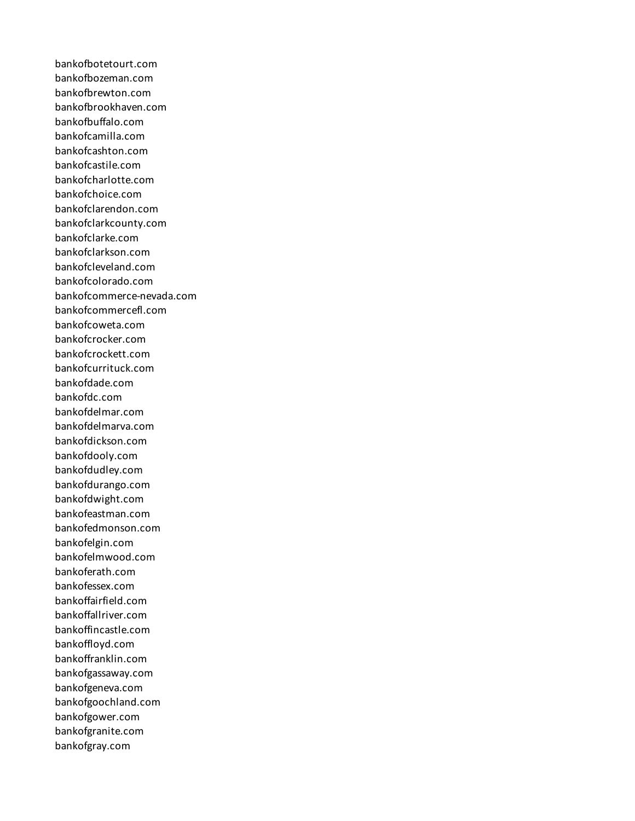bankofbotetourt.com bankofbozeman.com bankofbrewton.com bankofbrookhaven.com bankofbuffalo.com bankofcamilla.com bankofcashton.com bankofcastile.com bankofcharlotte.com bankofchoice.com bankofclarendon.com bankofclarkcounty.com bankofclarke.com bankofclarkson.com bankofcleveland.com bankofcolorado.com bankofcommerce-nevada.com bankofcommercefl.com bankofcoweta.com bankofcrocker.com bankofcrockett.com bankofcurrituck.com bankofdade.com bankofdc.com bankofdelmar.com bankofdelmarva.com bankofdickson.com bankofdooly.com bankofdudley.com bankofdurango.com bankofdwight.com bankofeastman.com bankofedmonson.com bankofelgin.com bankofelmwood.com bankoferath.com bankofessex.com bankoffairfield.com bankoffallriver.com bankoffincastle.com bankoffloyd.com bankoffranklin.com bankofgassaway.com bankofgeneva.com bankofgoochland.com bankofgower.com bankofgranite.com bankofgray.com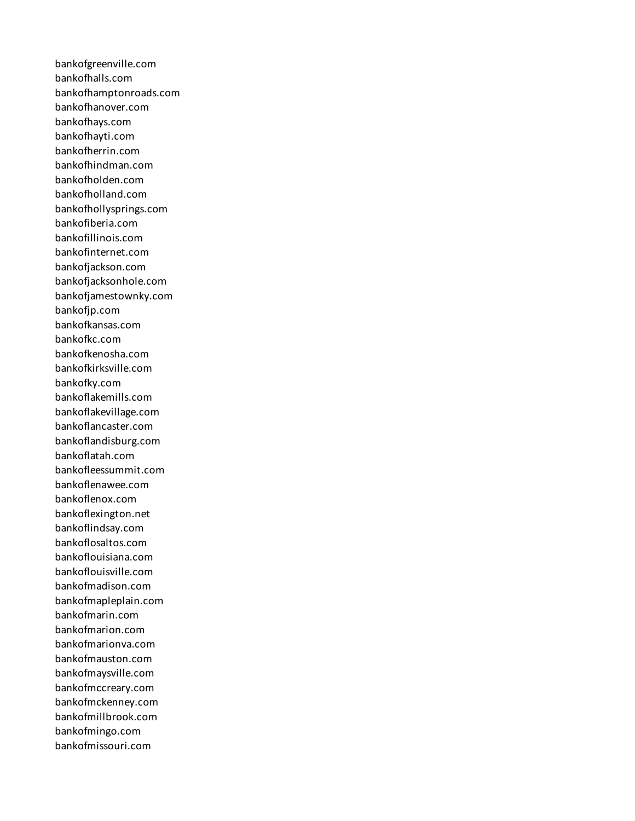bankofgreenville.com bankofhalls.com bankofhamptonroads.com bankofhanover.com bankofhays.com bankofhayti.com bankofherrin.com bankofhindman.com bankofholden.com bankofholland.com bankofhollysprings.com bankofiberia.com bankofillinois.com bankofinternet.com bankofjackson.com bankofjacksonhole.com bankofjamestownky.com bankofjp.com bankofkansas.com bankofkc.com bankofkenosha.com bankofkirksville.com bankofky.com bankoflakemills.com bankoflakevillage.com bankoflancaster.com bankoflandisburg.com bankoflatah.com bankofleessummit.com bankoflenawee.com bankoflenox.com bankoflexington.net bankoflindsay.com bankoflosaltos.com bankoflouisiana.com bankoflouisville.com bankofmadison.com bankofmapleplain.com bankofmarin.com bankofmarion.com bankofmarionva.com bankofmauston.com bankofmaysville.com bankofmccreary.com bankofmckenney.com bankofmillbrook.com bankofmingo.com bankofmissouri.com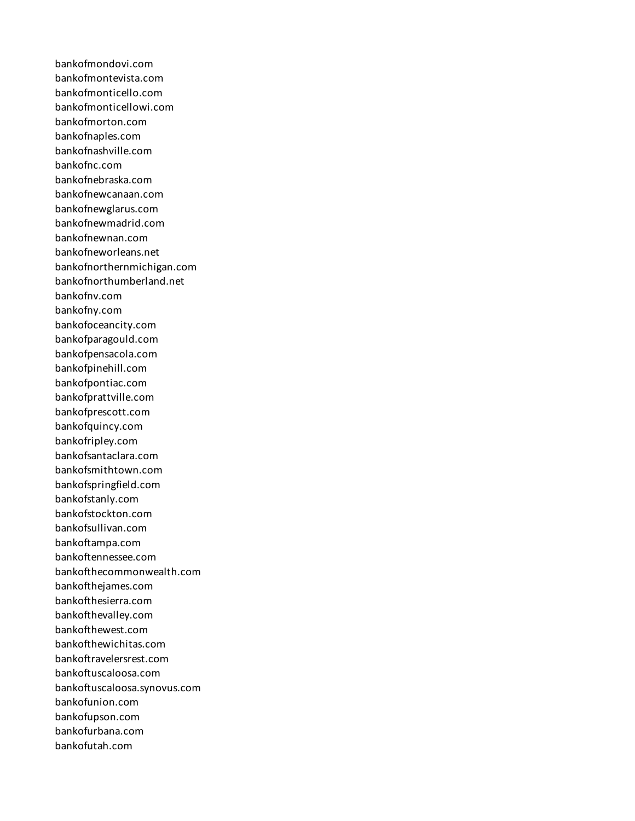bankofmondovi.com bankofmontevista.com bankofmonticello.com bankofmonticellowi.com bankofmorton.com bankofnaples.com bankofnashville.com bankofnc.com bankofnebraska.com bankofnewcanaan.com bankofnewglarus.com bankofnewmadrid.com bankofnewnan.com bankofneworleans.net bankofnorthernmichigan.com bankofnorthumberland.net bankofnv.com bankofny.com bankofoceancity.com bankofparagould.com bankofpensacola.com bankofpinehill.com bankofpontiac.com bankofprattville.com bankofprescott.com bankofquincy.com bankofripley.com bankofsantaclara.com bankofsmithtown.com bankofspringfield.com bankofstanly.com bankofstockton.com bankofsullivan.com bankoftampa.com bankoftennessee.com bankofthecommonwealth.com bankofthejames.com bankofthesierra.com bankofthevalley.com bankofthewest.com bankofthewichitas.com bankoftravelersrest.com bankoftuscaloosa.com bankoftuscaloosa.synovus.com bankofunion.com bankofupson.com bankofurbana.com bankofutah.com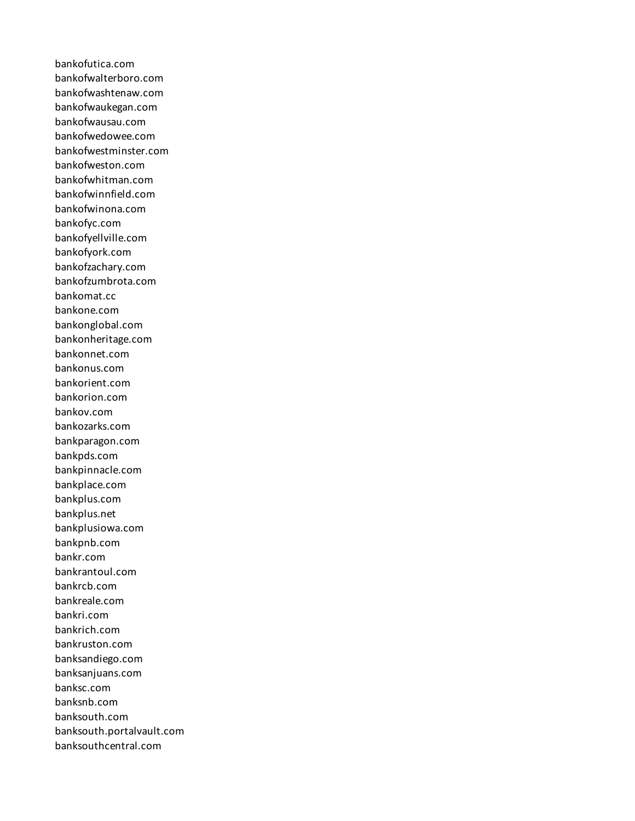bankofutica.com bankofwalterboro.com bankofwashtenaw.com bankofwaukegan.com bankofwausau.com bankofwedowee.com bankofwestminster.com bankofweston.com bankofwhitman.com bankofwinnfield.com bankofwinona.com bankofyc.com bankofyellville.com bankofyork.com bankofzachary.com bankofzumbrota.com bankomat.cc bankone.com bankonglobal.com bankonheritage.com bankonnet.com bankonus.com bankorient.com bankorion.com bankov.com bankozarks.com bankparagon.com bankpds.com bankpinnacle.com bankplace.com bankplus.com bankplus.net bankplusiowa.com bankpnb.com bankr.com bankrantoul.com bankrcb.com bankreale.com bankri.com bankrich.com bankruston.com banksandiego.com banksanjuans.com banksc.com banksnb.com banksouth.com banksouth.portalvault.com banksouthcentral.com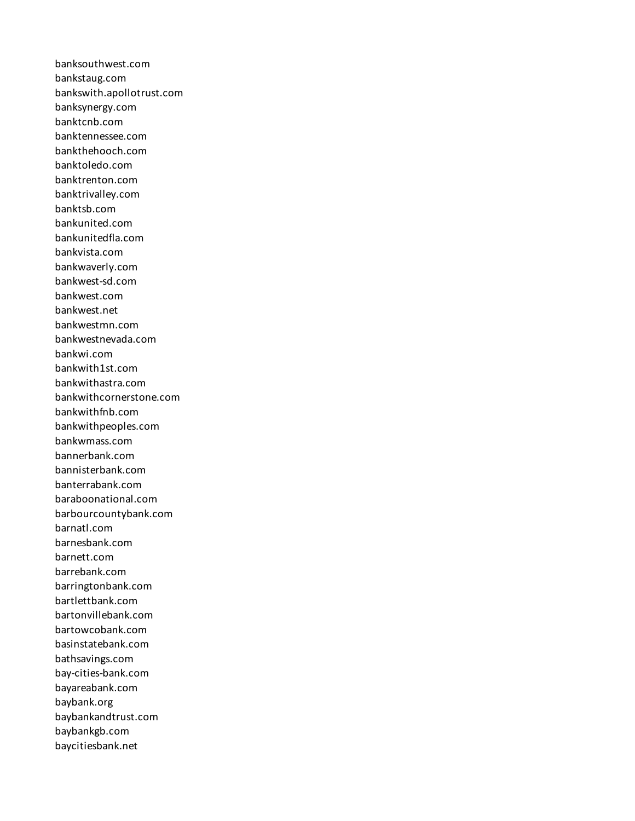banksouthwest.com bankstaug.com bankswith.apollotrust.com banksynergy.com banktcnb.com banktennessee.com bankthehooch.com banktoledo.com banktrenton.com banktrivalley.com banktsb.com bankunited.com bankunitedfla.com bankvista.com bankwaverly.com bankwest-sd.com bankwest.com bankwest.net bankwestmn.com bankwestnevada.com bankwi.com bankwith1st.com bankwithastra.com bankwithcornerstone.com bankwithfnb.com bankwithpeoples.com bankwmass.com bannerbank.com bannisterbank.com banterrabank.com baraboonational.com barbourcountybank.com barnatl.com barnesbank.com barnett.com barrebank.com barringtonbank.com bartlettbank.com bartonvillebank.com bartowcobank.com basinstatebank.com bathsavings.com bay-cities-bank.com bayareabank.com baybank.org baybankandtrust.com baybankgb.com baycitiesbank.net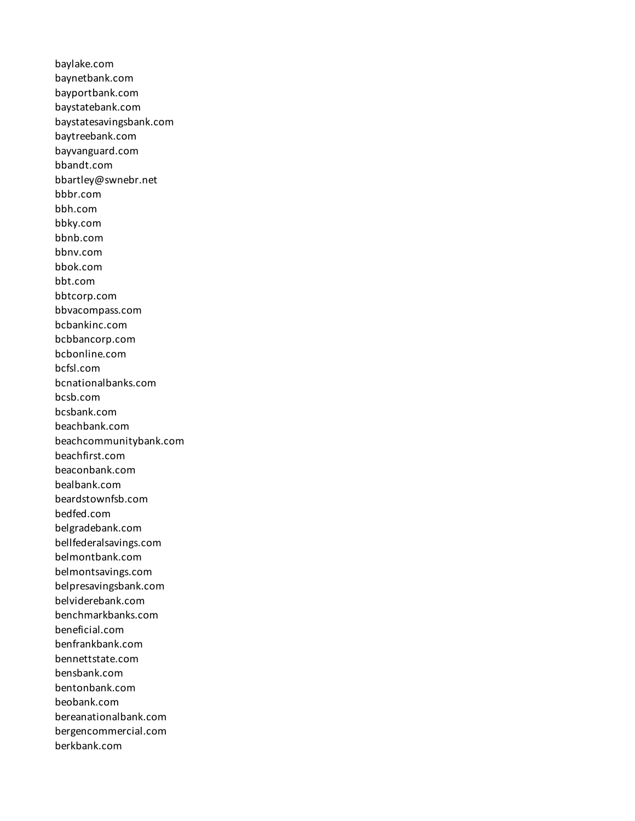baylake.com baynetbank.com bayportbank.com baystatebank.com baystatesavingsbank.com baytreebank.com bayvanguard.com bbandt.com bbartley@swnebr.net bbbr.com bbh.com bbky.com bbnb.com bbnv.com bbok.com bbt.com bbtcorp.com bbvacompass.com bcbankinc.com bcbbancorp.com bcbonline.com bcfsl.com bcnationalbanks.com bcsb.com bcsbank.com beachbank.com beachcommunitybank.com beachfirst.com beaconbank.com bealbank.com beardstownfsb.com bedfed.com belgradebank.com bellfederalsavings.com belmontbank.com belmontsavings.com belpresavingsbank.com belviderebank.com benchmarkbanks.com beneficial.com benfrankbank.com bennettstate.com bensbank.com bentonbank.com beobank.com bereanationalbank.com bergencommercial.com berkbank.com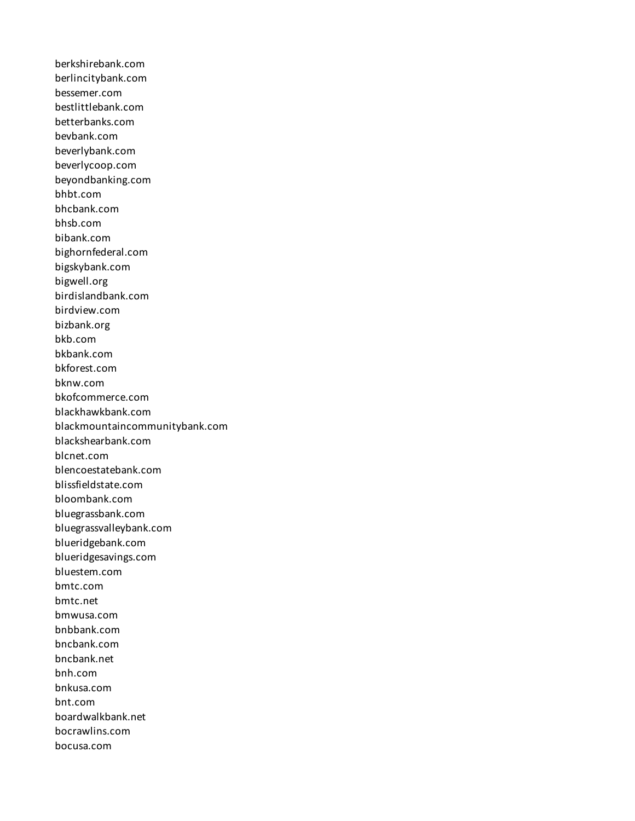berkshirebank.com berlincitybank.com bessemer.com bestlittlebank.com betterbanks.com bevbank.com beverlybank.com beverlycoop.com beyondbanking.com bhbt.com bhcbank.com bhsb.com bibank.com bighornfederal.com bigskybank.com bigwell.org birdislandbank.com birdview.com bizbank.org bkb.com bkbank.com bkforest.com bknw.com bkofcommerce.com blackhawkbank.com blackmountaincommunitybank.com blackshearbank.com blcnet.com blencoestatebank.com blissfieldstate.com bloombank.com bluegrassbank.com bluegrassvalleybank.com blueridgebank.com blueridgesavings.com bluestem.com bmtc.com bmtc.net bmwusa.com bnbbank.com bncbank.com bncbank.net bnh.com bnkusa.com bnt.com boardwalkbank.net bocrawlins.com bocusa.com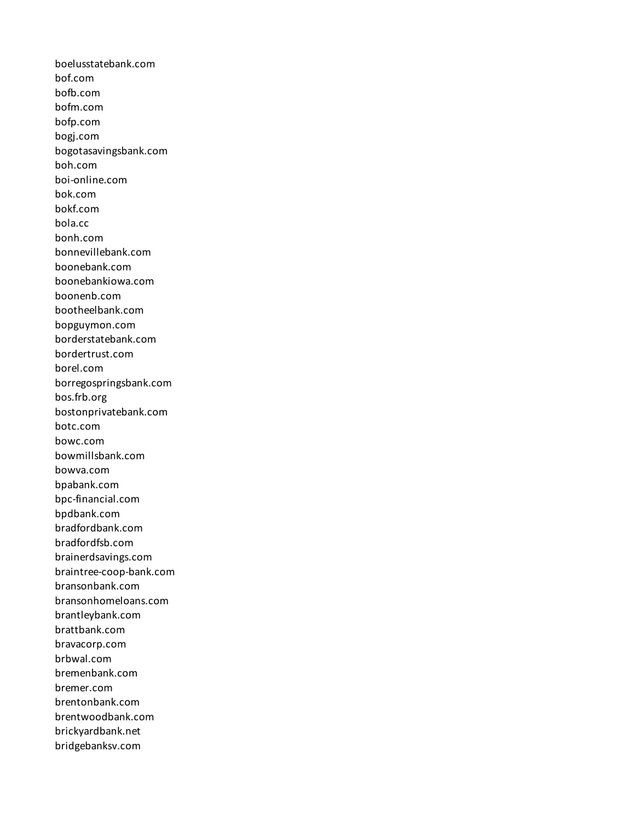boelusstatebank.com bof.com bofb.com bofm.com bofp.com bogj.com bogotasavingsbank.com boh.com boi-online.com bok.com bokf.com bola.cc bonh.com bonnevillebank.com boonebank.com boonebankiowa.com boonenb.com bootheelbank.com bopguymon.com borderstatebank.com bordertrust.com borel.com borregospringsbank.com bos.frb.org bostonprivatebank.com botc.com bowc.com bowmillsbank.com bowva.com bpabank.com bpc-financial.com bpdbank.com bradfordbank.com bradfordfsb.com brainerdsavings.com braintree-coop-bank.com bransonbank.com bransonhomeloans.com brantleybank.com brattbank.com bravacorp.com brbwal.com bremenbank.com bremer.com brentonbank.com brentwoodbank.com brickyardbank.net bridgebanksv.com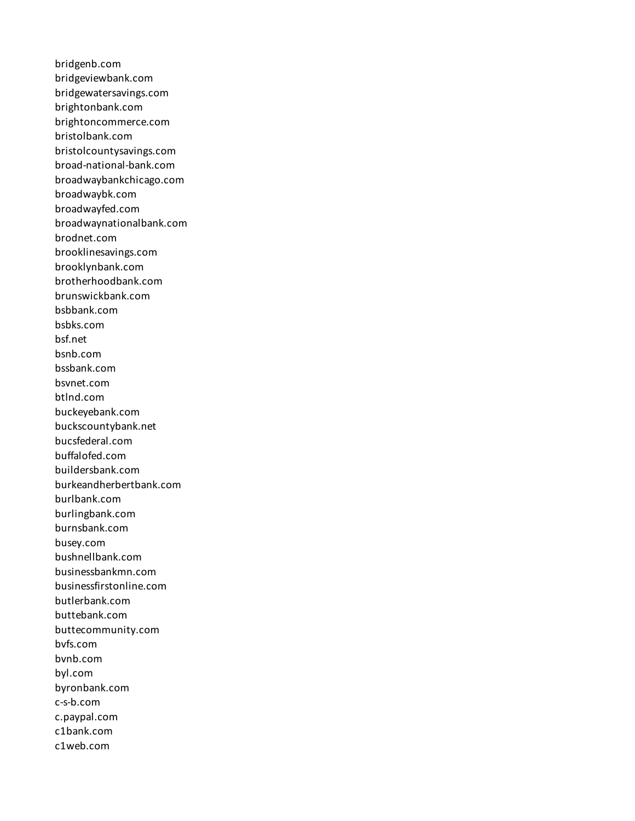bridgenb.com bridgeviewbank.com bridgewatersavings.com brightonbank.com brightoncommerce.com bristolbank.com bristolcountysavings.com broad-national-bank.com broadwaybankchicago.com broadwaybk.com broadwayfed.com broadwaynationalbank.com brodnet.com brooklinesavings.com brooklynbank.com brotherhoodbank.com brunswickbank.com bsbbank.com bsbks.com bsf.net bsnb.com bssbank.com bsvnet.com btlnd.com buckeyebank.com buckscountybank.net bucsfederal.com buffalofed.com buildersbank.com burkeandherbertbank.com burlbank.com burlingbank.com burnsbank.com busey.com bushnellbank.com businessbankmn.com businessfirstonline.com butlerbank.com buttebank.com buttecommunity.com bvfs.com bvnb.com byl.com byronbank.com c-s-b.com c.paypal.com c1bank.com c1web.com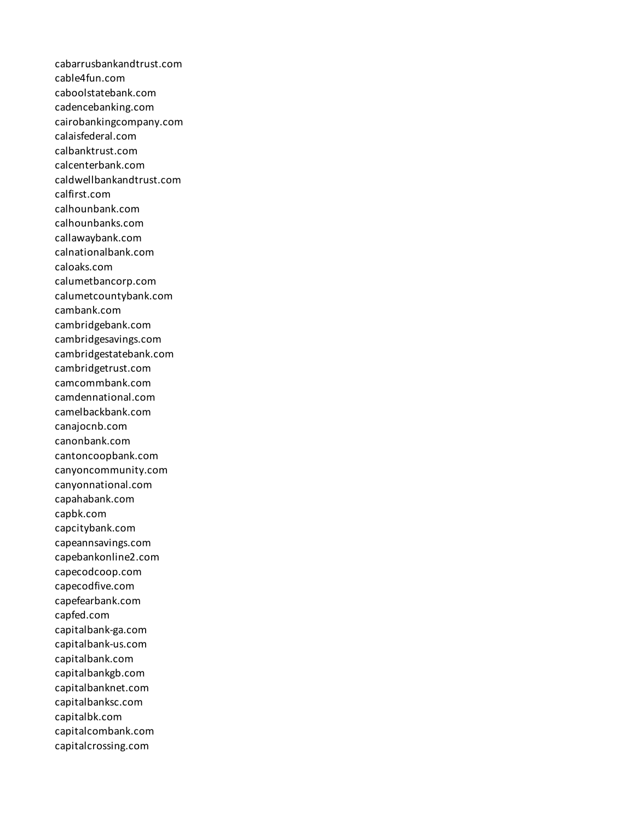cabarrusbankandtrust.com cable4fun.com caboolstatebank.com cadencebanking.com cairobankingcompany.com calaisfederal.com calbanktrust.com calcenterbank.com caldwellbankandtrust.com calfirst.com calhounbank.com calhounbanks.com callawaybank.com calnationalbank.com caloaks.com calumetbancorp.com calumetcountybank.com cambank.com cambridgebank.com cambridgesavings.com cambridgestatebank.com cambridgetrust.com camcommbank.com camdennational.com camelbackbank.com canajocnb.com canonbank.com cantoncoopbank.com canyoncommunity.com canyonnational.com capahabank.com capbk.com capcitybank.com capeannsavings.com capebankonline2.com capecodcoop.com capecodfive.com capefearbank.com capfed.com capitalbank-ga.com capitalbank-us.com capitalbank.com capitalbankgb.com capitalbanknet.com capitalbanksc.com capitalbk.com capitalcombank.com capitalcrossing.com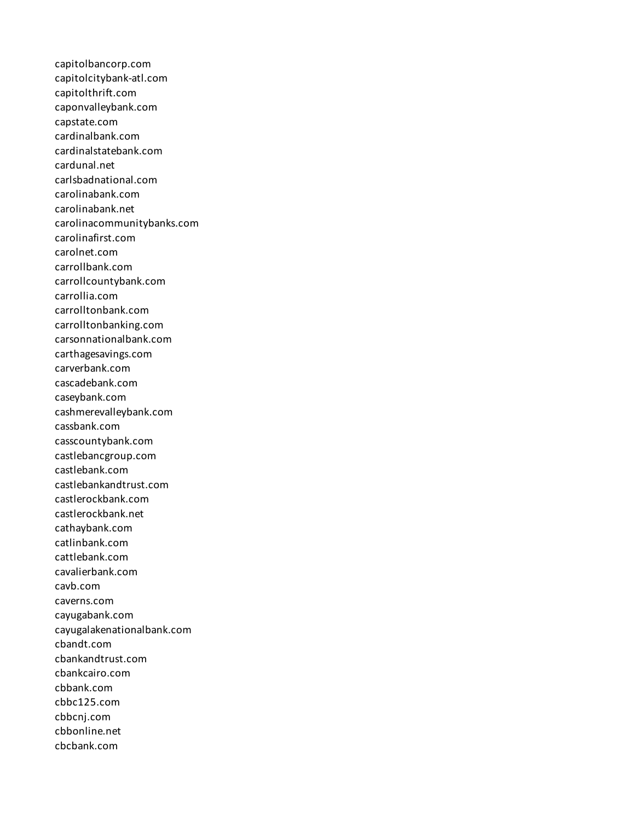capitolbancorp.com capitolcitybank-atl.com capitolthrift.com caponvalleybank.com capstate.com cardinalbank.com cardinalstatebank.com cardunal.net carlsbadnational.com carolinabank.com carolinabank.net carolinacommunitybanks.com carolinafirst.com carolnet.com carrollbank.com carrollcountybank.com carrollia.com carrolltonbank.com carrolltonbanking.com carsonnationalbank.com carthagesavings.com carverbank.com cascadebank.com caseybank.com cashmerevalleybank.com cassbank.com casscountybank.com castlebancgroup.com castlebank.com castlebankandtrust.com castlerockbank.com castlerockbank.net cathaybank.com catlinbank.com cattlebank.com cavalierbank.com cavb.com caverns.com cayugabank.com cayugalakenationalbank.com cbandt.com cbankandtrust.com cbankcairo.com cbbank.com cbbc125.com cbbcnj.com cbbonline.net cbcbank.com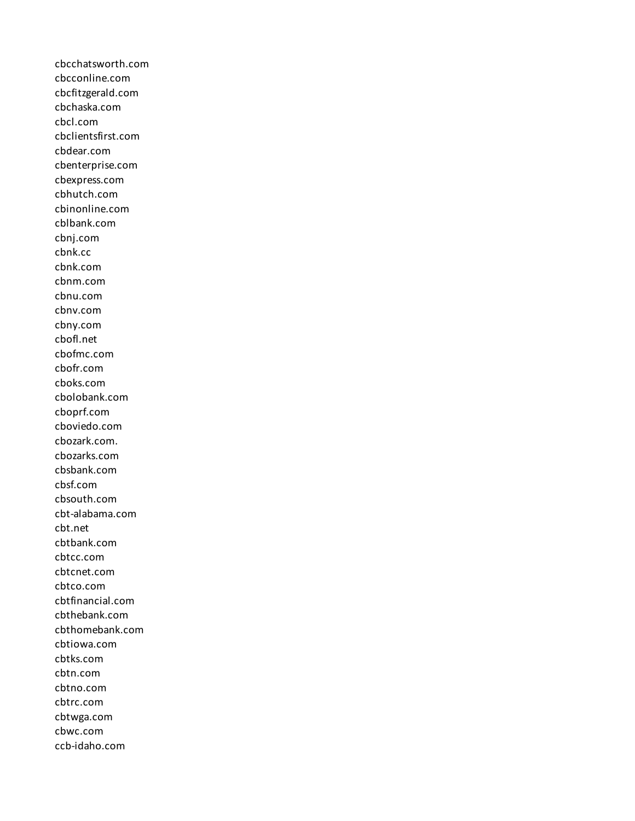cbcchatsworth.com cbcconline.com cbcfitzgerald.com cbchaska.com cbcl.com cbclientsfirst.com cbdear.com cbenterprise.com cbexpress.com cbhutch.com cbinonline.com cblbank.com cbnj.com cbnk.cc cbnk.com cbnm.com cbnu.com cbnv.com cbny.com cbofl.net cbofmc.com cbofr.com cboks.com cbolobank.com cboprf.com cboviedo.com cbozark.com. cbozarks.com cbsbank.com cbsf.com cbsouth.com cbt-alabama.com cbt.net cbtbank.com cbtcc.com cbtcnet.com cbtco.com cbtfinancial.com cbthebank.com cbthomebank.com cbtiowa.com cbtks.com cbtn.com cbtno.com cbtrc.com cbtwga.com cbwc.com ccb-idaho.com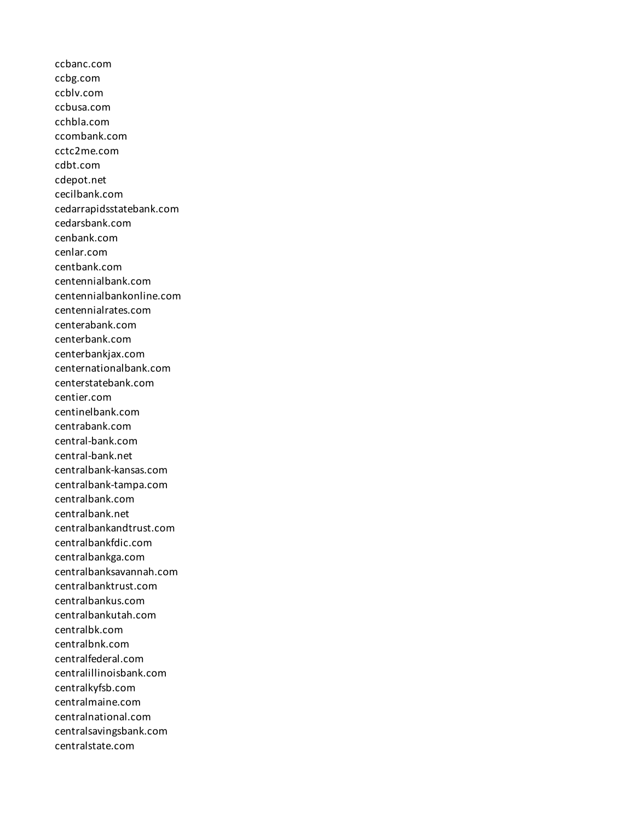ccbanc.com ccbg.com ccblv.com ccbusa.com cchbla.com ccombank.com cctc2me.com cdbt.com cdepot.net cecilbank.com cedarrapidsstatebank.com cedarsbank.com cenbank.com cenlar.com centbank.com centennialbank.com centennialbankonline.com centennialrates.com centerabank.com centerbank.com centerbankjax.com centernationalbank.com centerstatebank.com centier.com centinelbank.com centrabank.com central-bank.com central-bank.net centralbank-kansas.com centralbank-tampa.com centralbank.com centralbank.net centralbankandtrust.com centralbankfdic.com centralbankga.com centralbanksavannah.com centralbanktrust.com centralbankus.com centralbankutah.com centralbk.com centralbnk.com centralfederal.com centralillinoisbank.com centralkyfsb.com centralmaine.com centralnational.com centralsavingsbank.com centralstate.com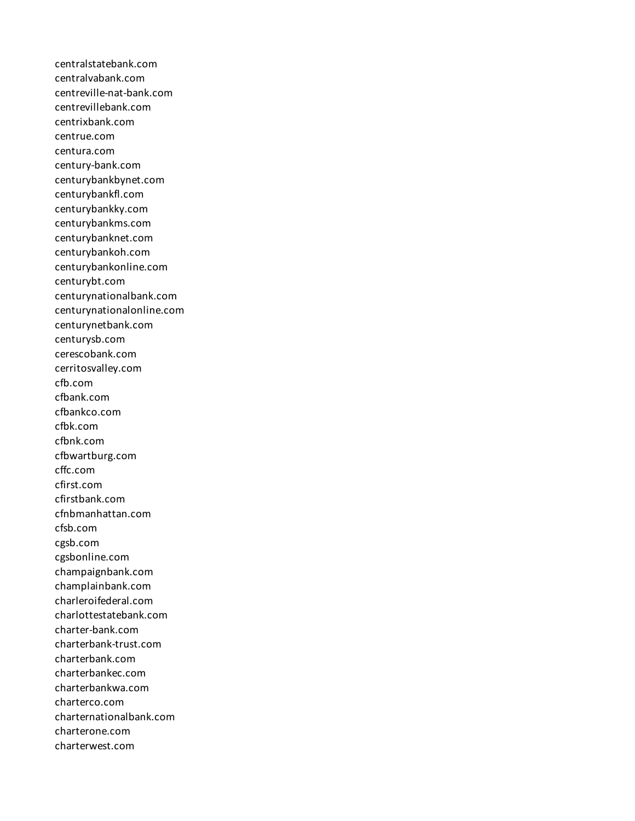centralstatebank.com centralvabank.com centreville-nat-bank.com centrevillebank.com centrixbank.com centrue.com centura.com century-bank.com centurybankbynet.com centurybankfl.com centurybankky.com centurybankms.com centurybanknet.com centurybankoh.com centurybankonline.com centurybt.com centurynationalbank.com centurynationalonline.com centurynetbank.com centurysb.com cerescobank.com cerritosvalley.com cfb.com cfbank.com cfbankco.com cfbk.com cfbnk.com cfbwartburg.com cffc.com cfirst.com cfirstbank.com cfnbmanhattan.com cfsb.com cgsb.com cgsbonline.com champaignbank.com champlainbank.com charleroifederal.com charlottestatebank.com charter-bank.com charterbank-trust.com charterbank.com charterbankec.com charterbankwa.com charterco.com charternationalbank.com charterone.com charterwest.com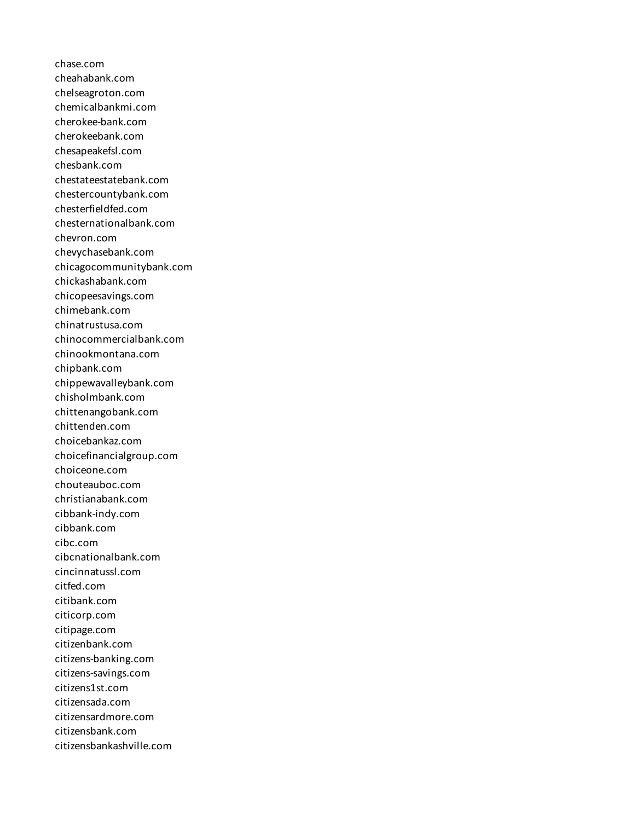chase.com cheahabank.com chelseagroton.com chemicalbankmi.com cherokee-bank.com cherokeebank.com chesapeakefsl.com chesbank.com chestateestatebank.com chestercountybank.com chesterfieldfed.com chesternationalbank.com chevron.com chevychasebank.com chicagocommunitybank.com chickashabank.com chicopeesavings.com chimebank.com chinatrustusa.com chinocommercialbank.com chinookmontana.com chipbank.com chippewavalleybank.com chisholmbank.com chittenangobank.com chittenden.com choicebankaz.com choicefinancialgroup.com choiceone.com chouteauboc.com christianabank.com cibbank-indy.com cibbank.com cibc.com cibcnationalbank.com cincinnatussl.com citfed.com citibank.com citicorp.com citipage.com citizenbank.com citizens-banking.com citizens-savings.com citizens1st.com citizensada.com citizensardmore.com citizensbank.com citizensbankashville.com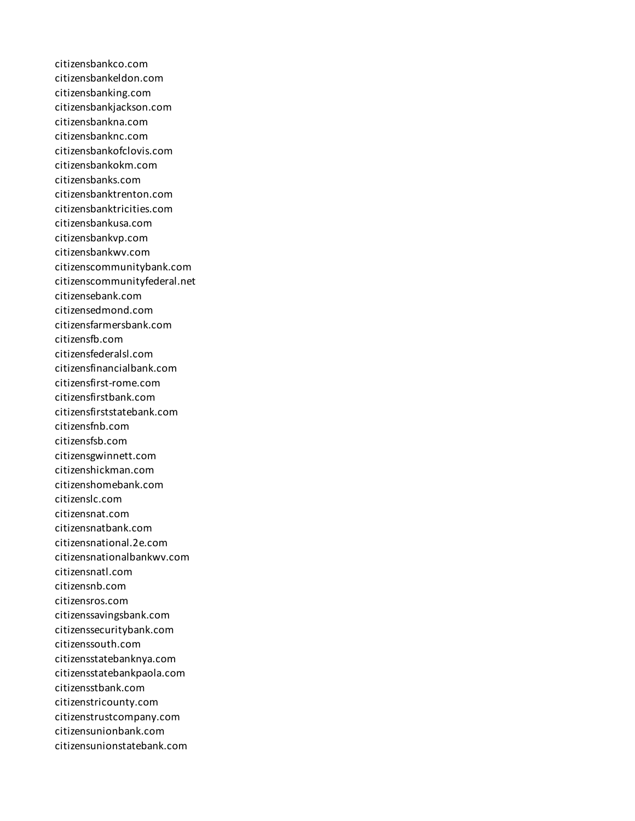citizensbankco.com citizensbankeldon.com citizensbanking.com citizensbankjackson.com citizensbankna.com citizensbanknc.com citizensbankofclovis.com citizensbankokm.com citizensbanks.com citizensbanktrenton.com citizensbanktricities.com citizensbankusa.com citizensbankvp.com citizensbankwv.com citizenscommunitybank.com citizenscommunityfederal.net citizensebank.com citizensedmond.com citizensfarmersbank.com citizensfb.com citizensfederalsl.com citizensfinancialbank.com citizensfirst-rome.com citizensfirstbank.com citizensfirststatebank.com citizensfnb.com citizensfsb.com citizensgwinnett.com citizenshickman.com citizenshomebank.com citizenslc.com citizensnat.com citizensnatbank.com citizensnational.2e.com citizensnationalbankwv.com citizensnatl.com citizensnb.com citizensros.com citizenssavingsbank.com citizenssecuritybank.com citizenssouth.com citizensstatebanknya.com citizensstatebankpaola.com citizensstbank.com citizenstricounty.com citizenstrustcompany.com citizensunionbank.com citizensunionstatebank.com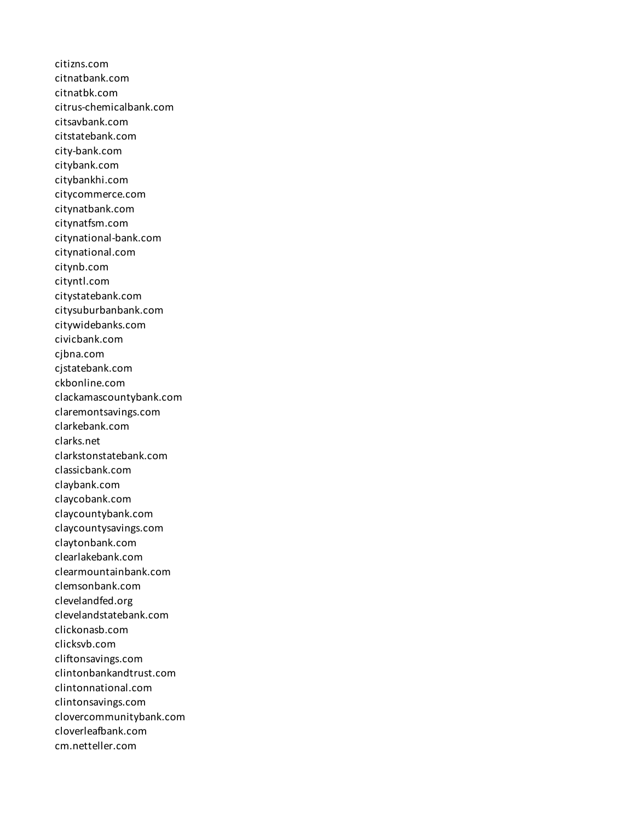citizns.com citnatbank.com citnatbk.com citrus-chemicalbank.com citsavbank.com citstatebank.com city-bank.com citybank.com citybankhi.com citycommerce.com citynatbank.com citynatfsm.com citynational-bank.com citynational.com citynb.com cityntl.com citystatebank.com citysuburbanbank.com citywidebanks.com civicbank.com cjbna.com cjstatebank.com ckbonline.com clackamascountybank.com claremontsavings.com clarkebank.com clarks.net clarkstonstatebank.com classicbank.com claybank.com claycobank.com claycountybank.com claycountysavings.com claytonbank.com clearlakebank.com clearmountainbank.com clemsonbank.com clevelandfed.org clevelandstatebank.com clickonasb.com clicksvb.com cliftonsavings.com clintonbankandtrust.com clintonnational.com clintonsavings.com clovercommunitybank.com cloverleafbank.com cm.netteller.com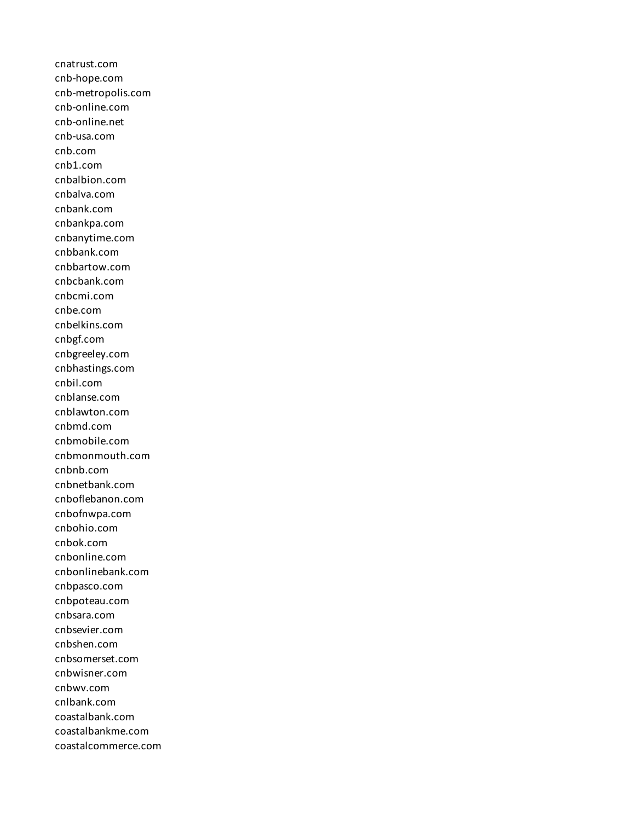cnatrust.com cnb-hope.com cnb-metropolis.com cnb-online.com cnb-online.net cnb-usa.com cnb.com cnb1.com cnbalbion.com cnbalva.com cnbank.com cnbankpa.com cnbanytime.com cnbbank.com cnbbartow.com cnbcbank.com cnbcmi.com cnbe.com cnbelkins.com cnbgf.com cnbgreeley.com cnbhastings.com cnbil.com cnblanse.com cnblawton.com cnbmd.com cnbmobile.com cnbmonmouth.com cnbnb.com cnbnetbank.com cnboflebanon.com cnbofnwpa.com cnbohio.com cnbok.com cnbonline.com cnbonlinebank.com cnbpasco.com cnbpoteau.com cnbsara.com cnbsevier.com cnbshen.com cnbsomerset.com cnbwisner.com cnbwv.com cnlbank.com coastalbank.com coastalbankme.com coastalcommerce.com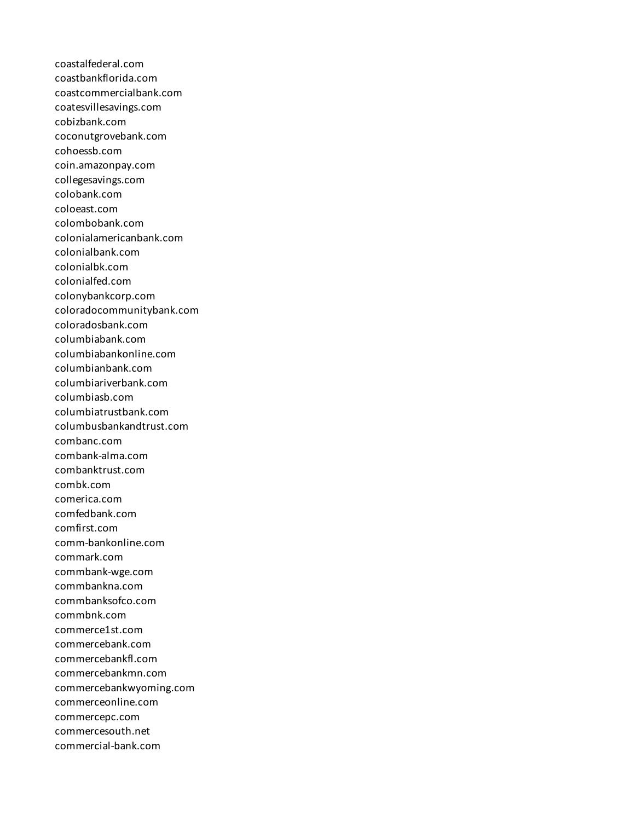coastalfederal.com coastbankflorida.com coastcommercialbank.com coatesvillesavings.com cobizbank.com coconutgrovebank.com cohoessb.com coin.amazonpay.com collegesavings.com colobank.com coloeast.com colombobank.com colonialamericanbank.com colonialbank.com colonialbk.com colonialfed.com colonybankcorp.com coloradocommunitybank.com coloradosbank.com columbiabank.com columbiabankonline.com columbianbank.com columbiariverbank.com columbiasb.com columbiatrustbank.com columbusbankandtrust.com combanc.com combank-alma.com combanktrust.com combk.com comerica.com comfedbank.com comfirst.com comm-bankonline.com commark.com commbank-wge.com commbankna.com commbanksofco.com commbnk.com commerce1st.com commercebank.com commercebankfl.com commercebankmn.com commercebankwyoming.com commerceonline.com commercepc.com commercesouth.net commercial-bank.com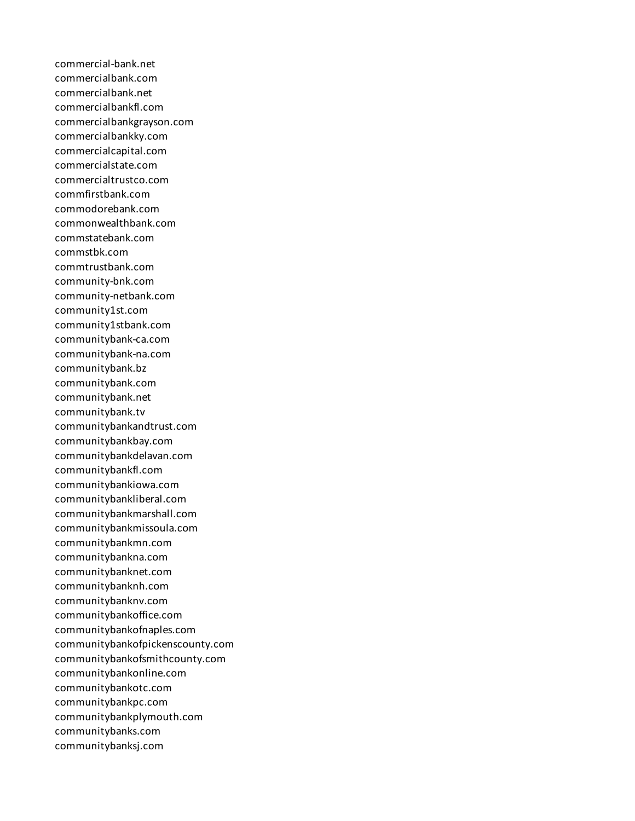commercial-bank.net commercialbank.com commercialbank.net commercialbankfl.com commercialbankgrayson.com commercialbankky.com commercialcapital.com commercialstate.com commercialtrustco.com commfirstbank.com commodorebank.com commonwealthbank.com commstatebank.com commstbk.com commtrustbank.com community-bnk.com community-netbank.com community1st.com community1stbank.com communitybank-ca.com communitybank-na.com communitybank.bz communitybank.com communitybank.net communitybank.tv communitybankandtrust.com communitybankbay.com communitybankdelavan.com communitybankfl.com communitybankiowa.com communitybankliberal.com communitybankmarshall.com communitybankmissoula.com communitybankmn.com communitybankna.com communitybanknet.com communitybanknh.com communitybanknv.com communitybankoffice.com communitybankofnaples.com communitybankofpickenscounty.com communitybankofsmithcounty.com communitybankonline.com communitybankotc.com communitybankpc.com communitybankplymouth.com communitybanks.com communitybanksj.com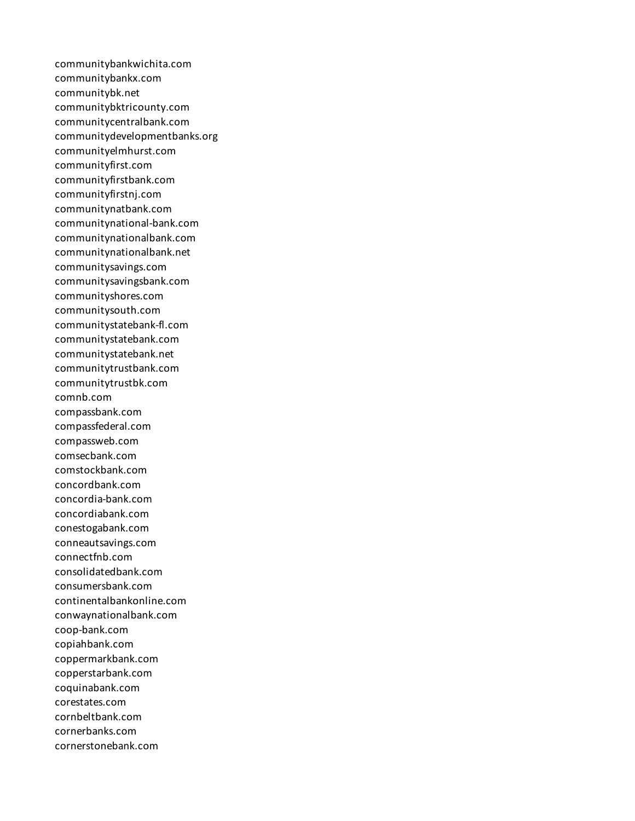communitybankwichita.com communitybankx.com communitybk.net communitybktricounty.com communitycentralbank.com communitydevelopmentbanks.org communityelmhurst.com communityfirst.com communityfirstbank.com communityfirstnj.com communitynatbank.com communitynational-bank.com communitynationalbank.com communitynationalbank.net communitysavings.com communitysavingsbank.com communityshores.com communitysouth.com communitystatebank-fl.com communitystatebank.com communitystatebank.net communitytrustbank.com communitytrustbk.com comnb.com compassbank.com compassfederal.com compassweb.com comsecbank.com comstockbank.com concordbank.com concordia-bank.com concordiabank.com conestogabank.com conneautsavings.com connectfnb.com consolidatedbank.com consumersbank.com continentalbankonline.com conwaynationalbank.com coop-bank.com copiahbank.com coppermarkbank.com copperstarbank.com coquinabank.com corestates.com cornbeltbank.com cornerbanks.com cornerstonebank.com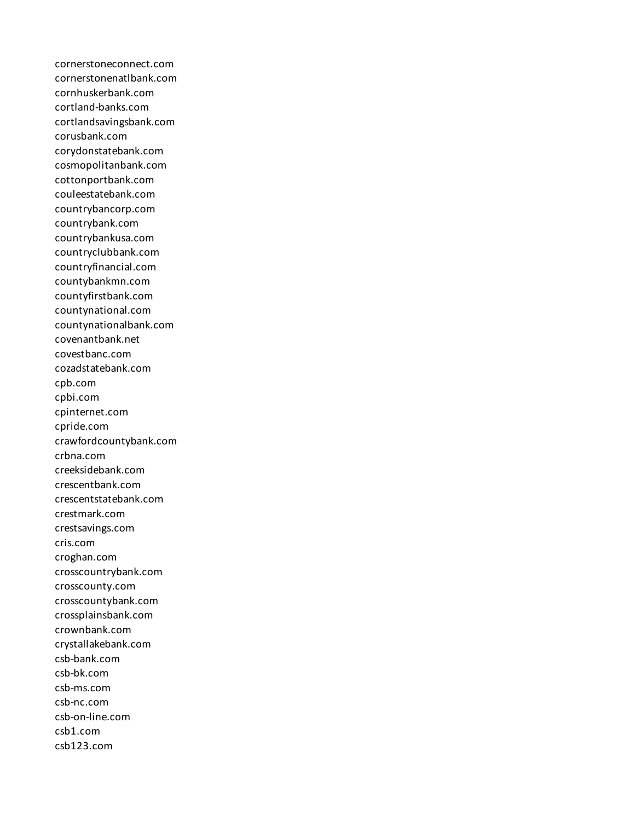cornerstoneconnect.com cornerstonenatlbank.com cornhuskerbank.com cortland-banks.com cortlandsavingsbank.com corusbank.com corydonstatebank.com cosmopolitanbank.com cottonportbank.com couleestatebank.com countrybancorp.com countrybank.com countrybankusa.com countryclubbank.com countryfinancial.com countybankmn.com countyfirstbank.com countynational.com countynationalbank.com covenantbank.net covestbanc.com cozadstatebank.com cpb.com cpbi.com cpinternet.com cpride.com crawfordcountybank.com crbna.com creeksidebank.com crescentbank.com crescentstatebank.com crestmark.com crestsavings.com cris.com croghan.com crosscountrybank.com crosscounty.com crosscountybank.com crossplainsbank.com crownbank.com crystallakebank.com csb-bank.com csb-bk.com csb-ms.com csb-nc.com csb-on-line.com csb1.com csb123.com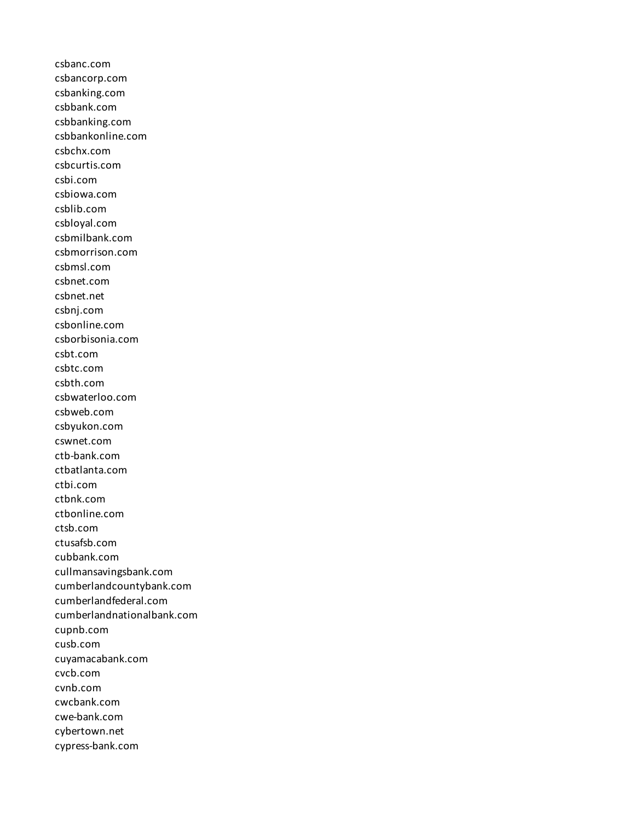csbanc.com csbancorp.com csbanking.com csbbank.com csbbanking.com csbbankonline.com csbchx.com csbcurtis.com csbi.com csbiowa.com csblib.com csbloyal.com csbmilbank.com csbmorrison.com csbmsl.com csbnet.com csbnet.net csbnj.com csbonline.com csborbisonia.com csbt.com csbtc.com csbth.com csbwaterloo.com csbweb.com csbyukon.com cswnet.com ctb-bank.com ctbatlanta.com ctbi.com ctbnk.com ctbonline.com ctsb.com ctusafsb.com cubbank.com cullmansavingsbank.com cumberlandcountybank.com cumberlandfederal.com cumberlandnationalbank.com cupnb.com cusb.com cuyamacabank.com cvcb.com cvnb.com cwcbank.com cwe-bank.com cybertown.net cypress-bank.com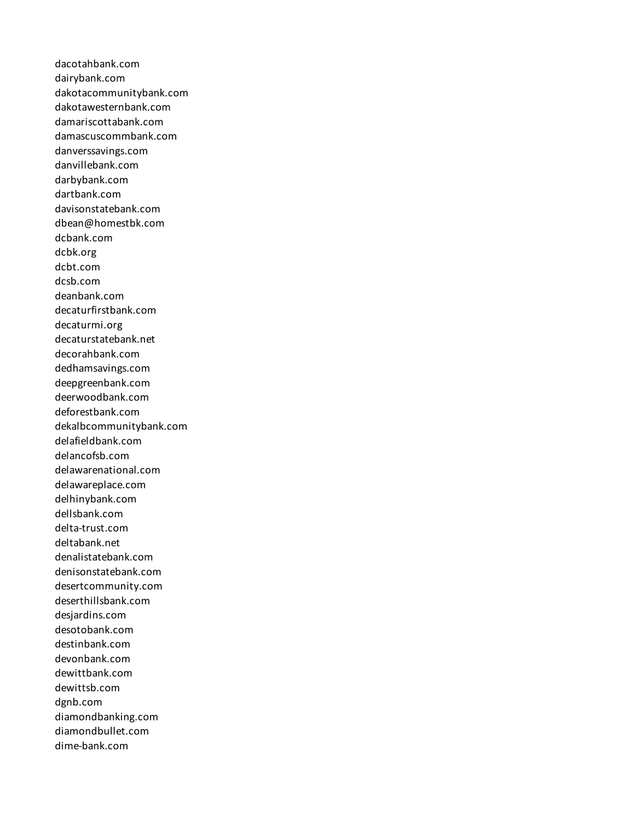dacotahbank.com dairybank.com dakotacommunitybank.com dakotawesternbank.com damariscottabank.com damascuscommbank.com danverssavings.com danvillebank.com darbybank.com dartbank.com davisonstatebank.com dbean@homestbk.com dcbank.com dcbk.org dcbt.com dcsb.com deanbank.com decaturfirstbank.com decaturmi.org decaturstatebank.net decorahbank.com dedhamsavings.com deepgreenbank.com deerwoodbank.com deforestbank.com dekalbcommunitybank.com delafieldbank.com delancofsb.com delawarenational.com delawareplace.com delhinybank.com dellsbank.com delta-trust.com deltabank.net denalistatebank.com denisonstatebank.com desertcommunity.com deserthillsbank.com desjardins.com desotobank.com destinbank.com devonbank.com dewittbank.com dewittsb.com dgnb.com diamondbanking.com diamondbullet.com dime-bank.com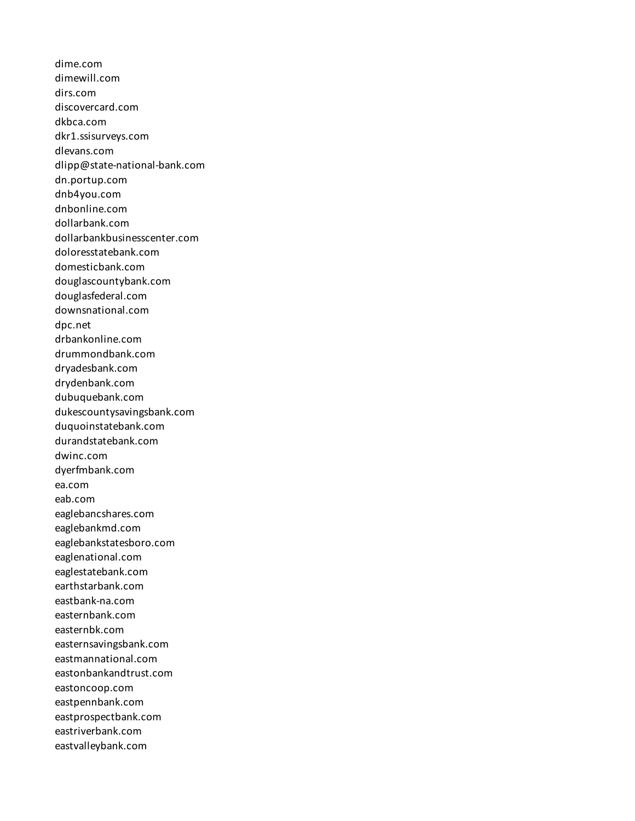dime.com dimewill.com dirs.com discovercard.com dkbca.com dkr1.ssisurveys.com dlevans.com dlipp@state-national-bank.com dn.portup.com dnb4you.com dnbonline.com dollarbank.com dollarbankbusinesscenter.com doloresstatebank.com domesticbank.com douglascountybank.com douglasfederal.com downsnational.com dpc.net drbankonline.com drummondbank.com dryadesbank.com drydenbank.com dubuquebank.com dukescountysavingsbank.com duquoinstatebank.com durandstatebank.com dwinc.com dyerfmbank.com ea.com eab.com eaglebancshares.com eaglebankmd.com eaglebankstatesboro.com eaglenational.com eaglestatebank.com earthstarbank.com eastbank-na.com easternbank.com easternbk.com easternsavingsbank.com eastmannational.com eastonbankandtrust.com eastoncoop.com eastpennbank.com eastprospectbank.com eastriverbank.com eastvalleybank.com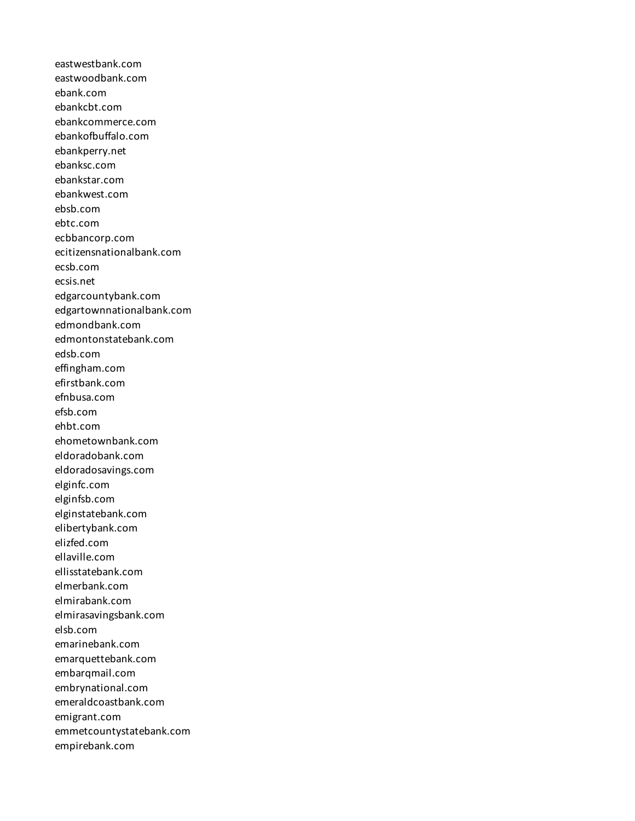eastwestbank.com eastwoodbank.com ebank.com ebankcbt.com ebankcommerce.com ebankofbuffalo.com ebankperry.net ebanksc.com ebankstar.com ebankwest.com ebsb.com ebtc.com ecbbancorp.com ecitizensnationalbank.com ecsb.com ecsis.net edgarcountybank.com edgartownnationalbank.com edmondbank.com edmontonstatebank.com edsb.com effingham.com efirstbank.com efnbusa.com efsb.com ehbt.com ehometownbank.com eldoradobank.com eldoradosavings.com elginfc.com elginfsb.com elginstatebank.com elibertybank.com elizfed.com ellaville.com ellisstatebank.com elmerbank.com elmirabank.com elmirasavingsbank.com elsb.com emarinebank.com emarquettebank.com embarqmail.com embrynational.com emeraldcoastbank.com emigrant.com emmetcountystatebank.com empirebank.com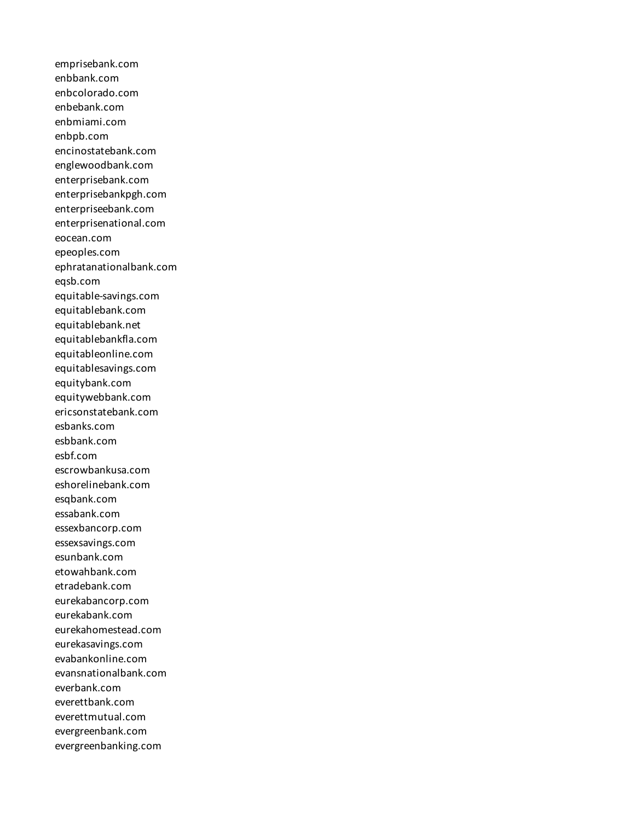emprisebank.com enbbank.com enbcolorado.com enbebank.com enbmiami.com enbpb.com encinostatebank.com englewoodbank.com enterprisebank.com enterprisebankpgh.com enterpriseebank.com enterprisenational.com eocean.com epeoples.com ephratanationalbank.com eqsb.com equitable-savings.com equitablebank.com equitablebank.net equitablebankfla.com equitableonline.com equitablesavings.com equitybank.com equitywebbank.com ericsonstatebank.com esbanks.com esbbank.com esbf.com escrowbankusa.com eshorelinebank.com esqbank.com essabank.com essexbancorp.com essexsavings.com esunbank.com etowahbank.com etradebank.com eurekabancorp.com eurekabank.com eurekahomestead.com eurekasavings.com evabankonline.com evansnationalbank.com everbank.com everettbank.com everettmutual.com evergreenbank.com evergreenbanking.com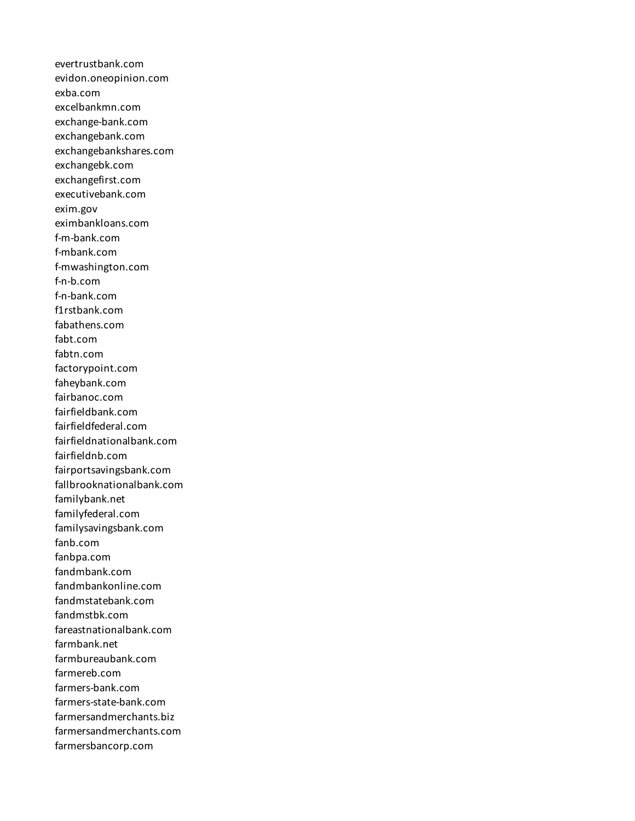evertrustbank.com evidon.oneopinion.com exba.com excelbankmn.com exchange-bank.com exchangebank.com exchangebankshares.com exchangebk.com exchangefirst.com executivebank.com exim.gov eximbankloans.com f-m-bank.com f-mbank.com f-mwashington.com f-n-b.com f-n-bank.com f1rstbank.com fabathens.com fabt.com fabtn.com factorypoint.com faheybank.com fairbanoc.com fairfieldbank.com fairfieldfederal.com fairfieldnationalbank.com fairfieldnb.com fairportsavingsbank.com fallbrooknationalbank.com familybank.net familyfederal.com familysavingsbank.com fanb.com fanbpa.com fandmbank.com fandmbankonline.com fandmstatebank.com fandmstbk.com fareastnationalbank.com farmbank.net farmbureaubank.com farmereb.com farmers-bank.com farmers-state-bank.com farmersandmerchants.biz farmersandmerchants.com farmersbancorp.com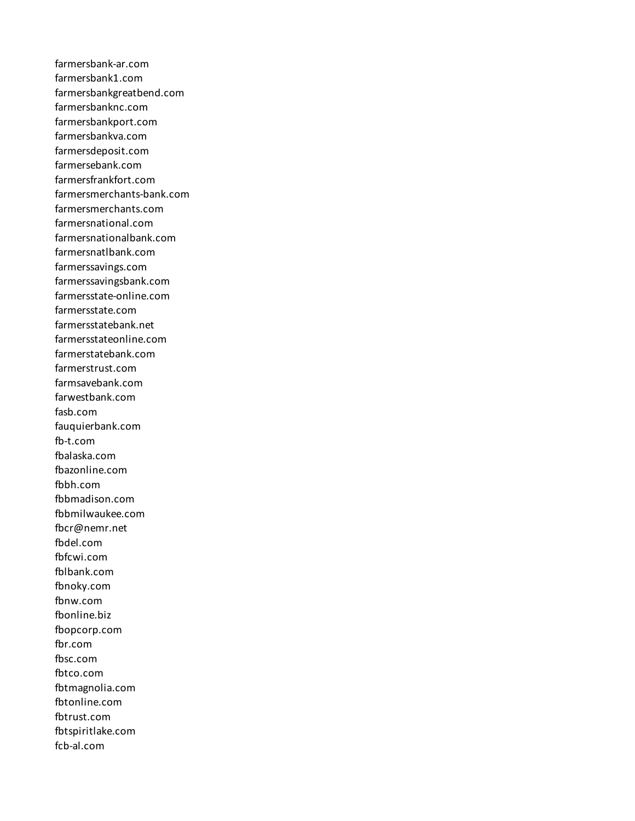farmersbank-ar.com farmersbank1.com farmersbankgreatbend.com farmersbanknc.com farmersbankport.com farmersbankva.com farmersdeposit.com farmersebank.com farmersfrankfort.com farmersmerchants-bank.com farmersmerchants.com farmersnational.com farmersnationalbank.com farmersnatlbank.com farmerssavings.com farmerssavingsbank.com farmersstate-online.com farmersstate.com farmersstatebank.net farmersstateonline.com farmerstatebank.com farmerstrust.com farmsavebank.com farwestbank.com fasb.com fauquierbank.com fb-t.com fbalaska.com fbazonline.com fbbh.com fbbmadison.com fbbmilwaukee.com fbcr@nemr.net fbdel.com fbfcwi.com fblbank.com fbnoky.com fbnw.com fbonline.biz fbopcorp.com fbr.com fbsc.com fbtco.com fbtmagnolia.com fbtonline.com fbtrust.com fbtspiritlake.com fcb-al.com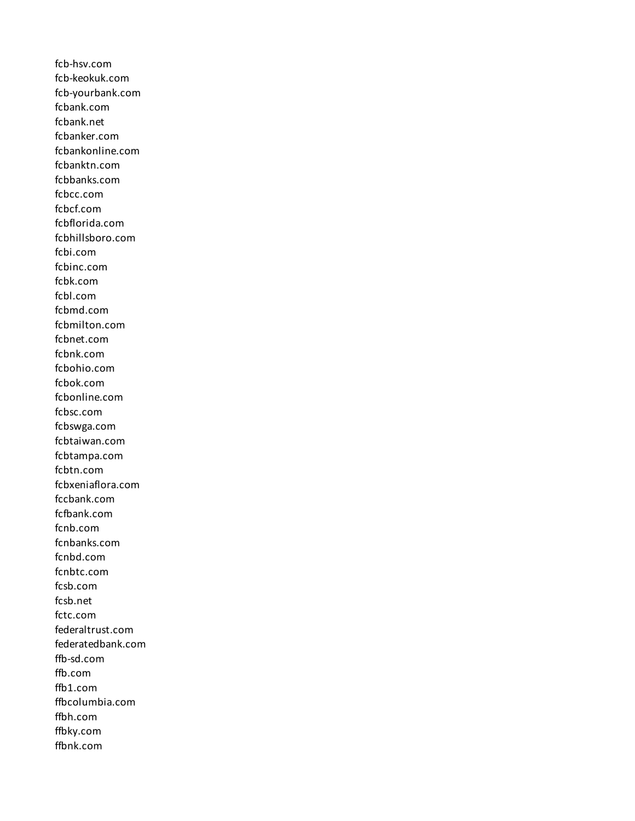fcb-hsv.com fcb-keokuk.com fcb-yourbank.com fcbank.com fcbank.net fcbanker.com fcbankonline.com fcbanktn.com fcbbanks.com fcbcc.com fcbcf.com fcbflorida.com fcbhillsboro.com fcbi.com fcbinc.com fcbk.com fcbl.com fcbmd.com fcbmilton.com fcbnet.com fcbnk.com fcbohio.com fcbok.com fcbonline.com fcbsc.com fcbswga.com fcbtaiwan.com fcbtampa.com fcbtn.com fcbxeniaflora.com fccbank.com fcfbank.com fcnb.com fcnbanks.com fcnbd.com fcnbtc.com fcsb.com fcsb.net fctc.com federaltrust.com federatedbank.com ffb-sd.com ffb.com ffb1.com ffbcolumbia.com ffbh.com ffbky.com ffbnk.com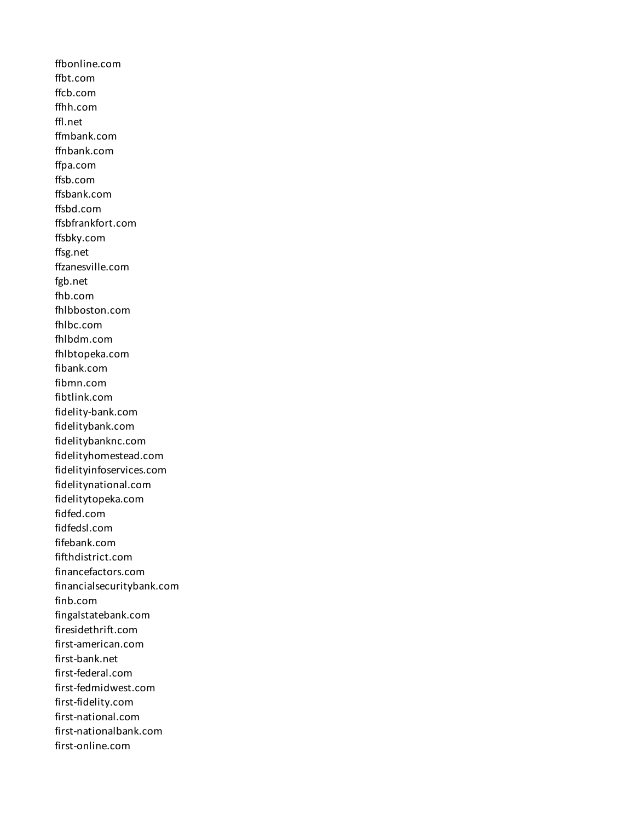ffbonline.com ffbt.com ffcb.com ffhh.com ffl.net ffmbank.com ffnbank.com ffpa.com ffsb.com ffsbank.com ffsbd.com ffsbfrankfort.com ffsbky.com ffsg.net ffzanesville.com fgb.net fhb.com fhlbboston.com fhlbc.com fhlbdm.com fhlbtopeka.com fibank.com fibmn.com fibtlink.com fidelity-bank.com fidelitybank.com fidelitybanknc.com fidelityhomestead.com fidelityinfoservices.com fidelitynational.com fidelitytopeka.com fidfed.com fidfedsl.com fifebank.com fifthdistrict.com financefactors.com financialsecuritybank.com finb.com fingalstatebank.com firesidethrift.com first-american.com first-bank.net first-federal.com first-fedmidwest.com first-fidelity.com first-national.com first-nationalbank.com first-online.com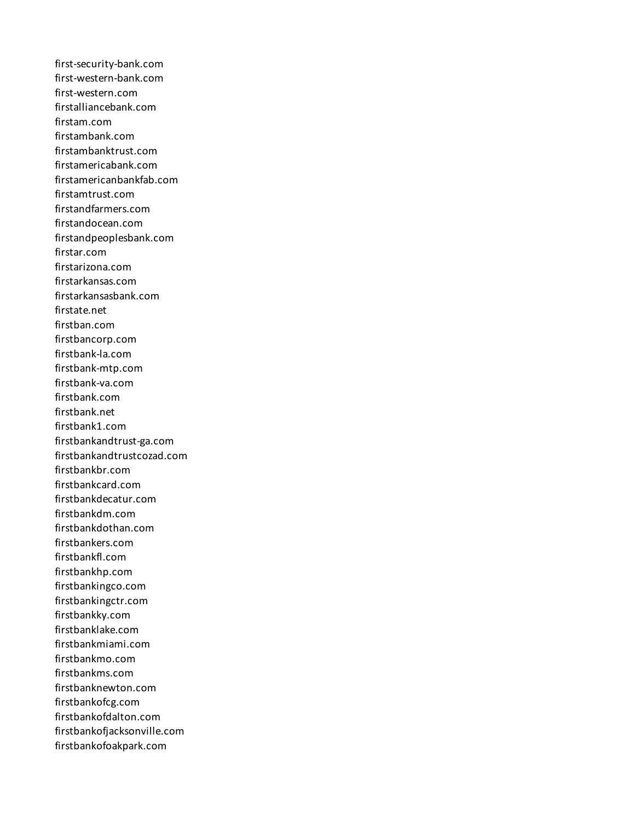first-security-bank.com first-western-bank.com first-western.com firstalliancebank.com firstam.com firstambank.com firstambanktrust.com firstamericabank.com firstamericanbankfab.com firstamtrust.com firstandfarmers.com firstandocean.com firstandpeoplesbank.com firstar.com firstarizona.com firstarkansas.com firstarkansasbank.com firstate.net firstban.com firstbancorp.com firstbank-la.com firstbank-mtp.com firstbank-va.com firstbank.com firstbank.net firstbank1.com firstbankandtrust-ga.com firstbankandtrustcozad.com firstbankbr.com firstbankcard.com firstbankdecatur.com firstbankdm.com firstbankdothan.com firstbankers.com firstbankfl.com firstbankhp.com firstbankingco.com firstbankingctr.com firstbankky.com firstbanklake.com firstbankmiami.com firstbankmo.com firstbankms.com firstbanknewton.com firstbankofcg.com firstbankofdalton.com firstbankofjacksonville.com firstbankofoakpark.com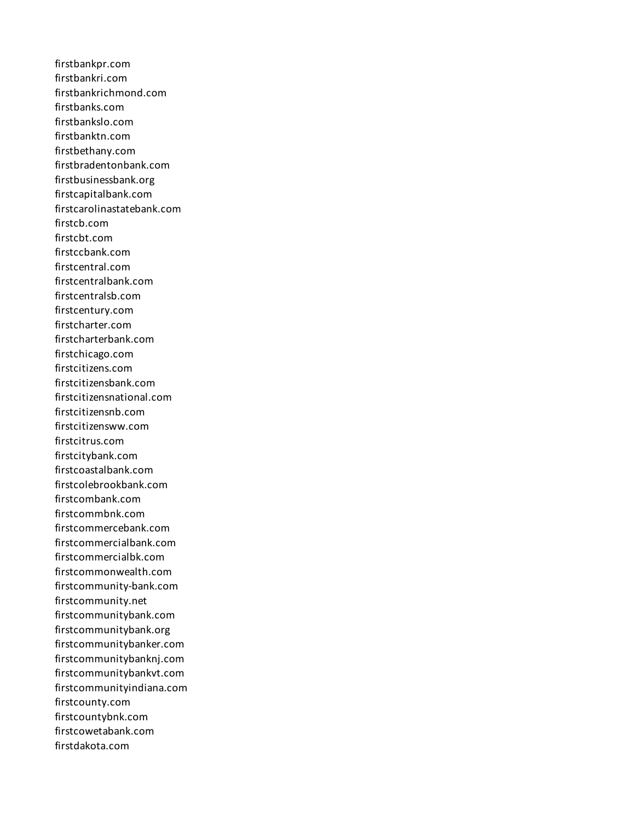firstbankpr.com firstbankri.com firstbankrichmond.com firstbanks.com firstbankslo.com firstbanktn.com firstbethany.com firstbradentonbank.com firstbusinessbank.org firstcapitalbank.com firstcarolinastatebank.com firstcb.com firstcbt.com firstccbank.com firstcentral.com firstcentralbank.com firstcentralsb.com firstcentury.com firstcharter.com firstcharterbank.com firstchicago.com firstcitizens.com firstcitizensbank.com firstcitizensnational.com firstcitizensnb.com firstcitizensww.com firstcitrus.com firstcitybank.com firstcoastalbank.com firstcolebrookbank.com firstcombank.com firstcommbnk.com firstcommercebank.com firstcommercialbank.com firstcommercialbk.com firstcommonwealth.com firstcommunity-bank.com firstcommunity.net firstcommunitybank.com firstcommunitybank.org firstcommunitybanker.com firstcommunitybanknj.com firstcommunitybankvt.com firstcommunityindiana.com firstcounty.com firstcountybnk.com firstcowetabank.com firstdakota.com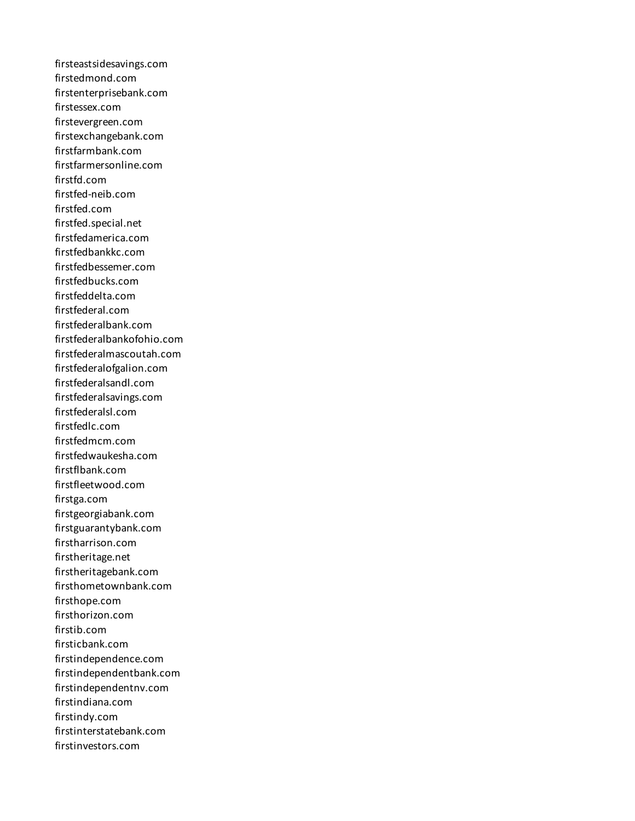firsteastsidesavings.com firstedmond.com firstenterprisebank.com firstessex.com firstevergreen.com firstexchangebank.com firstfarmbank.com firstfarmersonline.com firstfd.com firstfed-neib.com firstfed.com firstfed.special.net firstfedamerica.com firstfedbankkc.com firstfedbessemer.com firstfedbucks.com firstfeddelta.com firstfederal.com firstfederalbank.com firstfederalbankofohio.com firstfederalmascoutah.com firstfederalofgalion.com firstfederalsandl.com firstfederalsavings.com firstfederalsl.com firstfedlc.com firstfedmcm.com firstfedwaukesha.com firstflbank.com firstfleetwood.com firstga.com firstgeorgiabank.com firstguarantybank.com firstharrison.com firstheritage.net firstheritagebank.com firsthometownbank.com firsthope.com firsthorizon.com firstib.com firsticbank.com firstindependence.com firstindependentbank.com firstindependentnv.com firstindiana.com firstindy.com firstinterstatebank.com firstinvestors.com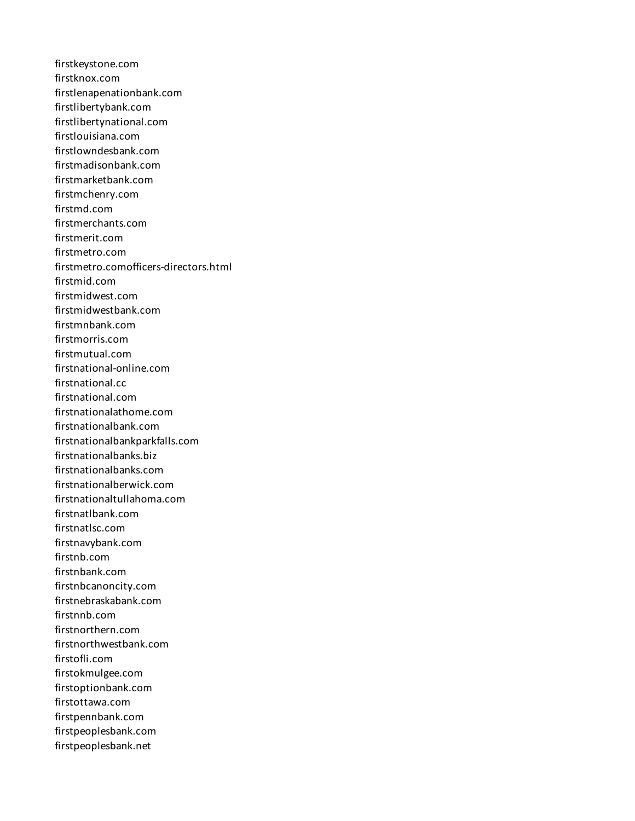firstkeystone.com firstknox.com firstlenapenationbank.com firstlibertybank.com firstlibertynational.com firstlouisiana.com firstlowndesbank.com firstmadisonbank.com firstmarketbank.com firstmchenry.com firstmd.com firstmerchants.com firstmerit.com firstmetro.com firstmetro.comofficers-directors.html firstmid.com firstmidwest.com firstmidwestbank.com firstmnbank.com firstmorris.com firstmutual.com firstnational-online.com firstnational.cc firstnational.com firstnationalathome.com firstnationalbank.com firstnationalbankparkfalls.com firstnationalbanks.biz firstnationalbanks.com firstnationalberwick.com firstnationaltullahoma.com firstnatlbank.com firstnatlsc.com firstnavybank.com firstnb.com firstnbank.com firstnbcanoncity.com firstnebraskabank.com firstnnb.com firstnorthern.com firstnorthwestbank.com firstofli.com firstokmulgee.com firstoptionbank.com firstottawa.com firstpennbank.com firstpeoplesbank.com firstpeoplesbank.net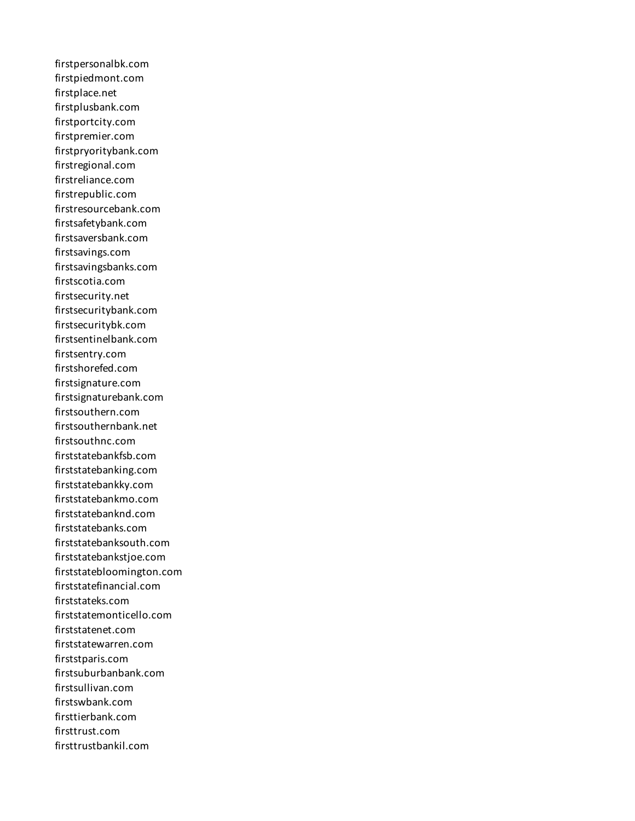firstpersonalbk.com firstpiedmont.com firstplace.net firstplusbank.com firstportcity.com firstpremier.com firstpryoritybank.com firstregional.com firstreliance.com firstrepublic.com firstresourcebank.com firstsafetybank.com firstsaversbank.com firstsavings.com firstsavingsbanks.com firstscotia.com firstsecurity.net firstsecuritybank.com firstsecuritybk.com firstsentinelbank.com firstsentry.com firstshorefed.com firstsignature.com firstsignaturebank.com firstsouthern.com firstsouthernbank.net firstsouthnc.com firststatebankfsb.com firststatebanking.com firststatebankky.com firststatebankmo.com firststatebanknd.com firststatebanks.com firststatebanksouth.com firststatebankstjoe.com firststatebloomington.com firststatefinancial.com firststateks.com firststatemonticello.com firststatenet.com firststatewarren.com firststparis.com firstsuburbanbank.com firstsullivan.com firstswbank.com firsttierbank.com firsttrust.com firsttrustbankil.com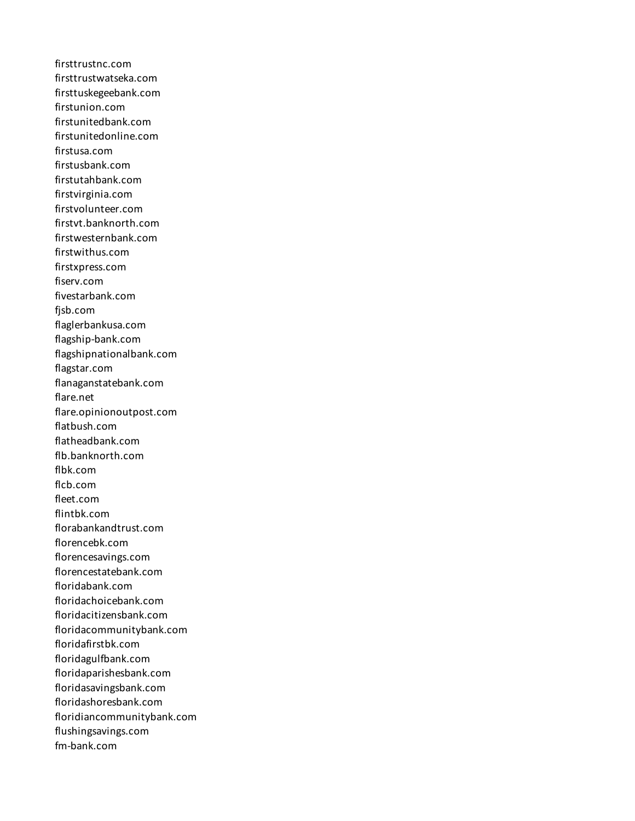firsttrustnc.com firsttrustwatseka.com firsttuskegeebank.com firstunion.com firstunitedbank.com firstunitedonline.com firstusa.com firstusbank.com firstutahbank.com firstvirginia.com firstvolunteer.com firstvt.banknorth.com firstwesternbank.com firstwithus.com firstxpress.com fiserv.com fivestarbank.com fjsb.com flaglerbankusa.com flagship-bank.com flagshipnationalbank.com flagstar.com flanaganstatebank.com flare.net flare.opinionoutpost.com flatbush.com flatheadbank.com flb.banknorth.com flbk.com flcb.com fleet.com flintbk.com florabankandtrust.com florencebk.com florencesavings.com florencestatebank.com floridabank.com floridachoicebank.com floridacitizensbank.com floridacommunitybank.com floridafirstbk.com floridagulfbank.com floridaparishesbank.com floridasavingsbank.com floridashoresbank.com floridiancommunitybank.com flushingsavings.com fm-bank.com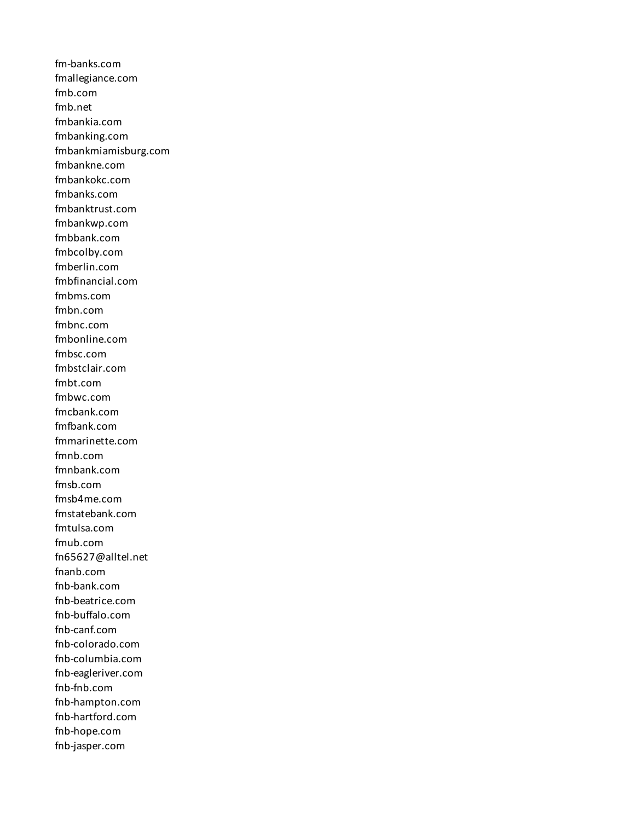fm-banks.com fmallegiance.com fmb.com fmb.net fmbankia.com fmbanking.com fmbankmiamisburg.com fmbankne.com fmbankokc.com fmbanks.com fmbanktrust.com fmbankwp.com fmbbank.com fmbcolby.com fmberlin.com fmbfinancial.com fmbms.com fmbn.com fmbnc.com fmbonline.com fmbsc.com fmbstclair.com fmbt.com fmbwc.com fmcbank.com fmfbank.com fmmarinette.com fmnb.com fmnbank.com fmsb.com fmsb4me.com fmstatebank.com fmtulsa.com fmub.com fn65627@alltel.net fnanb.com fnb-bank.com fnb-beatrice.com fnb-buffalo.com fnb-canf.com fnb-colorado.com fnb-columbia.com fnb-eagleriver.com fnb-fnb.com fnb-hampton.com fnb-hartford.com fnb-hope.com fnb-jasper.com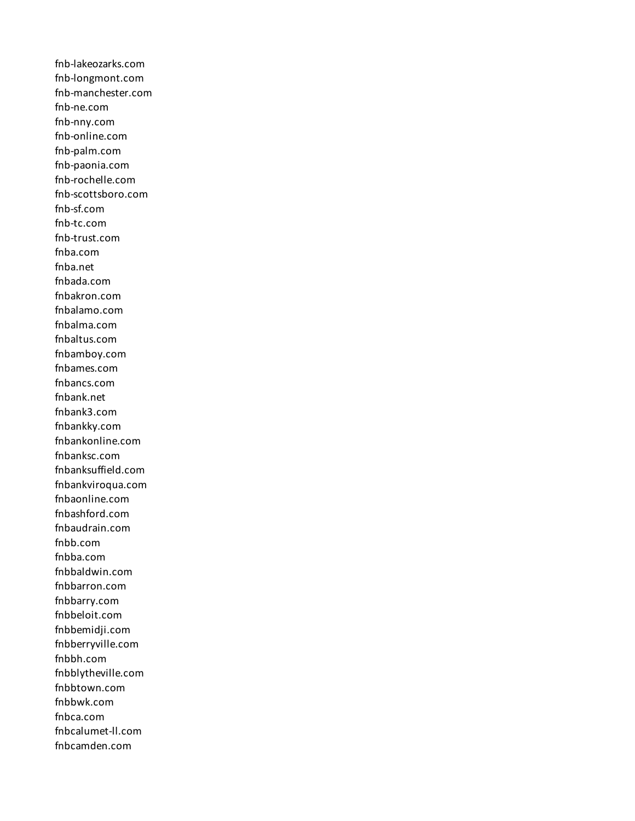fnb-lakeozarks.com fnb-longmont.com fnb-manchester.com fnb-ne.com fnb-nny.com fnb-online.com fnb-palm.com fnb-paonia.com fnb-rochelle.com fnb-scottsboro.com fnb-sf.com fnb-tc.com fnb-trust.com fnba.com fnba.net fnbada.com fnbakron.com fnbalamo.com fnbalma.com fnbaltus.com fnbamboy.com fnbames.com fnbancs.com fnbank.net fnbank3.com fnbankky.com fnbankonline.com fnbanksc.com fnbanksuffield.com fnbankviroqua.com fnbaonline.com fnbashford.com fnbaudrain.com fnbb.com fnbba.com fnbbaldwin.com fnbbarron.com fnbbarry.com fnbbeloit.com fnbbemidji.com fnbberryville.com fnbbh.com fnbblytheville.com fnbbtown.com fnbbwk.com fnbca.com fnbcalumet-ll.com fnbcamden.com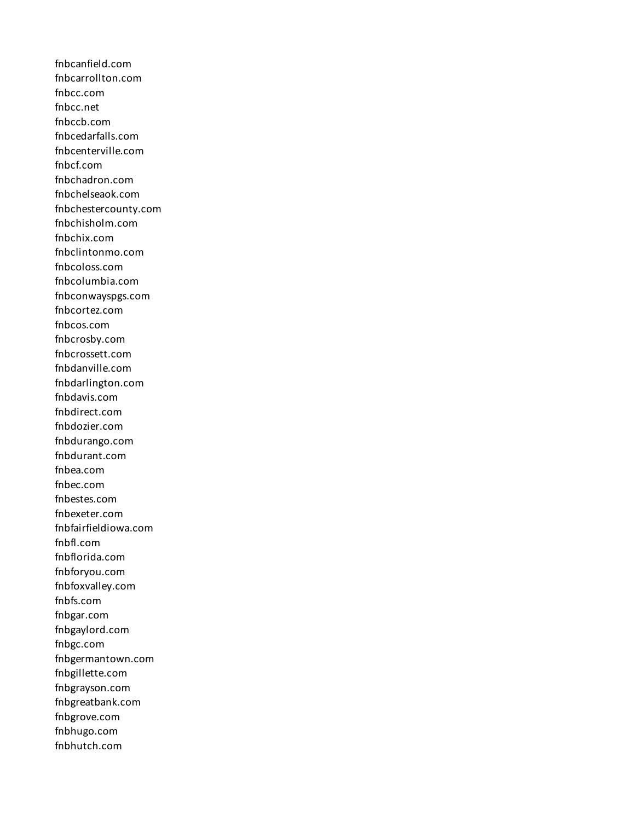fnbcanfield.com fnbcarrollton.com fnbcc.com fnbcc.net fnbccb.com fnbcedarfalls.com fnbcenterville.com fnbcf.com fnbchadron.com fnbchelseaok.com fnbchestercounty.com fnbchisholm.com fnbchix.com fnbclintonmo.com fnbcoloss.com fnbcolumbia.com fnbconwayspgs.com fnbcortez.com fnbcos.com fnbcrosby.com fnbcrossett.com fnbdanville.com fnbdarlington.com fnbdavis.com fnbdirect.com fnbdozier.com fnbdurango.com fnbdurant.com fnbea.com fnbec.com fnbestes.com fnbexeter.com fnbfairfieldiowa.com fnbfl.com fnbflorida.com fnbforyou.com fnbfoxvalley.com fnbfs.com fnbgar.com fnbgaylord.com fnbgc.com fnbgermantown.com fnbgillette.com fnbgrayson.com fnbgreatbank.com fnbgrove.com fnbhugo.com fnbhutch.com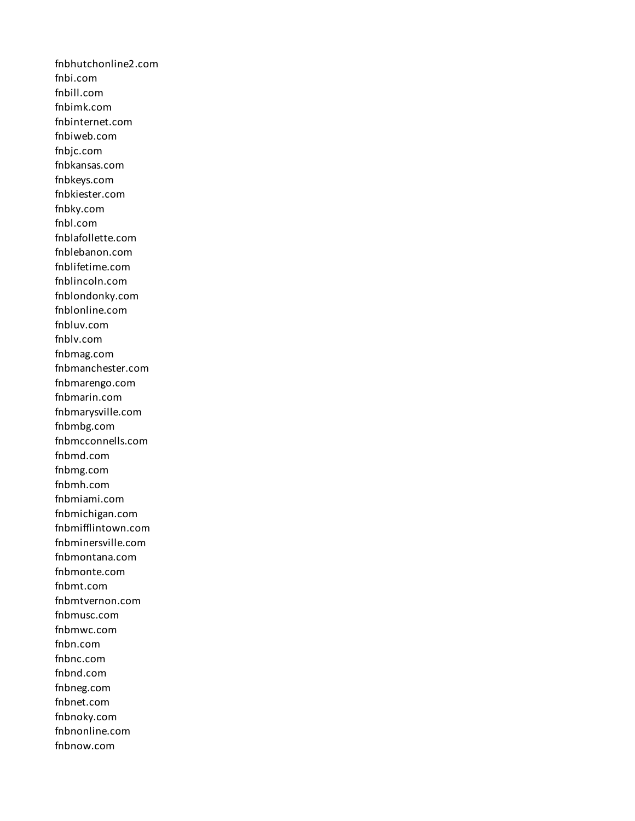fnbhutchonline2.com fnbi.com fnbill.com fnbimk.com fnbinternet.com fnbiweb.com fnbjc.com fnbkansas.com fnbkeys.com fnbkiester.com fnbky.com fnbl.com fnblafollette.com fnblebanon.com fnblifetime.com fnblincoln.com fnblondonky.com fnblonline.com fnbluv.com fnblv.com fnbmag.com fnbmanchester.com fnbmarengo.com fnbmarin.com fnbmarysville.com fnbmbg.com fnbmcconnells.com fnbmd.com fnbmg.com fnbmh.com fnbmiami.com fnbmichigan.com fnbmifflintown.com fnbminersville.com fnbmontana.com fnbmonte.com fnbmt.com fnbmtvernon.com fnbmusc.com fnbmwc.com fnbn.com fnbnc.com fnbnd.com fnbneg.com fnbnet.com fnbnoky.com fnbnonline.com fnbnow.com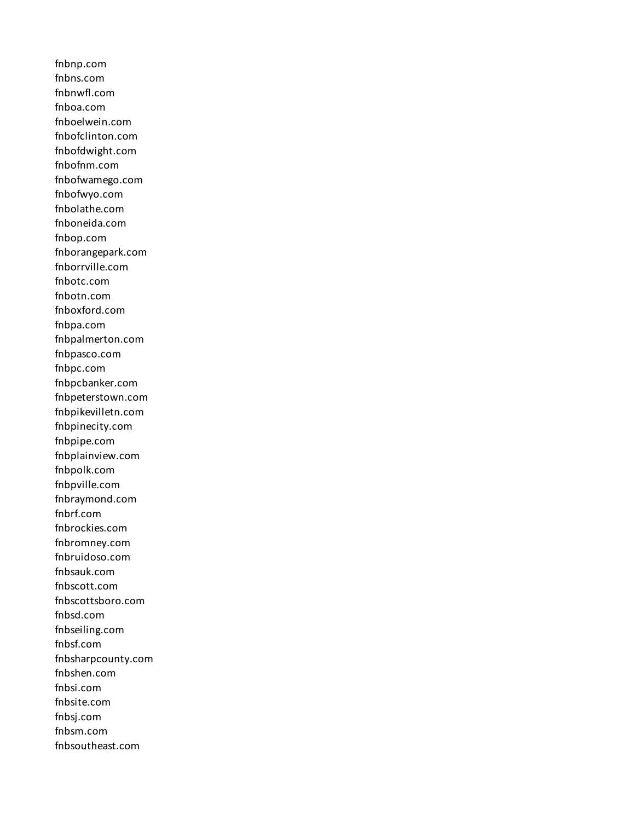fnbnp.com fnbns.com fnbnwfl.com fnboa.com fnboelwein.com fnbofclinton.com fnbofdwight.com fnbofnm.com fnbofwamego.com fnbofwyo.com fnbolathe.com fnboneida.com fnbop.com fnborangepark.com fnborrville.com fnbotc.com fnbotn.com fnboxford.com fnbpa.com fnbpalmerton.com fnbpasco.com fnbpc.com fnbpcbanker.com fnbpeterstown.com fnbpikevilletn.com fnbpinecity.com fnbpipe.com fnbplainview.com fnbpolk.com fnbpville.com fnbraymond.com fnbrf.com fnbrockies.com fnbromney.com fnbruidoso.com fnbsauk.com fnbscott.com fnbscottsboro.com fnbsd.com fnbseiling.com fnbsf.com fnbsharpcounty.com fnbshen.com fnbsi.com fnbsite.com fnbsj.com fnbsm.com fnbsoutheast.com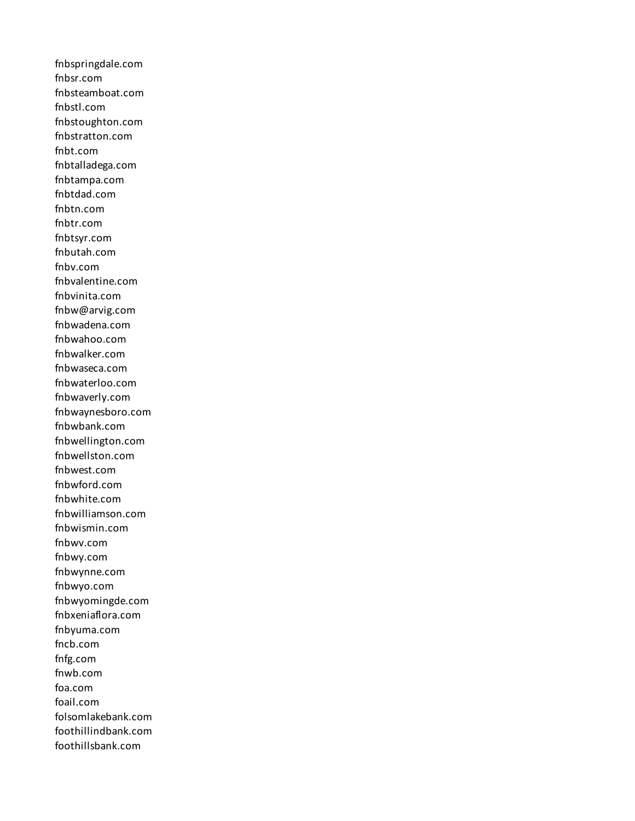fnbspringdale.com fnbsr.com fnbsteamboat.com fnbstl.com fnbstoughton.com fnbstratton.com fnbt.com fnbtalladega.com fnbtampa.com fnbtdad.com fnbtn.com fnbtr.com fnbtsyr.com fnbutah.com fnbv.com fnbvalentine.com fnbvinita.com fnbw@arvig.com fnbwadena.com fnbwahoo.com fnbwalker.com fnbwaseca.com fnbwaterloo.com fnbwaverly.com fnbwaynesboro.com fnbwbank.com fnbwellington.com fnbwellston.com fnbwest.com fnbwford.com fnbwhite.com fnbwilliamson.com fnbwismin.com fnbwv.com fnbwy.com fnbwynne.com fnbwyo.com fnbwyomingde.com fnbxeniaflora.com fnbyuma.com fncb.com fnfg.com fnwb.com foa.com foail.com folsomlakebank.com foothillindbank.com foothillsbank.com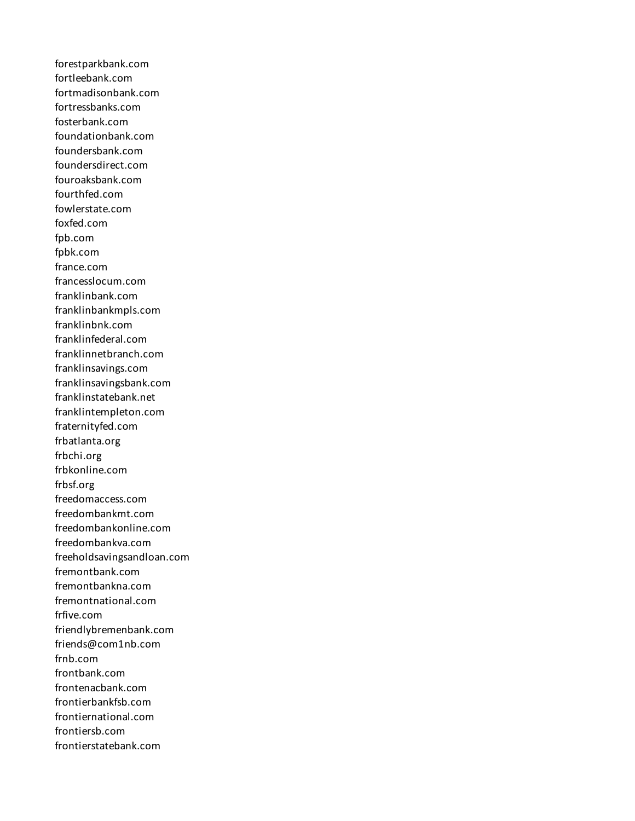forestparkbank.com fortleebank.com fortmadisonbank.com fortressbanks.com fosterbank.com foundationbank.com foundersbank.com foundersdirect.com fouroaksbank.com fourthfed.com fowlerstate.com foxfed.com fpb.com fpbk.com france.com francesslocum.com franklinbank.com franklinbankmpls.com franklinbnk.com franklinfederal.com franklinnetbranch.com franklinsavings.com franklinsavingsbank.com franklinstatebank.net franklintempleton.com fraternityfed.com frbatlanta.org frbchi.org frbkonline.com frbsf.org freedomaccess.com freedombankmt.com freedombankonline.com freedombankva.com freeholdsavingsandloan.com fremontbank.com fremontbankna.com fremontnational.com frfive.com friendlybremenbank.com friends@com1nb.com frnb.com frontbank.com frontenacbank.com frontierbankfsb.com frontiernational.com frontiersb.com frontierstatebank.com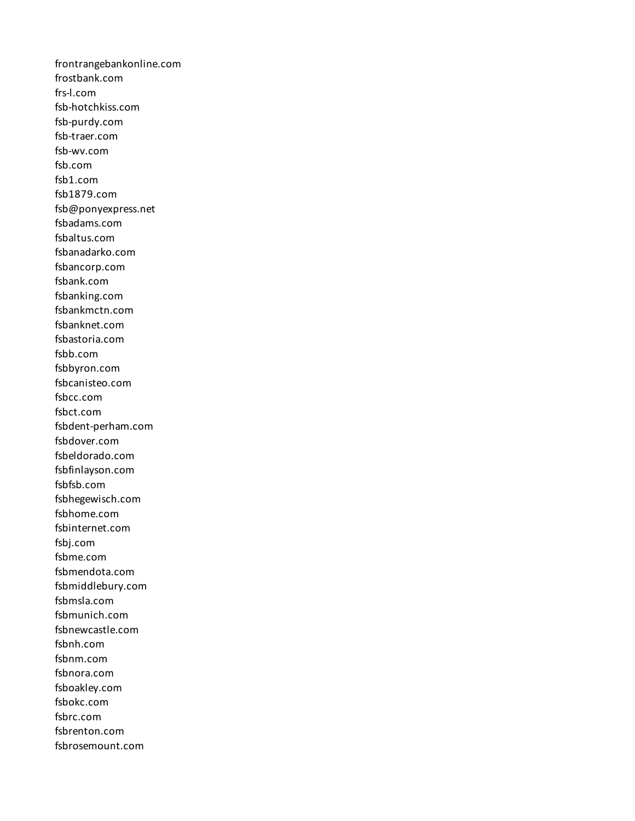frontrangebankonline.com frostbank.com frs-l.com fsb-hotchkiss.com fsb-purdy.com fsb-traer.com fsb-wv.com fsb.com fsb1.com fsb1879.com fsb@ponyexpress.net fsbadams.com fsbaltus.com fsbanadarko.com fsbancorp.com fsbank.com fsbanking.com fsbankmctn.com fsbanknet.com fsbastoria.com fsbb.com fsbbyron.com fsbcanisteo.com fsbcc.com fsbct.com fsbdent-perham.com fsbdover.com fsbeldorado.com fsbfinlayson.com fsbfsb.com fsbhegewisch.com fsbhome.com fsbinternet.com fsbj.com fsbme.com fsbmendota.com fsbmiddlebury.com fsbmsla.com fsbmunich.com fsbnewcastle.com fsbnh.com fsbnm.com fsbnora.com fsboakley.com fsbokc.com fsbrc.com fsbrenton.com fsbrosemount.com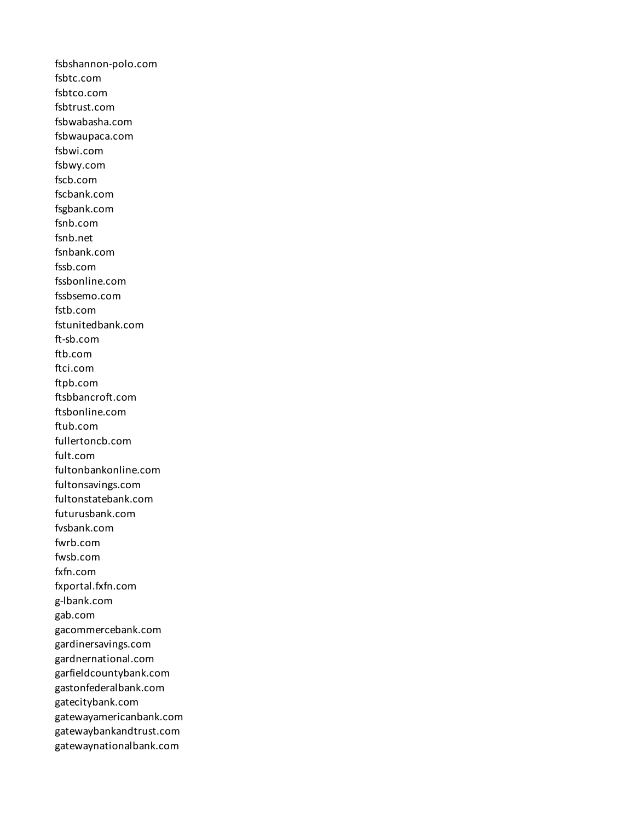fsbshannon-polo.com fsbtc.com fsbtco.com fsbtrust.com fsbwabasha.com fsbwaupaca.com fsbwi.com fsbwy.com fscb.com fscbank.com fsgbank.com fsnb.com fsnb.net fsnbank.com fssb.com fssbonline.com fssbsemo.com fstb.com fstunitedbank.com ft-sb.com ftb.com ftci.com ftpb.com ftsbbancroft.com ftsbonline.com ftub.com fullertoncb.com fult.com fultonbankonline.com fultonsavings.com fultonstatebank.com futurusbank.com fvsbank.com fwrb.com fwsb.com fxfn.com fxportal.fxfn.com g-lbank.com gab.com gacommercebank.com gardinersavings.com gardnernational.com garfieldcountybank.com gastonfederalbank.com gatecitybank.com gatewayamericanbank.com gatewaybankandtrust.com gatewaynationalbank.com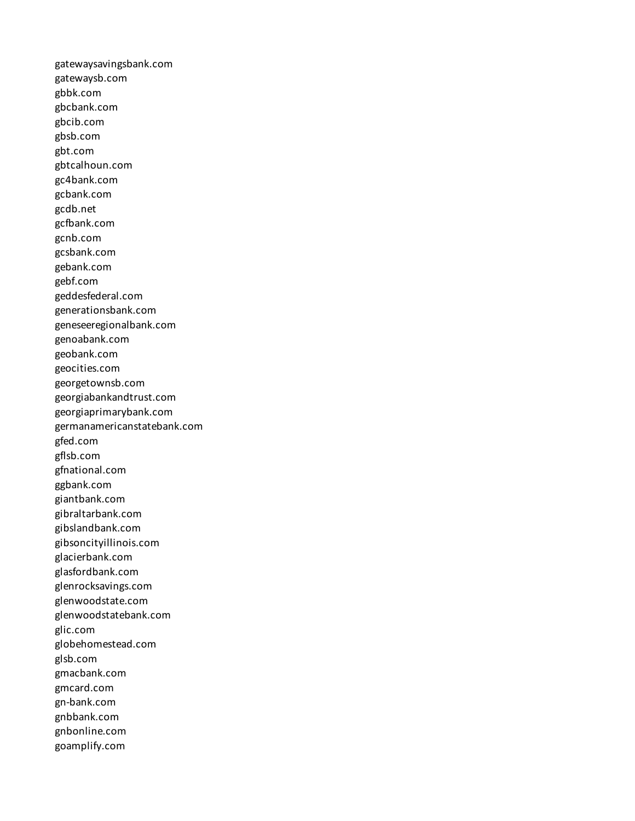gatewaysavingsbank.com gatewaysb.com gbbk.com gbcbank.com gbcib.com gbsb.com gbt.com gbtcalhoun.com gc4bank.com gcbank.com gcdb.net gcfbank.com gcnb.com gcsbank.com gebank.com gebf.com geddesfederal.com generationsbank.com geneseeregionalbank.com genoabank.com geobank.com geocities.com georgetownsb.com georgiabankandtrust.com georgiaprimarybank.com germanamericanstatebank.com gfed.com gflsb.com gfnational.com ggbank.com giantbank.com gibraltarbank.com gibslandbank.com gibsoncityillinois.com glacierbank.com glasfordbank.com glenrocksavings.com glenwoodstate.com glenwoodstatebank.com glic.com globehomestead.com glsb.com gmacbank.com gmcard.com gn-bank.com gnbbank.com gnbonline.com goamplify.com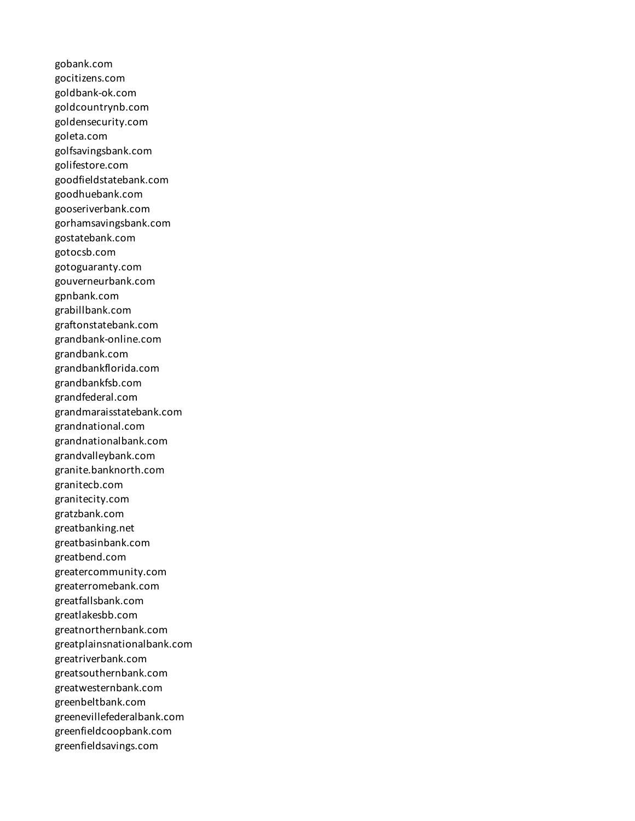gobank.com gocitizens.com goldbank-ok.com goldcountrynb.com goldensecurity.com goleta.com golfsavingsbank.com golifestore.com goodfieldstatebank.com goodhuebank.com gooseriverbank.com gorhamsavingsbank.com gostatebank.com gotocsb.com gotoguaranty.com gouverneurbank.com gpnbank.com grabillbank.com graftonstatebank.com grandbank-online.com grandbank.com grandbankflorida.com grandbankfsb.com grandfederal.com grandmaraisstatebank.com grandnational.com grandnationalbank.com grandvalleybank.com granite.banknorth.com granitecb.com granitecity.com gratzbank.com greatbanking.net greatbasinbank.com greatbend.com greatercommunity.com greaterromebank.com greatfallsbank.com greatlakesbb.com greatnorthernbank.com greatplainsnationalbank.com greatriverbank.com greatsouthernbank.com greatwesternbank.com greenbeltbank.com greenevillefederalbank.com greenfieldcoopbank.com greenfieldsavings.com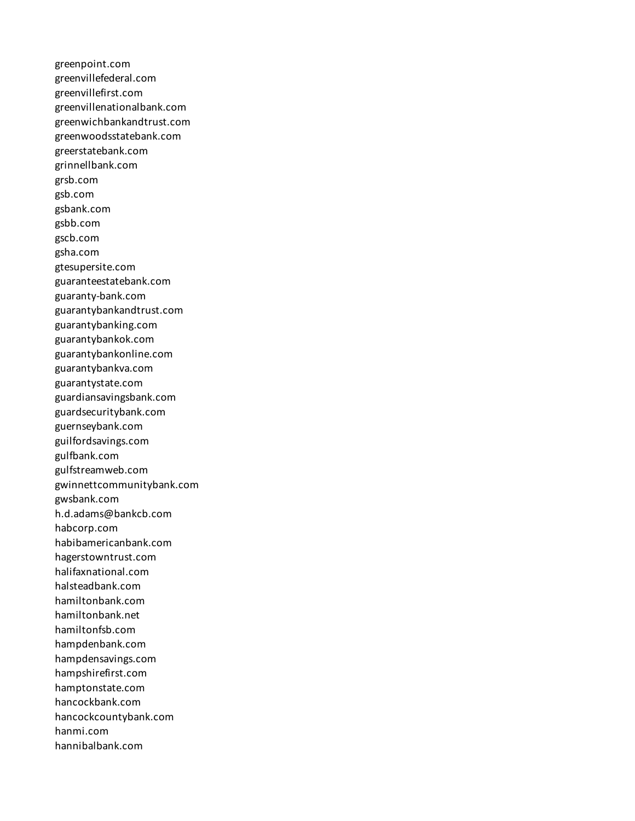greenpoint.com greenvillefederal.com greenvillefirst.com greenvillenationalbank.com greenwichbankandtrust.com greenwoodsstatebank.com greerstatebank.com grinnellbank.com grsb.com gsb.com gsbank.com gsbb.com gscb.com gsha.com gtesupersite.com guaranteestatebank.com guaranty-bank.com guarantybankandtrust.com guarantybanking.com guarantybankok.com guarantybankonline.com guarantybankva.com guarantystate.com guardiansavingsbank.com guardsecuritybank.com guernseybank.com guilfordsavings.com gulfbank.com gulfstreamweb.com gwinnettcommunitybank.com gwsbank.com h.d.adams@bankcb.com habcorp.com habibamericanbank.com hagerstowntrust.com halifaxnational.com halsteadbank.com hamiltonbank.com hamiltonbank.net hamiltonfsb.com hampdenbank.com hampdensavings.com hampshirefirst.com hamptonstate.com hancockbank.com hancockcountybank.com hanmi.com hannibalbank.com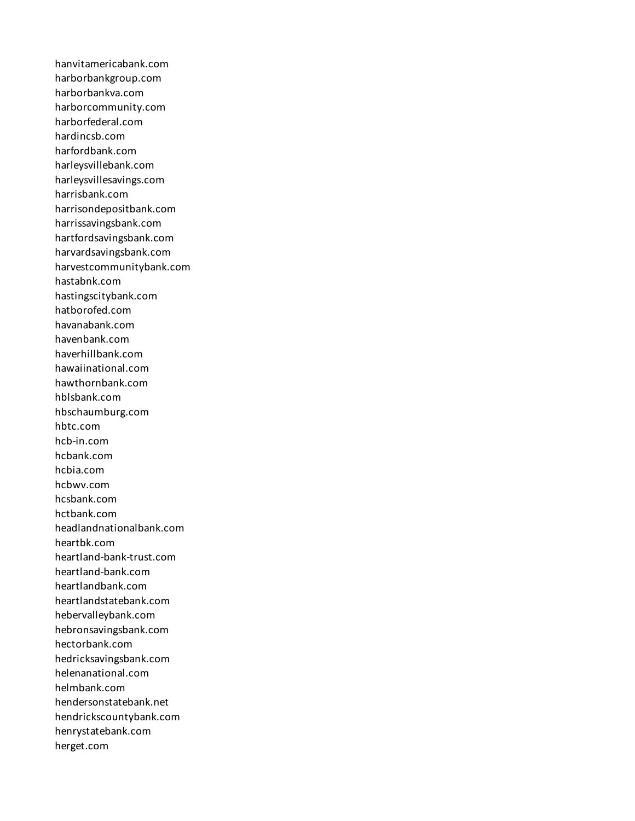hanvitamericabank.com harborbankgroup.com harborbankva.com harborcommunity.com harborfederal.com hardincsb.com harfordbank.com harleysvillebank.com harleysvillesavings.com harrisbank.com harrisondepositbank.com harrissavingsbank.com hartfordsavingsbank.com harvardsavingsbank.com harvestcommunitybank.com hastabnk.com hastingscitybank.com hatborofed.com havanabank.com havenbank.com haverhillbank.com hawaiinational.com hawthornbank.com hblsbank.com hbschaumburg.com hbtc.com hcb-in.com hcbank.com hcbia.com hcbwv.com hcsbank.com hctbank.com headlandnationalbank.com heartbk.com heartland-bank-trust.com heartland-bank.com heartlandbank.com heartlandstatebank.com hebervalleybank.com hebronsavingsbank.com hectorbank.com hedricksavingsbank.com helenanational.com helmbank.com hendersonstatebank.net hendrickscountybank.com henrystatebank.com herget.com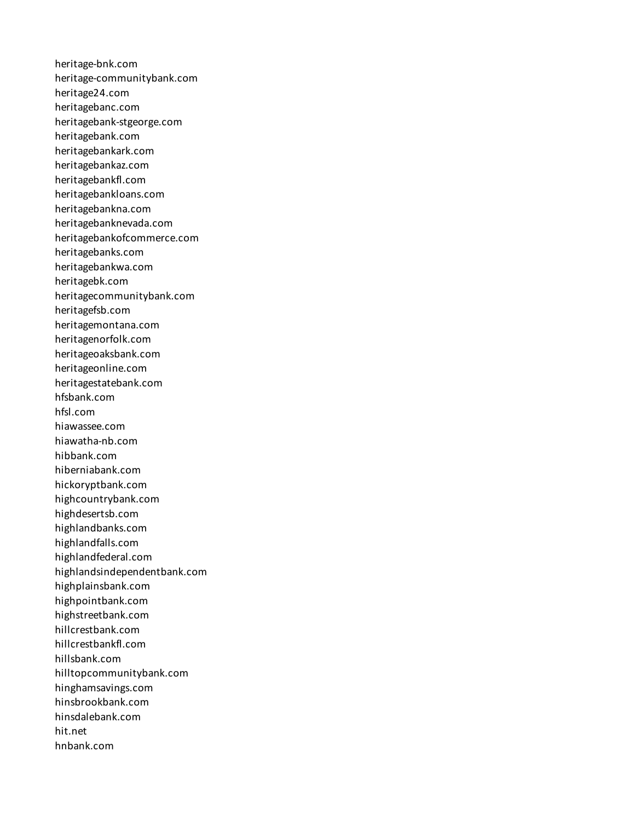heritage-bnk.com heritage-communitybank.com heritage24.com heritagebanc.com heritagebank-stgeorge.com heritagebank.com heritagebankark.com heritagebankaz.com heritagebankfl.com heritagebankloans.com heritagebankna.com heritagebanknevada.com heritagebankofcommerce.com heritagebanks.com heritagebankwa.com heritagebk.com heritagecommunitybank.com heritagefsb.com heritagemontana.com heritagenorfolk.com heritageoaksbank.com heritageonline.com heritagestatebank.com hfsbank.com hfsl.com hiawassee.com hiawatha-nb.com hibbank.com hiberniabank.com hickoryptbank.com highcountrybank.com highdesertsb.com highlandbanks.com highlandfalls.com highlandfederal.com highlandsindependentbank.com highplainsbank.com highpointbank.com highstreetbank.com hillcrestbank.com hillcrestbankfl.com hillsbank.com hilltopcommunitybank.com hinghamsavings.com hinsbrookbank.com hinsdalebank.com hit.net hnbank.com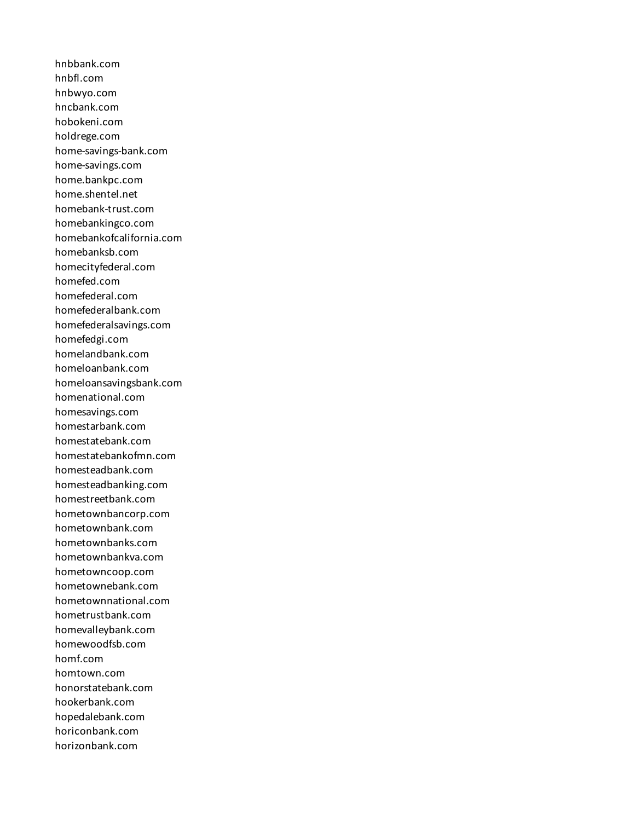hnbbank.com hnbfl.com hnbwyo.com hncbank.com hobokeni.com holdrege.com home-savings-bank.com home-savings.com home.bankpc.com home.shentel.net homebank-trust.com homebankingco.com homebankofcalifornia.com homebanksb.com homecityfederal.com homefed.com homefederal.com homefederalbank.com homefederalsavings.com homefedgi.com homelandbank.com homeloanbank.com homeloansavingsbank.com homenational.com homesavings.com homestarbank.com homestatebank.com homestatebankofmn.com homesteadbank.com homesteadbanking.com homestreetbank.com hometownbancorp.com hometownbank.com hometownbanks.com hometownbankva.com hometowncoop.com hometownebank.com hometownnational.com hometrustbank.com homevalleybank.com homewoodfsb.com homf.com homtown.com honorstatebank.com hookerbank.com hopedalebank.com horiconbank.com horizonbank.com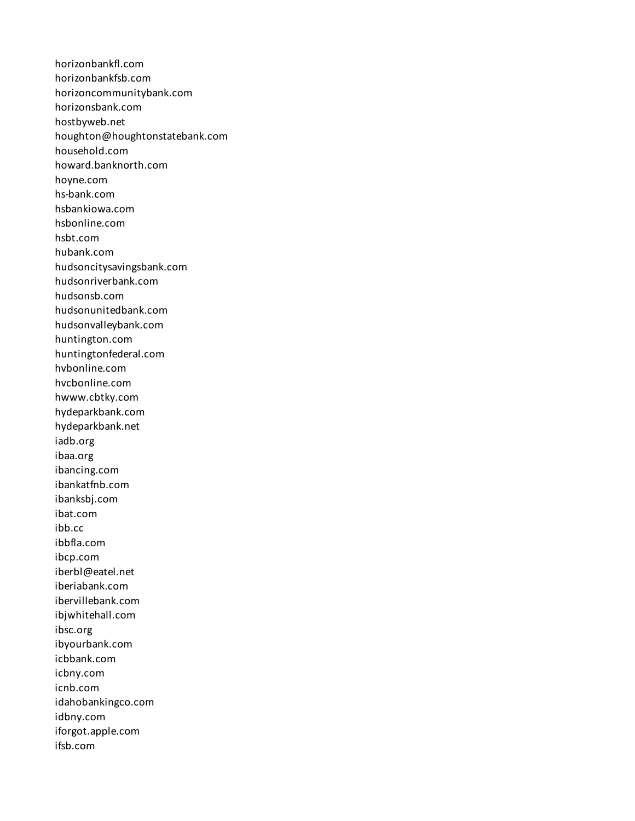horizonbankfl.com horizonbankfsb.com horizoncommunitybank.com horizonsbank.com hostbyweb.net houghton@houghtonstatebank.com household.com howard.banknorth.com hoyne.com hs-bank.com hsbankiowa.com hsbonline.com hsbt.com hubank.com hudsoncitysavingsbank.com hudsonriverbank.com hudsonsb.com hudsonunitedbank.com hudsonvalleybank.com huntington.com huntingtonfederal.com hvbonline.com hvcbonline.com hwww.cbtky.com hydeparkbank.com hydeparkbank.net iadb.org ibaa.org ibancing.com ibankatfnb.com ibanksbj.com ibat.com ibb.cc ibbfla.com ibcp.com iberbl@eatel.net iberiabank.com ibervillebank.com ibjwhitehall.com ibsc.org ibyourbank.com icbbank.com icbny.com icnb.com idahobankingco.com idbny.com iforgot.apple.com ifsb.com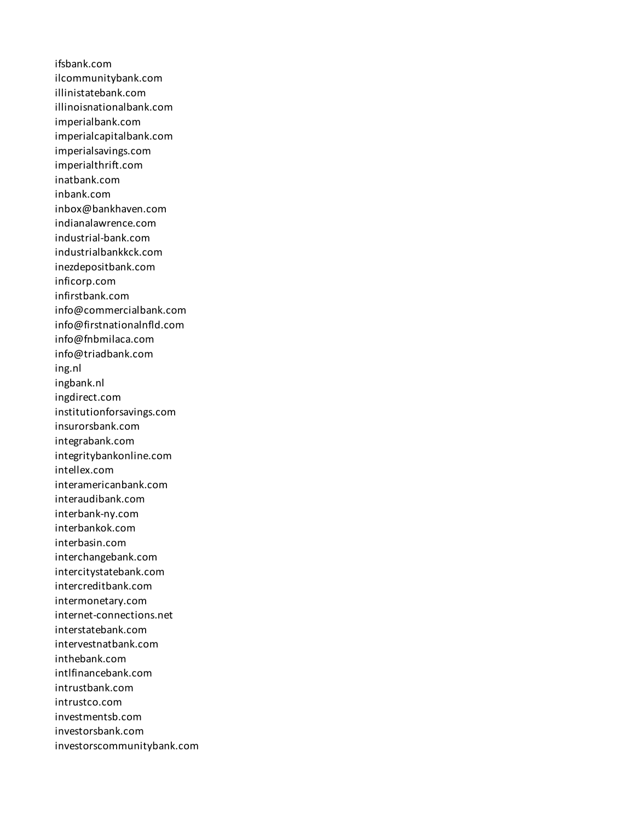ifsbank.com ilcommunitybank.com illinistatebank.com illinoisnationalbank.com imperialbank.com imperialcapitalbank.com imperialsavings.com imperialthrift.com inatbank.com inbank.com inbox@bankhaven.com indianalawrence.com industrial-bank.com industrialbankkck.com inezdepositbank.com inficorp.com infirstbank.com info@commercialbank.com info@firstnationalnfld.com info@fnbmilaca.com info@triadbank.com ing.nl ingbank.nl ingdirect.com institutionforsavings.com insurorsbank.com integrabank.com integritybankonline.com intellex.com interamericanbank.com interaudibank.com interbank-ny.com interbankok.com interbasin.com interchangebank.com intercitystatebank.com intercreditbank.com intermonetary.com internet-connections.net interstatebank.com intervestnatbank.com inthebank.com intlfinancebank.com intrustbank.com intrustco.com investmentsb.com investorsbank.com investorscommunitybank.com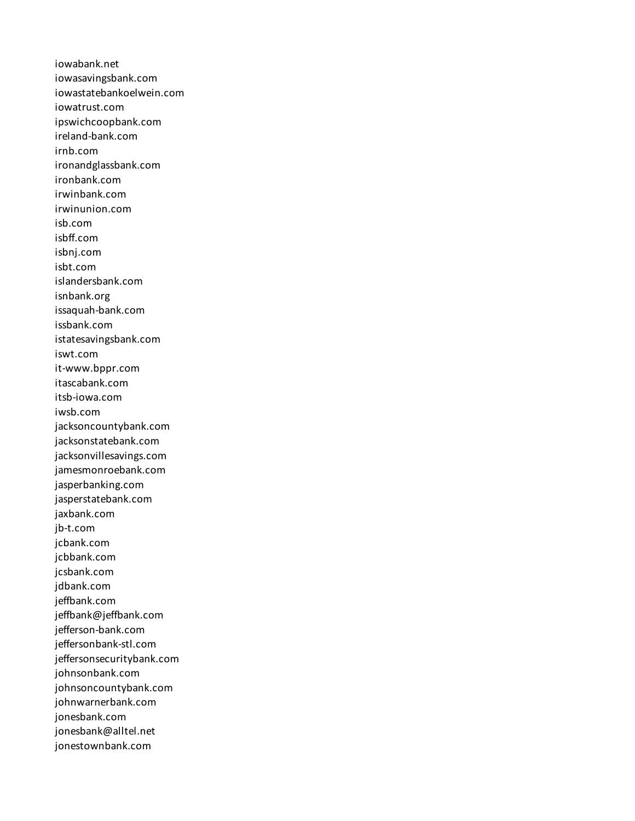iowabank.net iowasavingsbank.com iowastatebankoelwein.com iowatrust.com ipswichcoopbank.com ireland-bank.com irnb.com ironandglassbank.com ironbank.com irwinbank.com irwinunion.com isb.com isbff.com isbnj.com isbt.com islandersbank.com isnbank.org issaquah-bank.com issbank.com istatesavingsbank.com iswt.com it-www.bppr.com itascabank.com itsb-iowa.com iwsb.com jacksoncountybank.com jacksonstatebank.com jacksonvillesavings.com jamesmonroebank.com jasperbanking.com jasperstatebank.com jaxbank.com jb-t.com jcbank.com jcbbank.com jcsbank.com jdbank.com jeffbank.com jeffbank@jeffbank.com jefferson-bank.com jeffersonbank-stl.com jeffersonsecuritybank.com johnsonbank.com johnsoncountybank.com johnwarnerbank.com jonesbank.com jonesbank@alltel.net jonestownbank.com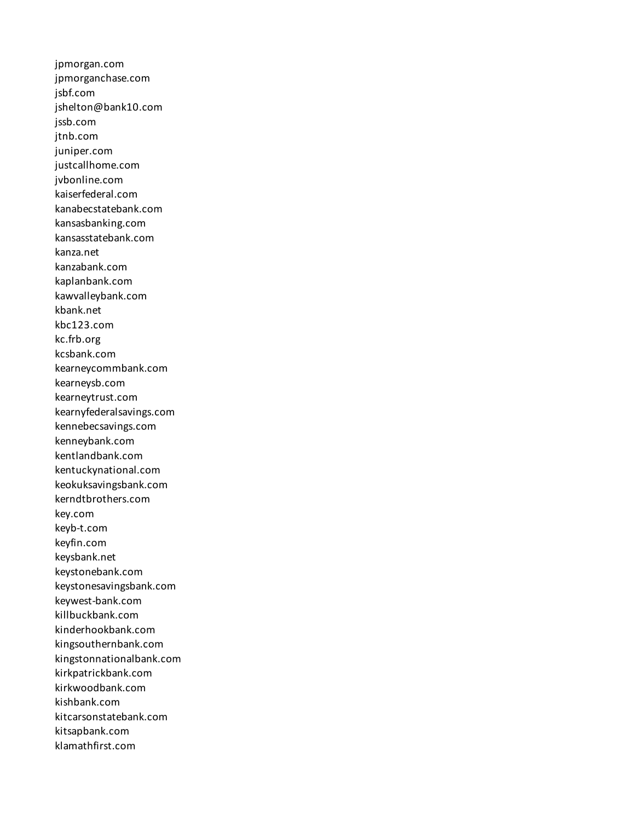jpmorgan.com jpmorganchase.com jsbf.com jshelton@bank10.com jssb.com jtnb.com juniper.com justcallhome.com jvbonline.com kaiserfederal.com kanabecstatebank.com kansasbanking.com kansasstatebank.com kanza.net kanzabank.com kaplanbank.com kawvalleybank.com kbank.net kbc123.com kc.frb.org kcsbank.com kearneycommbank.com kearneysb.com kearneytrust.com kearnyfederalsavings.com kennebecsavings.com kenneybank.com kentlandbank.com kentuckynational.com keokuksavingsbank.com kerndtbrothers.com key.com keyb-t.com keyfin.com keysbank.net keystonebank.com keystonesavingsbank.com keywest-bank.com killbuckbank.com kinderhookbank.com kingsouthernbank.com kingstonnationalbank.com kirkpatrickbank.com kirkwoodbank.com kishbank.com kitcarsonstatebank.com kitsapbank.com klamathfirst.com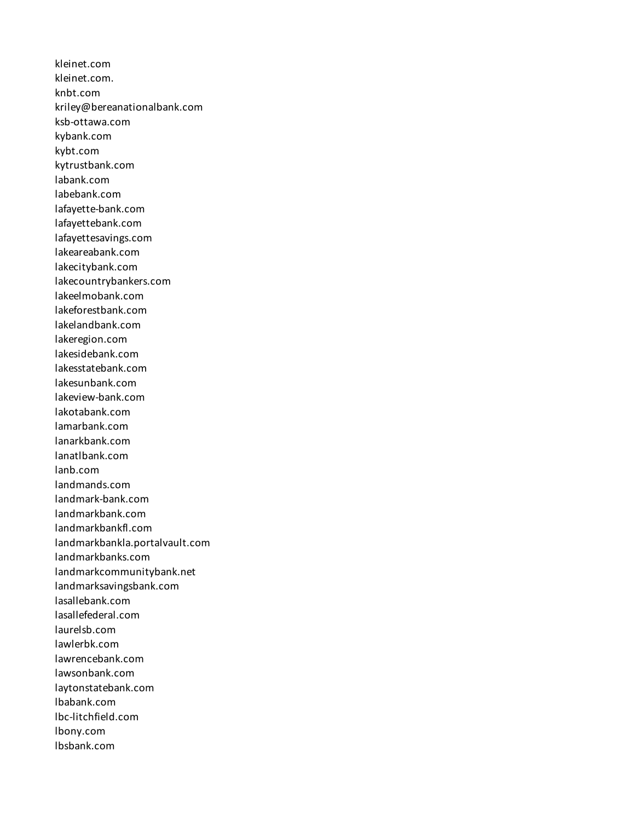kleinet.com kleinet.com. knbt.com kriley@bereanationalbank.com ksb-ottawa.com kybank.com kybt.com kytrustbank.com labank.com labebank.com lafayette-bank.com lafayettebank.com lafayettesavings.com lakeareabank.com lakecitybank.com lakecountrybankers.com lakeelmobank.com lakeforestbank.com lakelandbank.com lakeregion.com lakesidebank.com lakesstatebank.com lakesunbank.com lakeview-bank.com lakotabank.com lamarbank.com lanarkbank.com lanatlbank.com lanb.com landmands.com landmark-bank.com landmarkbank.com landmarkbankfl.com landmarkbankla.portalvault.com landmarkbanks.com landmarkcommunitybank.net landmarksavingsbank.com lasallebank.com lasallefederal.com laurelsb.com lawlerbk.com lawrencebank.com lawsonbank.com laytonstatebank.com lbabank.com lbc-litchfield.com lbony.com lbsbank.com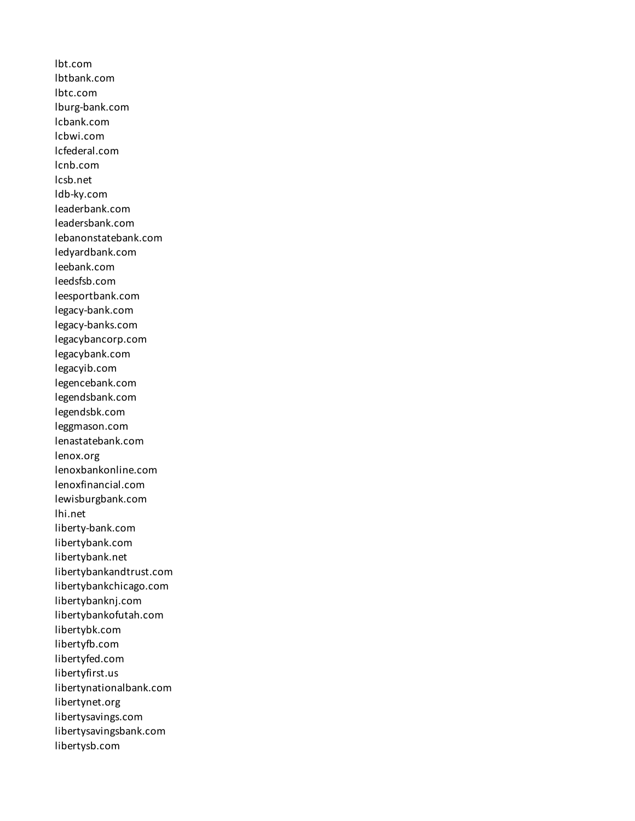lbt.com lbtbank.com lbtc.com lburg-bank.com lcbank.com lcbwi.com lcfederal.com lcnb.com lcsb.net ldb-ky.com leaderbank.com leadersbank.com lebanonstatebank.com ledyardbank.com leebank.com leedsfsb.com leesportbank.com legacy-bank.com legacy-banks.com legacybancorp.com legacybank.com legacyib.com legencebank.com legendsbank.com legendsbk.com leggmason.com lenastatebank.com lenox.org lenoxbankonline.com lenoxfinancial.com lewisburgbank.com lhi.net liberty-bank.com libertybank.com libertybank.net libertybankandtrust.com libertybankchicago.com libertybanknj.com libertybankofutah.com libertybk.com libertyfb.com libertyfed.com libertyfirst.us libertynationalbank.com libertynet.org libertysavings.com libertysavingsbank.com libertysb.com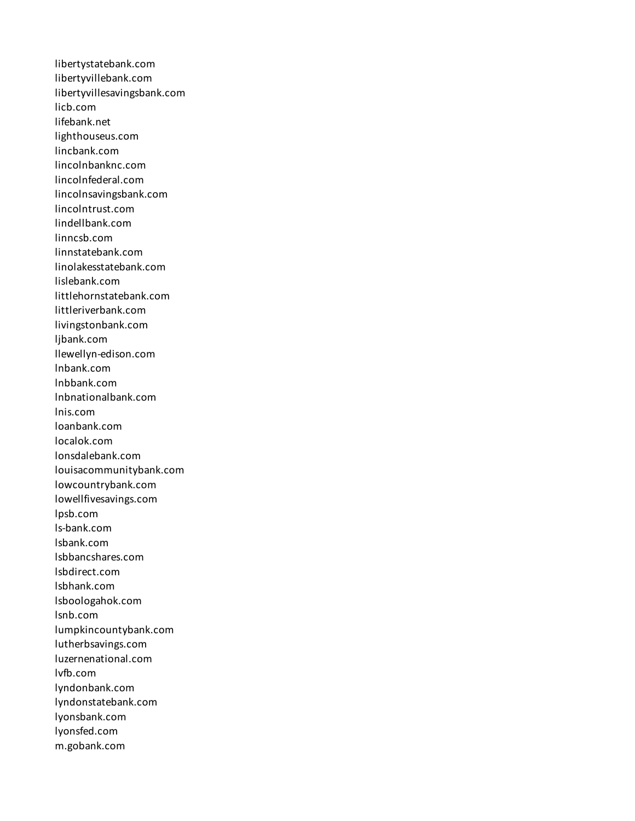libertystatebank.com libertyvillebank.com libertyvillesavingsbank.com licb.com lifebank.net lighthouseus.com lincbank.com lincolnbanknc.com lincolnfederal.com lincolnsavingsbank.com lincolntrust.com lindellbank.com linncsb.com linnstatebank.com linolakesstatebank.com lislebank.com littlehornstatebank.com littleriverbank.com livingstonbank.com ljbank.com llewellyn-edison.com lnbank.com lnbbank.com lnbnationalbank.com lnis.com loanbank.com localok.com lonsdalebank.com louisacommunitybank.com lowcountrybank.com lowellfivesavings.com lpsb.com ls-bank.com lsbank.com lsbbancshares.com lsbdirect.com lsbhank.com lsboologahok.com lsnb.com lumpkincountybank.com lutherbsavings.com luzernenational.com lvfb.com lyndonbank.com lyndonstatebank.com lyonsbank.com lyonsfed.com m.gobank.com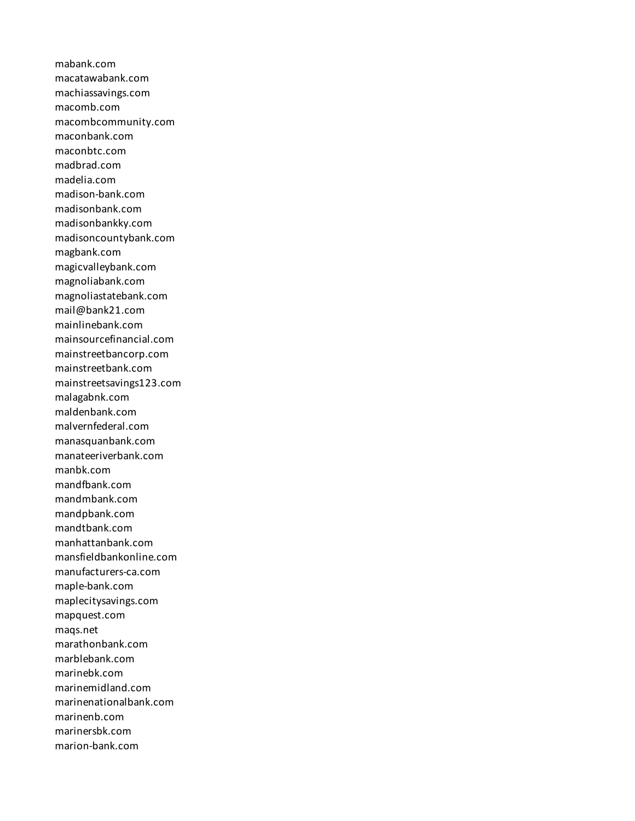mabank.com macatawabank.com machiassavings.com macomb.com macombcommunity.com maconbank.com maconbtc.com madbrad.com madelia.com madison-bank.com madisonbank.com madisonbankky.com madisoncountybank.com magbank.com magicvalleybank.com magnoliabank.com magnoliastatebank.com mail@bank21.com mainlinebank.com mainsourcefinancial.com mainstreetbancorp.com mainstreetbank.com mainstreetsavings123.com malagabnk.com maldenbank.com malvernfederal.com manasquanbank.com manateeriverbank.com manbk.com mandfbank.com mandmbank.com mandpbank.com mandtbank.com manhattanbank.com mansfieldbankonline.com manufacturers-ca.com maple-bank.com maplecitysavings.com mapquest.com maqs.net marathonbank.com marblebank.com marinebk.com marinemidland.com marinenationalbank.com marinenb.com marinersbk.com marion-bank.com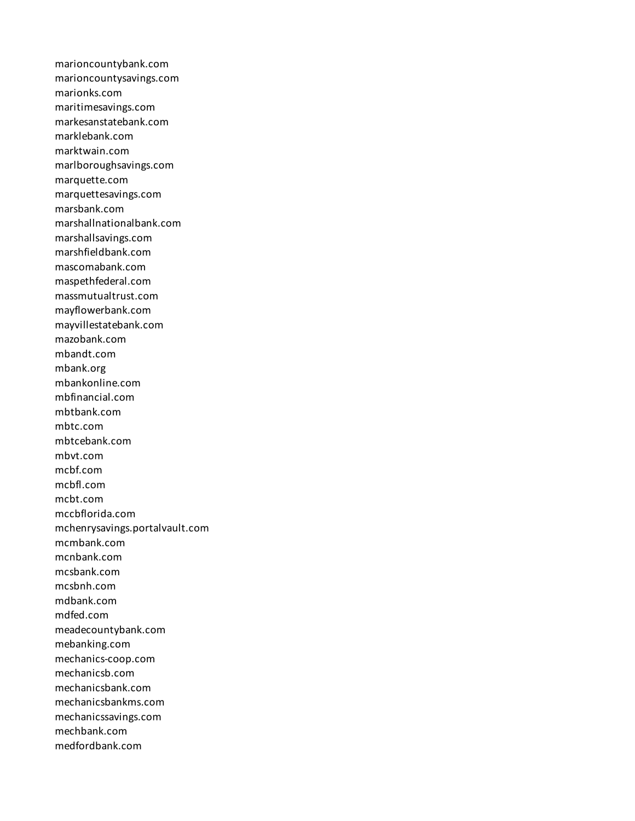marioncountybank.com marioncountysavings.com marionks.com maritimesavings.com markesanstatebank.com marklebank.com marktwain.com marlboroughsavings.com marquette.com marquettesavings.com marsbank.com marshallnationalbank.com marshallsavings.com marshfieldbank.com mascomabank.com maspethfederal.com massmutualtrust.com mayflowerbank.com mayvillestatebank.com mazobank.com mbandt.com mbank.org mbankonline.com mbfinancial.com mbtbank.com mbtc.com mbtcebank.com mbvt.com mcbf.com mcbfl.com mcbt.com mccbflorida.com mchenrysavings.portalvault.com mcmbank.com mcnbank.com mcsbank.com mcsbnh.com mdbank.com mdfed.com meadecountybank.com mebanking.com mechanics-coop.com mechanicsb.com mechanicsbank.com mechanicsbankms.com mechanicssavings.com mechbank.com medfordbank.com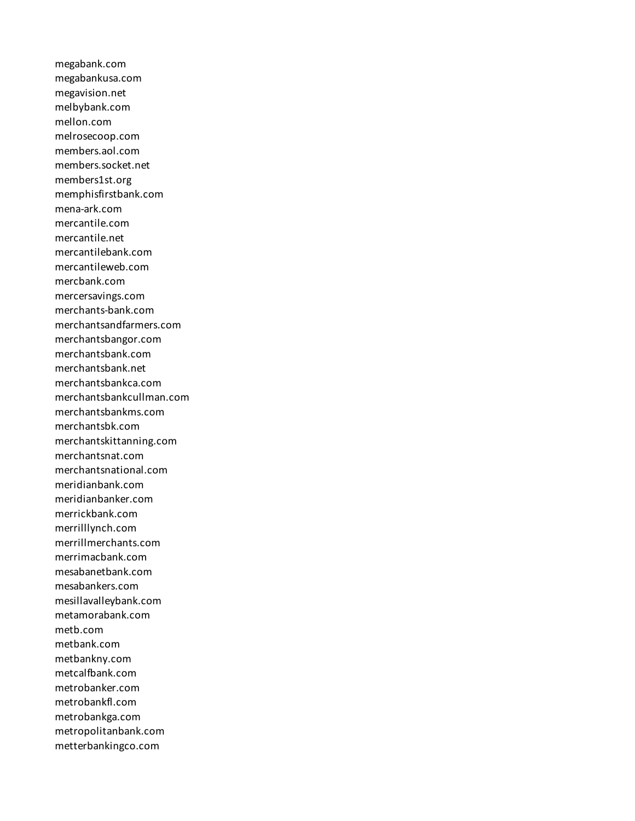megabank.com megabankusa.com megavision.net melbybank.com mellon.com melrosecoop.com members.aol.com members.socket.net members1st.org memphisfirstbank.com mena-ark.com mercantile.com mercantile.net mercantilebank.com mercantileweb.com mercbank.com mercersavings.com merchants-bank.com merchantsandfarmers.com merchantsbangor.com merchantsbank.com merchantsbank.net merchantsbankca.com merchantsbankcullman.com merchantsbankms.com merchantsbk.com merchantskittanning.com merchantsnat.com merchantsnational.com meridianbank.com meridianbanker.com merrickbank.com merrilllynch.com merrillmerchants.com merrimacbank.com mesabanetbank.com mesabankers.com mesillavalleybank.com metamorabank.com metb.com metbank.com metbankny.com metcalfbank.com metrobanker.com metrobankfl.com metrobankga.com metropolitanbank.com metterbankingco.com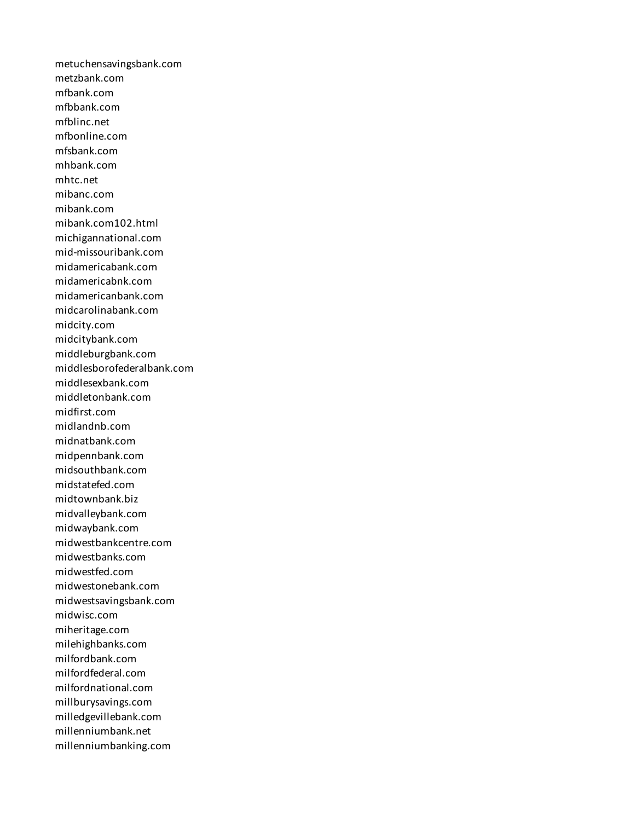metuchensavingsbank.com metzbank.com mfbank.com mfbbank.com mfblinc.net mfbonline.com mfsbank.com mhbank.com mhtc.net mibanc.com mibank.com mibank.com102.html michigannational.com mid-missouribank.com midamericabank.com midamericabnk.com midamericanbank.com midcarolinabank.com midcity.com midcitybank.com middleburgbank.com middlesborofederalbank.com middlesexbank.com middletonbank.com midfirst.com midlandnb.com midnatbank.com midpennbank.com midsouthbank.com midstatefed.com midtownbank.biz midvalleybank.com midwaybank.com midwestbankcentre.com midwestbanks.com midwestfed.com midwestonebank.com midwestsavingsbank.com midwisc.com miheritage.com milehighbanks.com milfordbank.com milfordfederal.com milfordnational.com millburysavings.com milledgevillebank.com millenniumbank.net millenniumbanking.com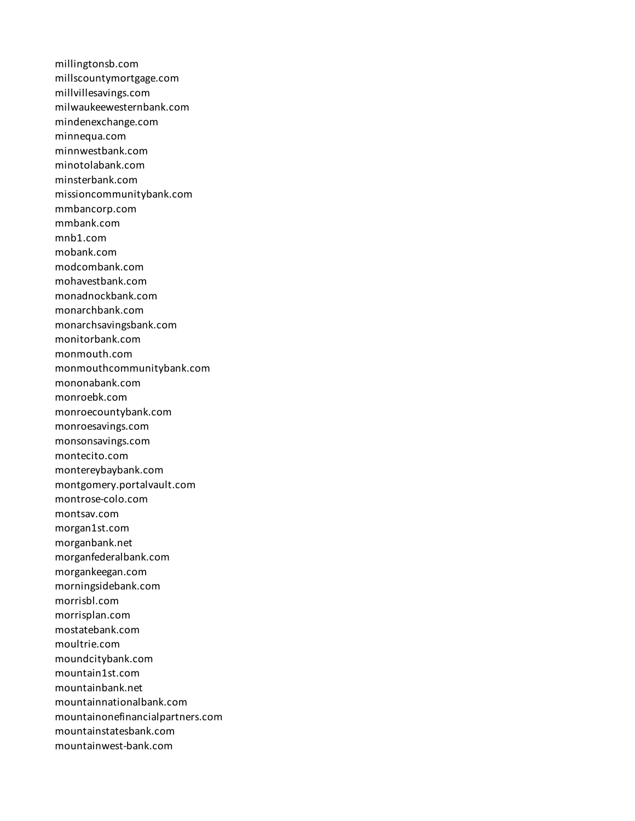millingtonsb.com millscountymortgage.com millvillesavings.com milwaukeewesternbank.com mindenexchange.com minnequa.com minnwestbank.com minotolabank.com minsterbank.com missioncommunitybank.com mmbancorp.com mmbank.com mnb1.com mobank.com modcombank.com mohavestbank.com monadnockbank.com monarchbank.com monarchsavingsbank.com monitorbank.com monmouth.com monmouthcommunitybank.com mononabank.com monroebk.com monroecountybank.com monroesavings.com monsonsavings.com montecito.com montereybaybank.com montgomery.portalvault.com montrose-colo.com montsav.com morgan1st.com morganbank.net morganfederalbank.com morgankeegan.com morningsidebank.com morrisbl.com morrisplan.com mostatebank.com moultrie.com moundcitybank.com mountain1st.com mountainbank.net mountainnationalbank.com mountainonefinancialpartners.com mountainstatesbank.com mountainwest-bank.com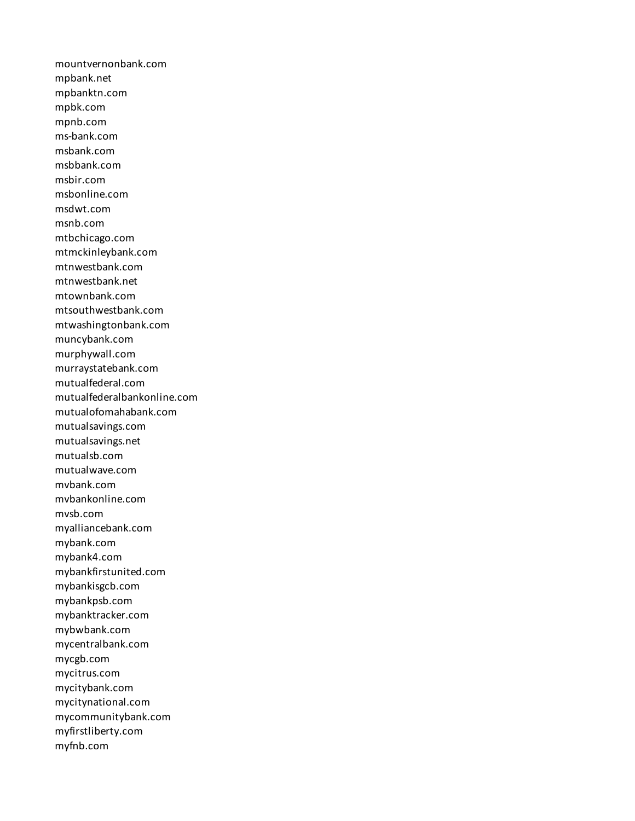mountvernonbank.com mpbank.net mpbanktn.com mpbk.com mpnb.com ms-bank.com msbank.com msbbank.com msbir.com msbonline.com msdwt.com msnb.com mtbchicago.com mtmckinleybank.com mtnwestbank.com mtnwestbank.net mtownbank.com mtsouthwestbank.com mtwashingtonbank.com muncybank.com murphywall.com murraystatebank.com mutualfederal.com mutualfederalbankonline.com mutualofomahabank.com mutualsavings.com mutualsavings.net mutualsb.com mutualwave.com mvbank.com mvbankonline.com mvsb.com myalliancebank.com mybank.com mybank4.com mybankfirstunited.com mybankisgcb.com mybankpsb.com mybanktracker.com mybwbank.com mycentralbank.com mycgb.com mycitrus.com mycitybank.com mycitynational.com mycommunitybank.com myfirstliberty.com myfnb.com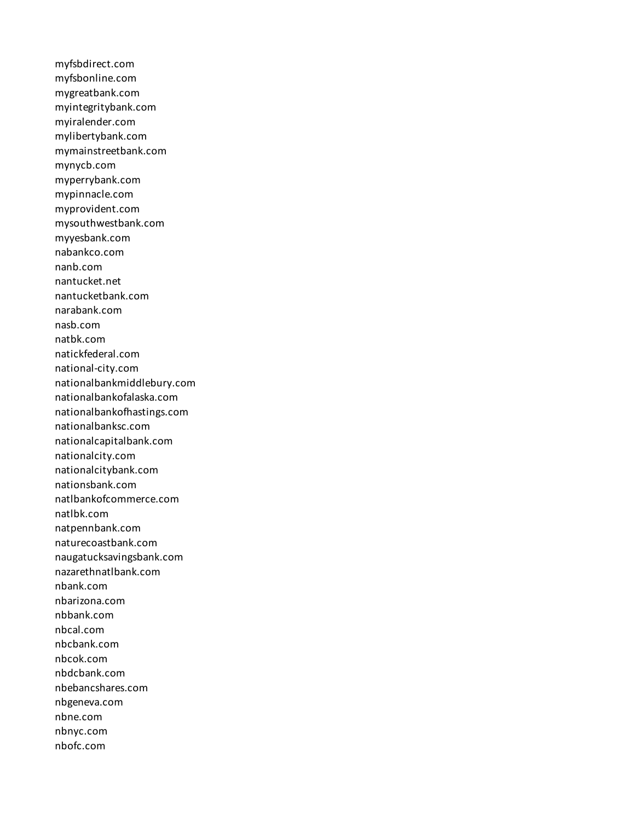myfsbdirect.com myfsbonline.com mygreatbank.com myintegritybank.com myiralender.com mylibertybank.com mymainstreetbank.com mynycb.com myperrybank.com mypinnacle.com myprovident.com mysouthwestbank.com myyesbank.com nabankco.com nanb.com nantucket.net nantucketbank.com narabank.com nasb.com natbk.com natickfederal.com national-city.com nationalbankmiddlebury.com nationalbankofalaska.com nationalbankofhastings.com nationalbanksc.com nationalcapitalbank.com nationalcity.com nationalcitybank.com nationsbank.com natlbankofcommerce.com natlbk.com natpennbank.com naturecoastbank.com naugatucksavingsbank.com nazarethnatlbank.com nbank.com nbarizona.com nbbank.com nbcal.com nbcbank.com nbcok.com nbdcbank.com nbebancshares.com nbgeneva.com nbne.com nbnyc.com nbofc.com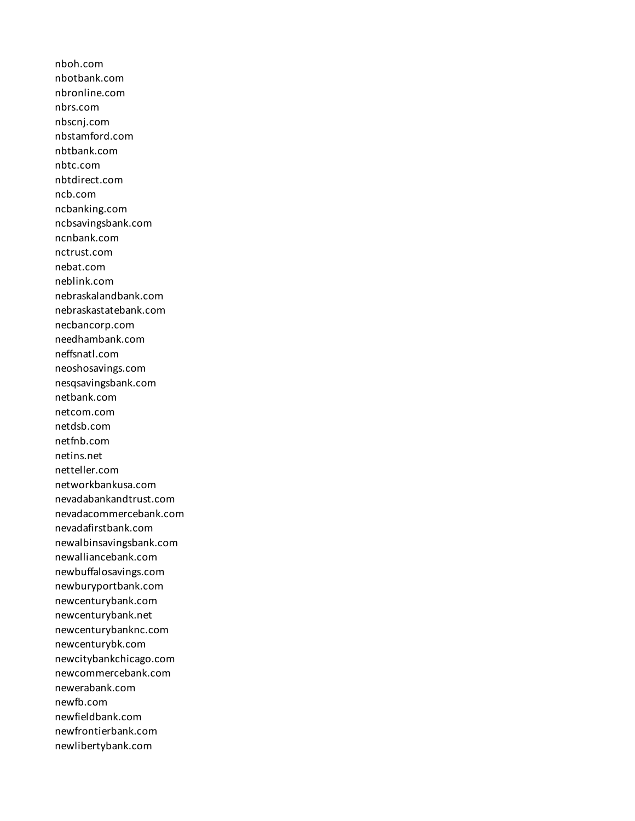nboh.com nbotbank.com nbronline.com nbrs.com nbscnj.com nbstamford.com nbtbank.com nbtc.com nbtdirect.com ncb.com ncbanking.com ncbsavingsbank.com ncnbank.com nctrust.com nebat.com neblink.com nebraskalandbank.com nebraskastatebank.com necbancorp.com needhambank.com neffsnatl.com neoshosavings.com nesqsavingsbank.com netbank.com netcom.com netdsb.com netfnb.com netins.net netteller.com networkbankusa.com nevadabankandtrust.com nevadacommercebank.com nevadafirstbank.com newalbinsavingsbank.com newalliancebank.com newbuffalosavings.com newburyportbank.com newcenturybank.com newcenturybank.net newcenturybanknc.com newcenturybk.com newcitybankchicago.com newcommercebank.com newerabank.com newfb.com newfieldbank.com newfrontierbank.com newlibertybank.com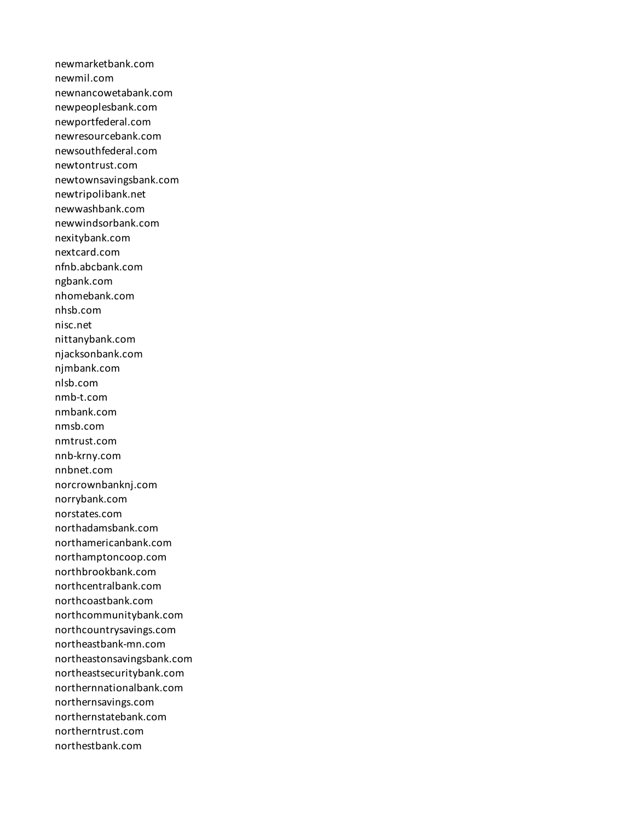newmarketbank.com newmil.com newnancowetabank.com newpeoplesbank.com newportfederal.com newresourcebank.com newsouthfederal.com newtontrust.com newtownsavingsbank.com newtripolibank.net newwashbank.com newwindsorbank.com nexitybank.com nextcard.com nfnb.abcbank.com ngbank.com nhomebank.com nhsb.com nisc.net nittanybank.com njacksonbank.com njmbank.com nlsb.com nmb-t.com nmbank.com nmsb.com nmtrust.com nnb-krny.com nnbnet.com norcrownbanknj.com norrybank.com norstates.com northadamsbank.com northamericanbank.com northamptoncoop.com northbrookbank.com northcentralbank.com northcoastbank.com northcommunitybank.com northcountrysavings.com northeastbank-mn.com northeastonsavingsbank.com northeastsecuritybank.com northernnationalbank.com northernsavings.com northernstatebank.com northerntrust.com northestbank.com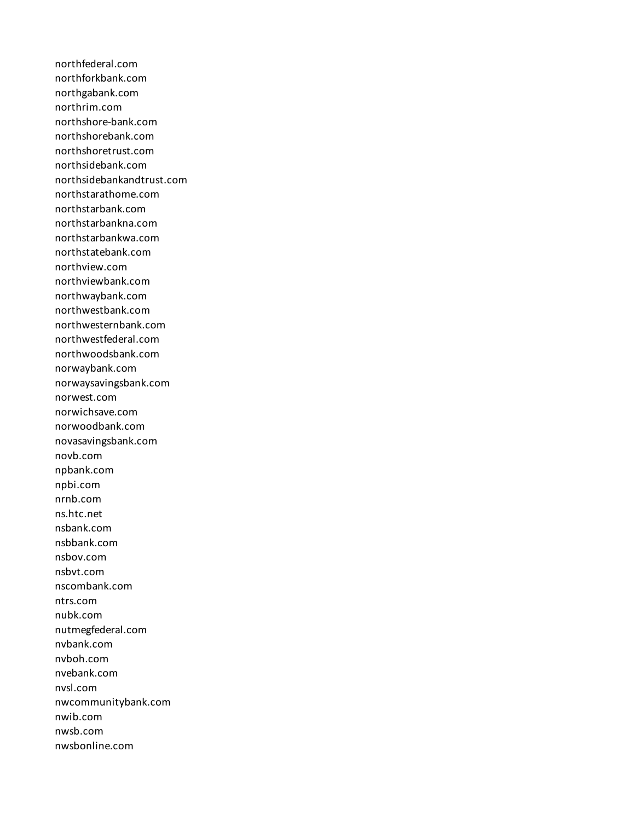northfederal.com northforkbank.com northgabank.com northrim.com northshore-bank.com northshorebank.com northshoretrust.com northsidebank.com northsidebankandtrust.com northstarathome.com northstarbank.com northstarbankna.com northstarbankwa.com northstatebank.com northview.com northviewbank.com northwaybank.com northwestbank.com northwesternbank.com northwestfederal.com northwoodsbank.com norwaybank.com norwaysavingsbank.com norwest.com norwichsave.com norwoodbank.com novasavingsbank.com novb.com npbank.com npbi.com nrnb.com ns.htc.net nsbank.com nsbbank.com nsbov.com nsbvt.com nscombank.com ntrs.com nubk.com nutmegfederal.com nvbank.com nvboh.com nvebank.com nvsl.com nwcommunitybank.com nwib.com nwsb.com nwsbonline.com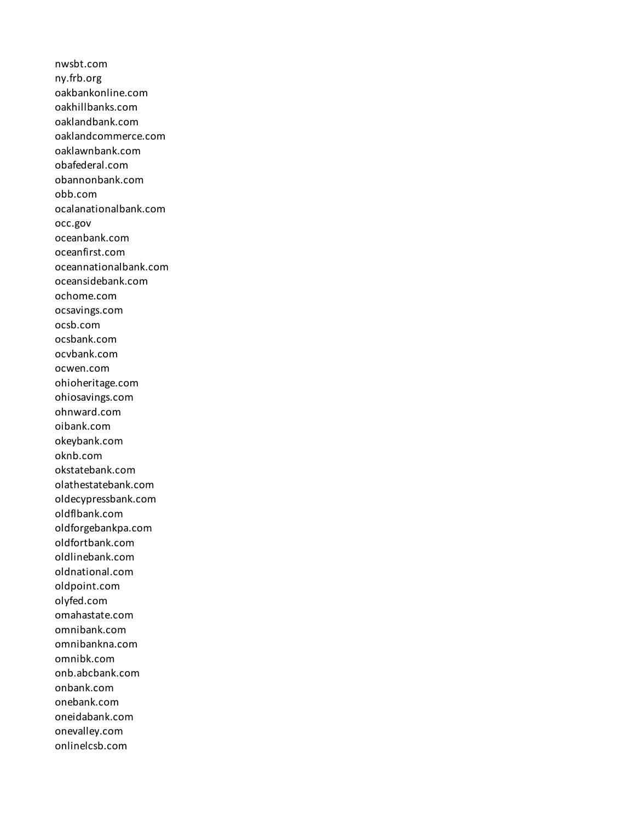nwsbt.com ny.frb.org oakbankonline.com oakhillbanks.com oaklandbank.com oaklandcommerce.com oaklawnbank.com obafederal.com obannonbank.com obb.com ocalanationalbank.com occ.gov oceanbank.com oceanfirst.com oceannationalbank.com oceansidebank.com ochome.com ocsavings.com ocsb.com ocsbank.com ocvbank.com ocwen.com ohioheritage.com ohiosavings.com ohnward.com oibank.com okeybank.com oknb.com okstatebank.com olathestatebank.com oldecypressbank.com oldflbank.com oldforgebankpa.com oldfortbank.com oldlinebank.com oldnational.com oldpoint.com olyfed.com omahastate.com omnibank.com omnibankna.com omnibk.com onb.abcbank.com onbank.com onebank.com oneidabank.com onevalley.com onlinelcsb.com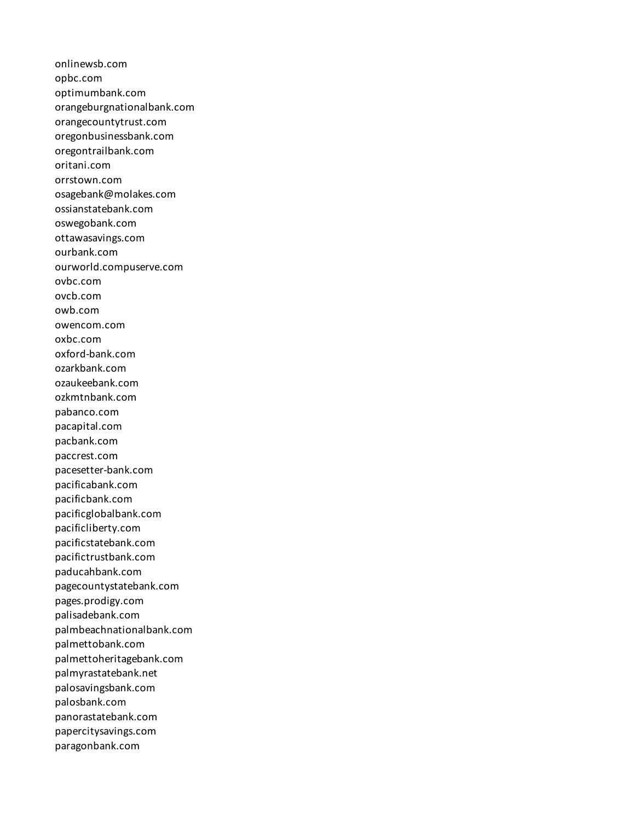onlinewsb.com opbc.com optimumbank.com orangeburgnationalbank.com orangecountytrust.com oregonbusinessbank.com oregontrailbank.com oritani.com orrstown.com osagebank@molakes.com ossianstatebank.com oswegobank.com ottawasavings.com ourbank.com ourworld.compuserve.com ovbc.com ovcb.com owb.com owencom.com oxbc.com oxford-bank.com ozarkbank.com ozaukeebank.com ozkmtnbank.com pabanco.com pacapital.com pacbank.com paccrest.com pacesetter-bank.com pacificabank.com pacificbank.com pacificglobalbank.com pacificliberty.com pacificstatebank.com pacifictrustbank.com paducahbank.com pagecountystatebank.com pages.prodigy.com palisadebank.com palmbeachnationalbank.com palmettobank.com palmettoheritagebank.com palmyrastatebank.net palosavingsbank.com palosbank.com panorastatebank.com papercitysavings.com paragonbank.com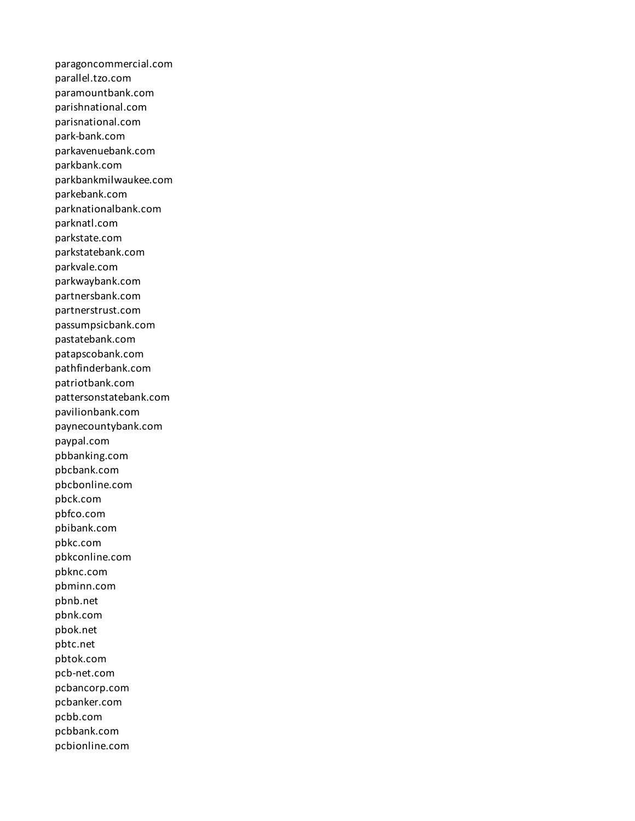paragoncommercial.com parallel.tzo.com paramountbank.com parishnational.com parisnational.com park-bank.com parkavenuebank.com parkbank.com parkbankmilwaukee.com parkebank.com parknationalbank.com parknatl.com parkstate.com parkstatebank.com parkvale.com parkwaybank.com partnersbank.com partnerstrust.com passumpsicbank.com pastatebank.com patapscobank.com pathfinderbank.com patriotbank.com pattersonstatebank.com pavilionbank.com paynecountybank.com paypal.com pbbanking.com pbcbank.com pbcbonline.com pbck.com pbfco.com pbibank.com pbkc.com pbkconline.com pbknc.com pbminn.com pbnb.net pbnk.com pbok.net pbtc.net pbtok.com pcb-net.com pcbancorp.com pcbanker.com pcbb.com pcbbank.com pcbionline.com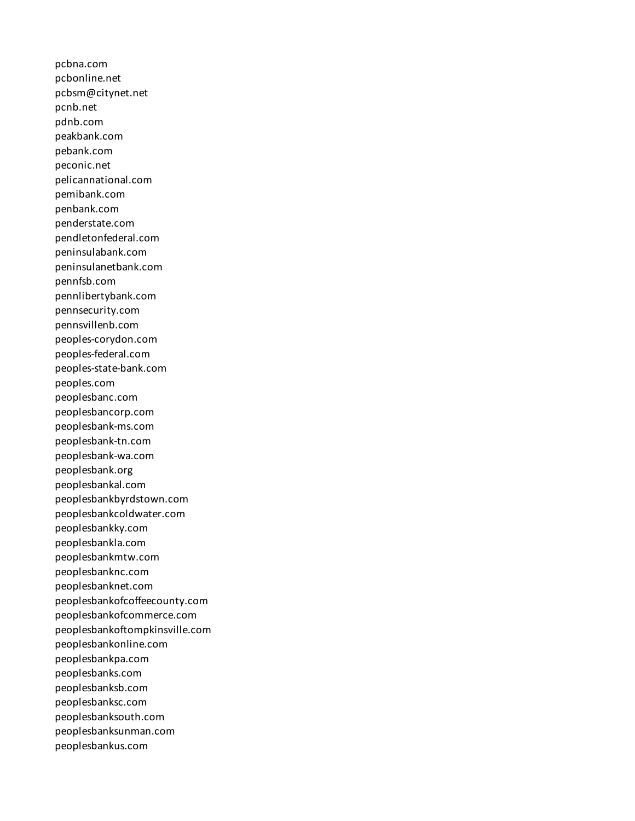pcbna.com pcbonline.net pcbsm@citynet.net pcnb.net pdnb.com peakbank.com pebank.com peconic.net pelicannational.com pemibank.com penbank.com penderstate.com pendletonfederal.com peninsulabank.com peninsulanetbank.com pennfsb.com pennlibertybank.com pennsecurity.com pennsvillenb.com peoples-corydon.com peoples-federal.com peoples-state-bank.com peoples.com peoplesbanc.com peoplesbancorp.com peoplesbank-ms.com peoplesbank-tn.com peoplesbank-wa.com peoplesbank.org peoplesbankal.com peoplesbankbyrdstown.com peoplesbankcoldwater.com peoplesbankky.com peoplesbankla.com peoplesbankmtw.com peoplesbanknc.com peoplesbanknet.com peoplesbankofcoffeecounty.com peoplesbankofcommerce.com peoplesbankoftompkinsville.com peoplesbankonline.com peoplesbankpa.com peoplesbanks.com peoplesbanksb.com peoplesbanksc.com peoplesbanksouth.com peoplesbanksunman.com peoplesbankus.com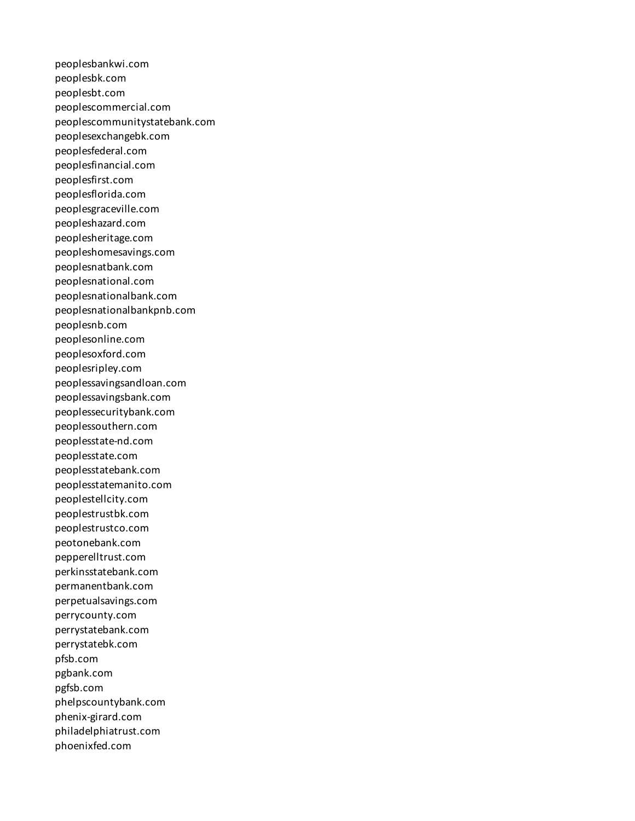peoplesbankwi.com peoplesbk.com peoplesbt.com peoplescommercial.com peoplescommunitystatebank.com peoplesexchangebk.com peoplesfederal.com peoplesfinancial.com peoplesfirst.com peoplesflorida.com peoplesgraceville.com peopleshazard.com peoplesheritage.com peopleshomesavings.com peoplesnatbank.com peoplesnational.com peoplesnationalbank.com peoplesnationalbankpnb.com peoplesnb.com peoplesonline.com peoplesoxford.com peoplesripley.com peoplessavingsandloan.com peoplessavingsbank.com peoplessecuritybank.com peoplessouthern.com peoplesstate-nd.com peoplesstate.com peoplesstatebank.com peoplesstatemanito.com peoplestellcity.com peoplestrustbk.com peoplestrustco.com peotonebank.com pepperelltrust.com perkinsstatebank.com permanentbank.com perpetualsavings.com perrycounty.com perrystatebank.com perrystatebk.com pfsb.com pgbank.com pgfsb.com phelpscountybank.com phenix-girard.com philadelphiatrust.com phoenixfed.com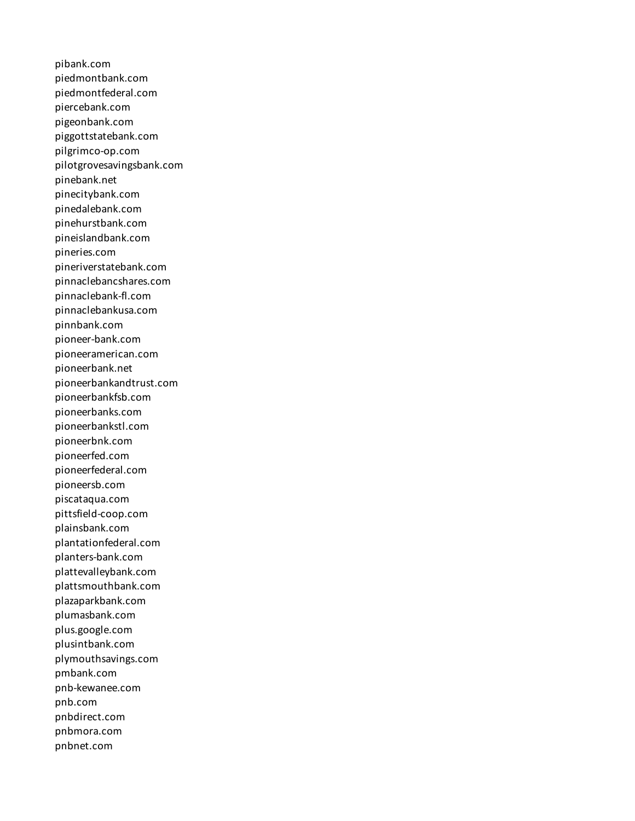pibank.com piedmontbank.com piedmontfederal.com piercebank.com pigeonbank.com piggottstatebank.com pilgrimco-op.com pilotgrovesavingsbank.com pinebank.net pinecitybank.com pinedalebank.com pinehurstbank.com pineislandbank.com pineries.com pineriverstatebank.com pinnaclebancshares.com pinnaclebank-fl.com pinnaclebankusa.com pinnbank.com pioneer-bank.com pioneeramerican.com pioneerbank.net pioneerbankandtrust.com pioneerbankfsb.com pioneerbanks.com pioneerbankstl.com pioneerbnk.com pioneerfed.com pioneerfederal.com pioneersb.com piscataqua.com pittsfield-coop.com plainsbank.com plantationfederal.com planters-bank.com plattevalleybank.com plattsmouthbank.com plazaparkbank.com plumasbank.com plus.google.com plusintbank.com plymouthsavings.com pmbank.com pnb-kewanee.com pnb.com pnbdirect.com pnbmora.com pnbnet.com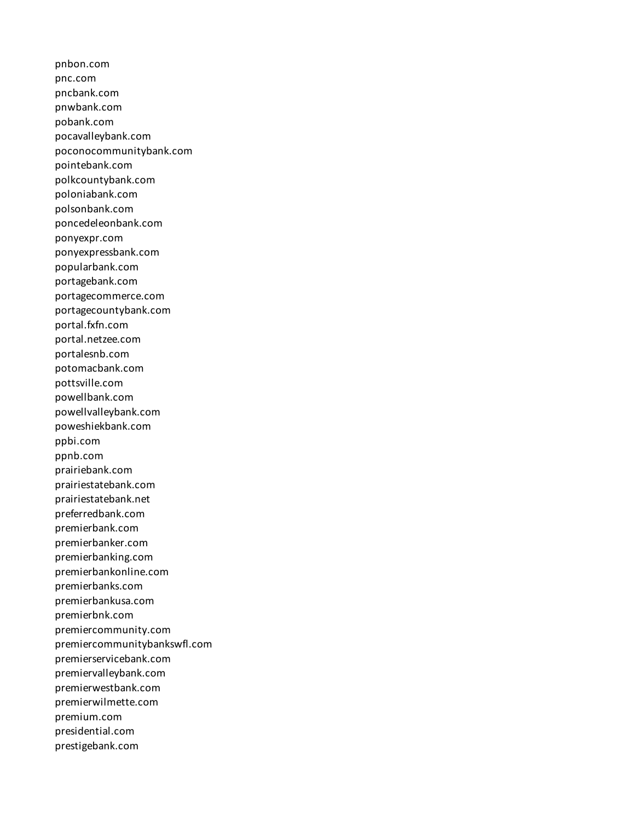pnbon.com pnc.com pncbank.com pnwbank.com pobank.com pocavalleybank.com poconocommunitybank.com pointebank.com polkcountybank.com poloniabank.com polsonbank.com poncedeleonbank.com ponyexpr.com ponyexpressbank.com popularbank.com portagebank.com portagecommerce.com portagecountybank.com portal.fxfn.com portal.netzee.com portalesnb.com potomacbank.com pottsville.com powellbank.com powellvalleybank.com poweshiekbank.com ppbi.com ppnb.com prairiebank.com prairiestatebank.com prairiestatebank.net preferredbank.com premierbank.com premierbanker.com premierbanking.com premierbankonline.com premierbanks.com premierbankusa.com premierbnk.com premiercommunity.com premiercommunitybankswfl.com premierservicebank.com premiervalleybank.com premierwestbank.com premierwilmette.com premium.com presidential.com prestigebank.com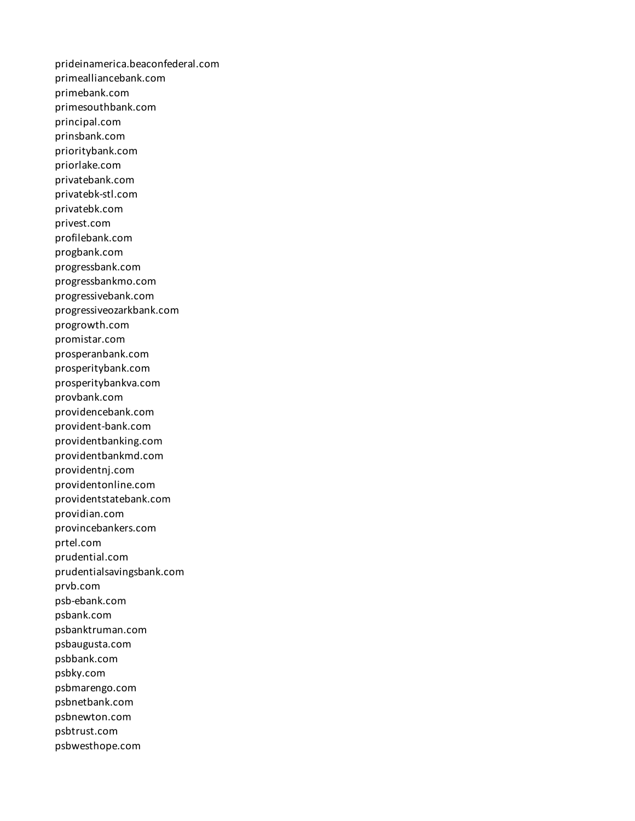prideinamerica.beaconfederal.com primealliancebank.com primebank.com primesouthbank.com principal.com prinsbank.com prioritybank.com priorlake.com privatebank.com privatebk-stl.com privatebk.com privest.com profilebank.com progbank.com progressbank.com progressbankmo.com progressivebank.com progressiveozarkbank.com progrowth.com promistar.com prosperanbank.com prosperitybank.com prosperitybankva.com provbank.com providencebank.com provident-bank.com providentbanking.com providentbankmd.com providentnj.com providentonline.com providentstatebank.com providian.com provincebankers.com prtel.com prudential.com prudentialsavingsbank.com prvb.com psb-ebank.com psbank.com psbanktruman.com psbaugusta.com psbbank.com psbky.com psbmarengo.com psbnetbank.com psbnewton.com psbtrust.com psbwesthope.com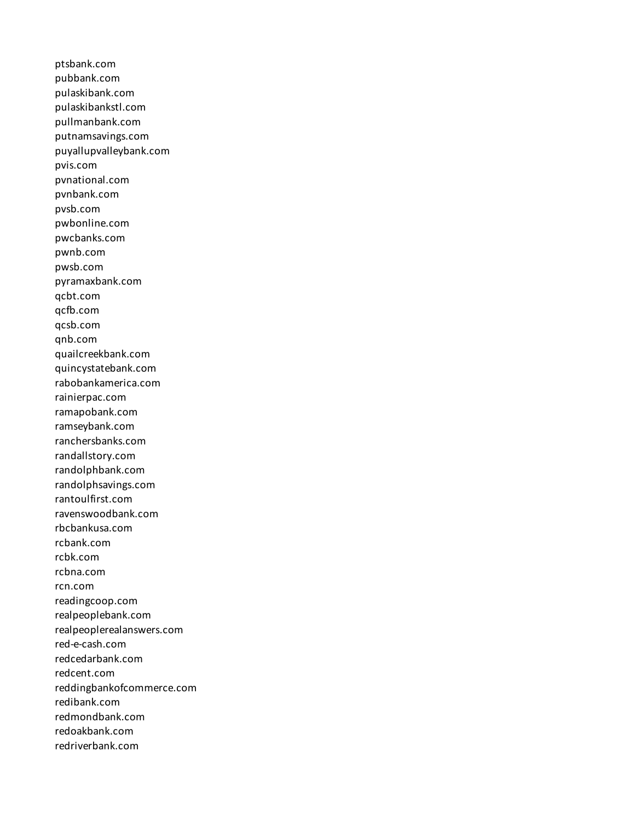ptsbank.com pubbank.com pulaskibank.com pulaskibankstl.com pullmanbank.com putnamsavings.com puyallupvalleybank.com pvis.com pvnational.com pvnbank.com pvsb.com pwbonline.com pwcbanks.com pwnb.com pwsb.com pyramaxbank.com qcbt.com qcfb.com qcsb.com qnb.com quailcreekbank.com quincystatebank.com rabobankamerica.com rainierpac.com ramapobank.com ramseybank.com ranchersbanks.com randallstory.com randolphbank.com randolphsavings.com rantoulfirst.com ravenswoodbank.com rbcbankusa.com rcbank.com rcbk.com rcbna.com rcn.com readingcoop.com realpeoplebank.com realpeoplerealanswers.com red-e-cash.com redcedarbank.com redcent.com reddingbankofcommerce.com redibank.com redmondbank.com redoakbank.com redriverbank.com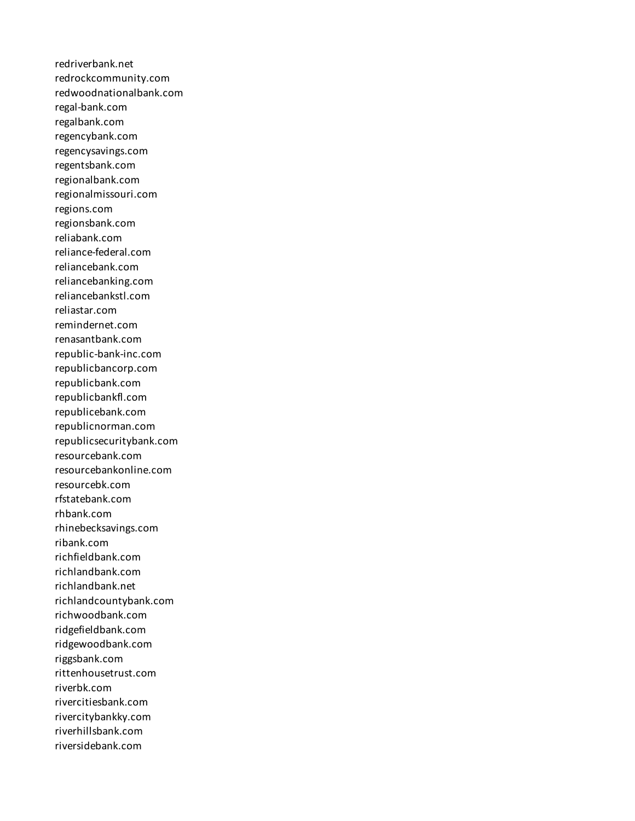redriverbank.net redrockcommunity.com redwoodnationalbank.com regal-bank.com regalbank.com regencybank.com regencysavings.com regentsbank.com regionalbank.com regionalmissouri.com regions.com regionsbank.com reliabank.com reliance-federal.com reliancebank.com reliancebanking.com reliancebankstl.com reliastar.com remindernet.com renasantbank.com republic-bank-inc.com republicbancorp.com republicbank.com republicbankfl.com republicebank.com republicnorman.com republicsecuritybank.com resourcebank.com resourcebankonline.com resourcebk.com rfstatebank.com rhbank.com rhinebecksavings.com ribank.com richfieldbank.com richlandbank.com richlandbank.net richlandcountybank.com richwoodbank.com ridgefieldbank.com ridgewoodbank.com riggsbank.com rittenhousetrust.com riverbk.com rivercitiesbank.com rivercitybankky.com riverhillsbank.com riversidebank.com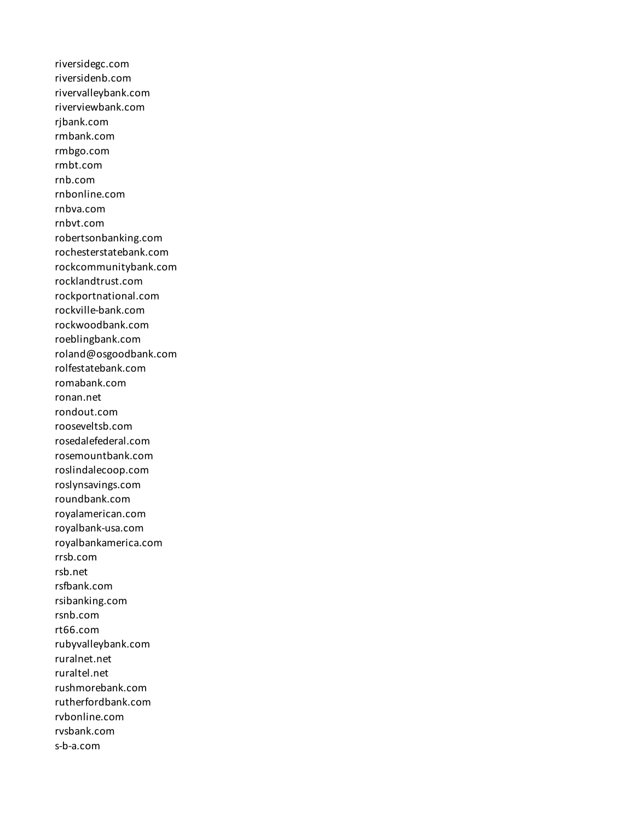riversidegc.com riversidenb.com rivervalleybank.com riverviewbank.com rjbank.com rmbank.com rmbgo.com rmbt.com rnb.com rnbonline.com rnbva.com rnbvt.com robertsonbanking.com rochesterstatebank.com rockcommunitybank.com rocklandtrust.com rockportnational.com rockville-bank.com rockwoodbank.com roeblingbank.com roland@osgoodbank.com rolfestatebank.com romabank.com ronan.net rondout.com rooseveltsb.com rosedalefederal.com rosemountbank.com roslindalecoop.com roslynsavings.com roundbank.com royalamerican.com royalbank-usa.com royalbankamerica.com rrsb.com rsb.net rsfbank.com rsibanking.com rsnb.com rt66.com rubyvalleybank.com ruralnet.net ruraltel.net rushmorebank.com rutherfordbank.com rvbonline.com rvsbank.com s-b-a.com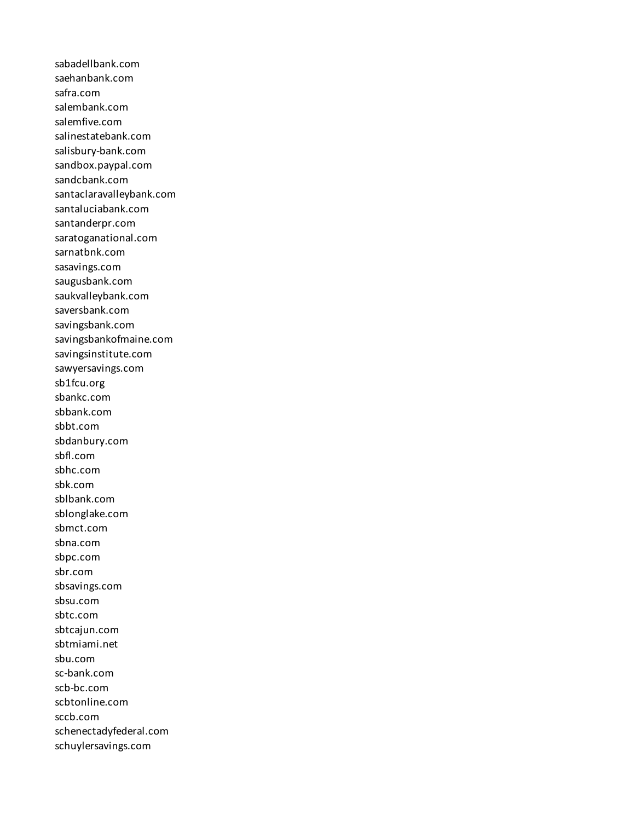sabadellbank.com saehanbank.com safra.com salembank.com salemfive.com salinestatebank.com salisbury-bank.com sandbox.paypal.com sandcbank.com santaclaravalleybank.com santaluciabank.com santanderpr.com saratoganational.com sarnatbnk.com sasavings.com saugusbank.com saukvalleybank.com saversbank.com savingsbank.com savingsbankofmaine.com savingsinstitute.com sawyersavings.com sb1fcu.org sbankc.com sbbank.com sbbt.com sbdanbury.com sbfl.com sbhc.com sbk.com sblbank.com sblonglake.com sbmct.com sbna.com sbpc.com sbr.com sbsavings.com sbsu.com sbtc.com sbtcajun.com sbtmiami.net sbu.com sc-bank.com scb-bc.com scbtonline.com sccb.com schenectadyfederal.com schuylersavings.com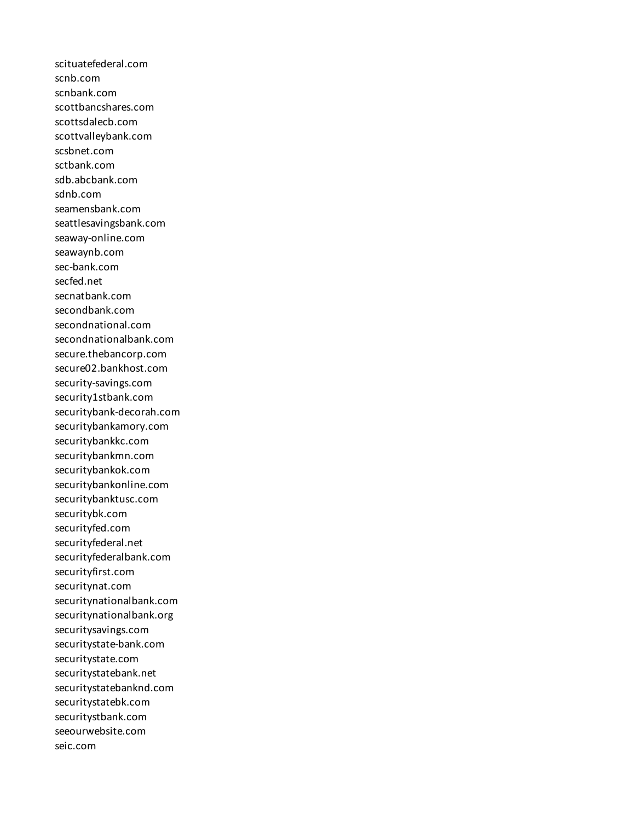scituatefederal.com scnb.com scnbank.com scottbancshares.com scottsdalecb.com scottvalleybank.com scsbnet.com sctbank.com sdb.abcbank.com sdnb.com seamensbank.com seattlesavingsbank.com seaway-online.com seawaynb.com sec-bank.com secfed.net secnatbank.com secondbank.com secondnational.com secondnationalbank.com secure.thebancorp.com secure02.bankhost.com security-savings.com security1stbank.com securitybank-decorah.com securitybankamory.com securitybankkc.com securitybankmn.com securitybankok.com securitybankonline.com securitybanktusc.com securitybk.com securityfed.com securityfederal.net securityfederalbank.com securityfirst.com securitynat.com securitynationalbank.com securitynationalbank.org securitysavings.com securitystate-bank.com securitystate.com securitystatebank.net securitystatebanknd.com securitystatebk.com securitystbank.com seeourwebsite.com seic.com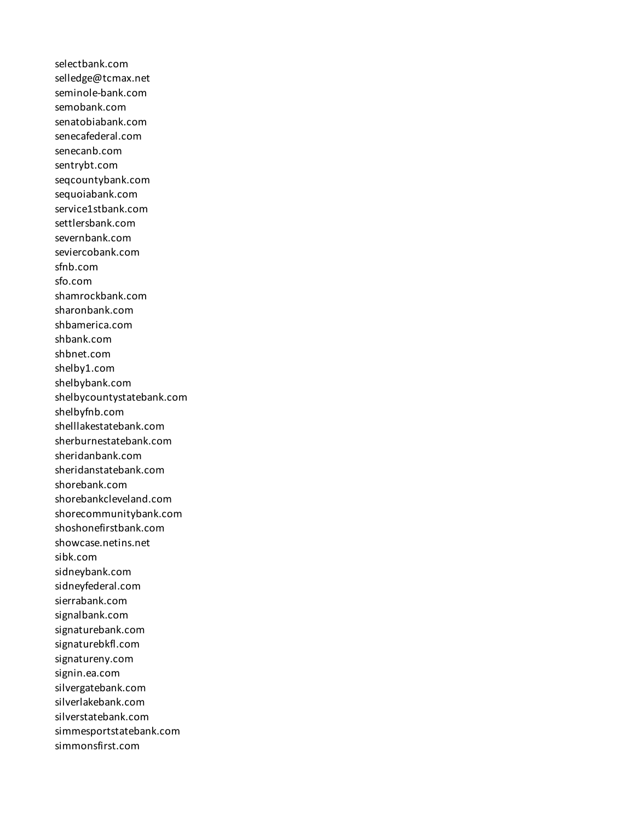selectbank.com selledge@tcmax.net seminole-bank.com semobank.com senatobiabank.com senecafederal.com senecanb.com sentrybt.com seqcountybank.com sequoiabank.com service1stbank.com settlersbank.com severnbank.com seviercobank.com sfnb.com sfo.com shamrockbank.com sharonbank.com shbamerica.com shbank.com shbnet.com shelby1.com shelbybank.com shelbycountystatebank.com shelbyfnb.com shelllakestatebank.com sherburnestatebank.com sheridanbank.com sheridanstatebank.com shorebank.com shorebankcleveland.com shorecommunitybank.com shoshonefirstbank.com showcase.netins.net sibk.com sidneybank.com sidneyfederal.com sierrabank.com signalbank.com signaturebank.com signaturebkfl.com signatureny.com signin.ea.com silvergatebank.com silverlakebank.com silverstatebank.com simmesportstatebank.com simmonsfirst.com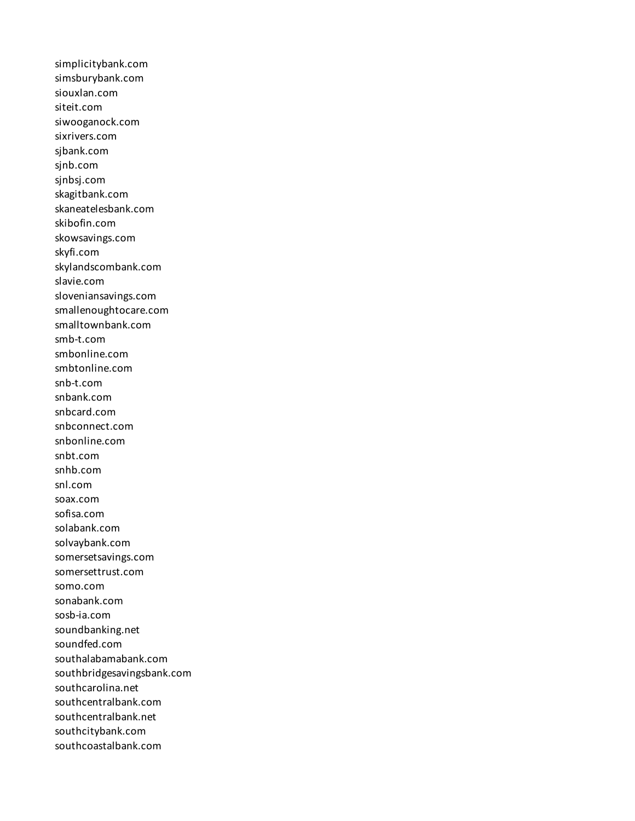simplicitybank.com simsburybank.com siouxlan.com siteit.com siwooganock.com sixrivers.com sjbank.com sjnb.com sjnbsj.com skagitbank.com skaneatelesbank.com skibofin.com skowsavings.com skyfi.com skylandscombank.com slavie.com sloveniansavings.com smallenoughtocare.com smalltownbank.com smb-t.com smbonline.com smbtonline.com snb-t.com snbank.com snbcard.com snbconnect.com snbonline.com snbt.com snhb.com snl.com soax.com sofisa.com solabank.com solvaybank.com somersetsavings.com somersettrust.com somo.com sonabank.com sosb-ia.com soundbanking.net soundfed.com southalabamabank.com southbridgesavingsbank.com southcarolina.net southcentralbank.com southcentralbank.net southcitybank.com southcoastalbank.com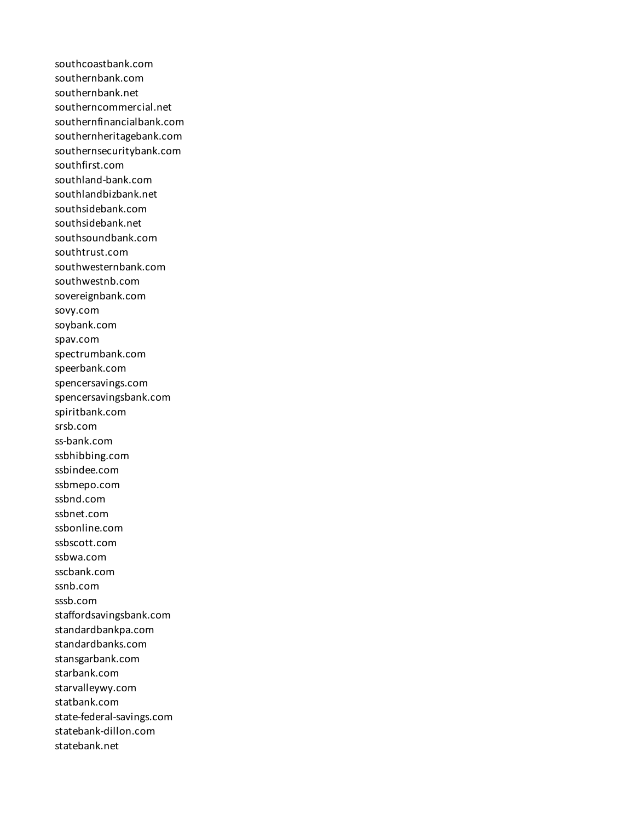southcoastbank.com southernbank.com southernbank.net southerncommercial.net southernfinancialbank.com southernheritagebank.com southernsecuritybank.com southfirst.com southland-bank.com southlandbizbank.net southsidebank.com southsidebank.net southsoundbank.com southtrust.com southwesternbank.com southwestnb.com sovereignbank.com sovy.com soybank.com spav.com spectrumbank.com speerbank.com spencersavings.com spencersavingsbank.com spiritbank.com srsb.com ss-bank.com ssbhibbing.com ssbindee.com ssbmepo.com ssbnd.com ssbnet.com ssbonline.com ssbscott.com ssbwa.com sscbank.com ssnb.com sssb.com staffordsavingsbank.com standardbankpa.com standardbanks.com stansgarbank.com starbank.com starvalleywy.com statbank.com state-federal-savings.com statebank-dillon.com statebank.net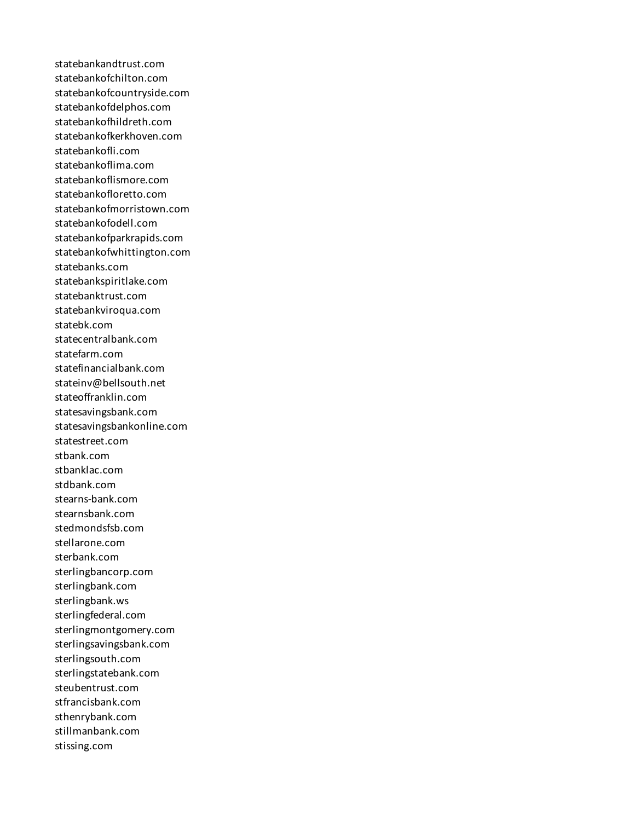statebankandtrust.com statebankofchilton.com statebankofcountryside.com statebankofdelphos.com statebankofhildreth.com statebankofkerkhoven.com statebankofli.com statebankoflima.com statebankoflismore.com statebankofloretto.com statebankofmorristown.com statebankofodell.com statebankofparkrapids.com statebankofwhittington.com statebanks.com statebankspiritlake.com statebanktrust.com statebankviroqua.com statebk.com statecentralbank.com statefarm.com statefinancialbank.com stateinv@bellsouth.net stateoffranklin.com statesavingsbank.com statesavingsbankonline.com statestreet.com stbank.com stbanklac.com stdbank.com stearns-bank.com stearnsbank.com stedmondsfsb.com stellarone.com sterbank.com sterlingbancorp.com sterlingbank.com sterlingbank.ws sterlingfederal.com sterlingmontgomery.com sterlingsavingsbank.com sterlingsouth.com sterlingstatebank.com steubentrust.com stfrancisbank.com sthenrybank.com stillmanbank.com stissing.com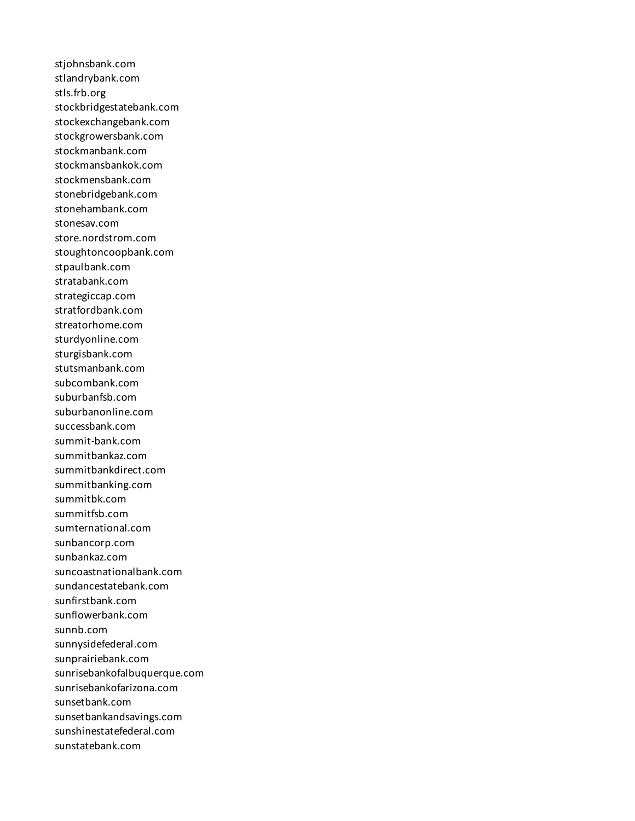stjohnsbank.com stlandrybank.com stls.frb.org stockbridgestatebank.com stockexchangebank.com stockgrowersbank.com stockmanbank.com stockmansbankok.com stockmensbank.com stonebridgebank.com stonehambank.com stonesav.com store.nordstrom.com stoughtoncoopbank.com stpaulbank.com stratabank.com strategiccap.com stratfordbank.com streatorhome.com sturdyonline.com sturgisbank.com stutsmanbank.com subcombank.com suburbanfsb.com suburbanonline.com successbank.com summit-bank.com summitbankaz.com summitbankdirect.com summitbanking.com summitbk.com summitfsb.com sumternational.com sunbancorp.com sunbankaz.com suncoastnationalbank.com sundancestatebank.com sunfirstbank.com sunflowerbank.com sunnb.com sunnysidefederal.com sunprairiebank.com sunrisebankofalbuquerque.com sunrisebankofarizona.com sunsetbank.com sunsetbankandsavings.com sunshinestatefederal.com sunstatebank.com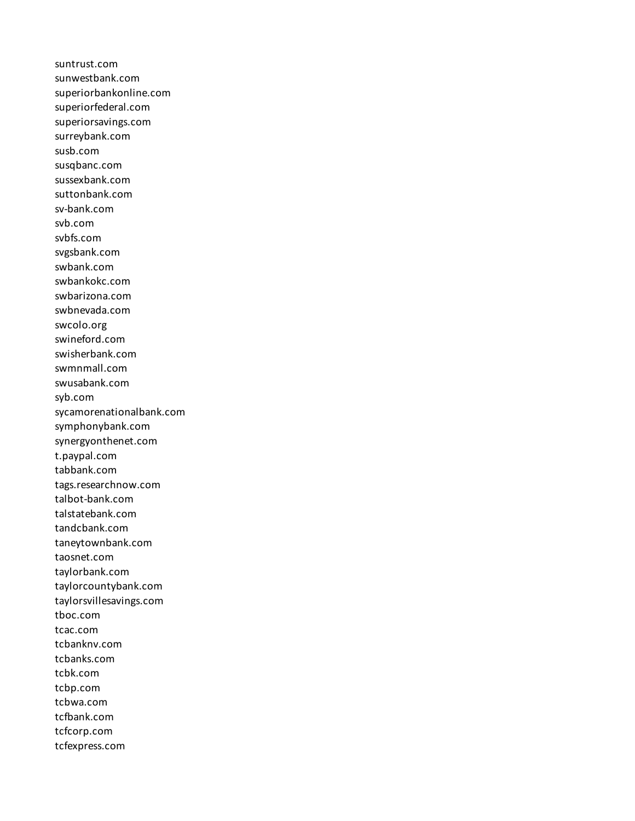suntrust.com sunwestbank.com superiorbankonline.com superiorfederal.com superiorsavings.com surreybank.com susb.com susqbanc.com sussexbank.com suttonbank.com sv-bank.com svb.com svbfs.com svgsbank.com swbank.com swbankokc.com swbarizona.com swbnevada.com swcolo.org swineford.com swisherbank.com swmnmall.com swusabank.com syb.com sycamorenationalbank.com symphonybank.com synergyonthenet.com t.paypal.com tabbank.com tags.researchnow.com talbot-bank.com talstatebank.com tandcbank.com taneytownbank.com taosnet.com taylorbank.com taylorcountybank.com taylorsvillesavings.com tboc.com tcac.com tcbanknv.com tcbanks.com tcbk.com tcbp.com tcbwa.com tcfbank.com tcfcorp.com tcfexpress.com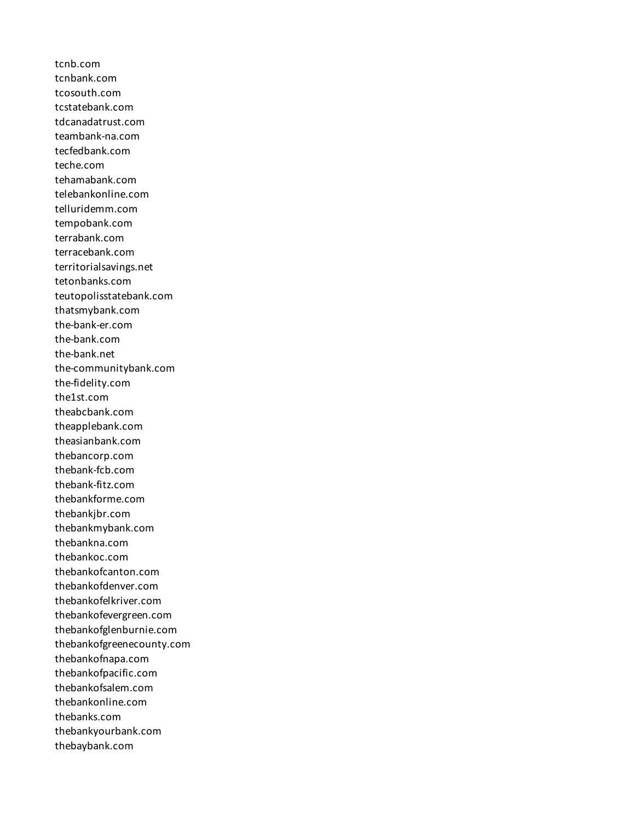tcnb.com tcnbank.com tcosouth.com tcstatebank.com tdcanadatrust.com teambank-na.com tecfedbank.com teche.com tehamabank.com telebankonline.com telluridemm.com tempobank.com terrabank.com terracebank.com territorialsavings.net tetonbanks.com teutopolisstatebank.com thatsmybank.com the-bank-er.com the-bank.com the-bank.net the-communitybank.com the-fidelity.com the1st.com theabcbank.com theapplebank.com theasianbank.com thebancorp.com thebank-fcb.com thebank-fitz.com thebankforme.com thebankjbr.com thebankmybank.com thebankna.com thebankoc.com thebankofcanton.com thebankofdenver.com thebankofelkriver.com thebankofevergreen.com thebankofglenburnie.com thebankofgreenecounty.com thebankofnapa.com thebankofpacific.com thebankofsalem.com thebankonline.com thebanks.com thebankyourbank.com thebaybank.com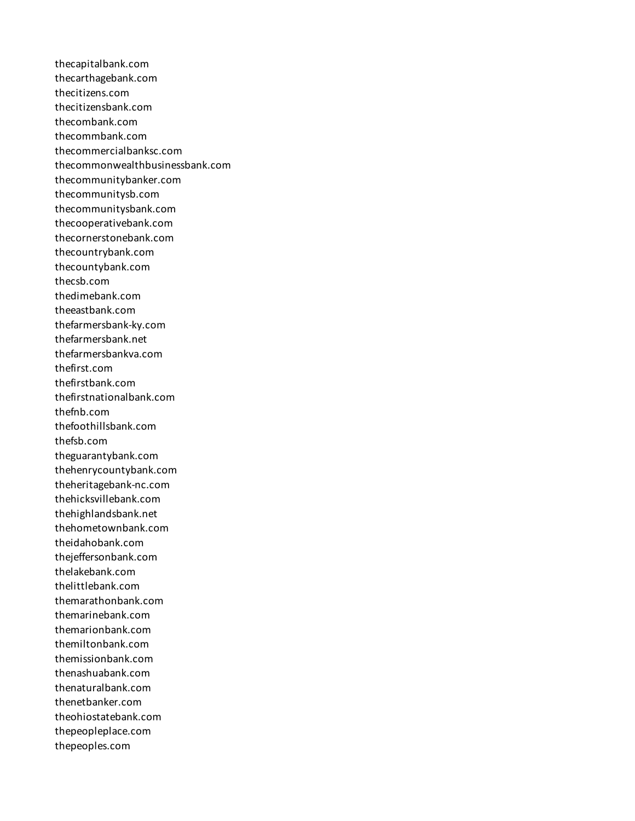thecapitalbank.com thecarthagebank.com thecitizens.com thecitizensbank.com thecombank.com thecommbank.com thecommercialbanksc.com thecommonwealthbusinessbank.com thecommunitybanker.com thecommunitysb.com thecommunitysbank.com thecooperativebank.com thecornerstonebank.com thecountrybank.com thecountybank.com thecsb.com thedimebank.com theeastbank.com thefarmersbank-ky.com thefarmersbank.net thefarmersbankva.com thefirst.com thefirstbank.com thefirstnationalbank.com thefnb.com thefoothillsbank.com thefsb.com theguarantybank.com thehenrycountybank.com theheritagebank-nc.com thehicksvillebank.com thehighlandsbank.net thehometownbank.com theidahobank.com thejeffersonbank.com thelakebank.com thelittlebank.com themarathonbank.com themarinebank.com themarionbank.com themiltonbank.com themissionbank.com thenashuabank.com thenaturalbank.com thenetbanker.com theohiostatebank.com thepeopleplace.com thepeoples.com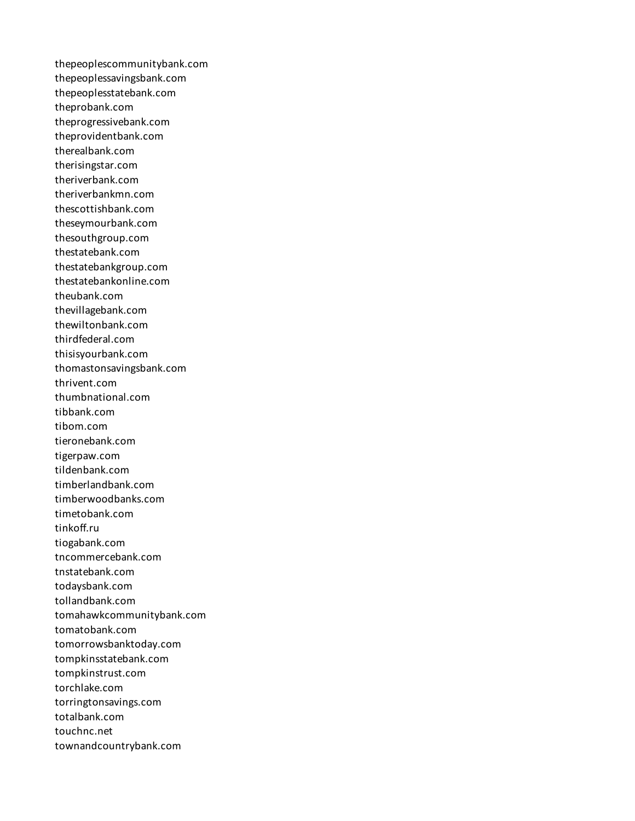thepeoplescommunitybank.com thepeoplessavingsbank.com thepeoplesstatebank.com theprobank.com theprogressivebank.com theprovidentbank.com therealbank.com therisingstar.com theriverbank.com theriverbankmn.com thescottishbank.com theseymourbank.com thesouthgroup.com thestatebank.com thestatebankgroup.com thestatebankonline.com theubank.com thevillagebank.com thewiltonbank.com thirdfederal.com thisisyourbank.com thomastonsavingsbank.com thrivent.com thumbnational.com tibbank.com tibom.com tieronebank.com tigerpaw.com tildenbank.com timberlandbank.com timberwoodbanks.com timetobank.com tinkoff.ru tiogabank.com tncommercebank.com tnstatebank.com todaysbank.com tollandbank.com tomahawkcommunitybank.com tomatobank.com tomorrowsbanktoday.com tompkinsstatebank.com tompkinstrust.com torchlake.com torringtonsavings.com totalbank.com touchnc.net townandcountrybank.com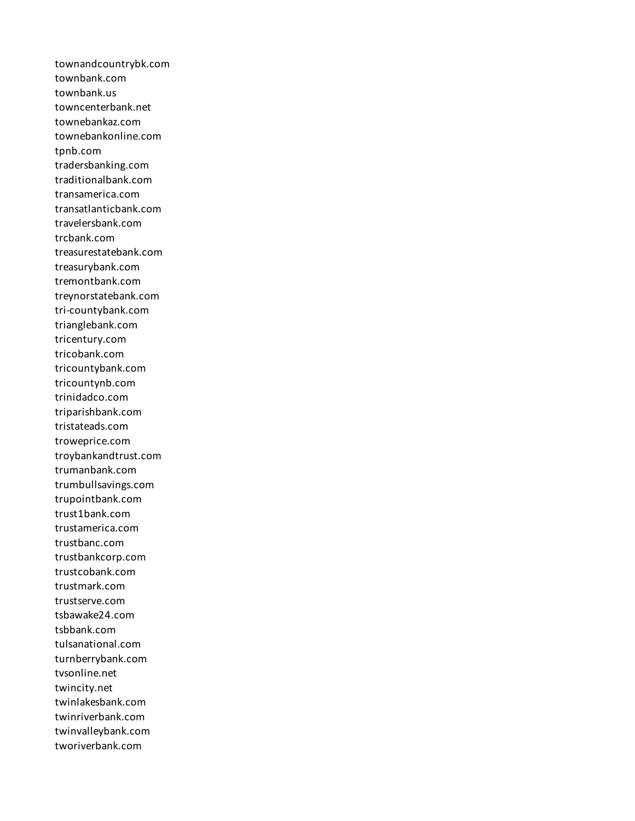townandcountrybk.com townbank.com townbank.us towncenterbank.net townebankaz.com townebankonline.com tpnb.com tradersbanking.com traditionalbank.com transamerica.com transatlanticbank.com travelersbank.com trcbank.com treasurestatebank.com treasurybank.com tremontbank.com treynorstatebank.com tri-countybank.com trianglebank.com tricentury.com tricobank.com tricountybank.com tricountynb.com trinidadco.com triparishbank.com tristateads.com troweprice.com troybankandtrust.com trumanbank.com trumbullsavings.com trupointbank.com trust1bank.com trustamerica.com trustbanc.com trustbankcorp.com trustcobank.com trustmark.com trustserve.com tsbawake24.com tsbbank.com tulsanational.com turnberrybank.com tvsonline.net twincity.net twinlakesbank.com twinriverbank.com twinvalleybank.com tworiverbank.com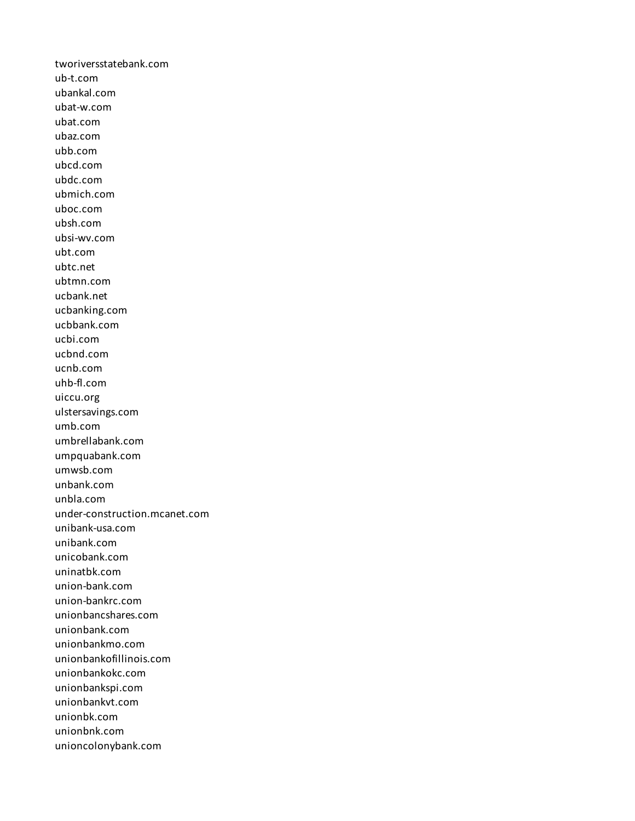tworiversstatebank.com ub-t.com ubankal.com ubat-w.com ubat.com ubaz.com ubb.com ubcd.com ubdc.com ubmich.com uboc.com ubsh.com ubsi-wv.com ubt.com ubtc.net ubtmn.com ucbank.net ucbanking.com ucbbank.com ucbi.com ucbnd.com ucnb.com uhb-fl.com uiccu.org ulstersavings.com umb.com umbrellabank.com umpquabank.com umwsb.com unbank.com unbla.com under-construction.mcanet.com unibank-usa.com unibank.com unicobank.com uninatbk.com union-bank.com union-bankrc.com unionbancshares.com unionbank.com unionbankmo.com unionbankofillinois.com unionbankokc.com unionbankspi.com unionbankvt.com unionbk.com unionbnk.com unioncolonybank.com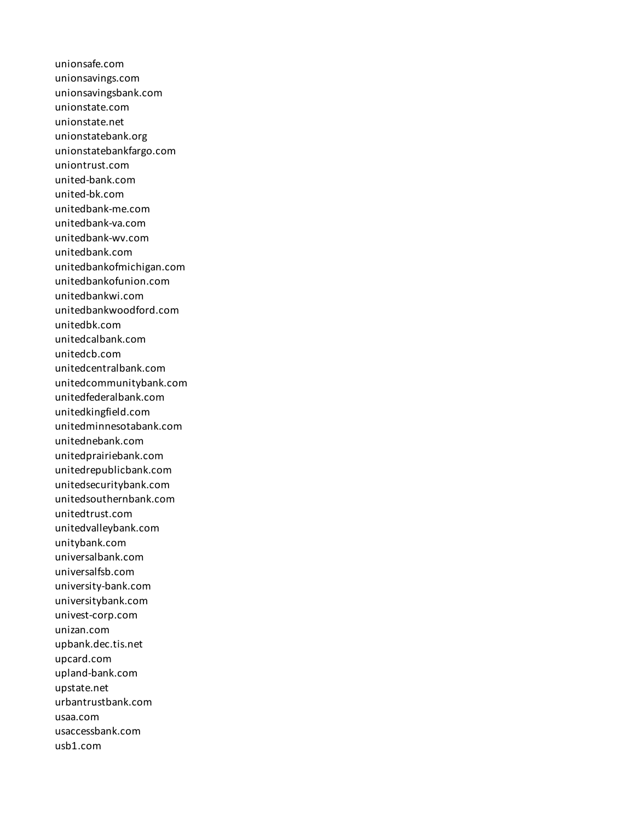unionsafe.com unionsavings.com unionsavingsbank.com unionstate.com unionstate.net unionstatebank.org unionstatebankfargo.com uniontrust.com united-bank.com united-bk.com unitedbank-me.com unitedbank-va.com unitedbank-wv.com unitedbank.com unitedbankofmichigan.com unitedbankofunion.com unitedbankwi.com unitedbankwoodford.com unitedbk.com unitedcalbank.com unitedcb.com unitedcentralbank.com unitedcommunitybank.com unitedfederalbank.com unitedkingfield.com unitedminnesotabank.com unitednebank.com unitedprairiebank.com unitedrepublicbank.com unitedsecuritybank.com unitedsouthernbank.com unitedtrust.com unitedvalleybank.com unitybank.com universalbank.com universalfsb.com university-bank.com universitybank.com univest-corp.com unizan.com upbank.dec.tis.net upcard.com upland-bank.com upstate.net urbantrustbank.com usaa.com usaccessbank.com usb1.com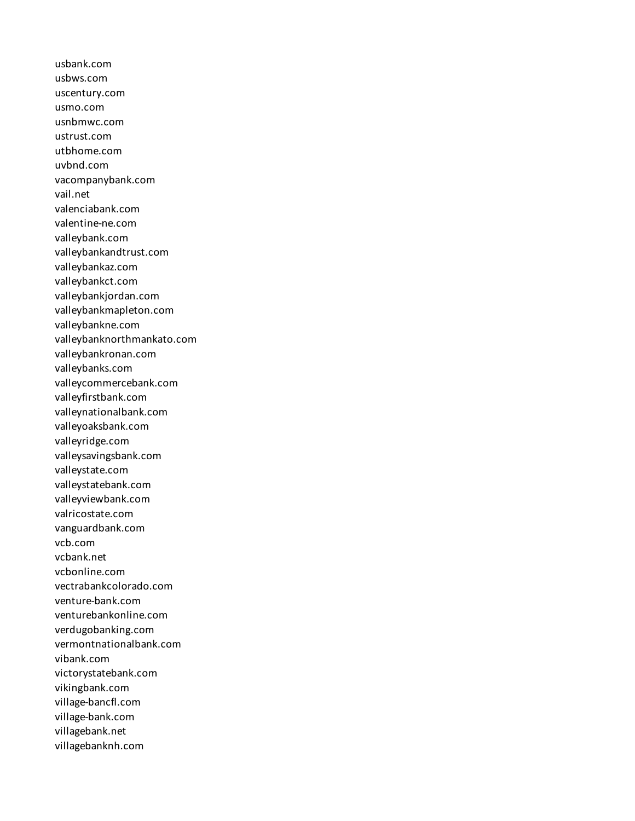usbank.com usbws.com uscentury.com usmo.com usnbmwc.com ustrust.com utbhome.com uvbnd.com vacompanybank.com vail.net valenciabank.com valentine-ne.com valleybank.com valleybankandtrust.com valleybankaz.com valleybankct.com valleybankjordan.com valleybankmapleton.com valleybankne.com valleybanknorthmankato.com valleybankronan.com valleybanks.com valleycommercebank.com valleyfirstbank.com valleynationalbank.com valleyoaksbank.com valleyridge.com valleysavingsbank.com valleystate.com valleystatebank.com valleyviewbank.com valricostate.com vanguardbank.com vcb.com vcbank.net vcbonline.com vectrabankcolorado.com venture-bank.com venturebankonline.com verdugobanking.com vermontnationalbank.com vibank.com victorystatebank.com vikingbank.com village-bancfl.com village-bank.com villagebank.net villagebanknh.com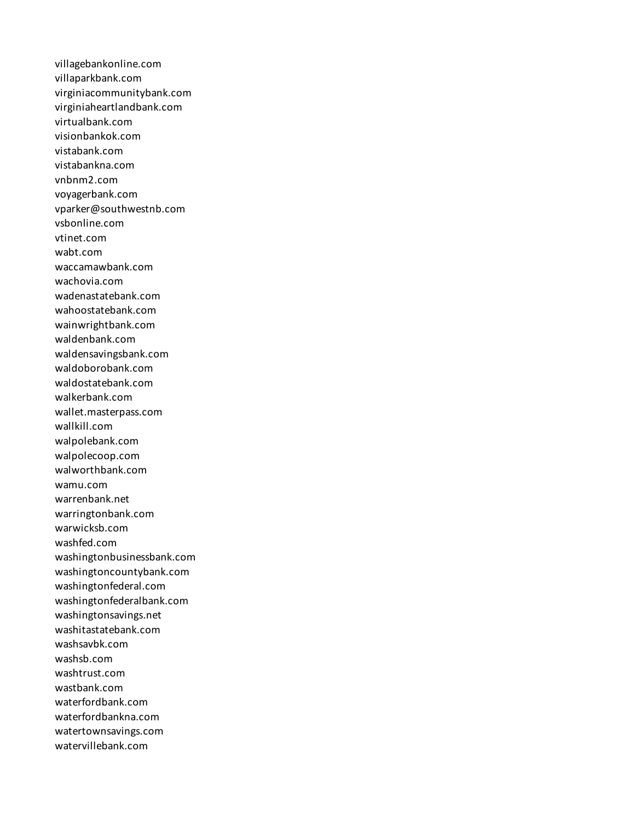villagebankonline.com villaparkbank.com virginiacommunitybank.com virginiaheartlandbank.com virtualbank.com visionbankok.com vistabank.com vistabankna.com vnbnm2.com voyagerbank.com vparker@southwestnb.com vsbonline.com vtinet.com wabt.com waccamawbank.com wachovia.com wadenastatebank.com wahoostatebank.com wainwrightbank.com waldenbank.com waldensavingsbank.com waldoborobank.com waldostatebank.com walkerbank.com wallet.masterpass.com wallkill.com walpolebank.com walpolecoop.com walworthbank.com wamu.com warrenbank.net warringtonbank.com warwicksb.com washfed.com washingtonbusinessbank.com washingtoncountybank.com washingtonfederal.com washingtonfederalbank.com washingtonsavings.net washitastatebank.com washsavbk.com washsb.com washtrust.com wastbank.com waterfordbank.com waterfordbankna.com watertownsavings.com watervillebank.com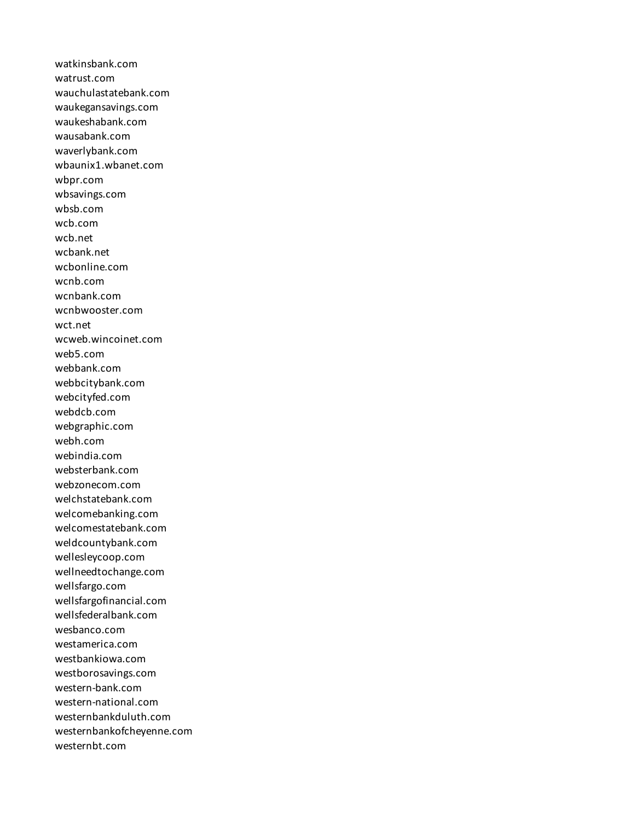watkinsbank.com watrust.com wauchulastatebank.com waukegansavings.com waukeshabank.com wausabank.com waverlybank.com wbaunix1.wbanet.com wbpr.com wbsavings.com wbsb.com wcb.com wcb.net wcbank.net wcbonline.com wcnb.com wcnbank.com wcnbwooster.com wct.net wcweb.wincoinet.com web5.com webbank.com webbcitybank.com webcityfed.com webdcb.com webgraphic.com webh.com webindia.com websterbank.com webzonecom.com welchstatebank.com welcomebanking.com welcomestatebank.com weldcountybank.com wellesleycoop.com wellneedtochange.com wellsfargo.com wellsfargofinancial.com wellsfederalbank.com wesbanco.com westamerica.com westbankiowa.com westborosavings.com western-bank.com western-national.com westernbankduluth.com westernbankofcheyenne.com westernbt.com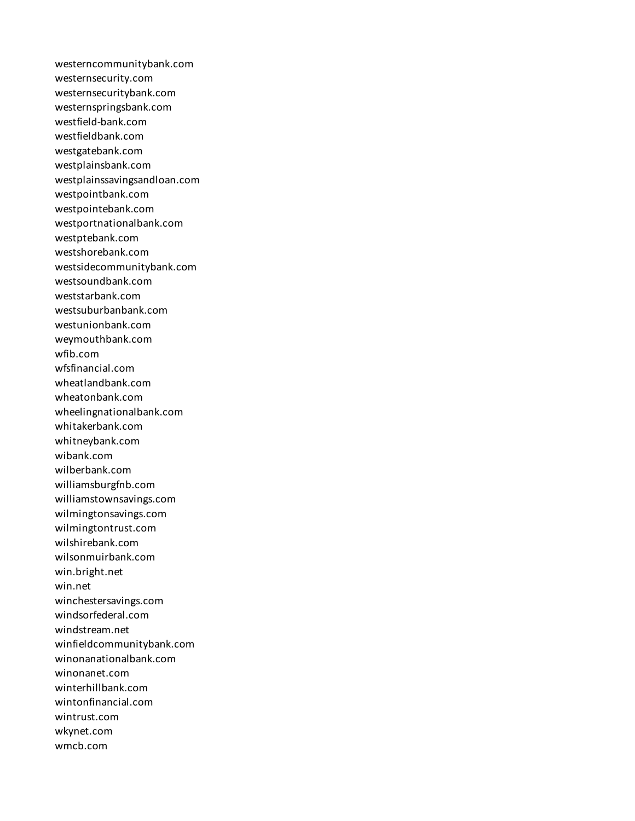westerncommunitybank.com westernsecurity.com westernsecuritybank.com westernspringsbank.com westfield-bank.com westfieldbank.com westgatebank.com westplainsbank.com westplainssavingsandloan.com westpointbank.com westpointebank.com westportnationalbank.com westptebank.com westshorebank.com westsidecommunitybank.com westsoundbank.com weststarbank.com westsuburbanbank.com westunionbank.com weymouthbank.com wfib.com wfsfinancial.com wheatlandbank.com wheatonbank.com wheelingnationalbank.com whitakerbank.com whitneybank.com wibank.com wilberbank.com williamsburgfnb.com williamstownsavings.com wilmingtonsavings.com wilmingtontrust.com wilshirebank.com wilsonmuirbank.com win.bright.net win.net winchestersavings.com windsorfederal.com windstream.net winfieldcommunitybank.com winonanationalbank.com winonanet.com winterhillbank.com wintonfinancial.com wintrust.com wkynet.com wmcb.com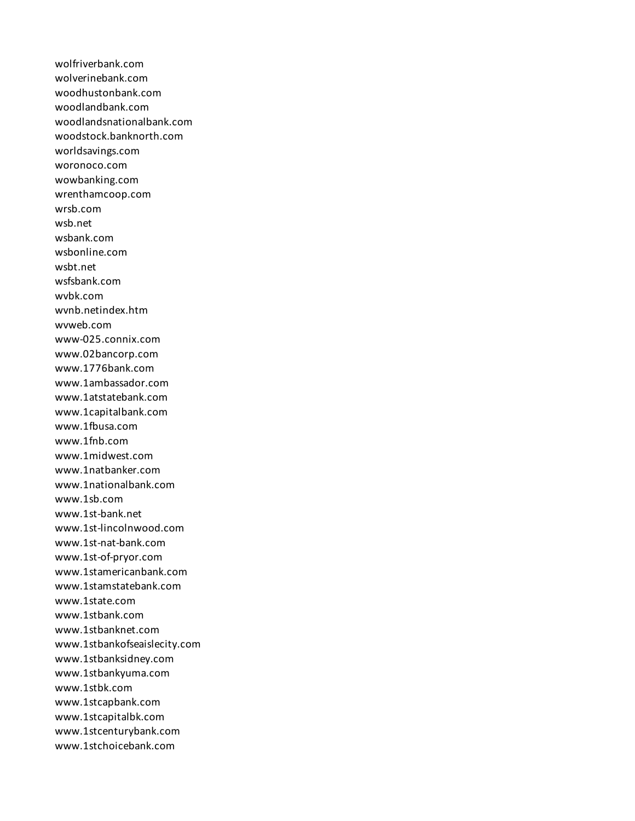wolfriverbank.com wolverinebank.com woodhustonbank.com woodlandbank.com woodlandsnationalbank.com woodstock.banknorth.com worldsavings.com woronoco.com wowbanking.com wrenthamcoop.com wrsb.com wsb.net wsbank.com wsbonline.com wsbt.net wsfsbank.com wvbk.com wvnb.netindex.htm wvweb.com www-025.connix.com www.02bancorp.com www.1776bank.com www.1ambassador.com www.1atstatebank.com www.1capitalbank.com www.1fbusa.com www.1fnb.com www.1midwest.com www.1natbanker.com www.1nationalbank.com www.1sb.com www.1st-bank.net www.1st-lincolnwood.com www.1st-nat-bank.com www.1st-of-pryor.com www.1stamericanbank.com www.1stamstatebank.com www.1state.com www.1stbank.com www.1stbanknet.com www.1stbankofseaislecity.com www.1stbanksidney.com www.1stbankyuma.com www.1stbk.com www.1stcapbank.com www.1stcapitalbk.com www.1stcenturybank.com www.1stchoicebank.com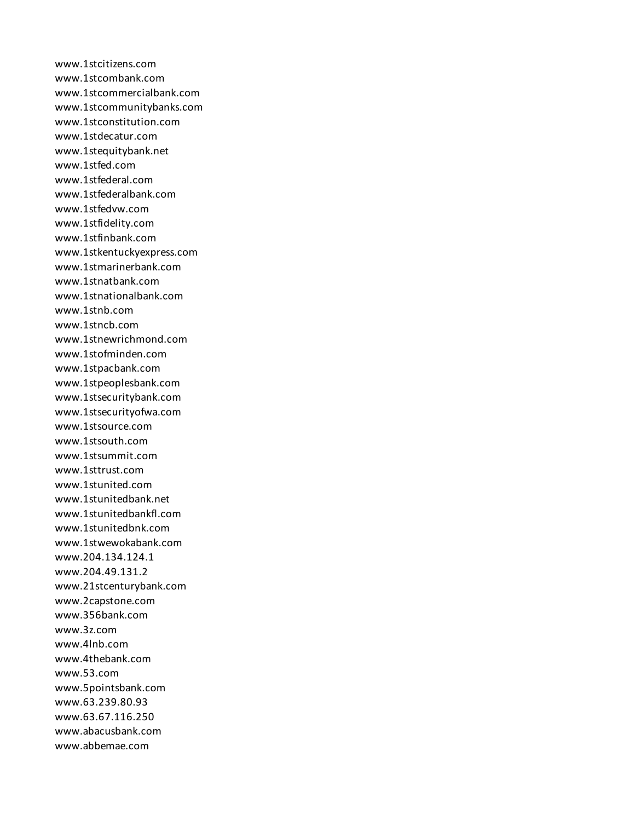www.1stcitizens.com www.1stcombank.com www.1stcommercialbank.com www.1stcommunitybanks.com www.1stconstitution.com www.1stdecatur.com www.1stequitybank.net www.1stfed.com www.1stfederal.com www.1stfederalbank.com www.1stfedvw.com www.1stfidelity.com www.1stfinbank.com www.1stkentuckyexpress.com www.1stmarinerbank.com www.1stnatbank.com www.1stnationalbank.com www.1stnb.com www.1stncb.com www.1stnewrichmond.com www.1stofminden.com www.1stpacbank.com www.1stpeoplesbank.com www.1stsecuritybank.com www.1stsecurityofwa.com www.1stsource.com www.1stsouth.com www.1stsummit.com www.1sttrust.com www.1stunited.com www.1stunitedbank.net www.1stunitedbankfl.com www.1stunitedbnk.com www.1stwewokabank.com www.204.134.124.1 www.204.49.131.2 www.21stcenturybank.com www.2capstone.com www.356bank.com www.3z.com www.4lnb.com www.4thebank.com www.53.com www.5pointsbank.com www.63.239.80.93 www.63.67.116.250 www.abacusbank.com www.abbemae.com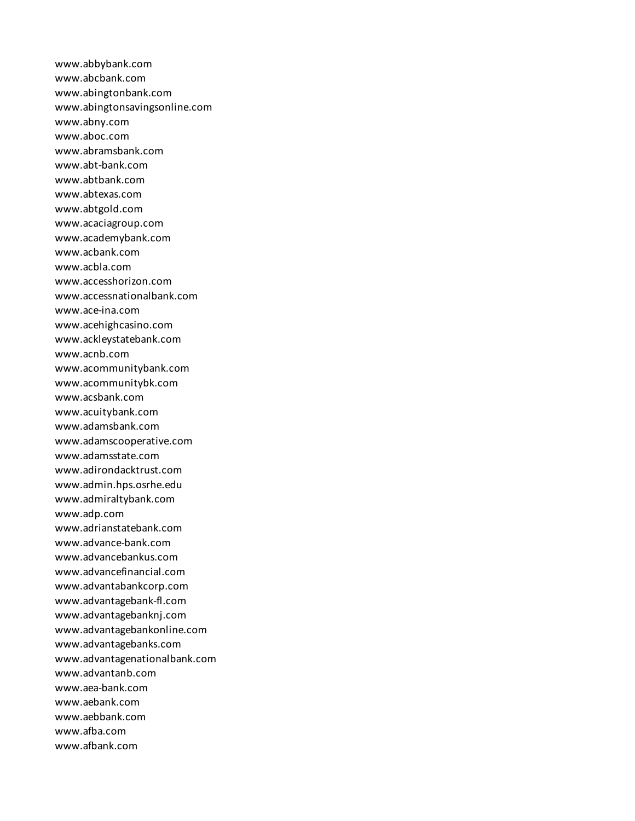www.abbybank.com www.abcbank.com www.abingtonbank.com www.abingtonsavingsonline.com www.abny.com www.aboc.com www.abramsbank.com www.abt-bank.com www.abtbank.com www.abtexas.com www.abtgold.com www.acaciagroup.com www.academybank.com www.acbank.com www.acbla.com www.accesshorizon.com www.accessnationalbank.com www.ace-ina.com www.acehighcasino.com www.ackleystatebank.com www.acnb.com www.acommunitybank.com www.acommunitybk.com www.acsbank.com www.acuitybank.com www.adamsbank.com www.adamscooperative.com www.adamsstate.com www.adirondacktrust.com www.admin.hps.osrhe.edu www.admiraltybank.com www.adp.com www.adrianstatebank.com www.advance-bank.com www.advancebankus.com www.advancefinancial.com www.advantabankcorp.com www.advantagebank-fl.com www.advantagebanknj.com www.advantagebankonline.com www.advantagebanks.com www.advantagenationalbank.com www.advantanb.com www.aea-bank.com www.aebank.com www.aebbank.com www.afba.com www.afbank.com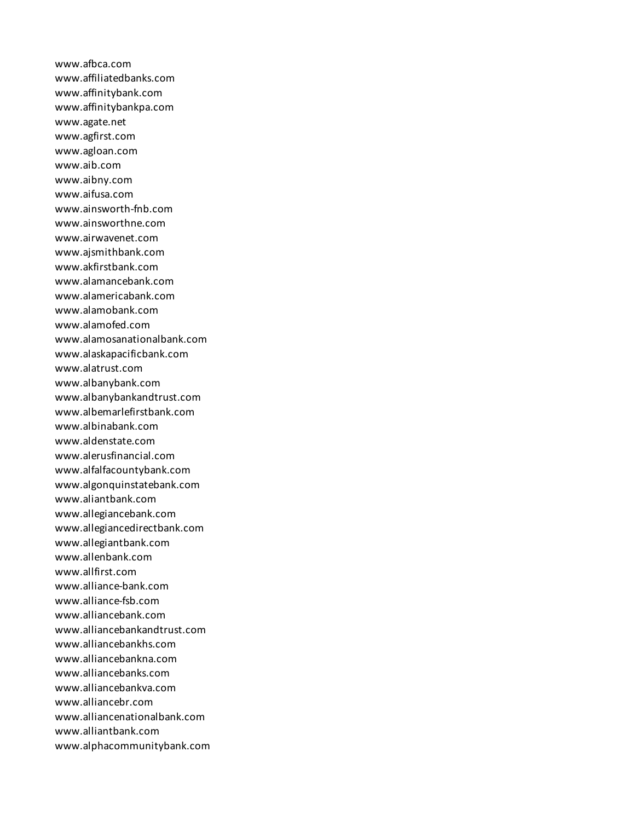www.afbca.com www.affiliatedbanks.com www.affinitybank.com www.affinitybankpa.com www.agate.net www.agfirst.com www.agloan.com www.aib.com www.aibny.com www.aifusa.com www.ainsworth-fnb.com www.ainsworthne.com www.airwavenet.com www.ajsmithbank.com www.akfirstbank.com www.alamancebank.com www.alamericabank.com www.alamobank.com www.alamofed.com www.alamosanationalbank.com www.alaskapacificbank.com www.alatrust.com www.albanybank.com www.albanybankandtrust.com www.albemarlefirstbank.com www.albinabank.com www.aldenstate.com www.alerusfinancial.com www.alfalfacountybank.com www.algonquinstatebank.com www.aliantbank.com www.allegiancebank.com www.allegiancedirectbank.com www.allegiantbank.com www.allenbank.com www.allfirst.com www.alliance-bank.com www.alliance-fsb.com www.alliancebank.com www.alliancebankandtrust.com www.alliancebankhs.com www.alliancebankna.com www.alliancebanks.com www.alliancebankva.com www.alliancebr.com www.alliancenationalbank.com www.alliantbank.com www.alphacommunitybank.com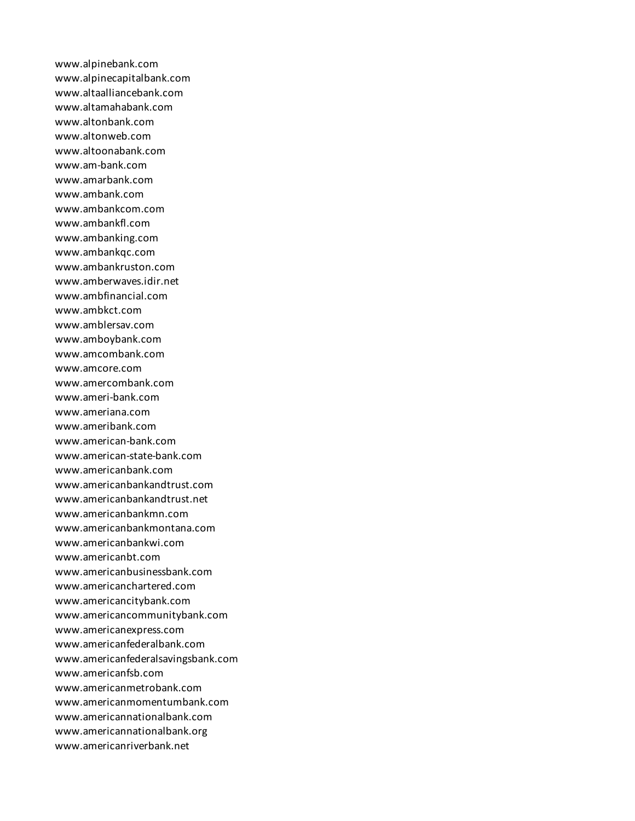www.alpinebank.com www.alpinecapitalbank.com www.altaalliancebank.com www.altamahabank.com www.altonbank.com www.altonweb.com www.altoonabank.com www.am-bank.com www.amarbank.com www.ambank.com www.ambankcom.com www.ambankfl.com www.ambanking.com www.ambankqc.com www.ambankruston.com www.amberwaves.idir.net www.ambfinancial.com www.ambkct.com www.amblersav.com www.amboybank.com www.amcombank.com www.amcore.com www.amercombank.com www.ameri-bank.com www.ameriana.com www.ameribank.com www.american-bank.com www.american-state-bank.com www.americanbank.com www.americanbankandtrust.com www.americanbankandtrust.net www.americanbankmn.com www.americanbankmontana.com www.americanbankwi.com www.americanbt.com www.americanbusinessbank.com www.americanchartered.com www.americancitybank.com www.americancommunitybank.com www.americanexpress.com www.americanfederalbank.com www.americanfederalsavingsbank.com www.americanfsb.com www.americanmetrobank.com www.americanmomentumbank.com www.americannationalbank.com www.americannationalbank.org www.americanriverbank.net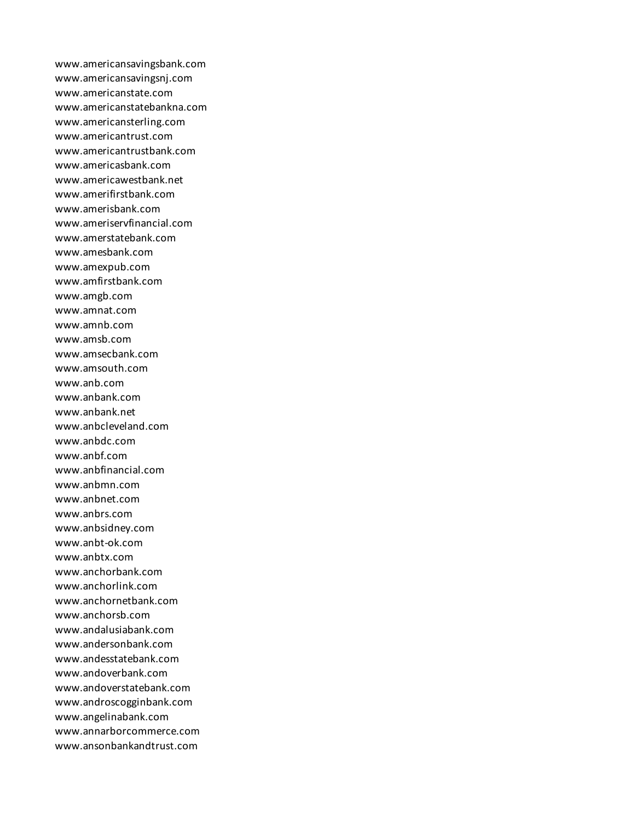www.americansavingsbank.com www.americansavingsnj.com www.americanstate.com www.americanstatebankna.com www.americansterling.com www.americantrust.com www.americantrustbank.com www.americasbank.com www.americawestbank.net www.amerifirstbank.com www.amerisbank.com www.ameriservfinancial.com www.amerstatebank.com www.amesbank.com www.amexpub.com www.amfirstbank.com www.amgb.com www.amnat.com www.amnb.com www.amsb.com www.amsecbank.com www.amsouth.com www.anb.com www.anbank.com www.anbank.net www.anbcleveland.com www.anbdc.com www.anbf.com www.anbfinancial.com www.anbmn.com www.anbnet.com www.anbrs.com www.anbsidney.com www.anbt-ok.com www.anbtx.com www.anchorbank.com www.anchorlink.com www.anchornetbank.com www.anchorsb.com www.andalusiabank.com www.andersonbank.com www.andesstatebank.com www.andoverbank.com www.andoverstatebank.com www.androscogginbank.com www.angelinabank.com www.annarborcommerce.com www.ansonbankandtrust.com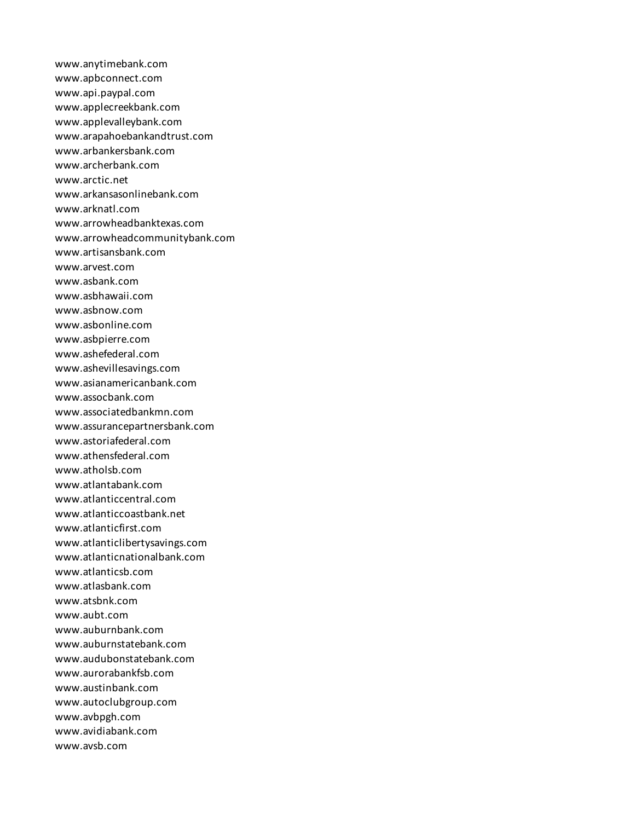www.anytimebank.com www.apbconnect.com www.api.paypal.com www.applecreekbank.com www.applevalleybank.com www.arapahoebankandtrust.com www.arbankersbank.com www.archerbank.com www.arctic.net www.arkansasonlinebank.com www.arknatl.com www.arrowheadbanktexas.com www.arrowheadcommunitybank.com www.artisansbank.com www.arvest.com www.asbank.com www.asbhawaii.com www.asbnow.com www.asbonline.com www.asbpierre.com www.ashefederal.com www.ashevillesavings.com www.asianamericanbank.com www.assocbank.com www.associatedbankmn.com www.assurancepartnersbank.com www.astoriafederal.com www.athensfederal.com www.atholsb.com www.atlantabank.com www.atlanticcentral.com www.atlanticcoastbank.net www.atlanticfirst.com www.atlanticlibertysavings.com www.atlanticnationalbank.com www.atlanticsb.com www.atlasbank.com www.atsbnk.com www.aubt.com www.auburnbank.com www.auburnstatebank.com www.audubonstatebank.com www.aurorabankfsb.com www.austinbank.com www.autoclubgroup.com www.avbpgh.com www.avidiabank.com www.avsb.com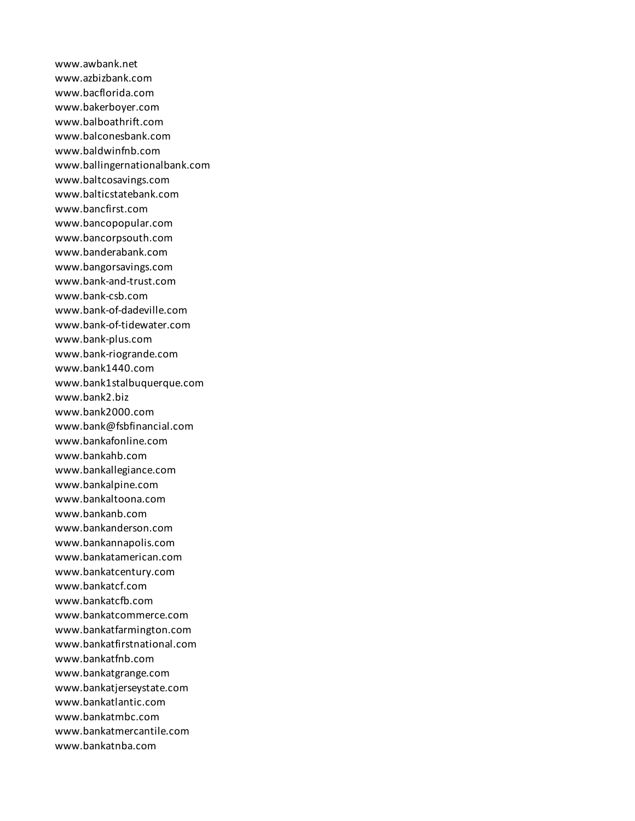www.awbank.net www.azbizbank.com www.bacflorida.com www.bakerboyer.com www.balboathrift.com www.balconesbank.com www.baldwinfnb.com www.ballingernationalbank.com www.baltcosavings.com www.balticstatebank.com www.bancfirst.com www.bancopopular.com www.bancorpsouth.com www.banderabank.com www.bangorsavings.com www.bank-and-trust.com www.bank-csb.com www.bank-of-dadeville.com www.bank-of-tidewater.com www.bank-plus.com www.bank-riogrande.com www.bank1440.com www.bank1stalbuquerque.com www.bank2.biz www.bank2000.com www.bank@fsbfinancial.com www.bankafonline.com www.bankahb.com www.bankallegiance.com www.bankalpine.com www.bankaltoona.com www.bankanb.com www.bankanderson.com www.bankannapolis.com www.bankatamerican.com www.bankatcentury.com www.bankatcf.com www.bankatcfb.com www.bankatcommerce.com www.bankatfarmington.com www.bankatfirstnational.com www.bankatfnb.com www.bankatgrange.com www.bankatjerseystate.com www.bankatlantic.com www.bankatmbc.com www.bankatmercantile.com www.bankatnba.com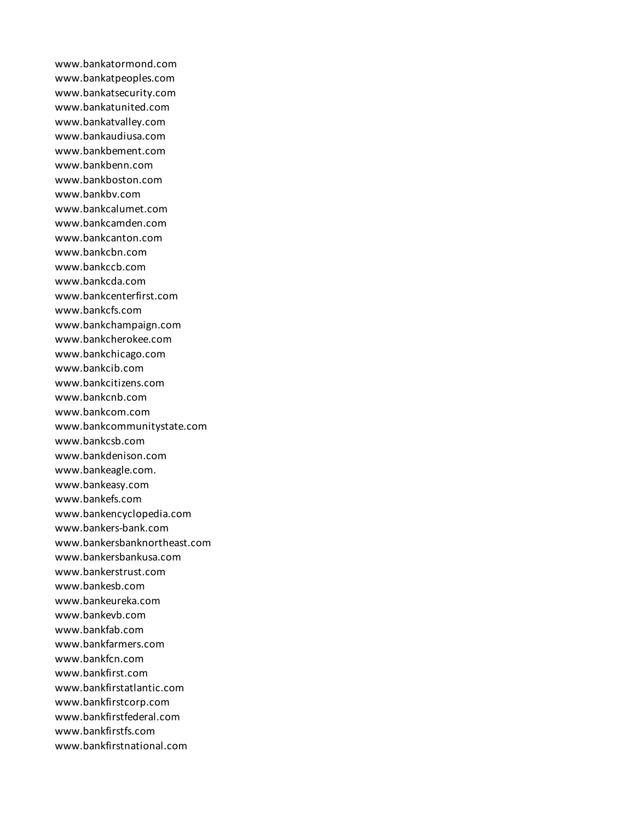www.bankatormond.com www.bankatpeoples.com www.bankatsecurity.com www.bankatunited.com www.bankatvalley.com www.bankaudiusa.com www.bankbement.com www.bankbenn.com www.bankboston.com www.bankbv.com www.bankcalumet.com www.bankcamden.com www.bankcanton.com www.bankcbn.com www.bankccb.com www.bankcda.com www.bankcenterfirst.com www.bankcfs.com www.bankchampaign.com www.bankcherokee.com www.bankchicago.com www.bankcib.com www.bankcitizens.com www.bankcnb.com www.bankcom.com www.bankcommunitystate.com www.bankcsb.com www.bankdenison.com www.bankeagle.com. www.bankeasy.com www.bankefs.com www.bankencyclopedia.com www.bankers-bank.com www.bankersbanknortheast.com www.bankersbankusa.com www.bankerstrust.com www.bankesb.com www.bankeureka.com www.bankevb.com www.bankfab.com www.bankfarmers.com www.bankfcn.com www.bankfirst.com www.bankfirstatlantic.com www.bankfirstcorp.com www.bankfirstfederal.com www.bankfirstfs.com www.bankfirstnational.com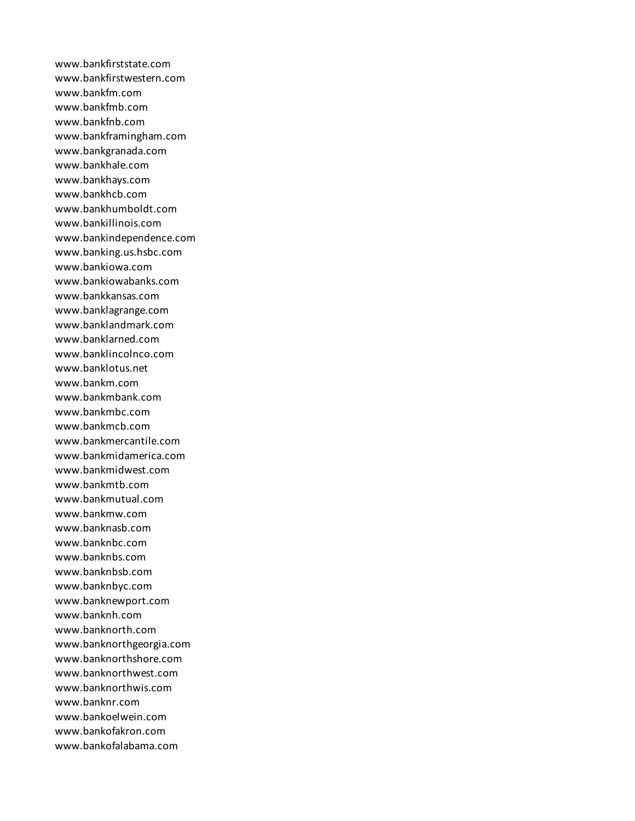www.bankfirststate.com www.bankfirstwestern.com www.bankfm.com www.bankfmb.com www.bankfnb.com www.bankframingham.com www.bankgranada.com www.bankhale.com www.bankhays.com www.bankhcb.com www.bankhumboldt.com www.bankillinois.com www.bankindependence.com www.banking.us.hsbc.com www.bankiowa.com www.bankiowabanks.com www.bankkansas.com www.banklagrange.com www.banklandmark.com www.banklarned.com www.banklincolnco.com www.banklotus.net www.bankm.com www.bankmbank.com www.bankmbc.com www.bankmcb.com www.bankmercantile.com www.bankmidamerica.com www.bankmidwest.com www.bankmtb.com www.bankmutual.com www.bankmw.com www.banknasb.com www.banknbc.com www.banknbs.com www.banknbsb.com www.banknbyc.com www.banknewport.com www.banknh.com www.banknorth.com www.banknorthgeorgia.com www.banknorthshore.com www.banknorthwest.com www.banknorthwis.com www.banknr.com www.bankoelwein.com www.bankofakron.com www.bankofalabama.com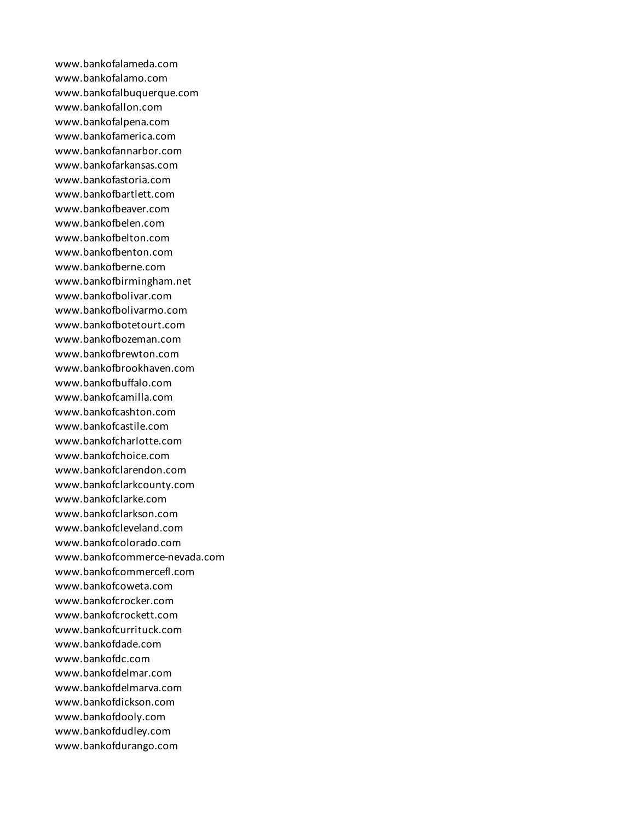www.bankofalameda.com www.bankofalamo.com www.bankofalbuquerque.com www.bankofallon.com www.bankofalpena.com www.bankofamerica.com www.bankofannarbor.com www.bankofarkansas.com www.bankofastoria.com www.bankofbartlett.com www.bankofbeaver.com www.bankofbelen.com www.bankofbelton.com www.bankofbenton.com www.bankofberne.com www.bankofbirmingham.net www.bankofbolivar.com www.bankofbolivarmo.com www.bankofbotetourt.com www.bankofbozeman.com www.bankofbrewton.com www.bankofbrookhaven.com www.bankofbuffalo.com www.bankofcamilla.com www.bankofcashton.com www.bankofcastile.com www.bankofcharlotte.com www.bankofchoice.com www.bankofclarendon.com www.bankofclarkcounty.com www.bankofclarke.com www.bankofclarkson.com www.bankofcleveland.com www.bankofcolorado.com www.bankofcommerce-nevada.com www.bankofcommercefl.com www.bankofcoweta.com www.bankofcrocker.com www.bankofcrockett.com www.bankofcurrituck.com www.bankofdade.com www.bankofdc.com www.bankofdelmar.com www.bankofdelmarva.com www.bankofdickson.com www.bankofdooly.com www.bankofdudley.com www.bankofdurango.com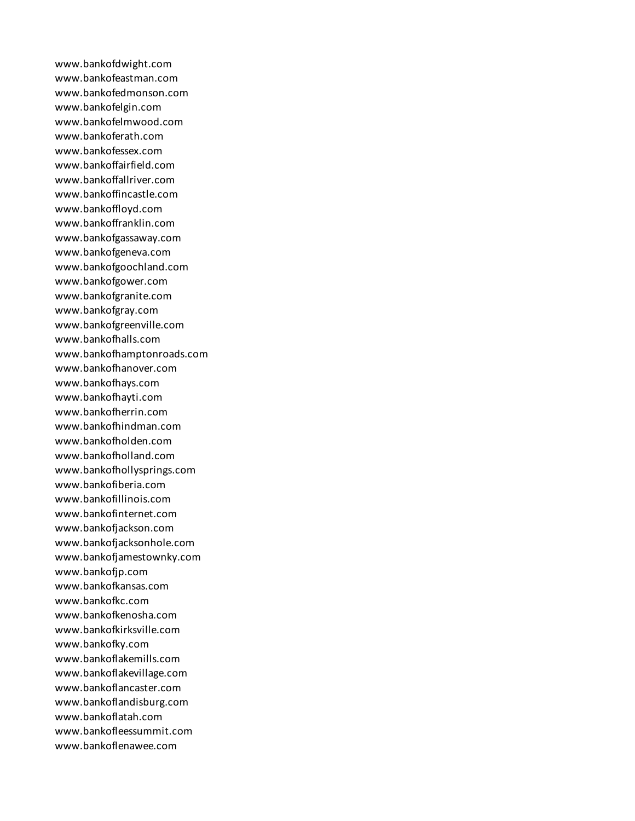www.bankofdwight.com www.bankofeastman.com www.bankofedmonson.com www.bankofelgin.com www.bankofelmwood.com www.bankoferath.com www.bankofessex.com www.bankoffairfield.com www.bankoffallriver.com www.bankoffincastle.com www.bankoffloyd.com www.bankoffranklin.com www.bankofgassaway.com www.bankofgeneva.com www.bankofgoochland.com www.bankofgower.com www.bankofgranite.com www.bankofgray.com www.bankofgreenville.com www.bankofhalls.com www.bankofhamptonroads.com www.bankofhanover.com www.bankofhays.com www.bankofhayti.com www.bankofherrin.com www.bankofhindman.com www.bankofholden.com www.bankofholland.com www.bankofhollysprings.com www.bankofiberia.com www.bankofillinois.com www.bankofinternet.com www.bankofjackson.com www.bankofjacksonhole.com www.bankofjamestownky.com www.bankofjp.com www.bankofkansas.com www.bankofkc.com www.bankofkenosha.com www.bankofkirksville.com www.bankofky.com www.bankoflakemills.com www.bankoflakevillage.com www.bankoflancaster.com www.bankoflandisburg.com www.bankoflatah.com www.bankofleessummit.com www.bankoflenawee.com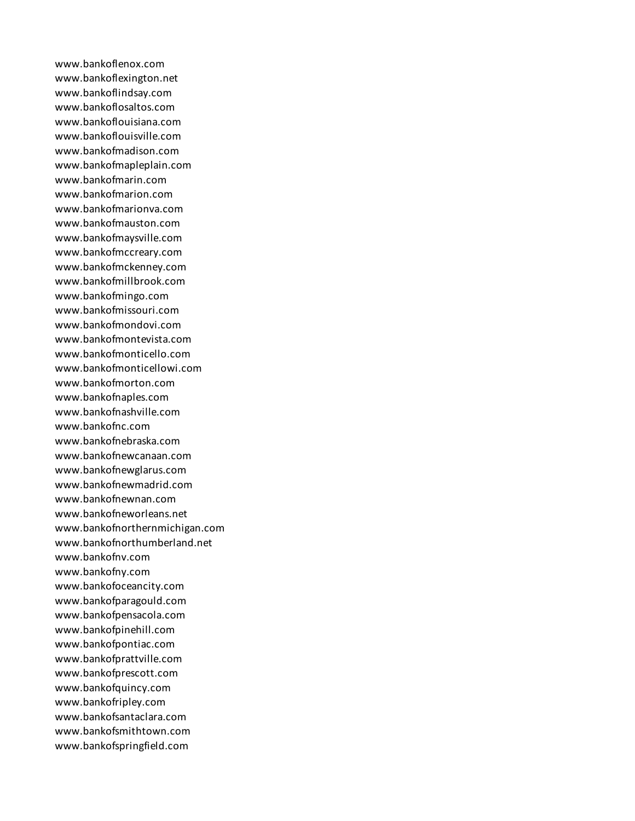www.bankoflenox.com www.bankoflexington.net www.bankoflindsay.com www.bankoflosaltos.com www.bankoflouisiana.com www.bankoflouisville.com www.bankofmadison.com www.bankofmapleplain.com www.bankofmarin.com www.bankofmarion.com www.bankofmarionva.com www.bankofmauston.com www.bankofmaysville.com www.bankofmccreary.com www.bankofmckenney.com www.bankofmillbrook.com www.bankofmingo.com www.bankofmissouri.com www.bankofmondovi.com www.bankofmontevista.com www.bankofmonticello.com www.bankofmonticellowi.com www.bankofmorton.com www.bankofnaples.com www.bankofnashville.com www.bankofnc.com www.bankofnebraska.com www.bankofnewcanaan.com www.bankofnewglarus.com www.bankofnewmadrid.com www.bankofnewnan.com www.bankofneworleans.net www.bankofnorthernmichigan.com www.bankofnorthumberland.net www.bankofnv.com www.bankofny.com www.bankofoceancity.com www.bankofparagould.com www.bankofpensacola.com www.bankofpinehill.com www.bankofpontiac.com www.bankofprattville.com www.bankofprescott.com www.bankofquincy.com www.bankofripley.com www.bankofsantaclara.com www.bankofsmithtown.com www.bankofspringfield.com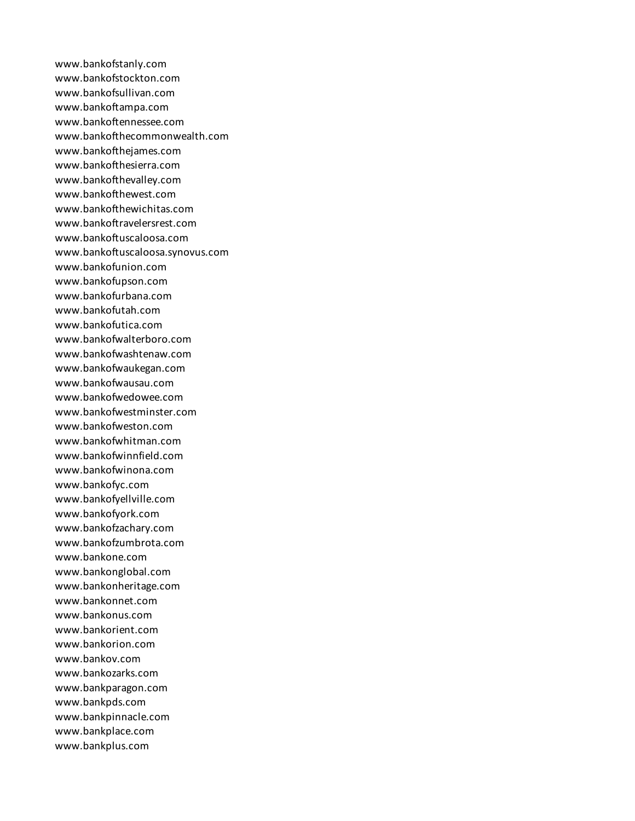www.bankofstanly.com www.bankofstockton.com www.bankofsullivan.com www.bankoftampa.com www.bankoftennessee.com www.bankofthecommonwealth.com www.bankofthejames.com www.bankofthesierra.com www.bankofthevalley.com www.bankofthewest.com www.bankofthewichitas.com www.bankoftravelersrest.com www.bankoftuscaloosa.com www.bankoftuscaloosa.synovus.com www.bankofunion.com www.bankofupson.com www.bankofurbana.com www.bankofutah.com www.bankofutica.com www.bankofwalterboro.com www.bankofwashtenaw.com www.bankofwaukegan.com www.bankofwausau.com www.bankofwedowee.com www.bankofwestminster.com www.bankofweston.com www.bankofwhitman.com www.bankofwinnfield.com www.bankofwinona.com www.bankofyc.com www.bankofyellville.com www.bankofyork.com www.bankofzachary.com www.bankofzumbrota.com www.bankone.com www.bankonglobal.com www.bankonheritage.com www.bankonnet.com www.bankonus.com www.bankorient.com www.bankorion.com www.bankov.com www.bankozarks.com www.bankparagon.com www.bankpds.com www.bankpinnacle.com www.bankplace.com www.bankplus.com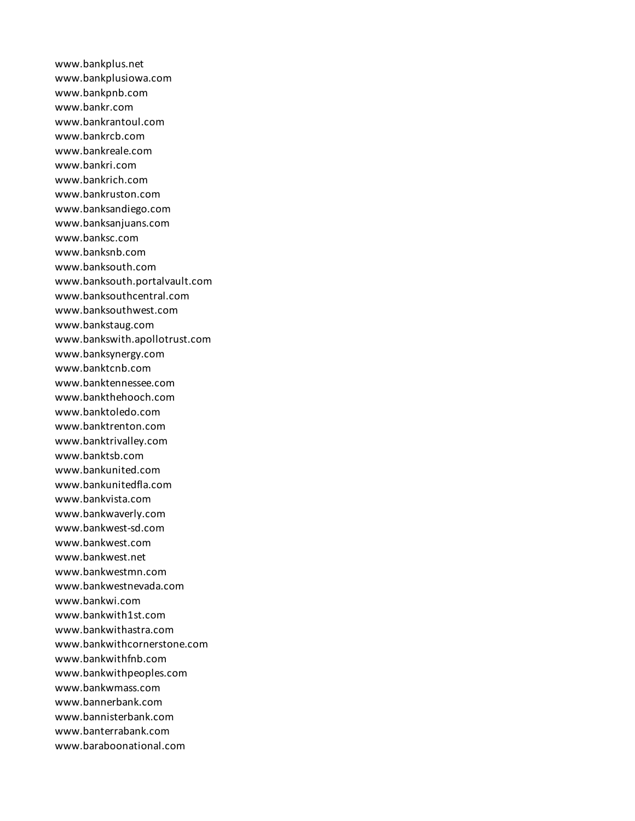www.bankplus.net www.bankplusiowa.com www.bankpnb.com www.bankr.com www.bankrantoul.com www.bankrcb.com www.bankreale.com www.bankri.com www.bankrich.com www.bankruston.com www.banksandiego.com www.banksanjuans.com www.banksc.com www.banksnb.com www.banksouth.com www.banksouth.portalvault.com www.banksouthcentral.com www.banksouthwest.com www.bankstaug.com www.bankswith.apollotrust.com www.banksynergy.com www.banktcnb.com www.banktennessee.com www.bankthehooch.com www.banktoledo.com www.banktrenton.com www.banktrivalley.com www.banktsb.com www.bankunited.com www.bankunitedfla.com www.bankvista.com www.bankwaverly.com www.bankwest-sd.com www.bankwest.com www.bankwest.net www.bankwestmn.com www.bankwestnevada.com www.bankwi.com www.bankwith1st.com www.bankwithastra.com www.bankwithcornerstone.com www.bankwithfnb.com www.bankwithpeoples.com www.bankwmass.com www.bannerbank.com www.bannisterbank.com www.banterrabank.com www.baraboonational.com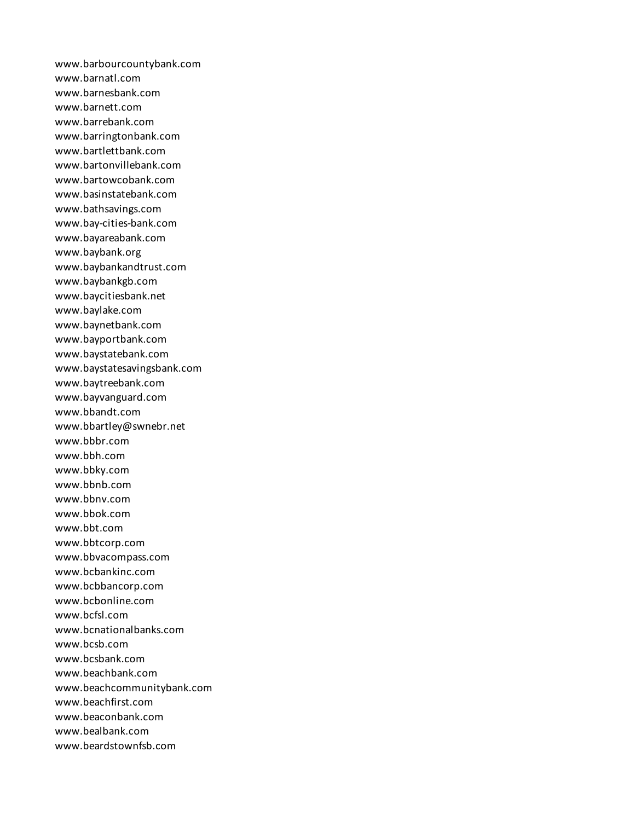www.barbourcountybank.com www.barnatl.com www.barnesbank.com www.barnett.com www.barrebank.com www.barringtonbank.com www.bartlettbank.com www.bartonvillebank.com www.bartowcobank.com www.basinstatebank.com www.bathsavings.com www.bay-cities-bank.com www.bayareabank.com www.baybank.org www.baybankandtrust.com www.baybankgb.com www.baycitiesbank.net www.baylake.com www.baynetbank.com www.bayportbank.com www.baystatebank.com www.baystatesavingsbank.com www.baytreebank.com www.bayvanguard.com www.bbandt.com www.bbartley@swnebr.net www.bbbr.com www.bbh.com www.bbky.com www.bbnb.com www.bbnv.com www.bbok.com www.bbt.com www.bbtcorp.com www.bbvacompass.com www.bcbankinc.com www.bcbbancorp.com www.bcbonline.com www.bcfsl.com www.bcnationalbanks.com www.bcsb.com www.bcsbank.com www.beachbank.com www.beachcommunitybank.com www.beachfirst.com www.beaconbank.com www.bealbank.com www.beardstownfsb.com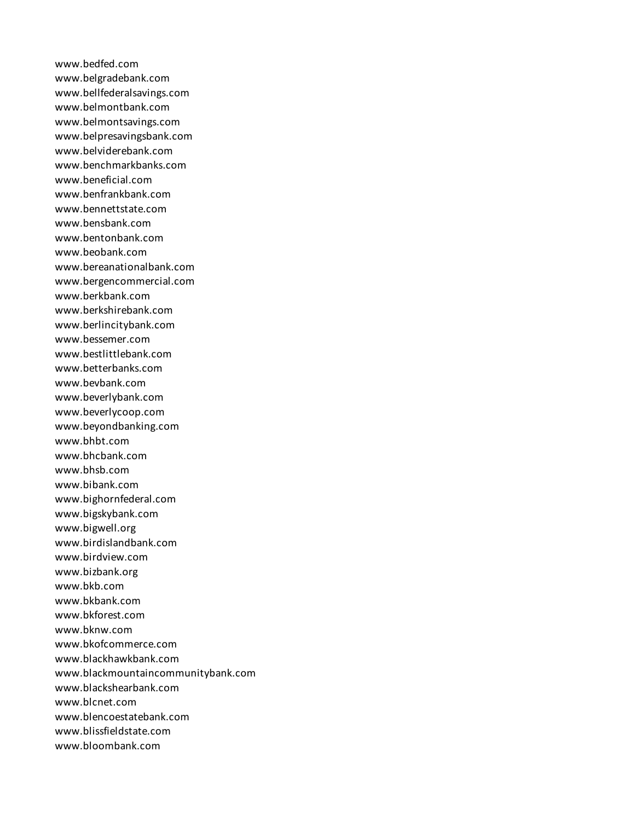www.bedfed.com www.belgradebank.com www.bellfederalsavings.com www.belmontbank.com www.belmontsavings.com www.belpresavingsbank.com www.belviderebank.com www.benchmarkbanks.com www.beneficial.com www.benfrankbank.com www.bennettstate.com www.bensbank.com www.bentonbank.com www.beobank.com www.bereanationalbank.com www.bergencommercial.com www.berkbank.com www.berkshirebank.com www.berlincitybank.com www.bessemer.com www.bestlittlebank.com www.betterbanks.com www.bevbank.com www.beverlybank.com www.beverlycoop.com www.beyondbanking.com www.bhbt.com www.bhcbank.com www.bhsb.com www.bibank.com www.bighornfederal.com www.bigskybank.com www.bigwell.org www.birdislandbank.com www.birdview.com www.bizbank.org www.bkb.com www.bkbank.com www.bkforest.com www.bknw.com www.bkofcommerce.com www.blackhawkbank.com www.blackmountaincommunitybank.com www.blackshearbank.com www.blcnet.com www.blencoestatebank.com www.blissfieldstate.com www.bloombank.com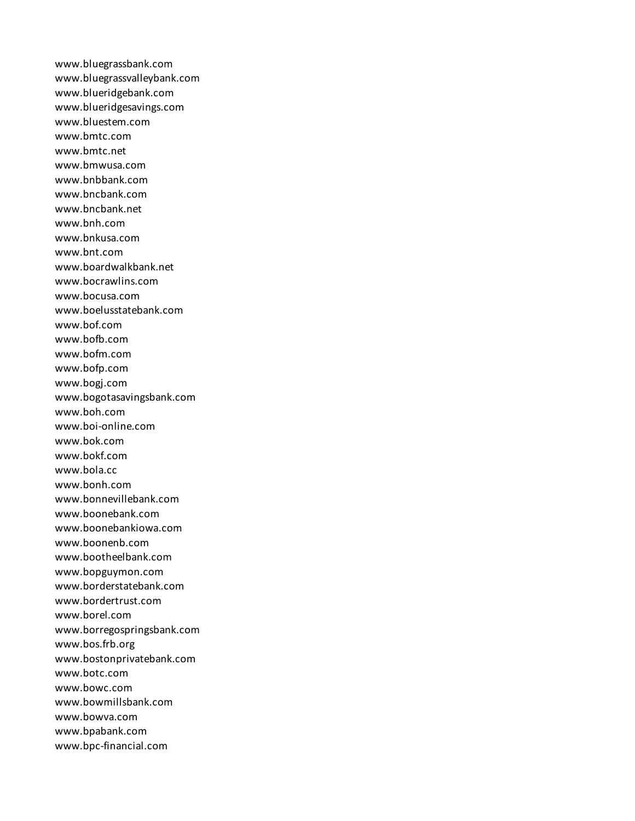www.bluegrassbank.com www.bluegrassvalleybank.com www.blueridgebank.com www.blueridgesavings.com www.bluestem.com www.bmtc.com www.bmtc.net www.bmwusa.com www.bnbbank.com www.bncbank.com www.bncbank.net www.bnh.com www.bnkusa.com www.bnt.com www.boardwalkbank.net www.bocrawlins.com www.bocusa.com www.boelusstatebank.com www.bof.com www.bofb.com www.bofm.com www.bofp.com www.bogj.com www.bogotasavingsbank.com www.boh.com www.boi-online.com www.bok.com www.bokf.com www.bola.cc www.bonh.com www.bonnevillebank.com www.boonebank.com www.boonebankiowa.com www.boonenb.com www.bootheelbank.com www.bopguymon.com www.borderstatebank.com www.bordertrust.com www.borel.com www.borregospringsbank.com www.bos.frb.org www.bostonprivatebank.com www.botc.com www.bowc.com www.bowmillsbank.com www.bowva.com www.bpabank.com www.bpc-financial.com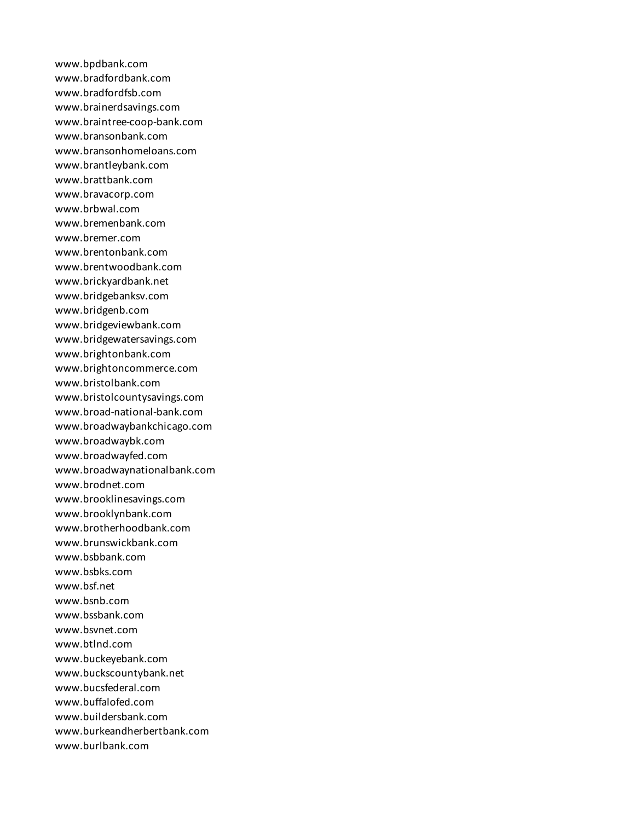www.bpdbank.com www.bradfordbank.com www.bradfordfsb.com www.brainerdsavings.com www.braintree-coop-bank.com www.bransonbank.com www.bransonhomeloans.com www.brantleybank.com www.brattbank.com www.bravacorp.com www.brbwal.com www.bremenbank.com www.bremer.com www.brentonbank.com www.brentwoodbank.com www.brickyardbank.net www.bridgebanksv.com www.bridgenb.com www.bridgeviewbank.com www.bridgewatersavings.com www.brightonbank.com www.brightoncommerce.com www.bristolbank.com www.bristolcountysavings.com www.broad-national-bank.com www.broadwaybankchicago.com www.broadwaybk.com www.broadwayfed.com www.broadwaynationalbank.com www.brodnet.com www.brooklinesavings.com www.brooklynbank.com www.brotherhoodbank.com www.brunswickbank.com www.bsbbank.com www.bsbks.com www.bsf.net www.bsnb.com www.bssbank.com www.bsvnet.com www.btlnd.com www.buckeyebank.com www.buckscountybank.net www.bucsfederal.com www.buffalofed.com www.buildersbank.com www.burkeandherbertbank.com www.burlbank.com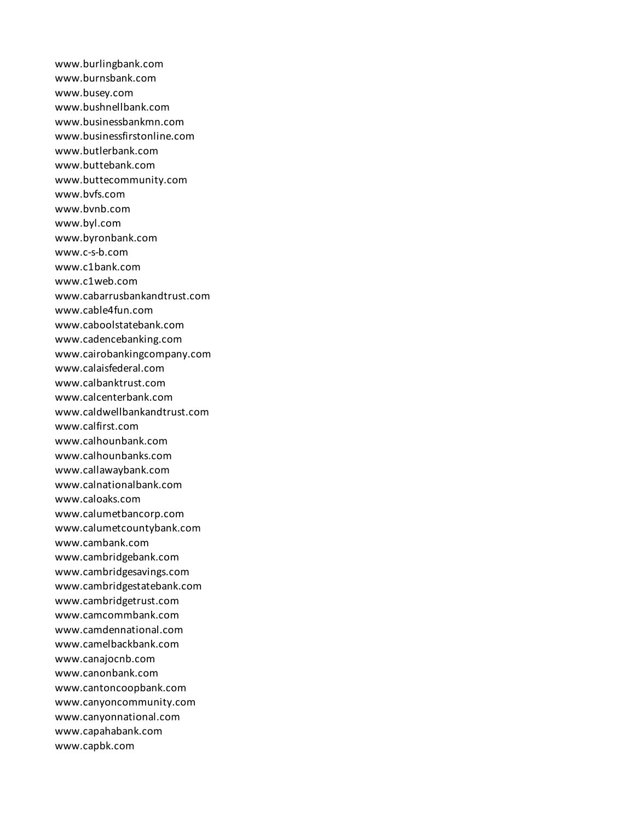www.burlingbank.com www.burnsbank.com www.busey.com www.bushnellbank.com www.businessbankmn.com www.businessfirstonline.com www.butlerbank.com www.buttebank.com www.buttecommunity.com www.bvfs.com www.bvnb.com www.byl.com www.byronbank.com www.c-s-b.com www.c1bank.com www.c1web.com www.cabarrusbankandtrust.com www.cable4fun.com www.caboolstatebank.com www.cadencebanking.com www.cairobankingcompany.com www.calaisfederal.com www.calbanktrust.com www.calcenterbank.com www.caldwellbankandtrust.com www.calfirst.com www.calhounbank.com www.calhounbanks.com www.callawaybank.com www.calnationalbank.com www.caloaks.com www.calumetbancorp.com www.calumetcountybank.com www.cambank.com www.cambridgebank.com www.cambridgesavings.com www.cambridgestatebank.com www.cambridgetrust.com www.camcommbank.com www.camdennational.com www.camelbackbank.com www.canajocnb.com www.canonbank.com www.cantoncoopbank.com www.canyoncommunity.com www.canyonnational.com www.capahabank.com www.capbk.com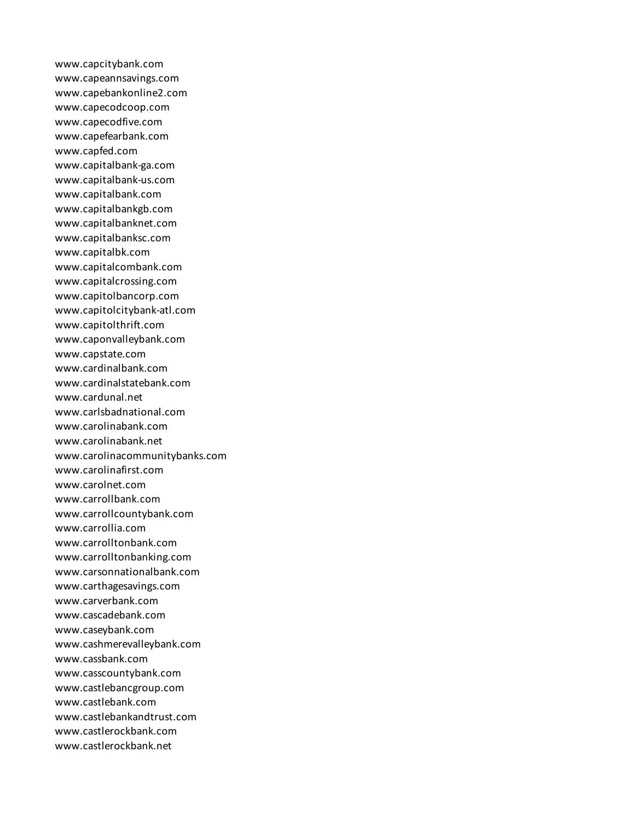www.capcitybank.com www.capeannsavings.com www.capebankonline2.com www.capecodcoop.com www.capecodfive.com www.capefearbank.com www.capfed.com www.capitalbank-ga.com www.capitalbank-us.com www.capitalbank.com www.capitalbankgb.com www.capitalbanknet.com www.capitalbanksc.com www.capitalbk.com www.capitalcombank.com www.capitalcrossing.com www.capitolbancorp.com www.capitolcitybank-atl.com www.capitolthrift.com www.caponvalleybank.com www.capstate.com www.cardinalbank.com www.cardinalstatebank.com www.cardunal.net www.carlsbadnational.com www.carolinabank.com www.carolinabank.net www.carolinacommunitybanks.com www.carolinafirst.com www.carolnet.com www.carrollbank.com www.carrollcountybank.com www.carrollia.com www.carrolltonbank.com www.carrolltonbanking.com www.carsonnationalbank.com www.carthagesavings.com www.carverbank.com www.cascadebank.com www.caseybank.com www.cashmerevalleybank.com www.cassbank.com www.casscountybank.com www.castlebancgroup.com www.castlebank.com www.castlebankandtrust.com www.castlerockbank.com www.castlerockbank.net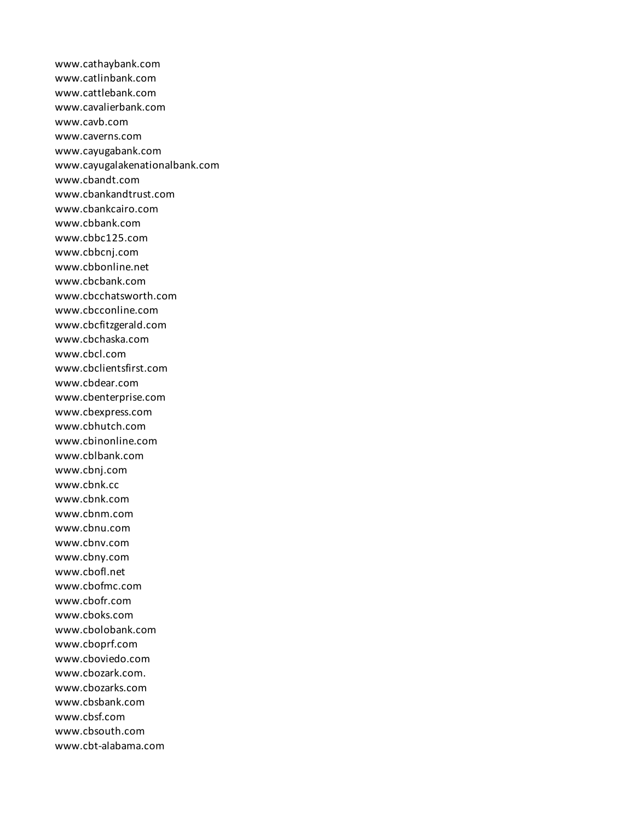www.cathaybank.com www.catlinbank.com www.cattlebank.com www.cavalierbank.com www.cavb.com www.caverns.com www.cayugabank.com www.cayugalakenationalbank.com www.cbandt.com www.cbankandtrust.com www.cbankcairo.com www.cbbank.com www.cbbc125.com www.cbbcnj.com www.cbbonline.net www.cbcbank.com www.cbcchatsworth.com www.cbcconline.com www.cbcfitzgerald.com www.cbchaska.com www.cbcl.com www.cbclientsfirst.com www.cbdear.com www.cbenterprise.com www.cbexpress.com www.cbhutch.com www.cbinonline.com www.cblbank.com www.cbnj.com www.cbnk.cc www.cbnk.com www.cbnm.com www.cbnu.com www.cbnv.com www.cbny.com www.cbofl.net www.cbofmc.com www.cbofr.com www.cboks.com www.cbolobank.com www.cboprf.com www.cboviedo.com www.cbozark.com. www.cbozarks.com www.cbsbank.com www.cbsf.com www.cbsouth.com www.cbt-alabama.com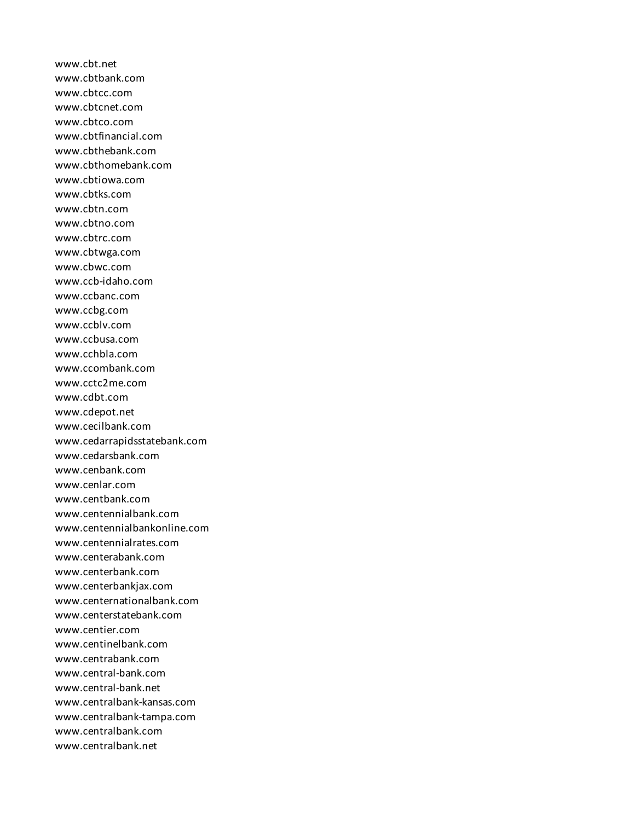www.cbt.net www.cbtbank.com www.cbtcc.com www.cbtcnet.com www.cbtco.com www.cbtfinancial.com www.cbthebank.com www.cbthomebank.com www.cbtiowa.com www.cbtks.com www.cbtn.com www.cbtno.com www.cbtrc.com www.cbtwga.com www.cbwc.com www.ccb-idaho.com www.ccbanc.com www.ccbg.com www.ccblv.com www.ccbusa.com www.cchbla.com www.ccombank.com www.cctc2me.com www.cdbt.com www.cdepot.net www.cecilbank.com www.cedarrapidsstatebank.com www.cedarsbank.com www.cenbank.com www.cenlar.com www.centbank.com www.centennialbank.com www.centennialbankonline.com www.centennialrates.com www.centerabank.com www.centerbank.com www.centerbankjax.com www.centernationalbank.com www.centerstatebank.com www.centier.com www.centinelbank.com www.centrabank.com www.central-bank.com www.central-bank.net www.centralbank-kansas.com www.centralbank-tampa.com www.centralbank.com www.centralbank.net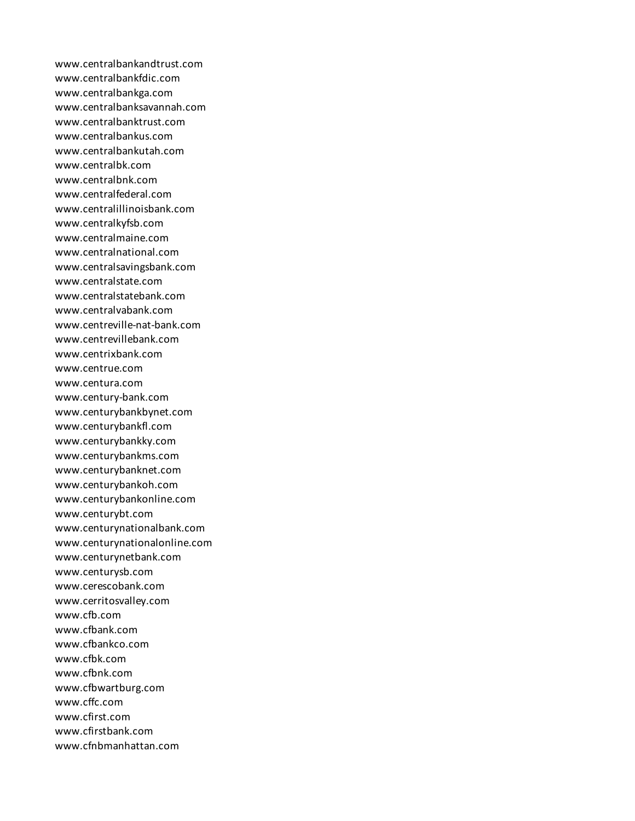www.centralbankandtrust.com www.centralbankfdic.com www.centralbankga.com www.centralbanksavannah.com www.centralbanktrust.com www.centralbankus.com www.centralbankutah.com www.centralbk.com www.centralbnk.com www.centralfederal.com www.centralillinoisbank.com www.centralkyfsb.com www.centralmaine.com www.centralnational.com www.centralsavingsbank.com www.centralstate.com www.centralstatebank.com www.centralvabank.com www.centreville-nat-bank.com www.centrevillebank.com www.centrixbank.com www.centrue.com www.centura.com www.century-bank.com www.centurybankbynet.com www.centurybankfl.com www.centurybankky.com www.centurybankms.com www.centurybanknet.com www.centurybankoh.com www.centurybankonline.com www.centurybt.com www.centurynationalbank.com www.centurynationalonline.com www.centurynetbank.com www.centurysb.com www.cerescobank.com www.cerritosvalley.com www.cfb.com www.cfbank.com www.cfbankco.com www.cfbk.com www.cfbnk.com www.cfbwartburg.com www.cffc.com www.cfirst.com www.cfirstbank.com www.cfnbmanhattan.com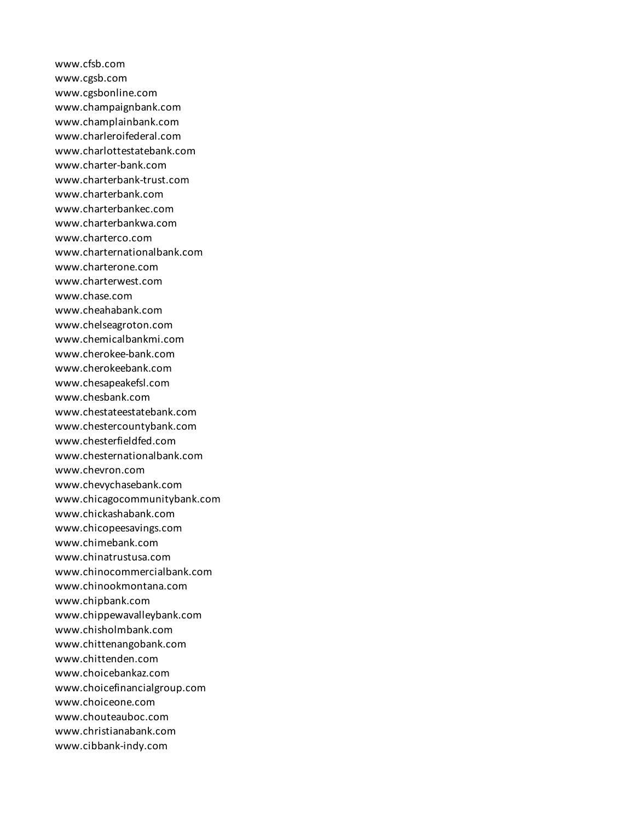www.cfsb.com www.cgsb.com www.cgsbonline.com www.champaignbank.com www.champlainbank.com www.charleroifederal.com www.charlottestatebank.com www.charter-bank.com www.charterbank-trust.com www.charterbank.com www.charterbankec.com www.charterbankwa.com www.charterco.com www.charternationalbank.com www.charterone.com www.charterwest.com www.chase.com www.cheahabank.com www.chelseagroton.com www.chemicalbankmi.com www.cherokee-bank.com www.cherokeebank.com www.chesapeakefsl.com www.chesbank.com www.chestateestatebank.com www.chestercountybank.com www.chesterfieldfed.com www.chesternationalbank.com www.chevron.com www.chevychasebank.com www.chicagocommunitybank.com www.chickashabank.com www.chicopeesavings.com www.chimebank.com www.chinatrustusa.com www.chinocommercialbank.com www.chinookmontana.com www.chipbank.com www.chippewavalleybank.com www.chisholmbank.com www.chittenangobank.com www.chittenden.com www.choicebankaz.com www.choicefinancialgroup.com www.choiceone.com www.chouteauboc.com www.christianabank.com www.cibbank-indy.com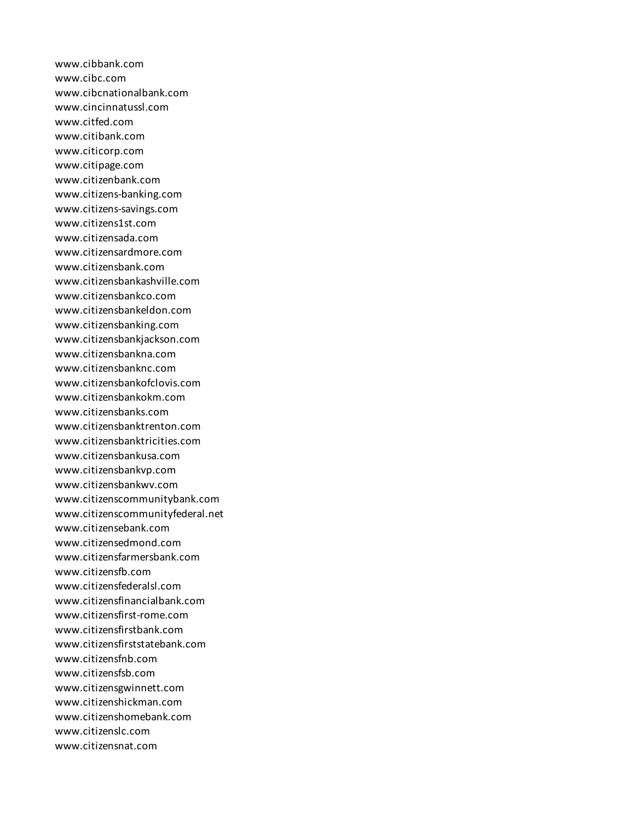www.cibbank.com www.cibc.com www.cibcnationalbank.com www.cincinnatussl.com www.citfed.com www.citibank.com www.citicorp.com www.citipage.com www.citizenbank.com www.citizens-banking.com www.citizens-savings.com www.citizens1st.com www.citizensada.com www.citizensardmore.com www.citizensbank.com www.citizensbankashville.com www.citizensbankco.com www.citizensbankeldon.com www.citizensbanking.com www.citizensbankjackson.com www.citizensbankna.com www.citizensbanknc.com www.citizensbankofclovis.com www.citizensbankokm.com www.citizensbanks.com www.citizensbanktrenton.com www.citizensbanktricities.com www.citizensbankusa.com www.citizensbankvp.com www.citizensbankwv.com www.citizenscommunitybank.com www.citizenscommunityfederal.net www.citizensebank.com www.citizensedmond.com www.citizensfarmersbank.com www.citizensfb.com www.citizensfederalsl.com www.citizensfinancialbank.com www.citizensfirst-rome.com www.citizensfirstbank.com www.citizensfirststatebank.com www.citizensfnb.com www.citizensfsb.com www.citizensgwinnett.com www.citizenshickman.com www.citizenshomebank.com www.citizenslc.com www.citizensnat.com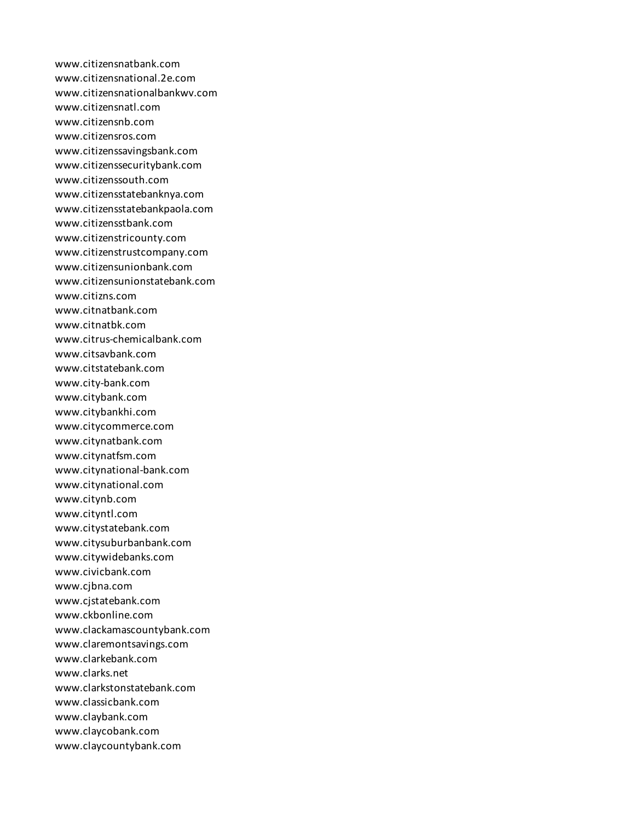www.citizensnatbank.com www.citizensnational.2e.com www.citizensnationalbankwv.com www.citizensnatl.com www.citizensnb.com www.citizensros.com www.citizenssavingsbank.com www.citizenssecuritybank.com www.citizenssouth.com www.citizensstatebanknya.com www.citizensstatebankpaola.com www.citizensstbank.com www.citizenstricounty.com www.citizenstrustcompany.com www.citizensunionbank.com www.citizensunionstatebank.com www.citizns.com www.citnatbank.com www.citnatbk.com www.citrus-chemicalbank.com www.citsavbank.com www.citstatebank.com www.city-bank.com www.citybank.com www.citybankhi.com www.citycommerce.com www.citynatbank.com www.citynatfsm.com www.citynational-bank.com www.citynational.com www.citynb.com www.cityntl.com www.citystatebank.com www.citysuburbanbank.com www.citywidebanks.com www.civicbank.com www.cjbna.com www.cjstatebank.com www.ckbonline.com www.clackamascountybank.com www.claremontsavings.com www.clarkebank.com www.clarks.net www.clarkstonstatebank.com www.classicbank.com www.claybank.com www.claycobank.com www.claycountybank.com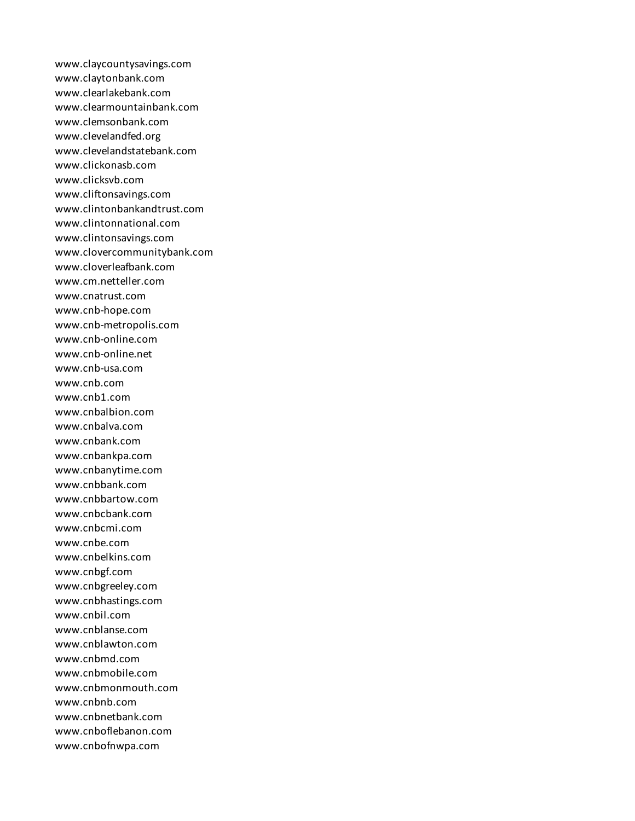www.claycountysavings.com www.claytonbank.com www.clearlakebank.com www.clearmountainbank.com www.clemsonbank.com www.clevelandfed.org www.clevelandstatebank.com www.clickonasb.com www.clicksvb.com www.cliftonsavings.com www.clintonbankandtrust.com www.clintonnational.com www.clintonsavings.com www.clovercommunitybank.com www.cloverleafbank.com www.cm.netteller.com www.cnatrust.com www.cnb-hope.com www.cnb-metropolis.com www.cnb-online.com www.cnb-online.net www.cnb-usa.com www.cnb.com www.cnb1.com www.cnbalbion.com www.cnbalva.com www.cnbank.com www.cnbankpa.com www.cnbanytime.com www.cnbbank.com www.cnbbartow.com www.cnbcbank.com www.cnbcmi.com www.cnbe.com www.cnbelkins.com www.cnbgf.com www.cnbgreeley.com www.cnbhastings.com www.cnbil.com www.cnblanse.com www.cnblawton.com www.cnbmd.com www.cnbmobile.com www.cnbmonmouth.com www.cnbnb.com www.cnbnetbank.com www.cnboflebanon.com www.cnbofnwpa.com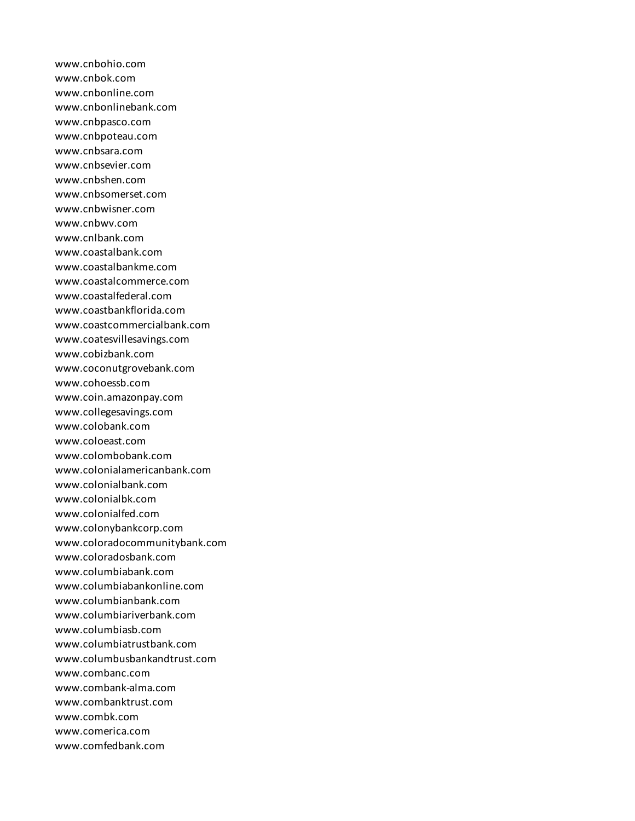www.cnbohio.com www.cnbok.com www.cnbonline.com www.cnbonlinebank.com www.cnbpasco.com www.cnbpoteau.com www.cnbsara.com www.cnbsevier.com www.cnbshen.com www.cnbsomerset.com www.cnbwisner.com www.cnbwv.com www.cnlbank.com www.coastalbank.com www.coastalbankme.com www.coastalcommerce.com www.coastalfederal.com www.coastbankflorida.com www.coastcommercialbank.com www.coatesvillesavings.com www.cobizbank.com www.coconutgrovebank.com www.cohoessb.com www.coin.amazonpay.com www.collegesavings.com www.colobank.com www.coloeast.com www.colombobank.com www.colonialamericanbank.com www.colonialbank.com www.colonialbk.com www.colonialfed.com www.colonybankcorp.com www.coloradocommunitybank.com www.coloradosbank.com www.columbiabank.com www.columbiabankonline.com www.columbianbank.com www.columbiariverbank.com www.columbiasb.com www.columbiatrustbank.com www.columbusbankandtrust.com www.combanc.com www.combank-alma.com www.combanktrust.com www.combk.com www.comerica.com www.comfedbank.com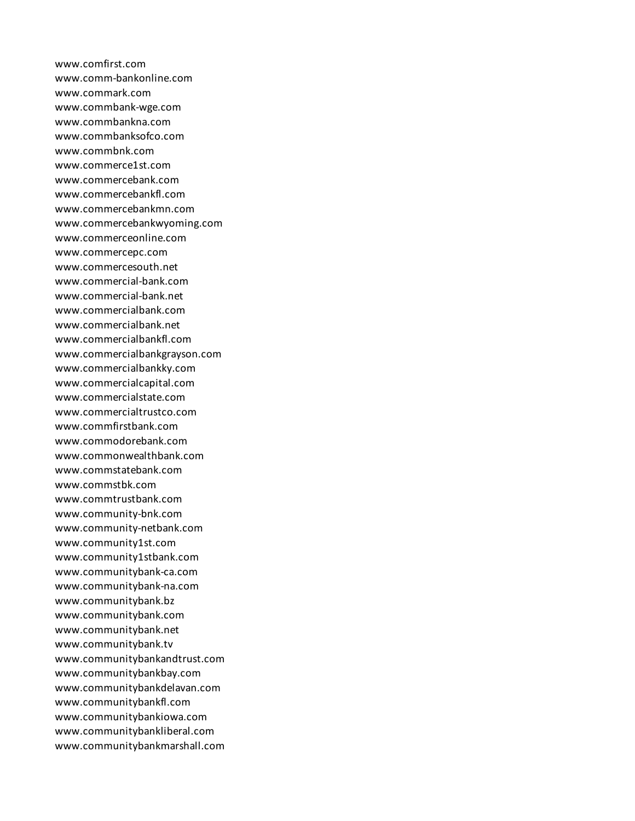www.comfirst.com www.comm-bankonline.com www.commark.com www.commbank-wge.com www.commbankna.com www.commbanksofco.com www.commbnk.com www.commerce1st.com www.commercebank.com www.commercebankfl.com www.commercebankmn.com www.commercebankwyoming.com www.commerceonline.com www.commercepc.com www.commercesouth.net www.commercial-bank.com www.commercial-bank.net www.commercialbank.com www.commercialbank.net www.commercialbankfl.com www.commercialbankgrayson.com www.commercialbankky.com www.commercialcapital.com www.commercialstate.com www.commercialtrustco.com www.commfirstbank.com www.commodorebank.com www.commonwealthbank.com www.commstatebank.com www.commstbk.com www.commtrustbank.com www.community-bnk.com www.community-netbank.com www.community1st.com www.community1stbank.com www.communitybank-ca.com www.communitybank-na.com www.communitybank.bz www.communitybank.com www.communitybank.net www.communitybank.tv www.communitybankandtrust.com www.communitybankbay.com www.communitybankdelavan.com www.communitybankfl.com www.communitybankiowa.com www.communitybankliberal.com www.communitybankmarshall.com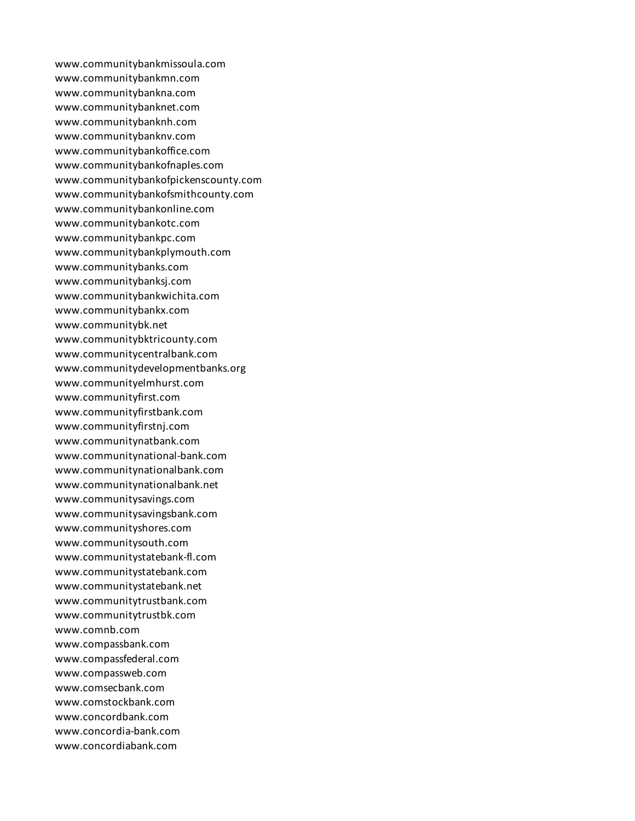www.communitybankmissoula.com www.communitybankmn.com www.communitybankna.com www.communitybanknet.com www.communitybanknh.com www.communitybanknv.com www.communitybankoffice.com www.communitybankofnaples.com www.communitybankofpickenscounty.com www.communitybankofsmithcounty.com www.communitybankonline.com www.communitybankotc.com www.communitybankpc.com www.communitybankplymouth.com www.communitybanks.com www.communitybanksj.com www.communitybankwichita.com www.communitybankx.com www.communitybk.net www.communitybktricounty.com www.communitycentralbank.com www.communitydevelopmentbanks.org www.communityelmhurst.com www.communityfirst.com www.communityfirstbank.com www.communityfirstnj.com www.communitynatbank.com www.communitynational-bank.com www.communitynationalbank.com www.communitynationalbank.net www.communitysavings.com www.communitysavingsbank.com www.communityshores.com www.communitysouth.com www.communitystatebank-fl.com www.communitystatebank.com www.communitystatebank.net www.communitytrustbank.com www.communitytrustbk.com www.comnb.com www.compassbank.com www.compassfederal.com www.compassweb.com www.comsecbank.com www.comstockbank.com www.concordbank.com www.concordia-bank.com www.concordiabank.com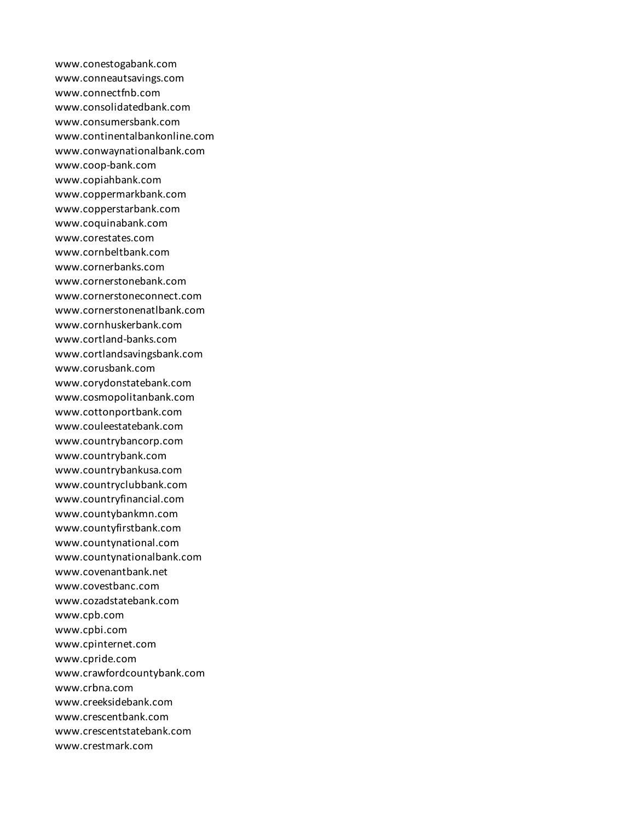www.conestogabank.com www.conneautsavings.com www.connectfnb.com www.consolidatedbank.com www.consumersbank.com www.continentalbankonline.com www.conwaynationalbank.com www.coop-bank.com www.copiahbank.com www.coppermarkbank.com www.copperstarbank.com www.coquinabank.com www.corestates.com www.cornbeltbank.com www.cornerbanks.com www.cornerstonebank.com www.cornerstoneconnect.com www.cornerstonenatlbank.com www.cornhuskerbank.com www.cortland-banks.com www.cortlandsavingsbank.com www.corusbank.com www.corydonstatebank.com www.cosmopolitanbank.com www.cottonportbank.com www.couleestatebank.com www.countrybancorp.com www.countrybank.com www.countrybankusa.com www.countryclubbank.com www.countryfinancial.com www.countybankmn.com www.countyfirstbank.com www.countynational.com www.countynationalbank.com www.covenantbank.net www.covestbanc.com www.cozadstatebank.com www.cpb.com www.cpbi.com www.cpinternet.com www.cpride.com www.crawfordcountybank.com www.crbna.com www.creeksidebank.com www.crescentbank.com www.crescentstatebank.com www.crestmark.com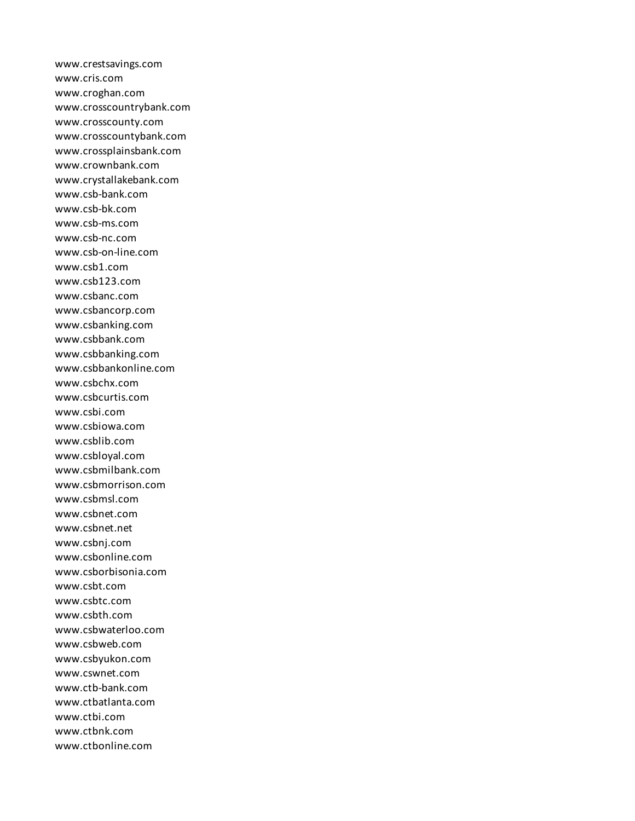www.crestsavings.com www.cris.com www.croghan.com www.crosscountrybank.com www.crosscounty.com www.crosscountybank.com www.crossplainsbank.com www.crownbank.com www.crystallakebank.com www.csb-bank.com www.csb-bk.com www.csb-ms.com www.csb-nc.com www.csb-on-line.com www.csb1.com www.csb123.com www.csbanc.com www.csbancorp.com www.csbanking.com www.csbbank.com www.csbbanking.com www.csbbankonline.com www.csbchx.com www.csbcurtis.com www.csbi.com www.csbiowa.com www.csblib.com www.csbloyal.com www.csbmilbank.com www.csbmorrison.com www.csbmsl.com www.csbnet.com www.csbnet.net www.csbnj.com www.csbonline.com www.csborbisonia.com www.csbt.com www.csbtc.com www.csbth.com www.csbwaterloo.com www.csbweb.com www.csbyukon.com www.cswnet.com www.ctb-bank.com www.ctbatlanta.com www.ctbi.com www.ctbnk.com www.ctbonline.com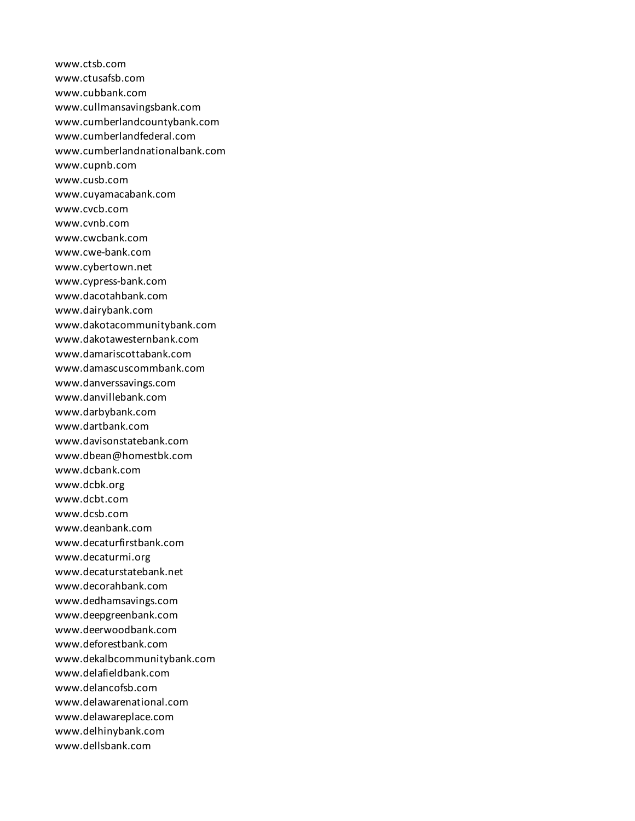www.ctsb.com www.ctusafsb.com www.cubbank.com www.cullmansavingsbank.com www.cumberlandcountybank.com www.cumberlandfederal.com www.cumberlandnationalbank.com www.cupnb.com www.cusb.com www.cuyamacabank.com www.cvcb.com www.cvnb.com www.cwcbank.com www.cwe-bank.com www.cybertown.net www.cypress-bank.com www.dacotahbank.com www.dairybank.com www.dakotacommunitybank.com www.dakotawesternbank.com www.damariscottabank.com www.damascuscommbank.com www.danverssavings.com www.danvillebank.com www.darbybank.com www.dartbank.com www.davisonstatebank.com www.dbean@homestbk.com www.dcbank.com www.dcbk.org www.dcbt.com www.dcsb.com www.deanbank.com www.decaturfirstbank.com www.decaturmi.org www.decaturstatebank.net www.decorahbank.com www.dedhamsavings.com www.deepgreenbank.com www.deerwoodbank.com www.deforestbank.com www.dekalbcommunitybank.com www.delafieldbank.com www.delancofsb.com www.delawarenational.com www.delawareplace.com www.delhinybank.com www.dellsbank.com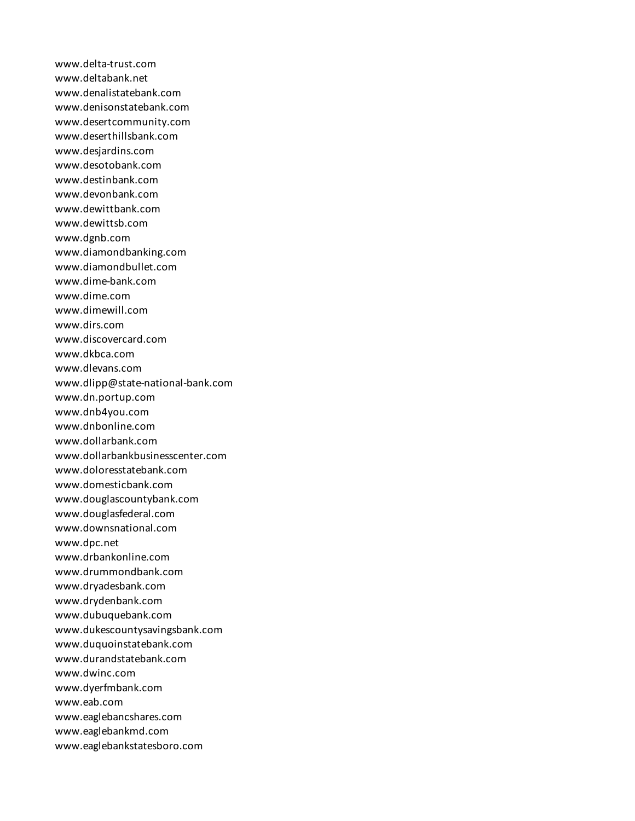www.delta-trust.com www.deltabank.net www.denalistatebank.com www.denisonstatebank.com www.desertcommunity.com www.deserthillsbank.com www.desjardins.com www.desotobank.com www.destinbank.com www.devonbank.com www.dewittbank.com www.dewittsb.com www.dgnb.com www.diamondbanking.com www.diamondbullet.com www.dime-bank.com www.dime.com www.dimewill.com www.dirs.com www.discovercard.com www.dkbca.com www.dlevans.com www.dlipp@state-national-bank.com www.dn.portup.com www.dnb4you.com www.dnbonline.com www.dollarbank.com www.dollarbankbusinesscenter.com www.doloresstatebank.com www.domesticbank.com www.douglascountybank.com www.douglasfederal.com www.downsnational.com www.dpc.net www.drbankonline.com www.drummondbank.com www.dryadesbank.com www.drydenbank.com www.dubuquebank.com www.dukescountysavingsbank.com www.duquoinstatebank.com www.durandstatebank.com www.dwinc.com www.dyerfmbank.com www.eab.com www.eaglebancshares.com www.eaglebankmd.com www.eaglebankstatesboro.com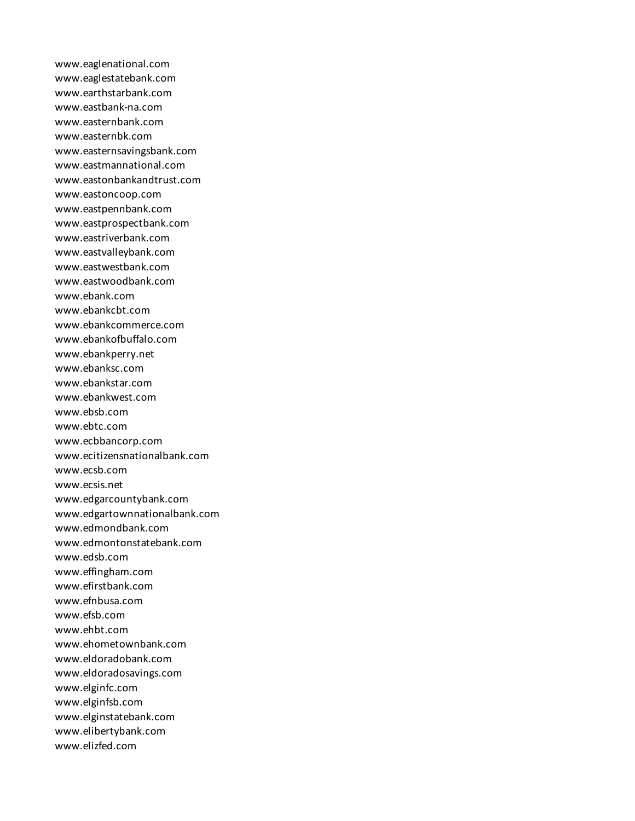www.eaglenational.com www.eaglestatebank.com www.earthstarbank.com www.eastbank-na.com www.easternbank.com www.easternbk.com www.easternsavingsbank.com www.eastmannational.com www.eastonbankandtrust.com www.eastoncoop.com www.eastpennbank.com www.eastprospectbank.com www.eastriverbank.com www.eastvalleybank.com www.eastwestbank.com www.eastwoodbank.com www.ebank.com www.ebankcbt.com www.ebankcommerce.com www.ebankofbuffalo.com www.ebankperry.net www.ebanksc.com www.ebankstar.com www.ebankwest.com www.ebsb.com www.ebtc.com www.ecbbancorp.com www.ecitizensnationalbank.com www.ecsb.com www.ecsis.net www.edgarcountybank.com www.edgartownnationalbank.com www.edmondbank.com www.edmontonstatebank.com www.edsb.com www.effingham.com www.efirstbank.com www.efnbusa.com www.efsb.com www.ehbt.com www.ehometownbank.com www.eldoradobank.com www.eldoradosavings.com www.elginfc.com www.elginfsb.com www.elginstatebank.com www.elibertybank.com www.elizfed.com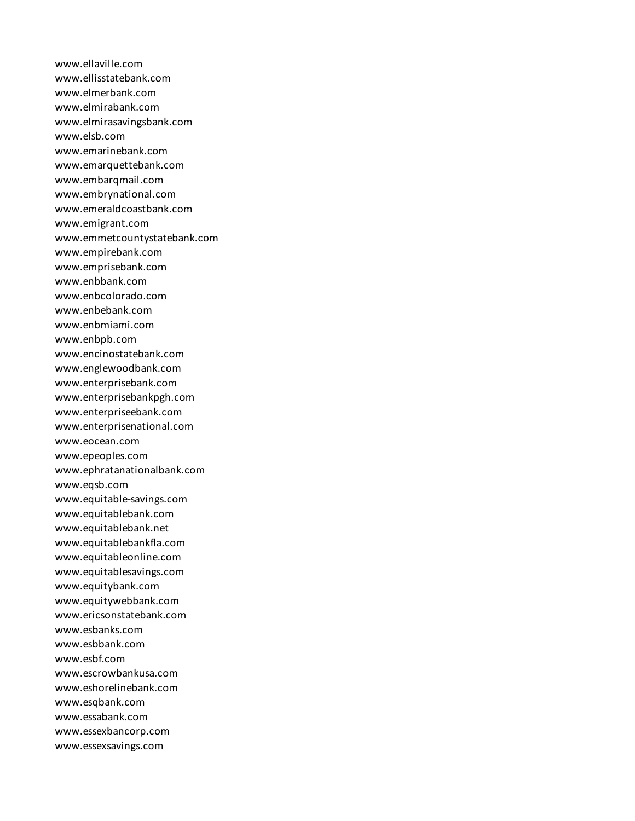www.ellaville.com www.ellisstatebank.com www.elmerbank.com www.elmirabank.com www.elmirasavingsbank.com www.elsb.com www.emarinebank.com www.emarquettebank.com www.embarqmail.com www.embrynational.com www.emeraldcoastbank.com www.emigrant.com www.emmetcountystatebank.com www.empirebank.com www.emprisebank.com www.enbbank.com www.enbcolorado.com www.enbebank.com www.enbmiami.com www.enbpb.com www.encinostatebank.com www.englewoodbank.com www.enterprisebank.com www.enterprisebankpgh.com www.enterpriseebank.com www.enterprisenational.com www.eocean.com www.epeoples.com www.ephratanationalbank.com www.eqsb.com www.equitable-savings.com www.equitablebank.com www.equitablebank.net www.equitablebankfla.com www.equitableonline.com www.equitablesavings.com www.equitybank.com www.equitywebbank.com www.ericsonstatebank.com www.esbanks.com www.esbbank.com www.esbf.com www.escrowbankusa.com www.eshorelinebank.com www.esqbank.com www.essabank.com www.essexbancorp.com www.essexsavings.com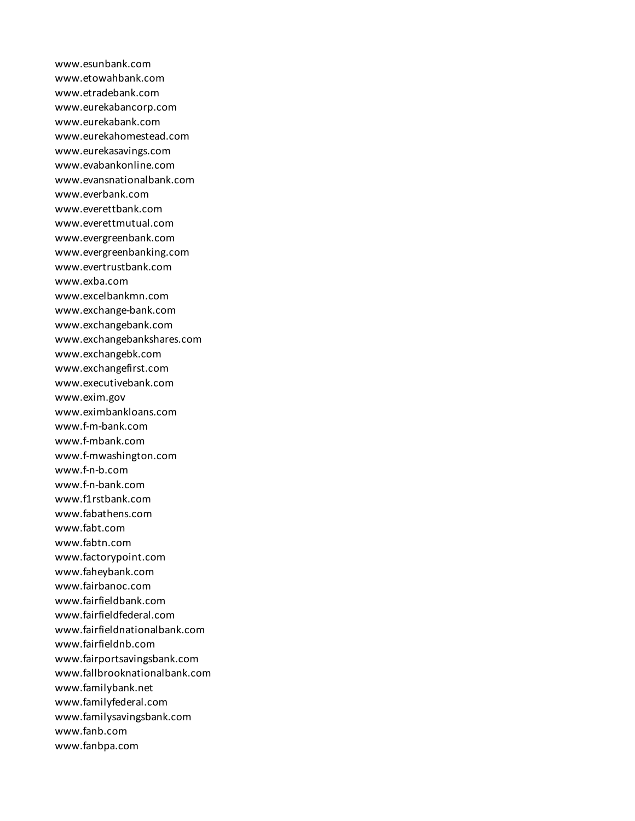www.esunbank.com www.etowahbank.com www.etradebank.com www.eurekabancorp.com www.eurekabank.com www.eurekahomestead.com www.eurekasavings.com www.evabankonline.com www.evansnationalbank.com www.everbank.com www.everettbank.com www.everettmutual.com www.evergreenbank.com www.evergreenbanking.com www.evertrustbank.com www.exba.com www.excelbankmn.com www.exchange-bank.com www.exchangebank.com www.exchangebankshares.com www.exchangebk.com www.exchangefirst.com www.executivebank.com www.exim.gov www.eximbankloans.com www.f-m-bank.com www.f-mbank.com www.f-mwashington.com www.f-n-b.com www.f-n-bank.com www.f1rstbank.com www.fabathens.com www.fabt.com www.fabtn.com www.factorypoint.com www.faheybank.com www.fairbanoc.com www.fairfieldbank.com www.fairfieldfederal.com www.fairfieldnationalbank.com www.fairfieldnb.com www.fairportsavingsbank.com www.fallbrooknationalbank.com www.familybank.net www.familyfederal.com www.familysavingsbank.com www.fanb.com www.fanbpa.com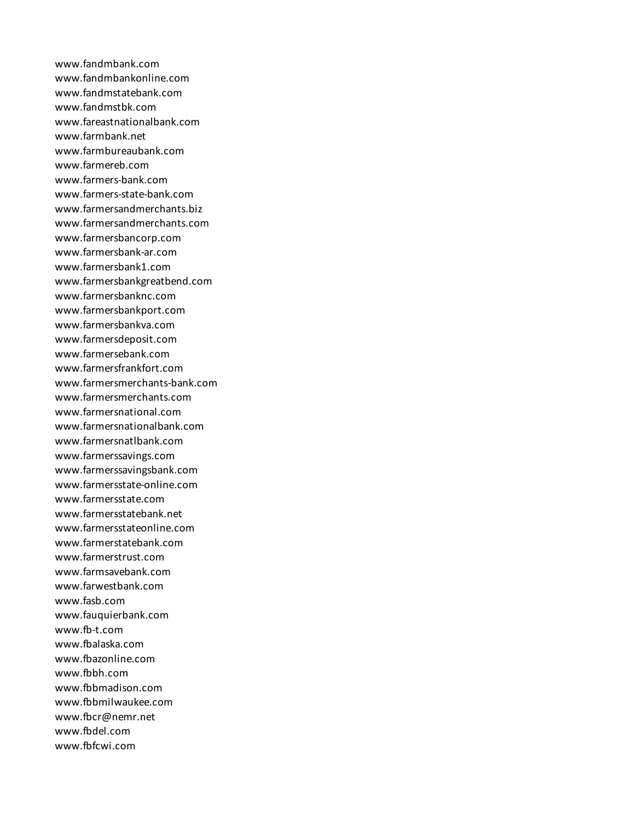www.fandmbank.com www.fandmbankonline.com www.fandmstatebank.com www.fandmstbk.com www.fareastnationalbank.com www.farmbank.net www.farmbureaubank.com www.farmereb.com www.farmers-bank.com www.farmers-state-bank.com www.farmersandmerchants.biz www.farmersandmerchants.com www.farmersbancorp.com www.farmersbank-ar.com www.farmersbank1.com www.farmersbankgreatbend.com www.farmersbanknc.com www.farmersbankport.com www.farmersbankva.com www.farmersdeposit.com www.farmersebank.com www.farmersfrankfort.com www.farmersmerchants-bank.com www.farmersmerchants.com www.farmersnational.com www.farmersnationalbank.com www.farmersnatlbank.com www.farmerssavings.com www.farmerssavingsbank.com www.farmersstate-online.com www.farmersstate.com www.farmersstatebank.net www.farmersstateonline.com www.farmerstatebank.com www.farmerstrust.com www.farmsavebank.com www.farwestbank.com www.fasb.com www.fauquierbank.com www.fb-t.com www.fbalaska.com www.fbazonline.com www.fbbh.com www.fbbmadison.com www.fbbmilwaukee.com www.fbcr@nemr.net www.fbdel.com www.fbfcwi.com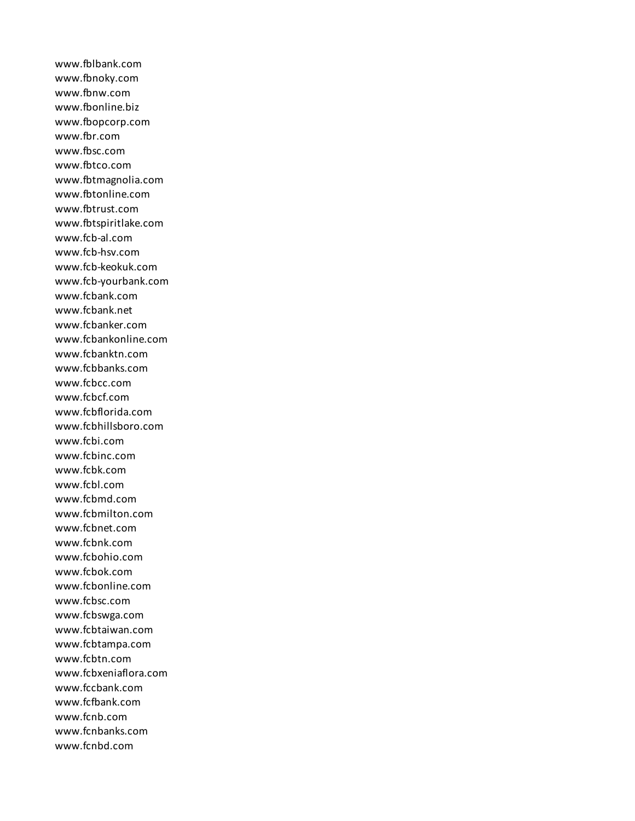www.fblbank.com www.fbnoky.com www.fbnw.com www.fbonline.biz www.fbopcorp.com www.fbr.com www.fbsc.com www.fbtco.com www.fbtmagnolia.com www.fbtonline.com www.fbtrust.com www.fbtspiritlake.com www.fcb-al.com www.fcb-hsv.com www.fcb-keokuk.com www.fcb-yourbank.com www.fcbank.com www.fcbank.net www.fcbanker.com www.fcbankonline.com www.fcbanktn.com www.fcbbanks.com www.fcbcc.com www.fcbcf.com www.fcbflorida.com www.fcbhillsboro.com www.fcbi.com www.fcbinc.com www.fcbk.com www.fcbl.com www.fcbmd.com www.fcbmilton.com www.fcbnet.com www.fcbnk.com www.fcbohio.com www.fcbok.com www.fcbonline.com www.fcbsc.com www.fcbswga.com www.fcbtaiwan.com www.fcbtampa.com www.fcbtn.com www.fcbxeniaflora.com www.fccbank.com www.fcfbank.com www.fcnb.com www.fcnbanks.com www.fcnbd.com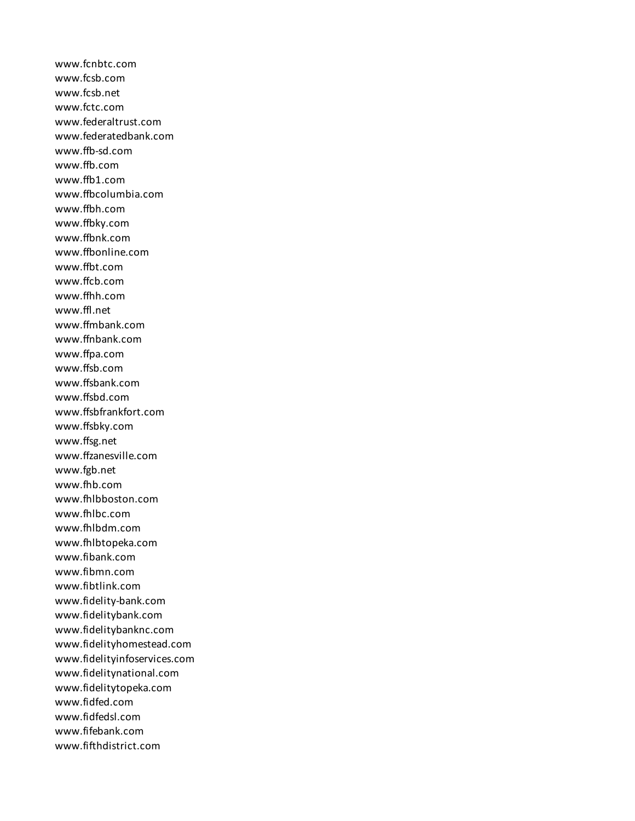www.fcnbtc.com www.fcsb.com www.fcsb.net www.fctc.com www.federaltrust.com www.federatedbank.com www.ffb-sd.com www.ffb.com www.ffb1.com www.ffbcolumbia.com www.ffbh.com www.ffbky.com www.ffbnk.com www.ffbonline.com www.ffbt.com www.ffcb.com www.ffhh.com www.ffl.net www.ffmbank.com www.ffnbank.com www.ffpa.com www.ffsb.com www.ffsbank.com www.ffsbd.com www.ffsbfrankfort.com www.ffsbky.com www.ffsg.net www.ffzanesville.com www.fgb.net www.fhb.com www.fhlbboston.com www.fhlbc.com www.fhlbdm.com www.fhlbtopeka.com www.fibank.com www.fibmn.com www.fibtlink.com www.fidelity-bank.com www.fidelitybank.com www.fidelitybanknc.com www.fidelityhomestead.com www.fidelityinfoservices.com www.fidelitynational.com www.fidelitytopeka.com www.fidfed.com www.fidfedsl.com www.fifebank.com www.fifthdistrict.com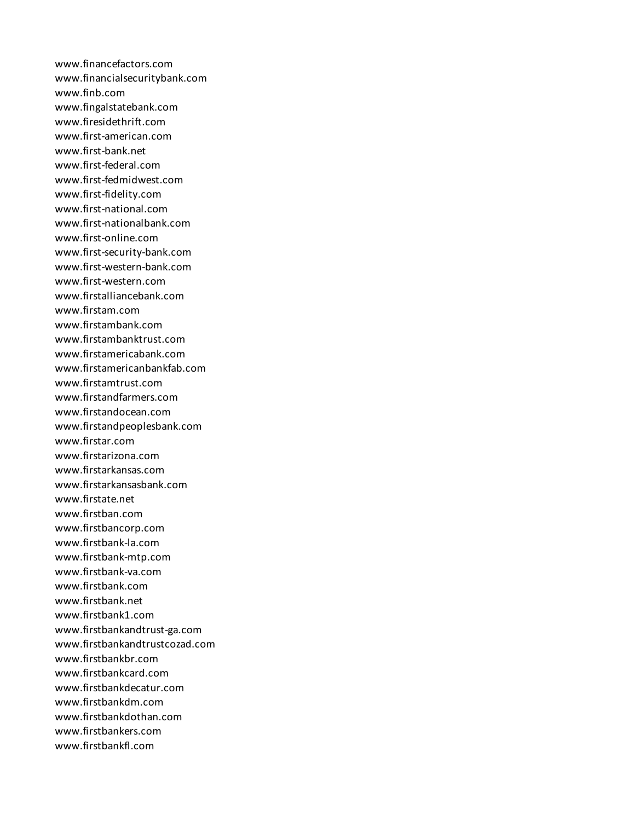www.financefactors.com www.financialsecuritybank.com www.finb.com www.fingalstatebank.com www.firesidethrift.com www.first-american.com www.first-bank.net www.first-federal.com www.first-fedmidwest.com www.first-fidelity.com www.first-national.com www.first-nationalbank.com www.first-online.com www.first-security-bank.com www.first-western-bank.com www.first-western.com www.firstalliancebank.com www.firstam.com www.firstambank.com www.firstambanktrust.com www.firstamericabank.com www.firstamericanbankfab.com www.firstamtrust.com www.firstandfarmers.com www.firstandocean.com www.firstandpeoplesbank.com www.firstar.com www.firstarizona.com www.firstarkansas.com www.firstarkansasbank.com www.firstate.net www.firstban.com www.firstbancorp.com www.firstbank-la.com www.firstbank-mtp.com www.firstbank-va.com www.firstbank.com www.firstbank.net www.firstbank1.com www.firstbankandtrust-ga.com www.firstbankandtrustcozad.com www.firstbankbr.com www.firstbankcard.com www.firstbankdecatur.com www.firstbankdm.com www.firstbankdothan.com www.firstbankers.com www.firstbankfl.com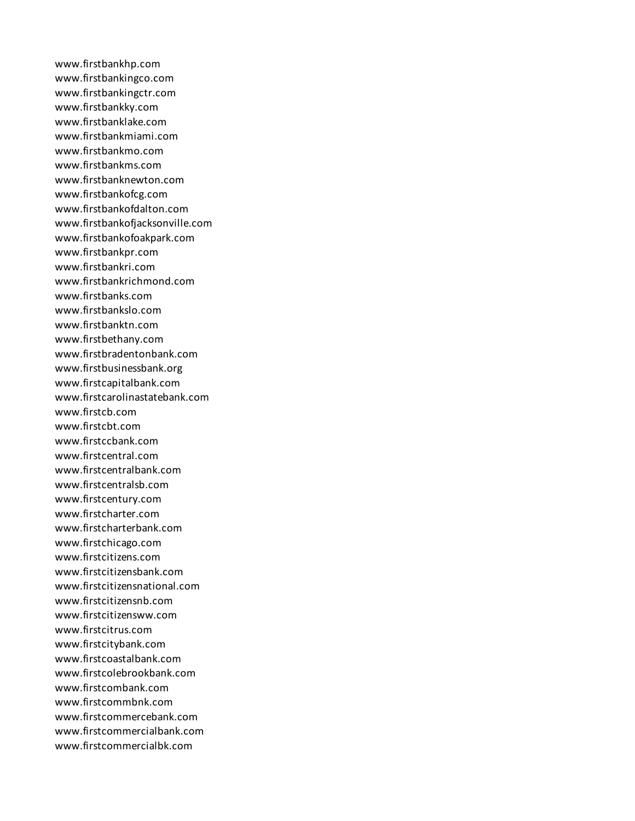www.firstbankhp.com www.firstbankingco.com www.firstbankingctr.com www.firstbankky.com www.firstbanklake.com www.firstbankmiami.com www.firstbankmo.com www.firstbankms.com www.firstbanknewton.com www.firstbankofcg.com www.firstbankofdalton.com www.firstbankofjacksonville.com www.firstbankofoakpark.com www.firstbankpr.com www.firstbankri.com www.firstbankrichmond.com www.firstbanks.com www.firstbankslo.com www.firstbanktn.com www.firstbethany.com www.firstbradentonbank.com www.firstbusinessbank.org www.firstcapitalbank.com www.firstcarolinastatebank.com www.firstcb.com www.firstcbt.com www.firstccbank.com www.firstcentral.com www.firstcentralbank.com www.firstcentralsb.com www.firstcentury.com www.firstcharter.com www.firstcharterbank.com www.firstchicago.com www.firstcitizens.com www.firstcitizensbank.com www.firstcitizensnational.com www.firstcitizensnb.com www.firstcitizensww.com www.firstcitrus.com www.firstcitybank.com www.firstcoastalbank.com www.firstcolebrookbank.com www.firstcombank.com www.firstcommbnk.com www.firstcommercebank.com www.firstcommercialbank.com www.firstcommercialbk.com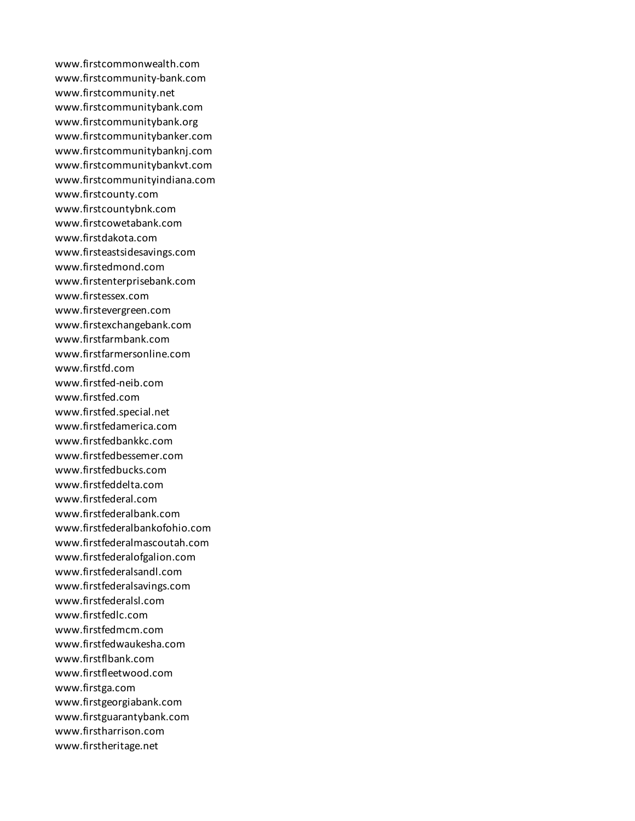www.firstcommonwealth.com www.firstcommunity-bank.com www.firstcommunity.net www.firstcommunitybank.com www.firstcommunitybank.org www.firstcommunitybanker.com www.firstcommunitybanknj.com www.firstcommunitybankvt.com www.firstcommunityindiana.com www.firstcounty.com www.firstcountybnk.com www.firstcowetabank.com www.firstdakota.com www.firsteastsidesavings.com www.firstedmond.com www.firstenterprisebank.com www.firstessex.com www.firstevergreen.com www.firstexchangebank.com www.firstfarmbank.com www.firstfarmersonline.com www.firstfd.com www.firstfed-neib.com www.firstfed.com www.firstfed.special.net www.firstfedamerica.com www.firstfedbankkc.com www.firstfedbessemer.com www.firstfedbucks.com www.firstfeddelta.com www.firstfederal.com www.firstfederalbank.com www.firstfederalbankofohio.com www.firstfederalmascoutah.com www.firstfederalofgalion.com www.firstfederalsandl.com www.firstfederalsavings.com www.firstfederalsl.com www.firstfedlc.com www.firstfedmcm.com www.firstfedwaukesha.com www.firstflbank.com www.firstfleetwood.com www.firstga.com www.firstgeorgiabank.com www.firstguarantybank.com www.firstharrison.com www.firstheritage.net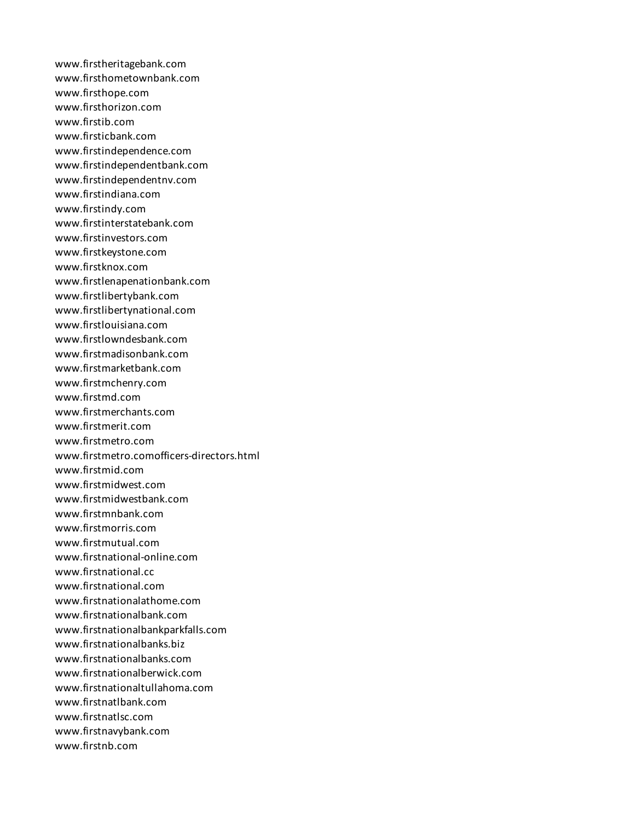www.firstheritagebank.com www.firsthometownbank.com www.firsthope.com www.firsthorizon.com www.firstib.com www.firsticbank.com www.firstindependence.com www.firstindependentbank.com www.firstindependentnv.com www.firstindiana.com www.firstindy.com www.firstinterstatebank.com www.firstinvestors.com www.firstkeystone.com www.firstknox.com www.firstlenapenationbank.com www.firstlibertybank.com www.firstlibertynational.com www.firstlouisiana.com www.firstlowndesbank.com www.firstmadisonbank.com www.firstmarketbank.com www.firstmchenry.com www.firstmd.com www.firstmerchants.com www.firstmerit.com www.firstmetro.com www.firstmetro.comofficers-directors.html www.firstmid.com www.firstmidwest.com www.firstmidwestbank.com www.firstmnbank.com www.firstmorris.com www.firstmutual.com www.firstnational-online.com www.firstnational.cc www.firstnational.com www.firstnationalathome.com www.firstnationalbank.com www.firstnationalbankparkfalls.com www.firstnationalbanks.biz www.firstnationalbanks.com www.firstnationalberwick.com www.firstnationaltullahoma.com www.firstnatlbank.com www.firstnatlsc.com www.firstnavybank.com www.firstnb.com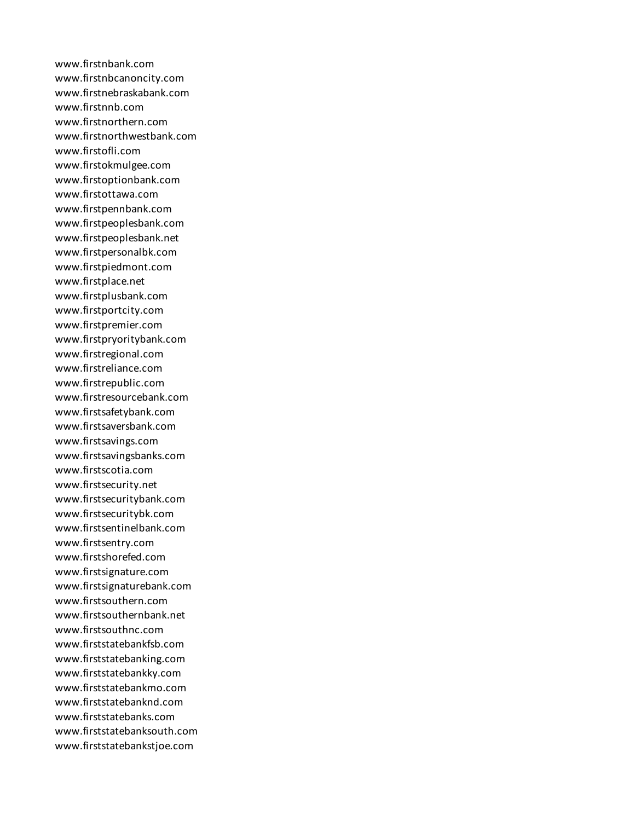www.firstnbank.com www.firstnbcanoncity.com www.firstnebraskabank.com www.firstnnb.com www.firstnorthern.com www.firstnorthwestbank.com www.firstofli.com www.firstokmulgee.com www.firstoptionbank.com www.firstottawa.com www.firstpennbank.com www.firstpeoplesbank.com www.firstpeoplesbank.net www.firstpersonalbk.com www.firstpiedmont.com www.firstplace.net www.firstplusbank.com www.firstportcity.com www.firstpremier.com www.firstpryoritybank.com www.firstregional.com www.firstreliance.com www.firstrepublic.com www.firstresourcebank.com www.firstsafetybank.com www.firstsaversbank.com www.firstsavings.com www.firstsavingsbanks.com www.firstscotia.com www.firstsecurity.net www.firstsecuritybank.com www.firstsecuritybk.com www.firstsentinelbank.com www.firstsentry.com www.firstshorefed.com www.firstsignature.com www.firstsignaturebank.com www.firstsouthern.com www.firstsouthernbank.net www.firstsouthnc.com www.firststatebankfsb.com www.firststatebanking.com www.firststatebankky.com www.firststatebankmo.com www.firststatebanknd.com www.firststatebanks.com www.firststatebanksouth.com www.firststatebankstjoe.com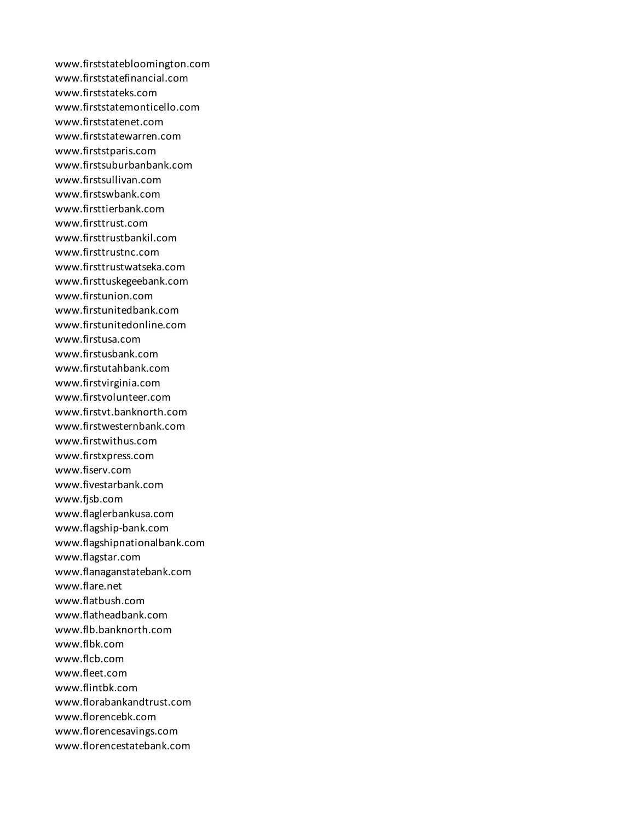www.firststatebloomington.com www.firststatefinancial.com www.firststateks.com www.firststatemonticello.com www.firststatenet.com www.firststatewarren.com www.firststparis.com www.firstsuburbanbank.com www.firstsullivan.com www.firstswbank.com www.firsttierbank.com www.firsttrust.com www.firsttrustbankil.com www.firsttrustnc.com www.firsttrustwatseka.com www.firsttuskegeebank.com www.firstunion.com www.firstunitedbank.com www.firstunitedonline.com www.firstusa.com www.firstusbank.com www.firstutahbank.com www.firstvirginia.com www.firstvolunteer.com www.firstvt.banknorth.com www.firstwesternbank.com www.firstwithus.com www.firstxpress.com www.fiserv.com www.fivestarbank.com www.fjsb.com www.flaglerbankusa.com www.flagship-bank.com www.flagshipnationalbank.com www.flagstar.com www.flanaganstatebank.com www.flare.net www.flatbush.com www.flatheadbank.com www.flb.banknorth.com www.flbk.com www.flcb.com www.fleet.com www.flintbk.com www.florabankandtrust.com www.florencebk.com www.florencesavings.com www.florencestatebank.com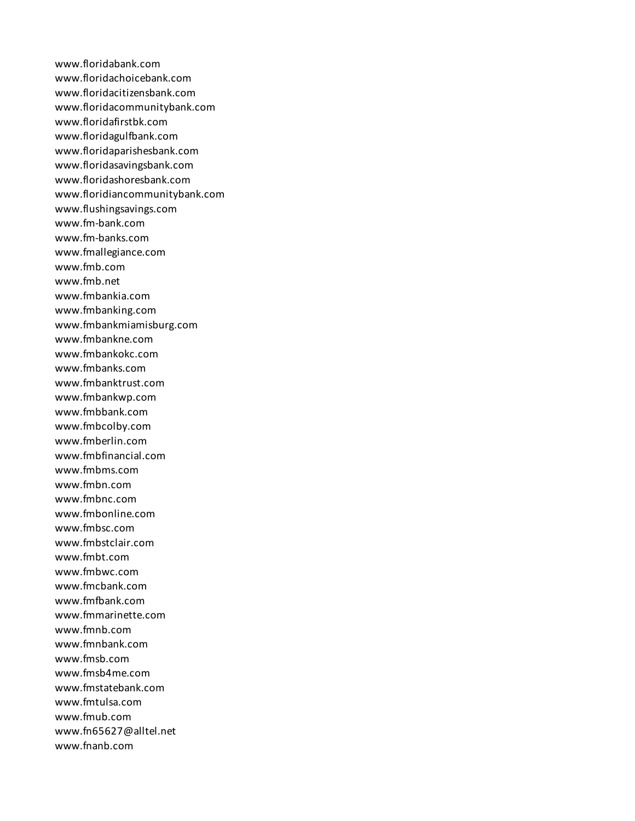www.floridabank.com www.floridachoicebank.com www.floridacitizensbank.com www.floridacommunitybank.com www.floridafirstbk.com www.floridagulfbank.com www.floridaparishesbank.com www.floridasavingsbank.com www.floridashoresbank.com www.floridiancommunitybank.com www.flushingsavings.com www.fm-bank.com www.fm-banks.com www.fmallegiance.com www.fmb.com www.fmb.net www.fmbankia.com www.fmbanking.com www.fmbankmiamisburg.com www.fmbankne.com www.fmbankokc.com www.fmbanks.com www.fmbanktrust.com www.fmbankwp.com www.fmbbank.com www.fmbcolby.com www.fmberlin.com www.fmbfinancial.com www.fmbms.com www.fmbn.com www.fmbnc.com www.fmbonline.com www.fmbsc.com www.fmbstclair.com www.fmbt.com www.fmbwc.com www.fmcbank.com www.fmfbank.com www.fmmarinette.com www.fmnb.com www.fmnbank.com www.fmsb.com www.fmsb4me.com www.fmstatebank.com www.fmtulsa.com www.fmub.com www.fn65627@alltel.net www.fnanb.com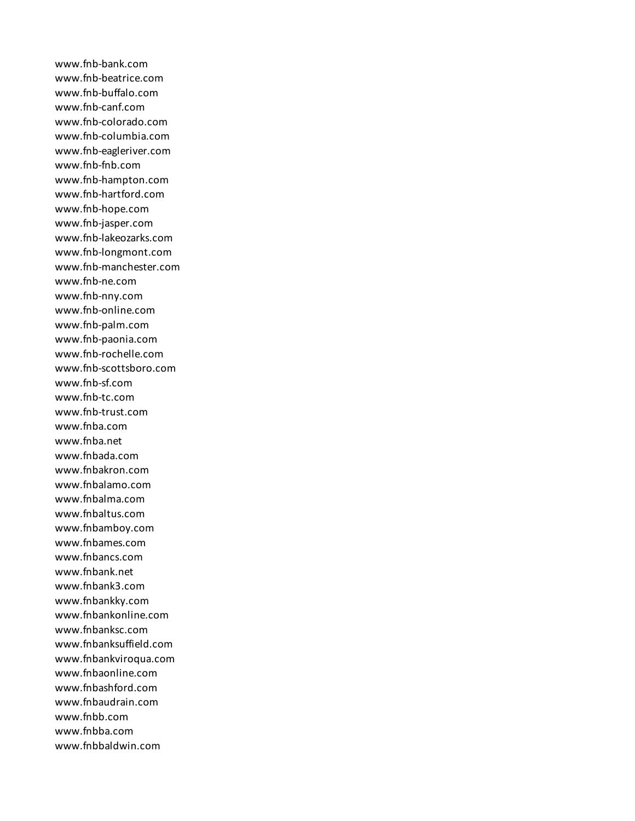www.fnb-bank.com www.fnb-beatrice.com www.fnb-buffalo.com www.fnb-canf.com www.fnb-colorado.com www.fnb-columbia.com www.fnb-eagleriver.com www.fnb-fnb.com www.fnb-hampton.com www.fnb-hartford.com www.fnb-hope.com www.fnb-jasper.com www.fnb-lakeozarks.com www.fnb-longmont.com www.fnb-manchester.com www.fnb-ne.com www.fnb-nny.com www.fnb-online.com www.fnb-palm.com www.fnb-paonia.com www.fnb-rochelle.com www.fnb-scottsboro.com www.fnb-sf.com www.fnb-tc.com www.fnb-trust.com www.fnba.com www.fnba.net www.fnbada.com www.fnbakron.com www.fnbalamo.com www.fnbalma.com www.fnbaltus.com www.fnbamboy.com www.fnbames.com www.fnbancs.com www.fnbank.net www.fnbank3.com www.fnbankky.com www.fnbankonline.com www.fnbanksc.com www.fnbanksuffield.com www.fnbankviroqua.com www.fnbaonline.com www.fnbashford.com www.fnbaudrain.com www.fnbb.com www.fnbba.com www.fnbbaldwin.com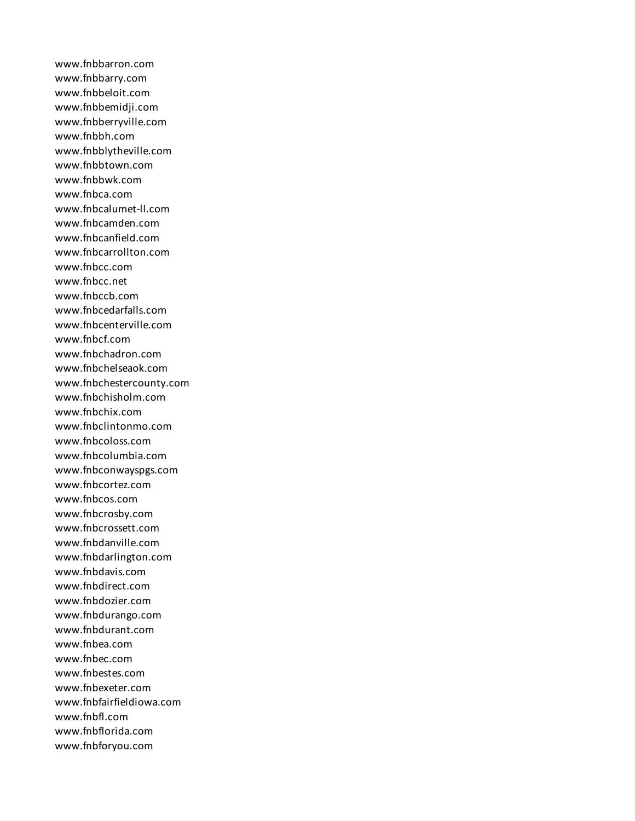www.fnbbarron.com www.fnbbarry.com www.fnbbeloit.com www.fnbbemidji.com www.fnbberryville.com www.fnbbh.com www.fnbblytheville.com www.fnbbtown.com www.fnbbwk.com www.fnbca.com www.fnbcalumet-ll.com www.fnbcamden.com www.fnbcanfield.com www.fnbcarrollton.com www.fnbcc.com www.fnbcc.net www.fnbccb.com www.fnbcedarfalls.com www.fnbcenterville.com www.fnbcf.com www.fnbchadron.com www.fnbchelseaok.com www.fnbchestercounty.com www.fnbchisholm.com www.fnbchix.com www.fnbclintonmo.com www.fnbcoloss.com www.fnbcolumbia.com www.fnbconwayspgs.com www.fnbcortez.com www.fnbcos.com www.fnbcrosby.com www.fnbcrossett.com www.fnbdanville.com www.fnbdarlington.com www.fnbdavis.com www.fnbdirect.com www.fnbdozier.com www.fnbdurango.com www.fnbdurant.com www.fnbea.com www.fnbec.com www.fnbestes.com www.fnbexeter.com www.fnbfairfieldiowa.com www.fnbfl.com www.fnbflorida.com www.fnbforyou.com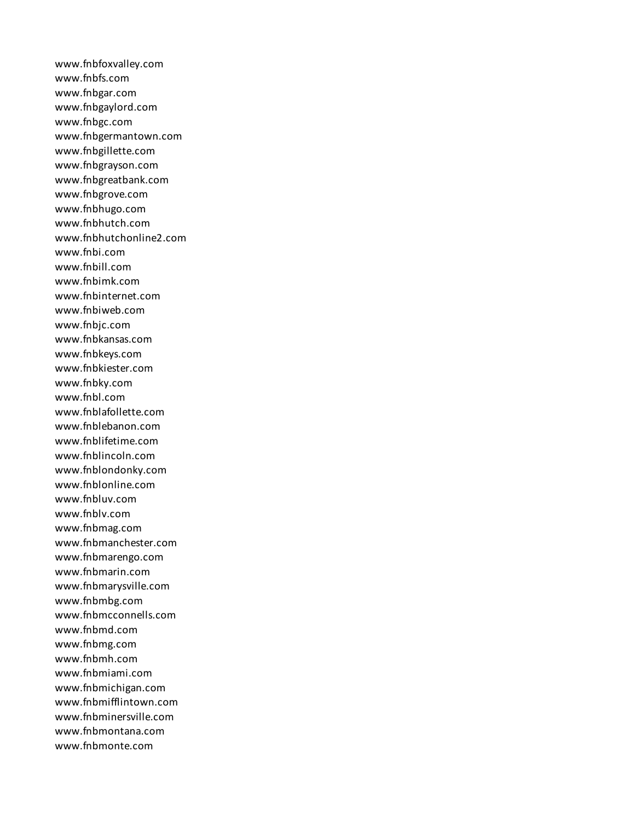www.fnbfoxvalley.com www.fnbfs.com www.fnbgar.com www.fnbgaylord.com www.fnbgc.com www.fnbgermantown.com www.fnbgillette.com www.fnbgrayson.com www.fnbgreatbank.com www.fnbgrove.com www.fnbhugo.com www.fnbhutch.com www.fnbhutchonline2.com www.fnbi.com www.fnbill.com www.fnbimk.com www.fnbinternet.com www.fnbiweb.com www.fnbjc.com www.fnbkansas.com www.fnbkeys.com www.fnbkiester.com www.fnbky.com www.fnbl.com www.fnblafollette.com www.fnblebanon.com www.fnblifetime.com www.fnblincoln.com www.fnblondonky.com www.fnblonline.com www.fnbluv.com www.fnblv.com www.fnbmag.com www.fnbmanchester.com www.fnbmarengo.com www.fnbmarin.com www.fnbmarysville.com www.fnbmbg.com www.fnbmcconnells.com www.fnbmd.com www.fnbmg.com www.fnbmh.com www.fnbmiami.com www.fnbmichigan.com www.fnbmifflintown.com www.fnbminersville.com www.fnbmontana.com www.fnbmonte.com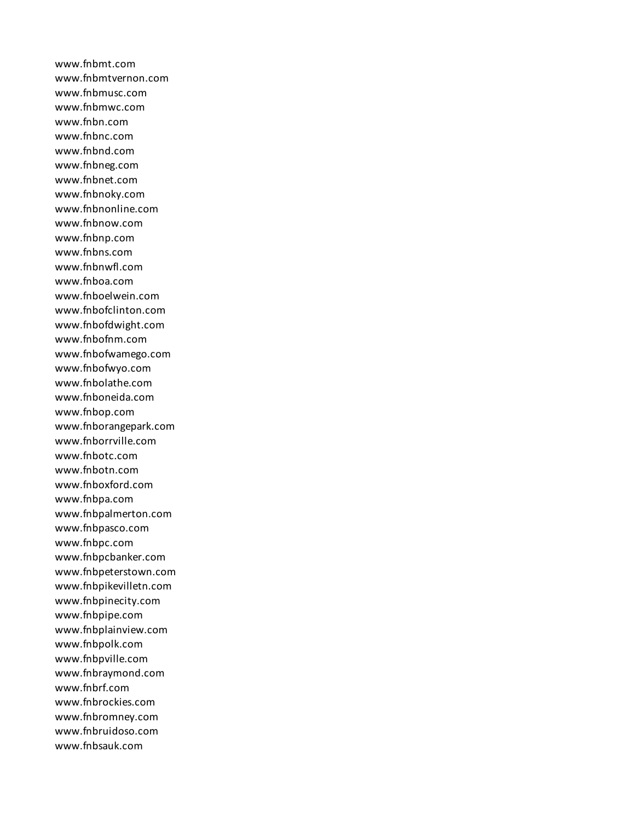www.fnbmt.com www.fnbmtvernon.com www.fnbmusc.com www.fnbmwc.com www.fnbn.com www.fnbnc.com www.fnbnd.com www.fnbneg.com www.fnbnet.com www.fnbnoky.com www.fnbnonline.com www.fnbnow.com www.fnbnp.com www.fnbns.com www.fnbnwfl.com www.fnboa.com www.fnboelwein.com www.fnbofclinton.com www.fnbofdwight.com www.fnbofnm.com www.fnbofwamego.com www.fnbofwyo.com www.fnbolathe.com www.fnboneida.com www.fnbop.com www.fnborangepark.com www.fnborrville.com www.fnbotc.com www.fnbotn.com www.fnboxford.com www.fnbpa.com www.fnbpalmerton.com www.fnbpasco.com www.fnbpc.com www.fnbpcbanker.com www.fnbpeterstown.com www.fnbpikevilletn.com www.fnbpinecity.com www.fnbpipe.com www.fnbplainview.com www.fnbpolk.com www.fnbpville.com www.fnbraymond.com www.fnbrf.com www.fnbrockies.com www.fnbromney.com www.fnbruidoso.com www.fnbsauk.com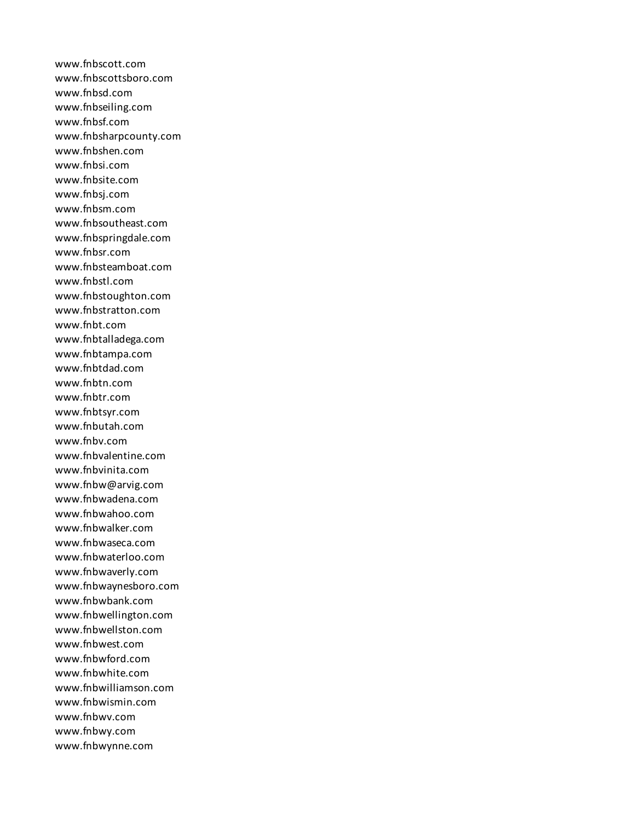www.fnbscott.com www.fnbscottsboro.com www.fnbsd.com www.fnbseiling.com www.fnbsf.com www.fnbsharpcounty.com www.fnbshen.com www.fnbsi.com www.fnbsite.com www.fnbsj.com www.fnbsm.com www.fnbsoutheast.com www.fnbspringdale.com www.fnbsr.com www.fnbsteamboat.com www.fnbstl.com www.fnbstoughton.com www.fnbstratton.com www.fnbt.com www.fnbtalladega.com www.fnbtampa.com www.fnbtdad.com www.fnbtn.com www.fnbtr.com www.fnbtsyr.com www.fnbutah.com www.fnbv.com www.fnbvalentine.com www.fnbvinita.com www.fnbw@arvig.com www.fnbwadena.com www.fnbwahoo.com www.fnbwalker.com www.fnbwaseca.com www.fnbwaterloo.com www.fnbwaverly.com www.fnbwaynesboro.com www.fnbwbank.com www.fnbwellington.com www.fnbwellston.com www.fnbwest.com www.fnbwford.com www.fnbwhite.com www.fnbwilliamson.com www.fnbwismin.com www.fnbwv.com www.fnbwy.com www.fnbwynne.com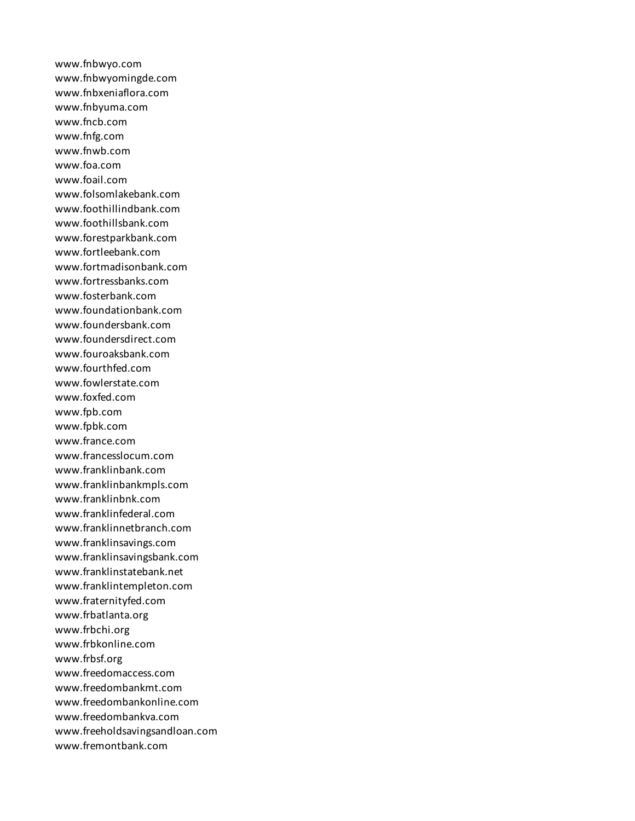www.fnbwyo.com www.fnbwyomingde.com www.fnbxeniaflora.com www.fnbyuma.com www.fncb.com www.fnfg.com www.fnwb.com www.foa.com www.foail.com www.folsomlakebank.com www.foothillindbank.com www.foothillsbank.com www.forestparkbank.com www.fortleebank.com www.fortmadisonbank.com www.fortressbanks.com www.fosterbank.com www.foundationbank.com www.foundersbank.com www.foundersdirect.com www.fouroaksbank.com www.fourthfed.com www.fowlerstate.com www.foxfed.com www.fpb.com www.fpbk.com www.france.com www.francesslocum.com www.franklinbank.com www.franklinbankmpls.com www.franklinbnk.com www.franklinfederal.com www.franklinnetbranch.com www.franklinsavings.com www.franklinsavingsbank.com www.franklinstatebank.net www.franklintempleton.com www.fraternityfed.com www.frbatlanta.org www.frbchi.org www.frbkonline.com www.frbsf.org www.freedomaccess.com www.freedombankmt.com www.freedombankonline.com www.freedombankva.com www.freeholdsavingsandloan.com www.fremontbank.com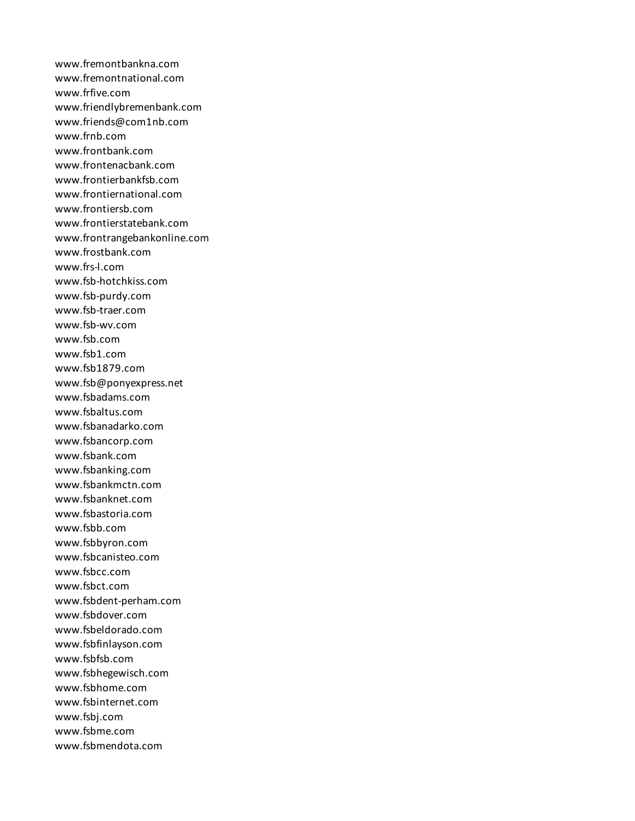www.fremontbankna.com www.fremontnational.com www.frfive.com www.friendlybremenbank.com www.friends@com1nb.com www.frnb.com www.frontbank.com www.frontenacbank.com www.frontierbankfsb.com www.frontiernational.com www.frontiersb.com www.frontierstatebank.com www.frontrangebankonline.com www.frostbank.com www.frs-l.com www.fsb-hotchkiss.com www.fsb-purdy.com www.fsb-traer.com www.fsb-wv.com www.fsb.com www.fsb1.com www.fsb1879.com www.fsb@ponyexpress.net www.fsbadams.com www.fsbaltus.com www.fsbanadarko.com www.fsbancorp.com www.fsbank.com www.fsbanking.com www.fsbankmctn.com www.fsbanknet.com www.fsbastoria.com www.fsbb.com www.fsbbyron.com www.fsbcanisteo.com www.fsbcc.com www.fsbct.com www.fsbdent-perham.com www.fsbdover.com www.fsbeldorado.com www.fsbfinlayson.com www.fsbfsb.com www.fsbhegewisch.com www.fsbhome.com www.fsbinternet.com www.fsbj.com www.fsbme.com www.fsbmendota.com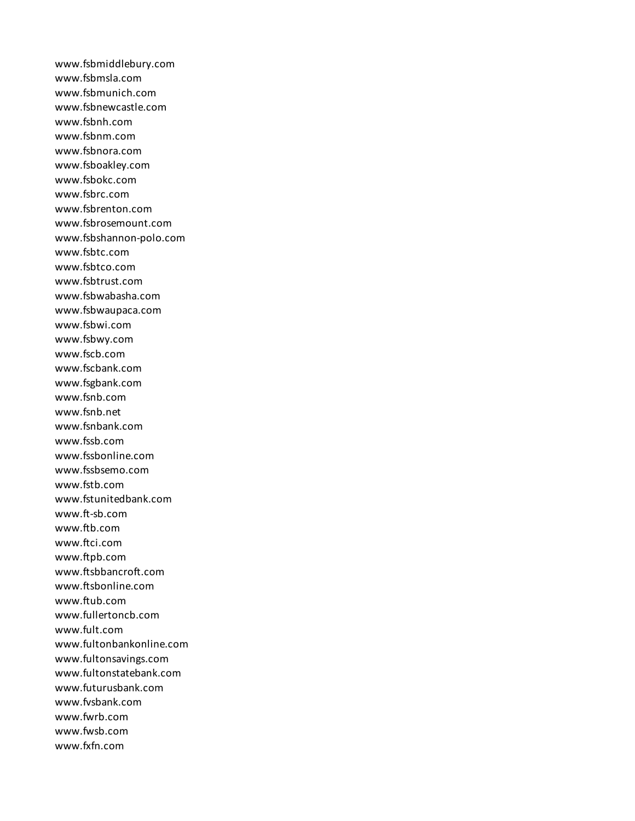www.fsbmiddlebury.com www.fsbmsla.com www.fsbmunich.com www.fsbnewcastle.com www.fsbnh.com www.fsbnm.com www.fsbnora.com www.fsboakley.com www.fsbokc.com www.fsbrc.com www.fsbrenton.com www.fsbrosemount.com www.fsbshannon-polo.com www.fsbtc.com www.fsbtco.com www.fsbtrust.com www.fsbwabasha.com www.fsbwaupaca.com www.fsbwi.com www.fsbwy.com www.fscb.com www.fscbank.com www.fsgbank.com www.fsnb.com www.fsnb.net www.fsnbank.com www.fssb.com www.fssbonline.com www.fssbsemo.com www.fstb.com www.fstunitedbank.com www.ft-sb.com www.ftb.com www.ftci.com www.ftpb.com www.ftsbbancroft.com www.ftsbonline.com www.ftub.com www.fullertoncb.com www.fult.com www.fultonbankonline.com www.fultonsavings.com www.fultonstatebank.com www.futurusbank.com www.fvsbank.com www.fwrb.com www.fwsb.com www.fxfn.com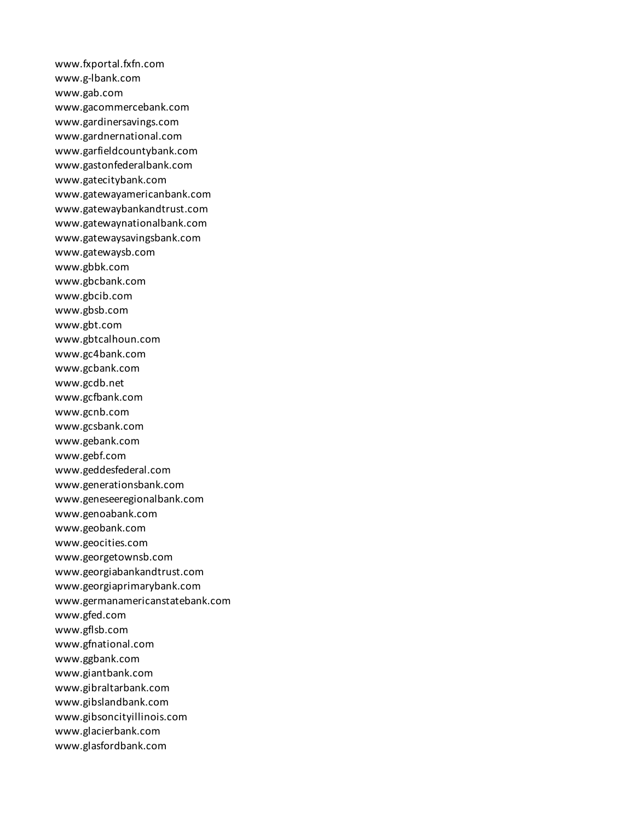www.fxportal.fxfn.com www.g-lbank.com www.gab.com www.gacommercebank.com www.gardinersavings.com www.gardnernational.com www.garfieldcountybank.com www.gastonfederalbank.com www.gatecitybank.com www.gatewayamericanbank.com www.gatewaybankandtrust.com www.gatewaynationalbank.com www.gatewaysavingsbank.com www.gatewaysb.com www.gbbk.com www.gbcbank.com www.gbcib.com www.gbsb.com www.gbt.com www.gbtcalhoun.com www.gc4bank.com www.gcbank.com www.gcdb.net www.gcfbank.com www.gcnb.com www.gcsbank.com www.gebank.com www.gebf.com www.geddesfederal.com www.generationsbank.com www.geneseeregionalbank.com www.genoabank.com www.geobank.com www.geocities.com www.georgetownsb.com www.georgiabankandtrust.com www.georgiaprimarybank.com www.germanamericanstatebank.com www.gfed.com www.gflsb.com www.gfnational.com www.ggbank.com www.giantbank.com www.gibraltarbank.com www.gibslandbank.com www.gibsoncityillinois.com www.glacierbank.com www.glasfordbank.com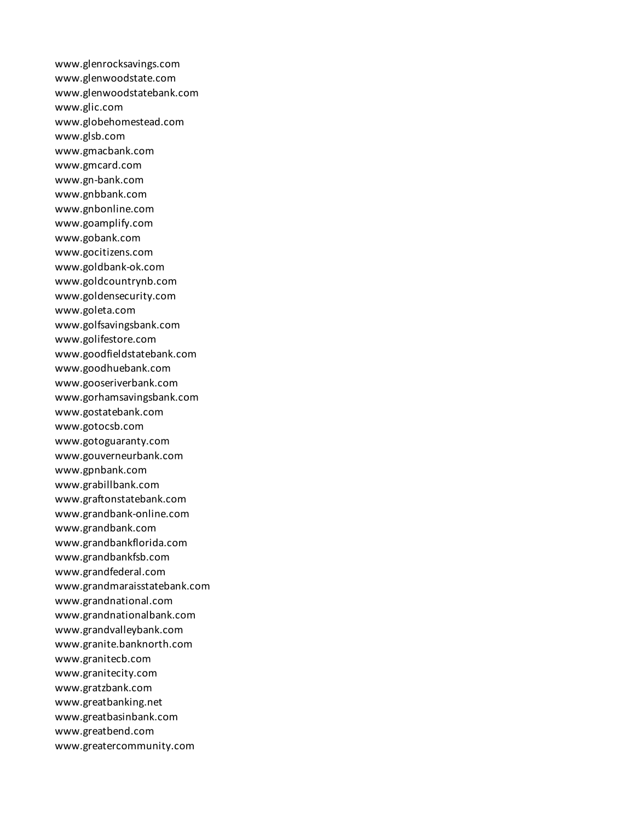www.glenrocksavings.com www.glenwoodstate.com www.glenwoodstatebank.com www.glic.com www.globehomestead.com www.glsb.com www.gmacbank.com www.gmcard.com www.gn-bank.com www.gnbbank.com www.gnbonline.com www.goamplify.com www.gobank.com www.gocitizens.com www.goldbank-ok.com www.goldcountrynb.com www.goldensecurity.com www.goleta.com www.golfsavingsbank.com www.golifestore.com www.goodfieldstatebank.com www.goodhuebank.com www.gooseriverbank.com www.gorhamsavingsbank.com www.gostatebank.com www.gotocsb.com www.gotoguaranty.com www.gouverneurbank.com www.gpnbank.com www.grabillbank.com www.graftonstatebank.com www.grandbank-online.com www.grandbank.com www.grandbankflorida.com www.grandbankfsb.com www.grandfederal.com www.grandmaraisstatebank.com www.grandnational.com www.grandnationalbank.com www.grandvalleybank.com www.granite.banknorth.com www.granitecb.com www.granitecity.com www.gratzbank.com www.greatbanking.net www.greatbasinbank.com www.greatbend.com www.greatercommunity.com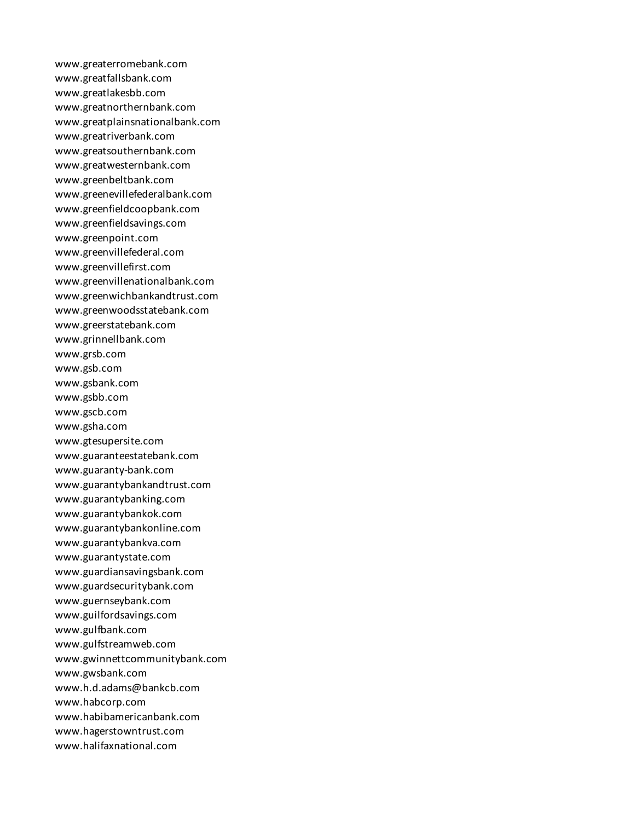www.greaterromebank.com www.greatfallsbank.com www.greatlakesbb.com www.greatnorthernbank.com www.greatplainsnationalbank.com www.greatriverbank.com www.greatsouthernbank.com www.greatwesternbank.com www.greenbeltbank.com www.greenevillefederalbank.com www.greenfieldcoopbank.com www.greenfieldsavings.com www.greenpoint.com www.greenvillefederal.com www.greenvillefirst.com www.greenvillenationalbank.com www.greenwichbankandtrust.com www.greenwoodsstatebank.com www.greerstatebank.com www.grinnellbank.com www.grsb.com www.gsb.com www.gsbank.com www.gsbb.com www.gscb.com www.gsha.com www.gtesupersite.com www.guaranteestatebank.com www.guaranty-bank.com www.guarantybankandtrust.com www.guarantybanking.com www.guarantybankok.com www.guarantybankonline.com www.guarantybankva.com www.guarantystate.com www.guardiansavingsbank.com www.guardsecuritybank.com www.guernseybank.com www.guilfordsavings.com www.gulfbank.com www.gulfstreamweb.com www.gwinnettcommunitybank.com www.gwsbank.com www.h.d.adams@bankcb.com www.habcorp.com www.habibamericanbank.com www.hagerstowntrust.com www.halifaxnational.com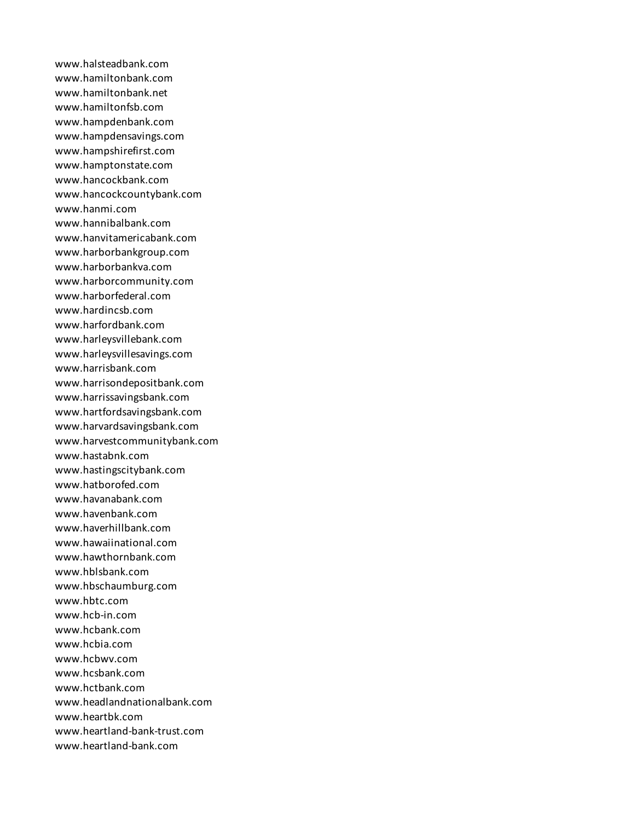www.halsteadbank.com www.hamiltonbank.com www.hamiltonbank.net www.hamiltonfsb.com www.hampdenbank.com www.hampdensavings.com www.hampshirefirst.com www.hamptonstate.com www.hancockbank.com www.hancockcountybank.com www.hanmi.com www.hannibalbank.com www.hanvitamericabank.com www.harborbankgroup.com www.harborbankva.com www.harborcommunity.com www.harborfederal.com www.hardincsb.com www.harfordbank.com www.harleysvillebank.com www.harleysvillesavings.com www.harrisbank.com www.harrisondepositbank.com www.harrissavingsbank.com www.hartfordsavingsbank.com www.harvardsavingsbank.com www.harvestcommunitybank.com www.hastabnk.com www.hastingscitybank.com www.hatborofed.com www.havanabank.com www.havenbank.com www.haverhillbank.com www.hawaiinational.com www.hawthornbank.com www.hblsbank.com www.hbschaumburg.com www.hbtc.com www.hcb-in.com www.hcbank.com www.hcbia.com www.hcbwv.com www.hcsbank.com www.hctbank.com www.headlandnationalbank.com www.heartbk.com www.heartland-bank-trust.com www.heartland-bank.com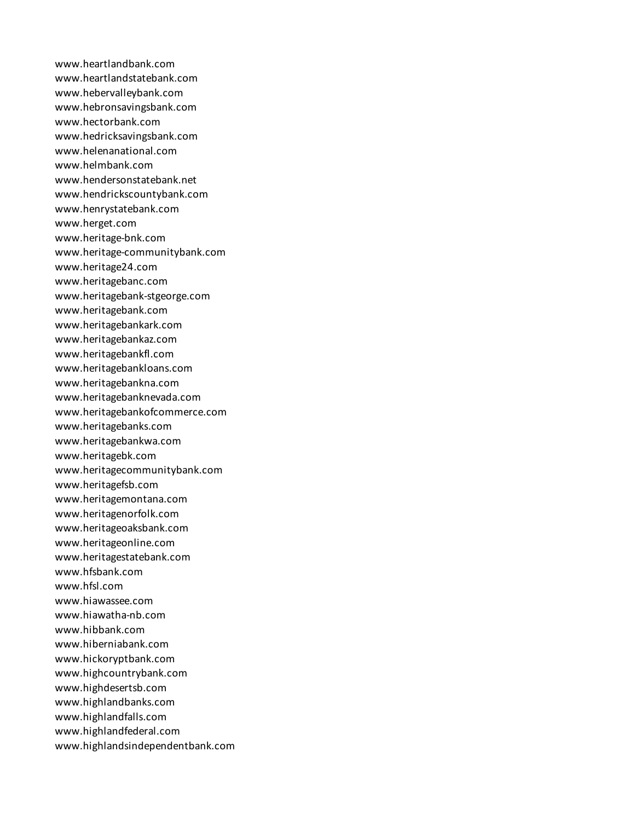www.heartlandbank.com www.heartlandstatebank.com www.hebervalleybank.com www.hebronsavingsbank.com www.hectorbank.com www.hedricksavingsbank.com www.helenanational.com www.helmbank.com www.hendersonstatebank.net www.hendrickscountybank.com www.henrystatebank.com www.herget.com www.heritage-bnk.com www.heritage-communitybank.com www.heritage24.com www.heritagebanc.com www.heritagebank-stgeorge.com www.heritagebank.com www.heritagebankark.com www.heritagebankaz.com www.heritagebankfl.com www.heritagebankloans.com www.heritagebankna.com www.heritagebanknevada.com www.heritagebankofcommerce.com www.heritagebanks.com www.heritagebankwa.com www.heritagebk.com www.heritagecommunitybank.com www.heritagefsb.com www.heritagemontana.com www.heritagenorfolk.com www.heritageoaksbank.com www.heritageonline.com www.heritagestatebank.com www.hfsbank.com www.hfsl.com www.hiawassee.com www.hiawatha-nb.com www.hibbank.com www.hiberniabank.com www.hickoryptbank.com www.highcountrybank.com www.highdesertsb.com www.highlandbanks.com www.highlandfalls.com www.highlandfederal.com www.highlandsindependentbank.com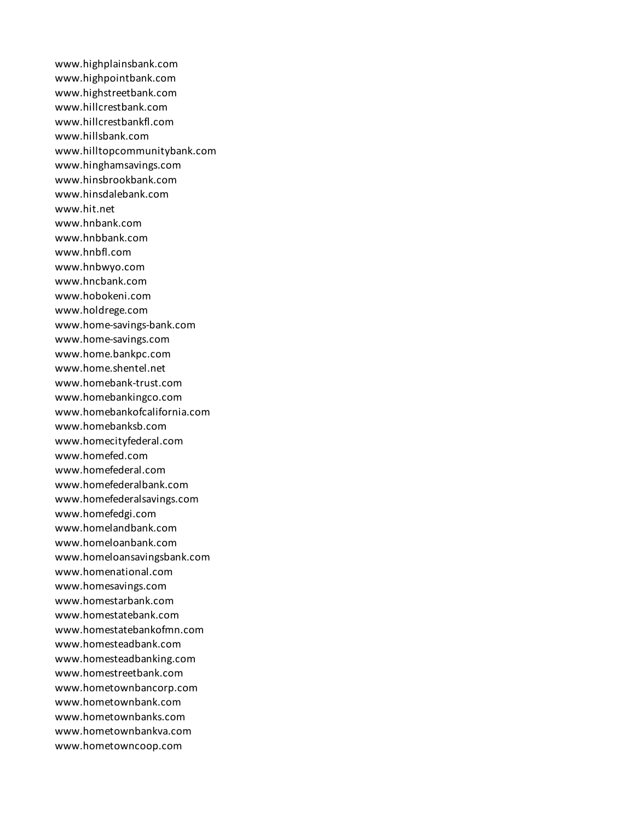www.highplainsbank.com www.highpointbank.com www.highstreetbank.com www.hillcrestbank.com www.hillcrestbankfl.com www.hillsbank.com www.hilltopcommunitybank.com www.hinghamsavings.com www.hinsbrookbank.com www.hinsdalebank.com www.hit.net www.hnbank.com www.hnbbank.com www.hnbfl.com www.hnbwyo.com www.hncbank.com www.hobokeni.com www.holdrege.com www.home-savings-bank.com www.home-savings.com www.home.bankpc.com www.home.shentel.net www.homebank-trust.com www.homebankingco.com www.homebankofcalifornia.com www.homebanksb.com www.homecityfederal.com www.homefed.com www.homefederal.com www.homefederalbank.com www.homefederalsavings.com www.homefedgi.com www.homelandbank.com www.homeloanbank.com www.homeloansavingsbank.com www.homenational.com www.homesavings.com www.homestarbank.com www.homestatebank.com www.homestatebankofmn.com www.homesteadbank.com www.homesteadbanking.com www.homestreetbank.com www.hometownbancorp.com www.hometownbank.com www.hometownbanks.com www.hometownbankva.com www.hometowncoop.com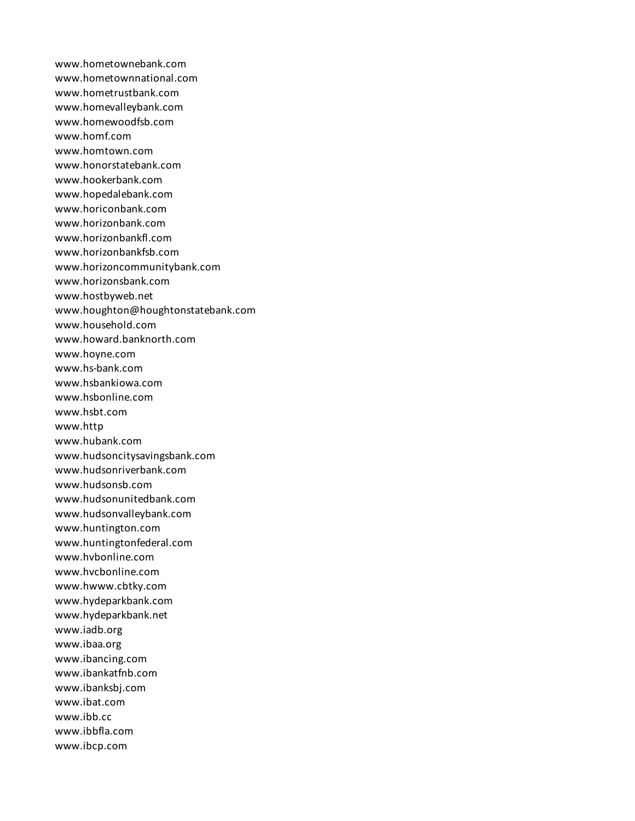www.hometownebank.com www.hometownnational.com www.hometrustbank.com www.homevalleybank.com www.homewoodfsb.com www.homf.com www.homtown.com www.honorstatebank.com www.hookerbank.com www.hopedalebank.com www.horiconbank.com www.horizonbank.com www.horizonbankfl.com www.horizonbankfsb.com www.horizoncommunitybank.com www.horizonsbank.com www.hostbyweb.net www.houghton@houghtonstatebank.com www.household.com www.howard.banknorth.com www.hoyne.com www.hs-bank.com www.hsbankiowa.com www.hsbonline.com www.hsbt.com www.http www.hubank.com www.hudsoncitysavingsbank.com www.hudsonriverbank.com www.hudsonsb.com www.hudsonunitedbank.com www.hudsonvalleybank.com www.huntington.com www.huntingtonfederal.com www.hvbonline.com www.hvcbonline.com www.hwww.cbtky.com www.hydeparkbank.com www.hydeparkbank.net www.iadb.org www.ibaa.org www.ibancing.com www.ibankatfnb.com www.ibanksbj.com www.ibat.com www.ibb.cc www.ibbfla.com www.ibcp.com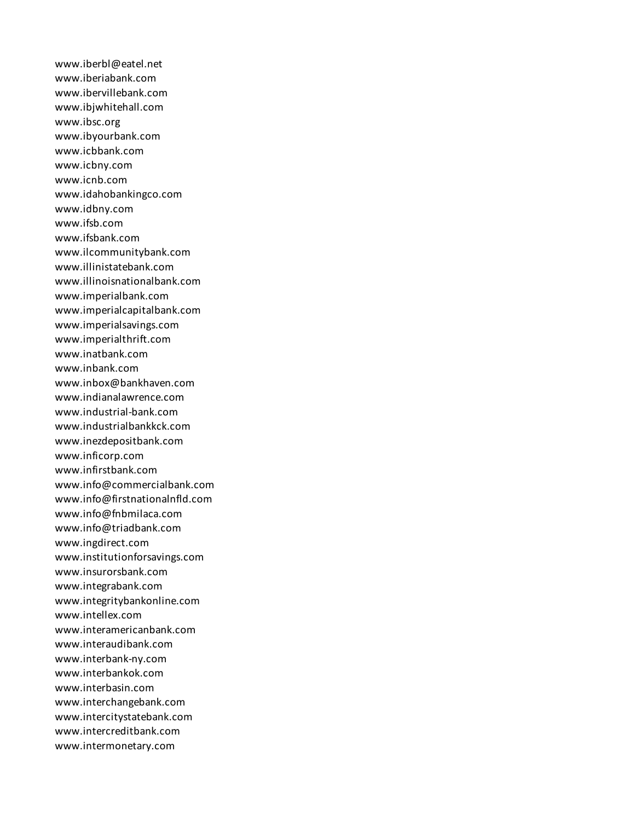www.iberbl@eatel.net www.iberiabank.com www.ibervillebank.com www.ibjwhitehall.com www.ibsc.org www.ibyourbank.com www.icbbank.com www.icbny.com www.icnb.com www.idahobankingco.com www.idbny.com www.ifsb.com www.ifsbank.com www.ilcommunitybank.com www.illinistatebank.com www.illinoisnationalbank.com www.imperialbank.com www.imperialcapitalbank.com www.imperialsavings.com www.imperialthrift.com www.inatbank.com www.inbank.com www.inbox@bankhaven.com www.indianalawrence.com www.industrial-bank.com www.industrialbankkck.com www.inezdepositbank.com www.inficorp.com www.infirstbank.com www.info@commercialbank.com www.info@firstnationalnfld.com www.info@fnbmilaca.com www.info@triadbank.com www.ingdirect.com www.institutionforsavings.com www.insurorsbank.com www.integrabank.com www.integritybankonline.com www.intellex.com www.interamericanbank.com www.interaudibank.com www.interbank-ny.com www.interbankok.com www.interbasin.com www.interchangebank.com www.intercitystatebank.com www.intercreditbank.com www.intermonetary.com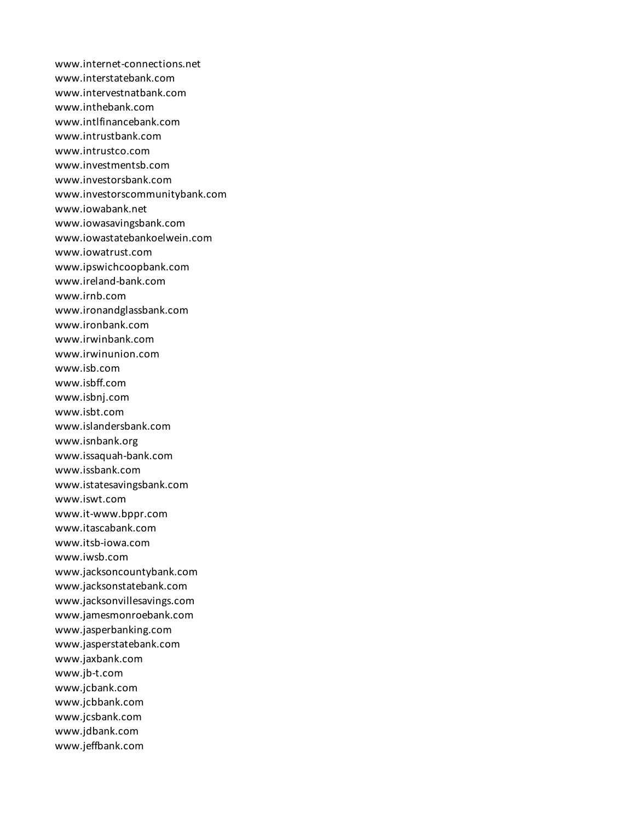www.internet-connections.net www.interstatebank.com www.intervestnatbank.com www.inthebank.com www.intlfinancebank.com www.intrustbank.com www.intrustco.com www.investmentsb.com www.investorsbank.com www.investorscommunitybank.com www.iowabank.net www.iowasavingsbank.com www.iowastatebankoelwein.com www.iowatrust.com www.ipswichcoopbank.com www.ireland-bank.com www.irnb.com www.ironandglassbank.com www.ironbank.com www.irwinbank.com www.irwinunion.com www.isb.com www.isbff.com www.isbnj.com www.isbt.com www.islandersbank.com www.isnbank.org www.issaquah-bank.com www.issbank.com www.istatesavingsbank.com www.iswt.com www.it-www.bppr.com www.itascabank.com www.itsb-iowa.com www.iwsb.com www.jacksoncountybank.com www.jacksonstatebank.com www.jacksonvillesavings.com www.jamesmonroebank.com www.jasperbanking.com www.jasperstatebank.com www.jaxbank.com www.jb-t.com www.jcbank.com www.jcbbank.com www.jcsbank.com www.jdbank.com www.jeffbank.com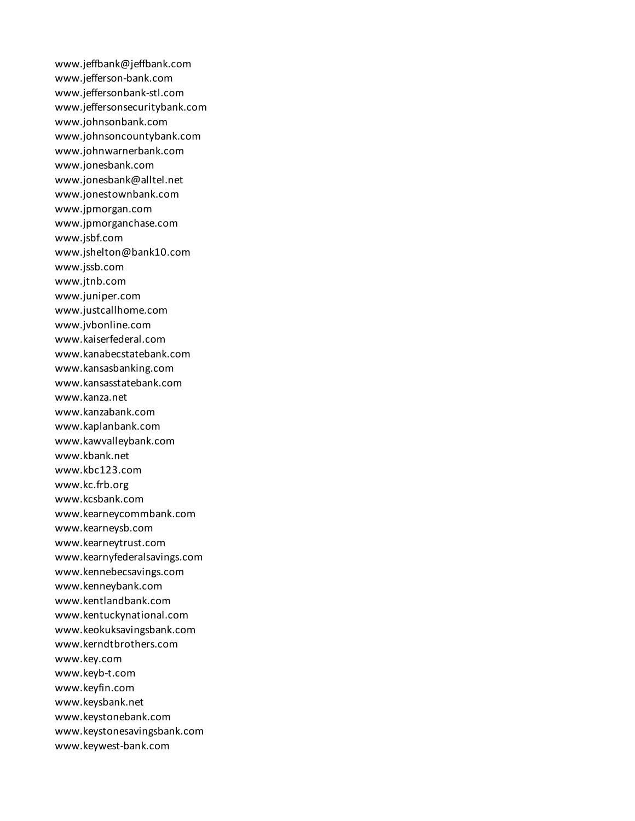www.jeffbank@jeffbank.com www.jefferson-bank.com www.jeffersonbank-stl.com www.jeffersonsecuritybank.com www.johnsonbank.com www.johnsoncountybank.com www.johnwarnerbank.com www.jonesbank.com www.jonesbank@alltel.net www.jonestownbank.com www.jpmorgan.com www.jpmorganchase.com www.jsbf.com www.jshelton@bank10.com www.jssb.com www.jtnb.com www.juniper.com www.justcallhome.com www.jvbonline.com www.kaiserfederal.com www.kanabecstatebank.com www.kansasbanking.com www.kansasstatebank.com www.kanza.net www.kanzabank.com www.kaplanbank.com www.kawvalleybank.com www.kbank.net www.kbc123.com www.kc.frb.org www.kcsbank.com www.kearneycommbank.com www.kearneysb.com www.kearneytrust.com www.kearnyfederalsavings.com www.kennebecsavings.com www.kenneybank.com www.kentlandbank.com www.kentuckynational.com www.keokuksavingsbank.com www.kerndtbrothers.com www.key.com www.keyb-t.com www.keyfin.com www.keysbank.net www.keystonebank.com www.keystonesavingsbank.com www.keywest-bank.com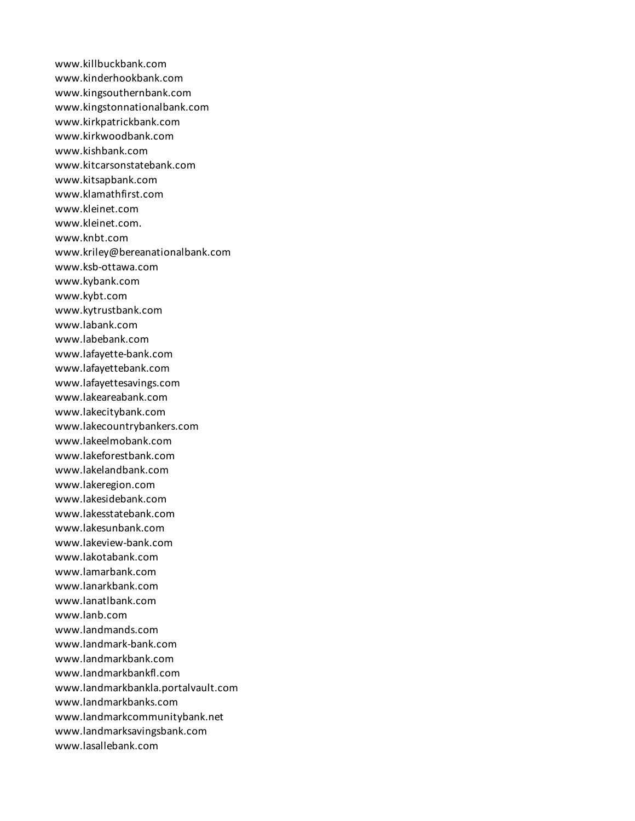www.killbuckbank.com www.kinderhookbank.com www.kingsouthernbank.com www.kingstonnationalbank.com www.kirkpatrickbank.com www.kirkwoodbank.com www.kishbank.com www.kitcarsonstatebank.com www.kitsapbank.com www.klamathfirst.com www.kleinet.com www.kleinet.com. www.knbt.com www.kriley@bereanationalbank.com www.ksb-ottawa.com www.kybank.com www.kybt.com www.kytrustbank.com www.labank.com www.labebank.com www.lafayette-bank.com www.lafayettebank.com www.lafayettesavings.com www.lakeareabank.com www.lakecitybank.com www.lakecountrybankers.com www.lakeelmobank.com www.lakeforestbank.com www.lakelandbank.com www.lakeregion.com www.lakesidebank.com www.lakesstatebank.com www.lakesunbank.com www.lakeview-bank.com www.lakotabank.com www.lamarbank.com www.lanarkbank.com www.lanatlbank.com www.lanb.com www.landmands.com www.landmark-bank.com www.landmarkbank.com www.landmarkbankfl.com www.landmarkbankla.portalvault.com www.landmarkbanks.com www.landmarkcommunitybank.net www.landmarksavingsbank.com www.lasallebank.com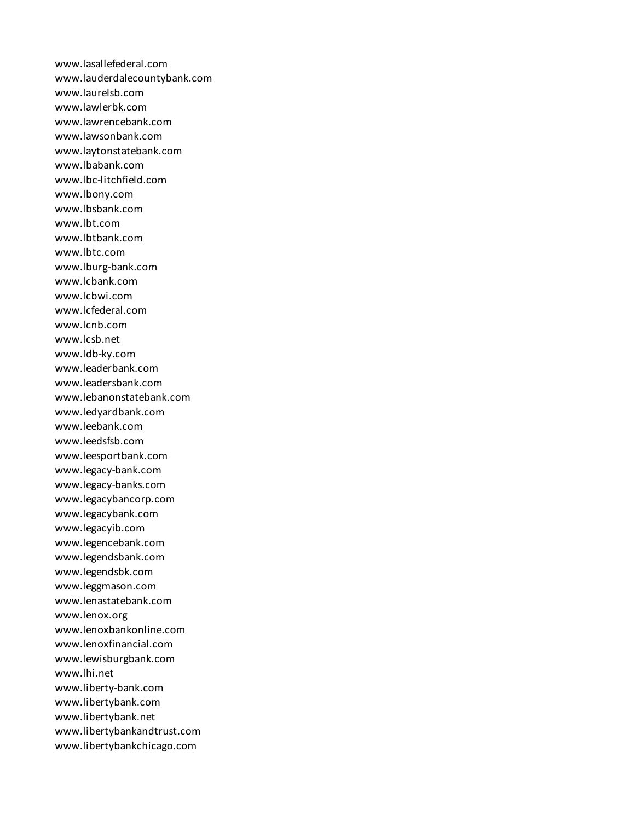www.lasallefederal.com www.lauderdalecountybank.com www.laurelsb.com www.lawlerbk.com www.lawrencebank.com www.lawsonbank.com www.laytonstatebank.com www.lbabank.com www.lbc-litchfield.com www.lbony.com www.lbsbank.com www.lbt.com www.lbtbank.com www.lbtc.com www.lburg-bank.com www.lcbank.com www.lcbwi.com www.lcfederal.com www.lcnb.com www.lcsb.net www.ldb-ky.com www.leaderbank.com www.leadersbank.com www.lebanonstatebank.com www.ledyardbank.com www.leebank.com www.leedsfsb.com www.leesportbank.com www.legacy-bank.com www.legacy-banks.com www.legacybancorp.com www.legacybank.com www.legacyib.com www.legencebank.com www.legendsbank.com www.legendsbk.com www.leggmason.com www.lenastatebank.com www.lenox.org www.lenoxbankonline.com www.lenoxfinancial.com www.lewisburgbank.com www.lhi.net www.liberty-bank.com www.libertybank.com www.libertybank.net www.libertybankandtrust.com www.libertybankchicago.com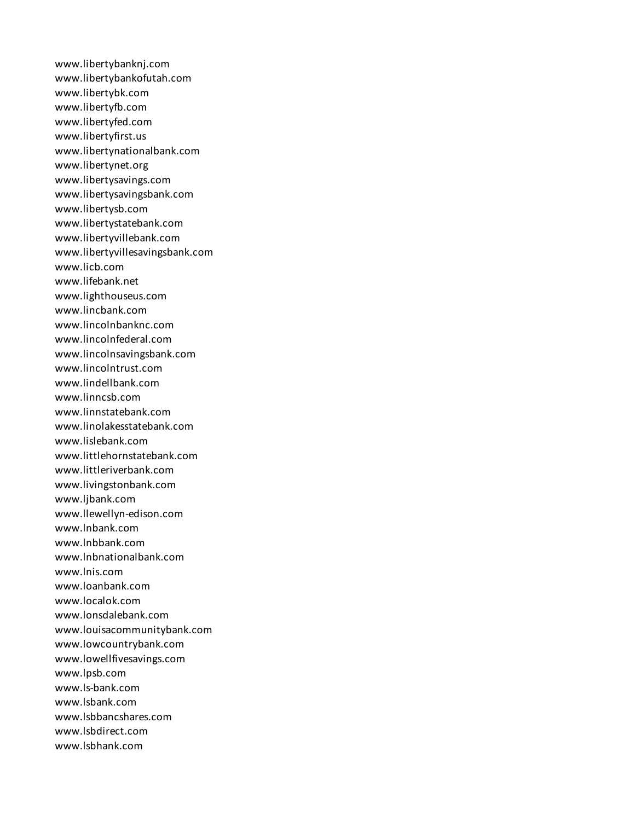www.libertybanknj.com www.libertybankofutah.com www.libertybk.com www.libertyfb.com www.libertyfed.com www.libertyfirst.us www.libertynationalbank.com www.libertynet.org www.libertysavings.com www.libertysavingsbank.com www.libertysb.com www.libertystatebank.com www.libertyvillebank.com www.libertyvillesavingsbank.com www.licb.com www.lifebank.net www.lighthouseus.com www.lincbank.com www.lincolnbanknc.com www.lincolnfederal.com www.lincolnsavingsbank.com www.lincolntrust.com www.lindellbank.com www.linncsb.com www.linnstatebank.com www.linolakesstatebank.com www.lislebank.com www.littlehornstatebank.com www.littleriverbank.com www.livingstonbank.com www.ljbank.com www.llewellyn-edison.com www.lnbank.com www.lnbbank.com www.lnbnationalbank.com www.lnis.com www.loanbank.com www.localok.com www.lonsdalebank.com www.louisacommunitybank.com www.lowcountrybank.com www.lowellfivesavings.com www.lpsb.com www.ls-bank.com www.lsbank.com www.lsbbancshares.com www.lsbdirect.com www.lsbhank.com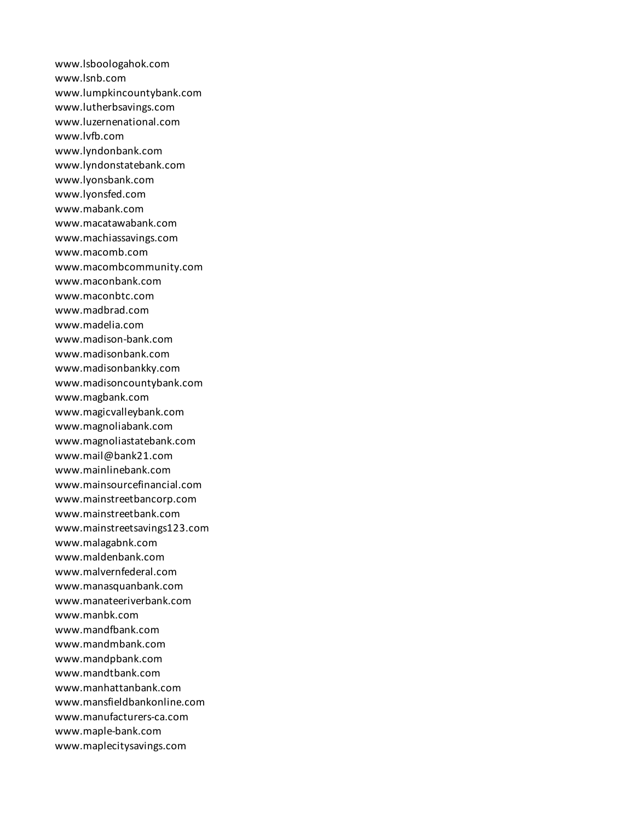www.lsboologahok.com www.lsnb.com www.lumpkincountybank.com www.lutherbsavings.com www.luzernenational.com www.lvfb.com www.lyndonbank.com www.lyndonstatebank.com www.lyonsbank.com www.lyonsfed.com www.mabank.com www.macatawabank.com www.machiassavings.com www.macomb.com www.macombcommunity.com www.maconbank.com www.maconbtc.com www.madbrad.com www.madelia.com www.madison-bank.com www.madisonbank.com www.madisonbankky.com www.madisoncountybank.com www.magbank.com www.magicvalleybank.com www.magnoliabank.com www.magnoliastatebank.com www.mail@bank21.com www.mainlinebank.com www.mainsourcefinancial.com www.mainstreetbancorp.com www.mainstreetbank.com www.mainstreetsavings123.com www.malagabnk.com www.maldenbank.com www.malvernfederal.com www.manasquanbank.com www.manateeriverbank.com www.manbk.com www.mandfbank.com www.mandmbank.com www.mandpbank.com www.mandtbank.com www.manhattanbank.com www.mansfieldbankonline.com www.manufacturers-ca.com www.maple-bank.com www.maplecitysavings.com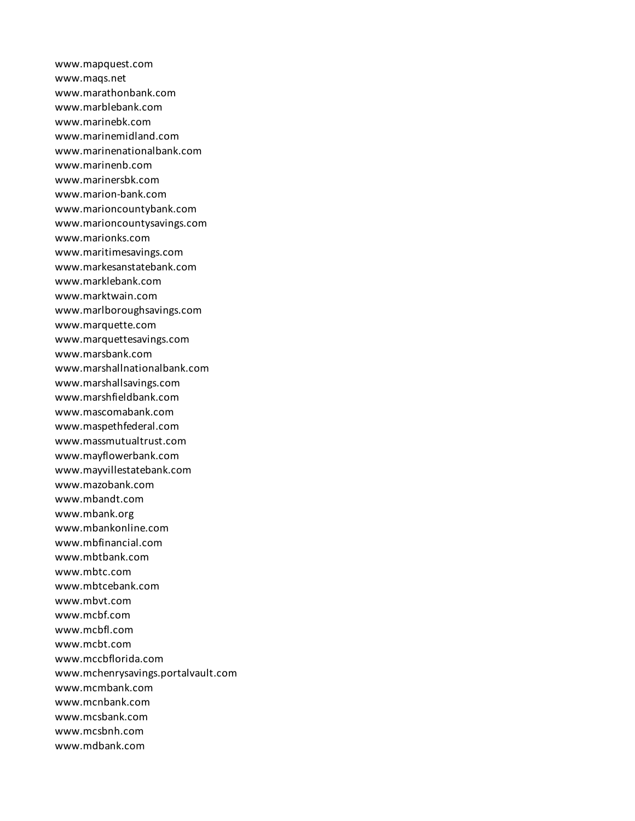www.mapquest.com www.maqs.net www.marathonbank.com www.marblebank.com www.marinebk.com www.marinemidland.com www.marinenationalbank.com www.marinenb.com www.marinersbk.com www.marion-bank.com www.marioncountybank.com www.marioncountysavings.com www.marionks.com www.maritimesavings.com www.markesanstatebank.com www.marklebank.com www.marktwain.com www.marlboroughsavings.com www.marquette.com www.marquettesavings.com www.marsbank.com www.marshallnationalbank.com www.marshallsavings.com www.marshfieldbank.com www.mascomabank.com www.maspethfederal.com www.massmutualtrust.com www.mayflowerbank.com www.mayvillestatebank.com www.mazobank.com www.mbandt.com www.mbank.org www.mbankonline.com www.mbfinancial.com www.mbtbank.com www.mbtc.com www.mbtcebank.com www.mbvt.com www.mcbf.com www.mcbfl.com www.mcbt.com www.mccbflorida.com www.mchenrysavings.portalvault.com www.mcmbank.com www.mcnbank.com www.mcsbank.com www.mcsbnh.com www.mdbank.com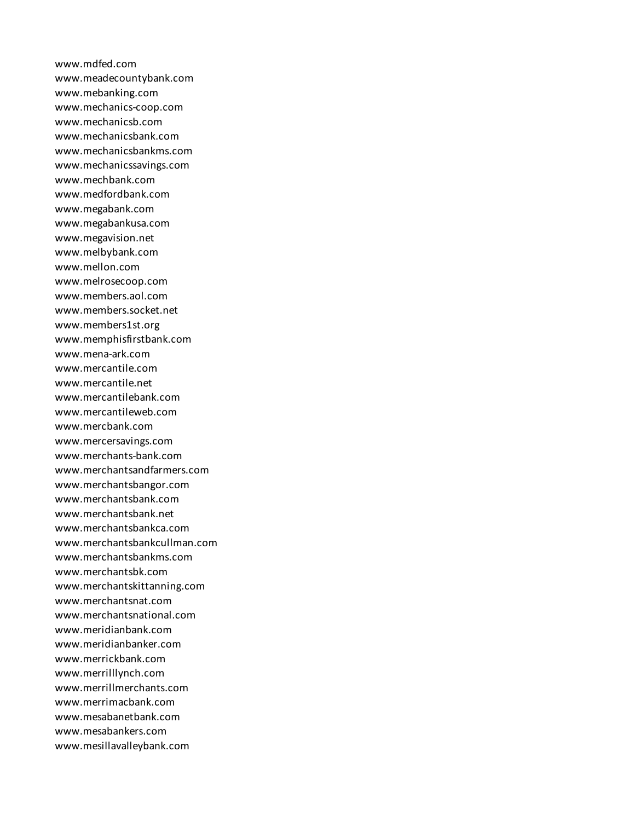www.mdfed.com www.meadecountybank.com www.mebanking.com www.mechanics-coop.com www.mechanicsb.com www.mechanicsbank.com www.mechanicsbankms.com www.mechanicssavings.com www.mechbank.com www.medfordbank.com www.megabank.com www.megabankusa.com www.megavision.net www.melbybank.com www.mellon.com www.melrosecoop.com www.members.aol.com www.members.socket.net www.members1st.org www.memphisfirstbank.com www.mena-ark.com www.mercantile.com www.mercantile.net www.mercantilebank.com www.mercantileweb.com www.mercbank.com www.mercersavings.com www.merchants-bank.com www.merchantsandfarmers.com www.merchantsbangor.com www.merchantsbank.com www.merchantsbank.net www.merchantsbankca.com www.merchantsbankcullman.com www.merchantsbankms.com www.merchantsbk.com www.merchantskittanning.com www.merchantsnat.com www.merchantsnational.com www.meridianbank.com www.meridianbanker.com www.merrickbank.com www.merrilllynch.com www.merrillmerchants.com www.merrimacbank.com www.mesabanetbank.com www.mesabankers.com www.mesillavalleybank.com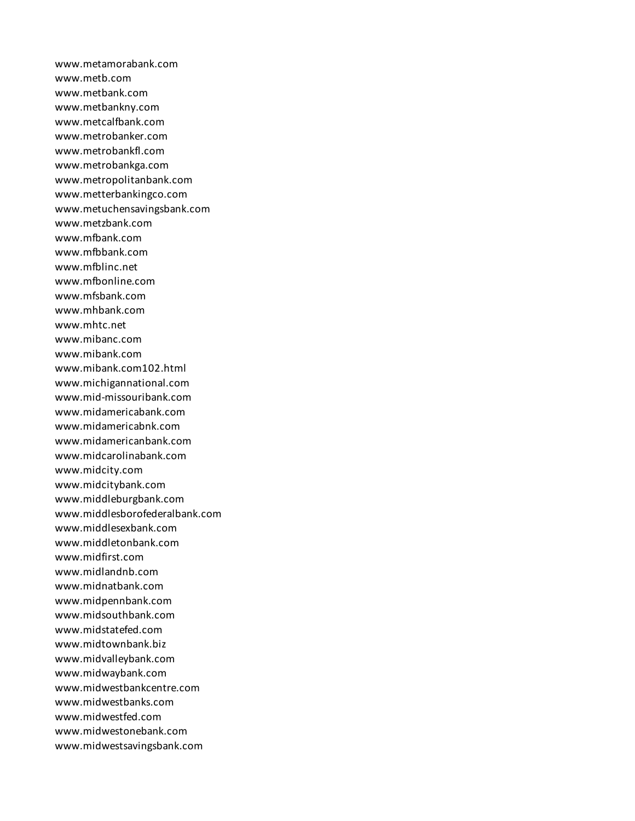www.metamorabank.com www.metb.com www.metbank.com www.metbankny.com www.metcalfbank.com www.metrobanker.com www.metrobankfl.com www.metrobankga.com www.metropolitanbank.com www.metterbankingco.com www.metuchensavingsbank.com www.metzbank.com www.mfbank.com www.mfbbank.com www.mfblinc.net www.mfbonline.com www.mfsbank.com www.mhbank.com www.mhtc.net www.mibanc.com www.mibank.com www.mibank.com102.html www.michigannational.com www.mid-missouribank.com www.midamericabank.com www.midamericabnk.com www.midamericanbank.com www.midcarolinabank.com www.midcity.com www.midcitybank.com www.middleburgbank.com www.middlesborofederalbank.com www.middlesexbank.com www.middletonbank.com www.midfirst.com www.midlandnb.com www.midnatbank.com www.midpennbank.com www.midsouthbank.com www.midstatefed.com www.midtownbank.biz www.midvalleybank.com www.midwaybank.com www.midwestbankcentre.com www.midwestbanks.com www.midwestfed.com www.midwestonebank.com www.midwestsavingsbank.com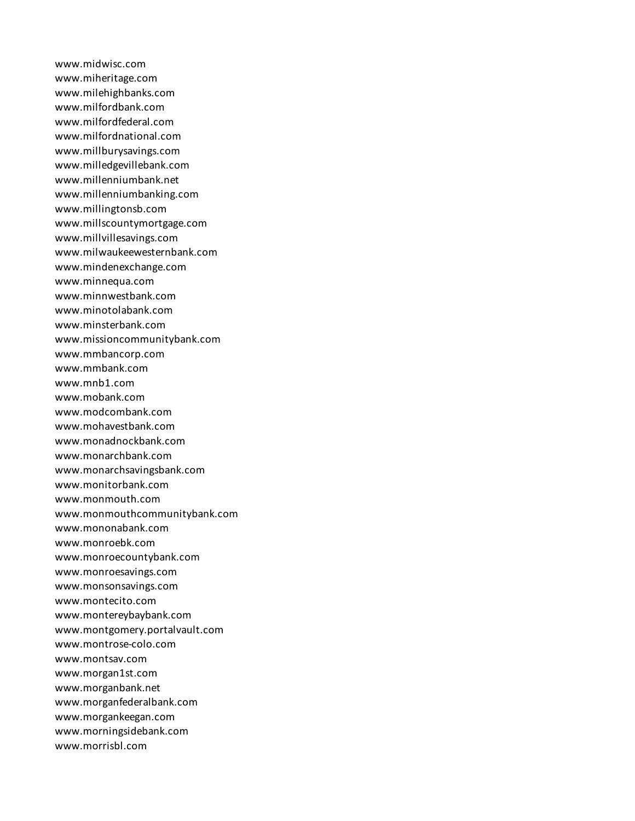www.midwisc.com www.miheritage.com www.milehighbanks.com www.milfordbank.com www.milfordfederal.com www.milfordnational.com www.millburysavings.com www.milledgevillebank.com www.millenniumbank.net www.millenniumbanking.com www.millingtonsb.com www.millscountymortgage.com www.millvillesavings.com www.milwaukeewesternbank.com www.mindenexchange.com www.minnequa.com www.minnwestbank.com www.minotolabank.com www.minsterbank.com www.missioncommunitybank.com www.mmbancorp.com www.mmbank.com www.mnb1.com www.mobank.com www.modcombank.com www.mohavestbank.com www.monadnockbank.com www.monarchbank.com www.monarchsavingsbank.com www.monitorbank.com www.monmouth.com www.monmouthcommunitybank.com www.mononabank.com www.monroebk.com www.monroecountybank.com www.monroesavings.com www.monsonsavings.com www.montecito.com www.montereybaybank.com www.montgomery.portalvault.com www.montrose-colo.com www.montsav.com www.morgan1st.com www.morganbank.net www.morganfederalbank.com www.morgankeegan.com www.morningsidebank.com www.morrisbl.com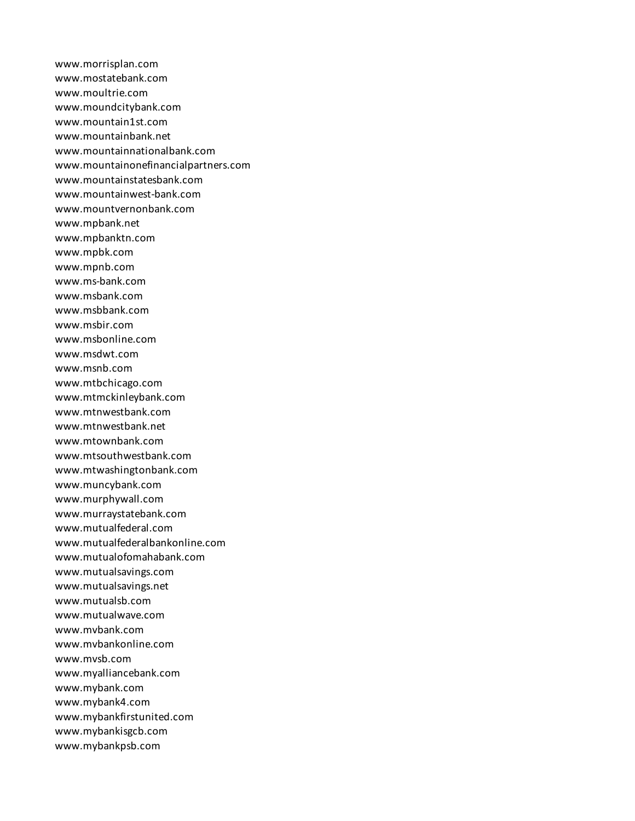www.morrisplan.com www.mostatebank.com www.moultrie.com www.moundcitybank.com www.mountain1st.com www.mountainbank.net www.mountainnationalbank.com www.mountainonefinancialpartners.com www.mountainstatesbank.com www.mountainwest-bank.com www.mountvernonbank.com www.mpbank.net www.mpbanktn.com www.mpbk.com www.mpnb.com www.ms-bank.com www.msbank.com www.msbbank.com www.msbir.com www.msbonline.com www.msdwt.com www.msnb.com www.mtbchicago.com www.mtmckinleybank.com www.mtnwestbank.com www.mtnwestbank.net www.mtownbank.com www.mtsouthwestbank.com www.mtwashingtonbank.com www.muncybank.com www.murphywall.com www.murraystatebank.com www.mutualfederal.com www.mutualfederalbankonline.com www.mutualofomahabank.com www.mutualsavings.com www.mutualsavings.net www.mutualsb.com www.mutualwave.com www.mvbank.com www.mvbankonline.com www.mvsb.com www.myalliancebank.com www.mybank.com www.mybank4.com www.mybankfirstunited.com www.mybankisgcb.com www.mybankpsb.com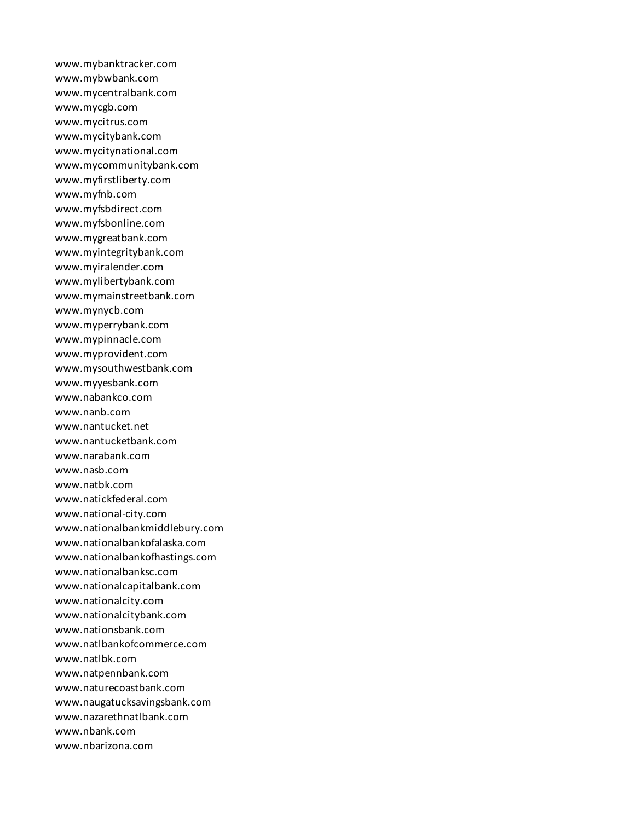www.mybanktracker.com www.mybwbank.com www.mycentralbank.com www.mycgb.com www.mycitrus.com www.mycitybank.com www.mycitynational.com www.mycommunitybank.com www.myfirstliberty.com www.myfnb.com www.myfsbdirect.com www.myfsbonline.com www.mygreatbank.com www.myintegritybank.com www.myiralender.com www.mylibertybank.com www.mymainstreetbank.com www.mynycb.com www.myperrybank.com www.mypinnacle.com www.myprovident.com www.mysouthwestbank.com www.myyesbank.com www.nabankco.com www.nanb.com www.nantucket.net www.nantucketbank.com www.narabank.com www.nasb.com www.natbk.com www.natickfederal.com www.national-city.com www.nationalbankmiddlebury.com www.nationalbankofalaska.com www.nationalbankofhastings.com www.nationalbanksc.com www.nationalcapitalbank.com www.nationalcity.com www.nationalcitybank.com www.nationsbank.com www.natlbankofcommerce.com www.natlbk.com www.natpennbank.com www.naturecoastbank.com www.naugatucksavingsbank.com www.nazarethnatlbank.com www.nbank.com www.nbarizona.com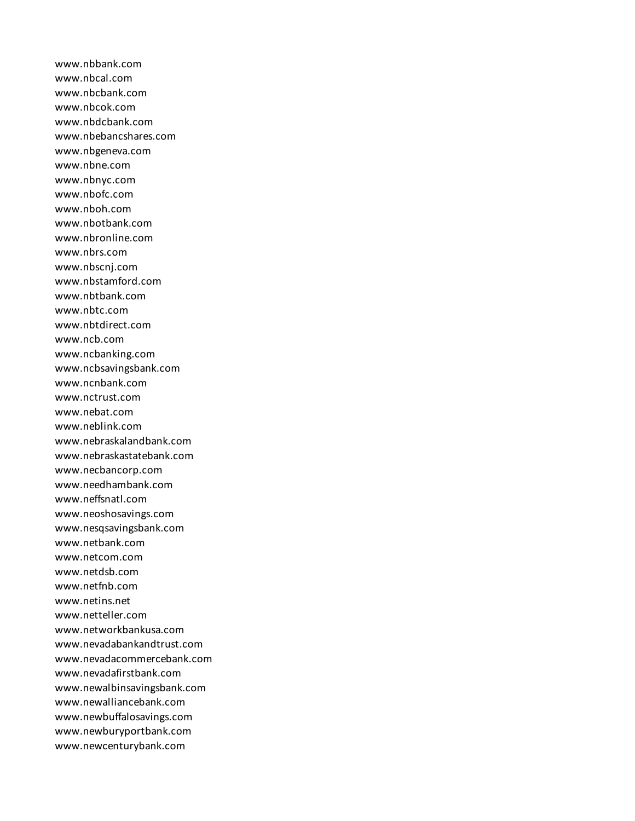www.nbbank.com www.nbcal.com www.nbcbank.com www.nbcok.com www.nbdcbank.com www.nbebancshares.com www.nbgeneva.com www.nbne.com www.nbnyc.com www.nbofc.com www.nboh.com www.nbotbank.com www.nbronline.com www.nbrs.com www.nbscnj.com www.nbstamford.com www.nbtbank.com www.nbtc.com www.nbtdirect.com www.ncb.com www.ncbanking.com www.ncbsavingsbank.com www.ncnbank.com www.nctrust.com www.nebat.com www.neblink.com www.nebraskalandbank.com www.nebraskastatebank.com www.necbancorp.com www.needhambank.com www.neffsnatl.com www.neoshosavings.com www.nesqsavingsbank.com www.netbank.com www.netcom.com www.netdsb.com www.netfnb.com www.netins.net www.netteller.com www.networkbankusa.com www.nevadabankandtrust.com www.nevadacommercebank.com www.nevadafirstbank.com www.newalbinsavingsbank.com www.newalliancebank.com www.newbuffalosavings.com www.newburyportbank.com www.newcenturybank.com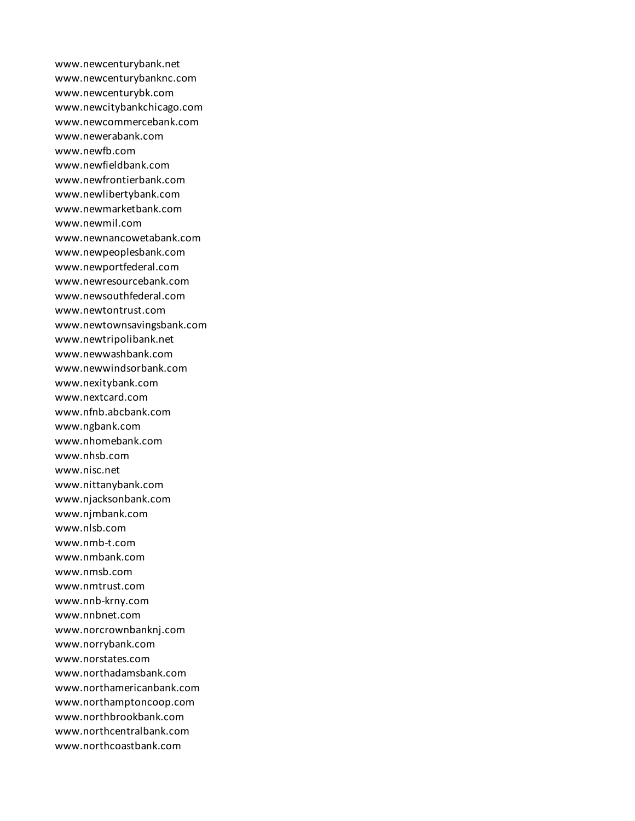www.newcenturybank.net www.newcenturybanknc.com www.newcenturybk.com www.newcitybankchicago.com www.newcommercebank.com www.newerabank.com www.newfb.com www.newfieldbank.com www.newfrontierbank.com www.newlibertybank.com www.newmarketbank.com www.newmil.com www.newnancowetabank.com www.newpeoplesbank.com www.newportfederal.com www.newresourcebank.com www.newsouthfederal.com www.newtontrust.com www.newtownsavingsbank.com www.newtripolibank.net www.newwashbank.com www.newwindsorbank.com www.nexitybank.com www.nextcard.com www.nfnb.abcbank.com www.ngbank.com www.nhomebank.com www.nhsb.com www.nisc.net www.nittanybank.com www.njacksonbank.com www.njmbank.com www.nlsb.com www.nmb-t.com www.nmbank.com www.nmsb.com www.nmtrust.com www.nnb-krny.com www.nnbnet.com www.norcrownbanknj.com www.norrybank.com www.norstates.com www.northadamsbank.com www.northamericanbank.com www.northamptoncoop.com www.northbrookbank.com www.northcentralbank.com www.northcoastbank.com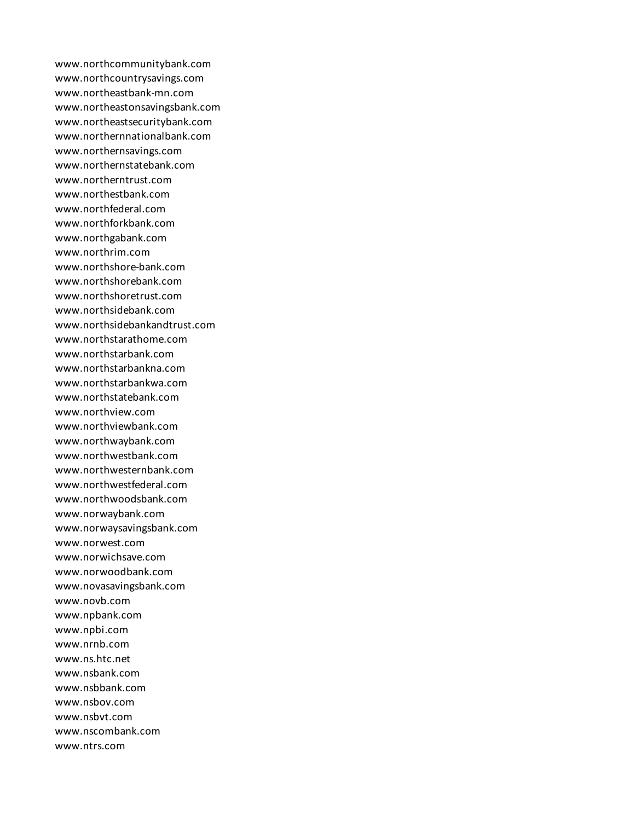www.northcommunitybank.com www.northcountrysavings.com www.northeastbank-mn.com www.northeastonsavingsbank.com www.northeastsecuritybank.com www.northernnationalbank.com www.northernsavings.com www.northernstatebank.com www.northerntrust.com www.northestbank.com www.northfederal.com www.northforkbank.com www.northgabank.com www.northrim.com www.northshore-bank.com www.northshorebank.com www.northshoretrust.com www.northsidebank.com www.northsidebankandtrust.com www.northstarathome.com www.northstarbank.com www.northstarbankna.com www.northstarbankwa.com www.northstatebank.com www.northview.com www.northviewbank.com www.northwaybank.com www.northwestbank.com www.northwesternbank.com www.northwestfederal.com www.northwoodsbank.com www.norwaybank.com www.norwaysavingsbank.com www.norwest.com www.norwichsave.com www.norwoodbank.com www.novasavingsbank.com www.novb.com www.npbank.com www.npbi.com www.nrnb.com www.ns.htc.net www.nsbank.com www.nsbbank.com www.nsbov.com www.nsbvt.com www.nscombank.com www.ntrs.com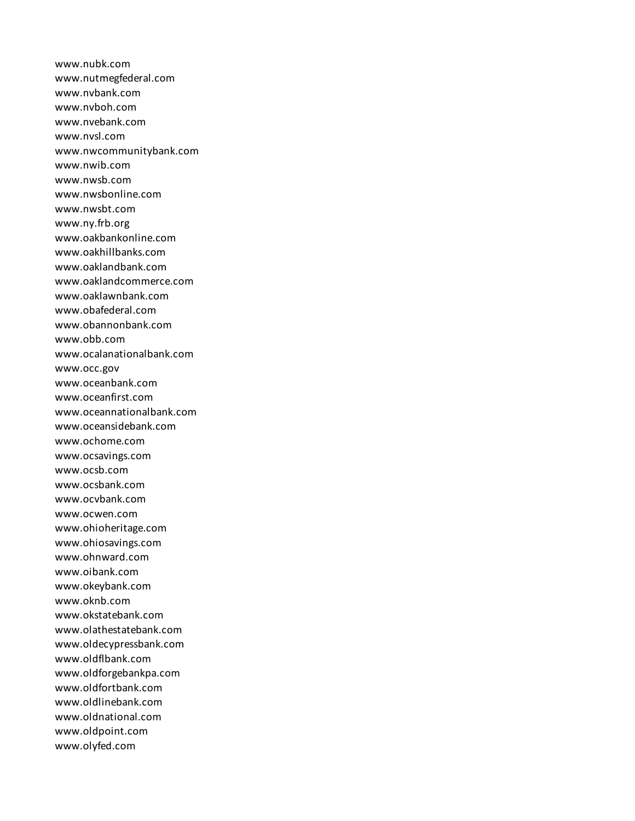www.nubk.com www.nutmegfederal.com www.nvbank.com www.nvboh.com www.nvebank.com www.nvsl.com www.nwcommunitybank.com www.nwib.com www.nwsb.com www.nwsbonline.com www.nwsbt.com www.ny.frb.org www.oakbankonline.com www.oakhillbanks.com www.oaklandbank.com www.oaklandcommerce.com www.oaklawnbank.com www.obafederal.com www.obannonbank.com www.obb.com www.ocalanationalbank.com www.occ.gov www.oceanbank.com www.oceanfirst.com www.oceannationalbank.com www.oceansidebank.com www.ochome.com www.ocsavings.com www.ocsb.com www.ocsbank.com www.ocvbank.com www.ocwen.com www.ohioheritage.com www.ohiosavings.com www.ohnward.com www.oibank.com www.okeybank.com www.oknb.com www.okstatebank.com www.olathestatebank.com www.oldecypressbank.com www.oldflbank.com www.oldforgebankpa.com www.oldfortbank.com www.oldlinebank.com www.oldnational.com www.oldpoint.com www.olyfed.com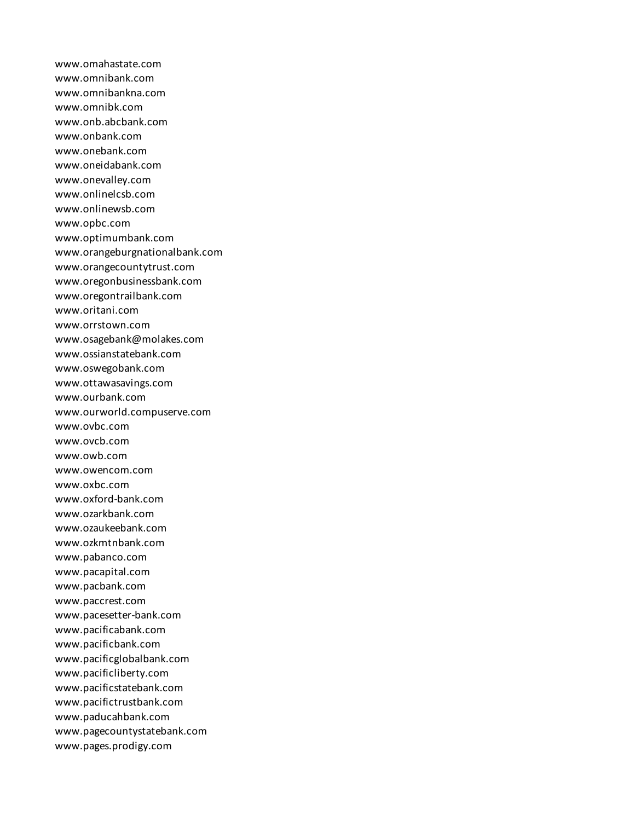www.omahastate.com www.omnibank.com www.omnibankna.com www.omnibk.com www.onb.abcbank.com www.onbank.com www.onebank.com www.oneidabank.com www.onevalley.com www.onlinelcsb.com www.onlinewsb.com www.opbc.com www.optimumbank.com www.orangeburgnationalbank.com www.orangecountytrust.com www.oregonbusinessbank.com www.oregontrailbank.com www.oritani.com www.orrstown.com www.osagebank@molakes.com www.ossianstatebank.com www.oswegobank.com www.ottawasavings.com www.ourbank.com www.ourworld.compuserve.com www.ovbc.com www.ovcb.com www.owb.com www.owencom.com www.oxbc.com www.oxford-bank.com www.ozarkbank.com www.ozaukeebank.com www.ozkmtnbank.com www.pabanco.com www.pacapital.com www.pacbank.com www.paccrest.com www.pacesetter-bank.com www.pacificabank.com www.pacificbank.com www.pacificglobalbank.com www.pacificliberty.com www.pacificstatebank.com www.pacifictrustbank.com www.paducahbank.com www.pagecountystatebank.com www.pages.prodigy.com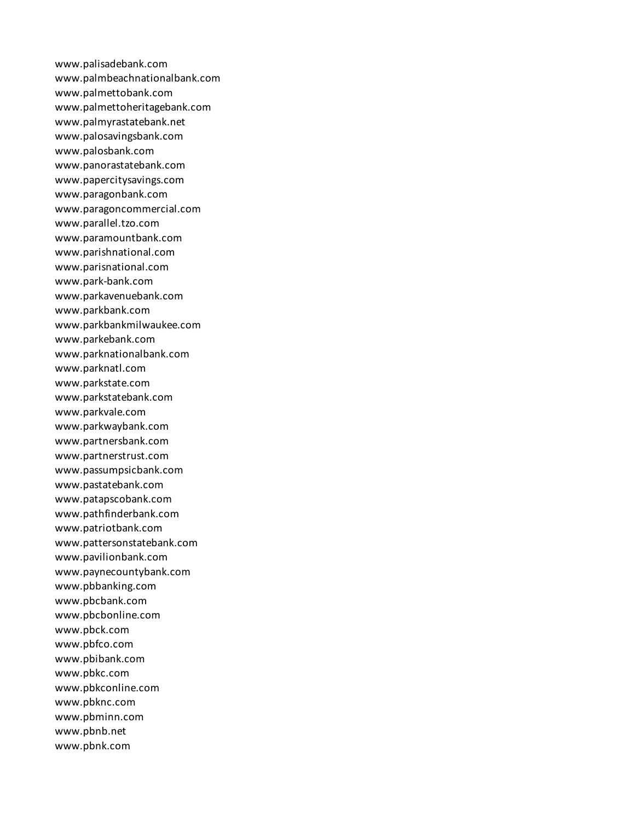www.palisadebank.com www.palmbeachnationalbank.com www.palmettobank.com www.palmettoheritagebank.com www.palmyrastatebank.net www.palosavingsbank.com www.palosbank.com www.panorastatebank.com www.papercitysavings.com www.paragonbank.com www.paragoncommercial.com www.parallel.tzo.com www.paramountbank.com www.parishnational.com www.parisnational.com www.park-bank.com www.parkavenuebank.com www.parkbank.com www.parkbankmilwaukee.com www.parkebank.com www.parknationalbank.com www.parknatl.com www.parkstate.com www.parkstatebank.com www.parkvale.com www.parkwaybank.com www.partnersbank.com www.partnerstrust.com www.passumpsicbank.com www.pastatebank.com www.patapscobank.com www.pathfinderbank.com www.patriotbank.com www.pattersonstatebank.com www.pavilionbank.com www.paynecountybank.com www.pbbanking.com www.pbcbank.com www.pbcbonline.com www.pbck.com www.pbfco.com www.pbibank.com www.pbkc.com www.pbkconline.com www.pbknc.com www.pbminn.com www.pbnb.net www.pbnk.com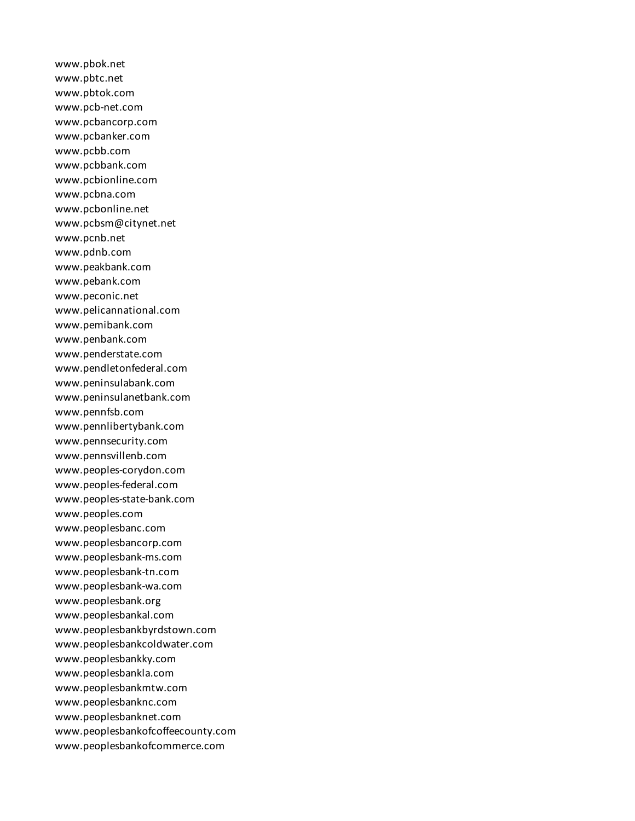www.pbok.net www.pbtc.net www.pbtok.com www.pcb-net.com www.pcbancorp.com www.pcbanker.com www.pcbb.com www.pcbbank.com www.pcbionline.com www.pcbna.com www.pcbonline.net www.pcbsm@citynet.net www.pcnb.net www.pdnb.com www.peakbank.com www.pebank.com www.peconic.net www.pelicannational.com www.pemibank.com www.penbank.com www.penderstate.com www.pendletonfederal.com www.peninsulabank.com www.peninsulanetbank.com www.pennfsb.com www.pennlibertybank.com www.pennsecurity.com www.pennsvillenb.com www.peoples-corydon.com www.peoples-federal.com www.peoples-state-bank.com www.peoples.com www.peoplesbanc.com www.peoplesbancorp.com www.peoplesbank-ms.com www.peoplesbank-tn.com www.peoplesbank-wa.com www.peoplesbank.org www.peoplesbankal.com www.peoplesbankbyrdstown.com www.peoplesbankcoldwater.com www.peoplesbankky.com www.peoplesbankla.com www.peoplesbankmtw.com www.peoplesbanknc.com www.peoplesbanknet.com www.peoplesbankofcoffeecounty.com www.peoplesbankofcommerce.com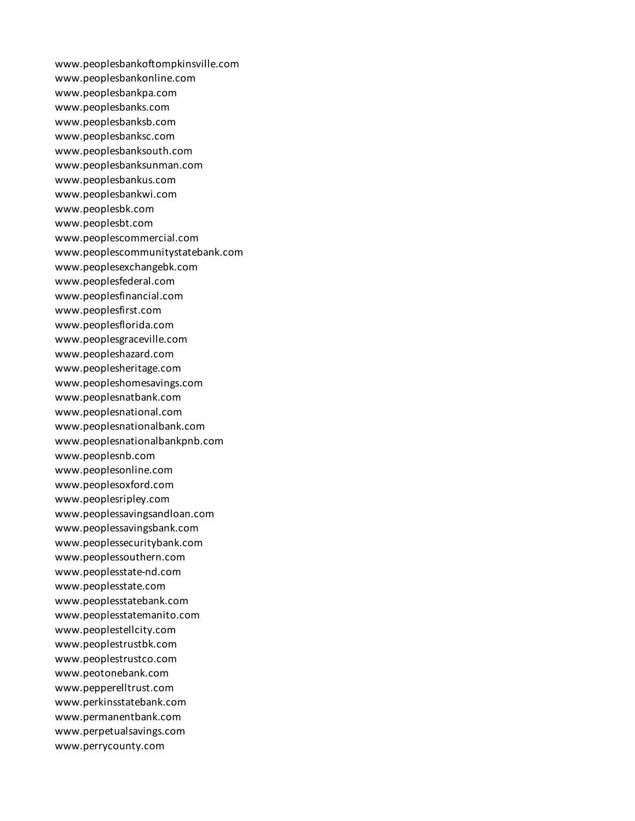www.peoplesbankoftompkinsville.com www.peoplesbankonline.com www.peoplesbankpa.com www.peoplesbanks.com www.peoplesbanksb.com www.peoplesbanksc.com www.peoplesbanksouth.com www.peoplesbanksunman.com www.peoplesbankus.com www.peoplesbankwi.com www.peoplesbk.com www.peoplesbt.com www.peoplescommercial.com www.peoplescommunitystatebank.com www.peoplesexchangebk.com www.peoplesfederal.com www.peoplesfinancial.com www.peoplesfirst.com www.peoplesflorida.com www.peoplesgraceville.com www.peopleshazard.com www.peoplesheritage.com www.peopleshomesavings.com www.peoplesnatbank.com www.peoplesnational.com www.peoplesnationalbank.com www.peoplesnationalbankpnb.com www.peoplesnb.com www.peoplesonline.com www.peoplesoxford.com www.peoplesripley.com www.peoplessavingsandloan.com www.peoplessavingsbank.com www.peoplessecuritybank.com www.peoplessouthern.com www.peoplesstate-nd.com www.peoplesstate.com www.peoplesstatebank.com www.peoplesstatemanito.com www.peoplestellcity.com www.peoplestrustbk.com www.peoplestrustco.com www.peotonebank.com www.pepperelltrust.com www.perkinsstatebank.com www.permanentbank.com www.perpetualsavings.com www.perrycounty.com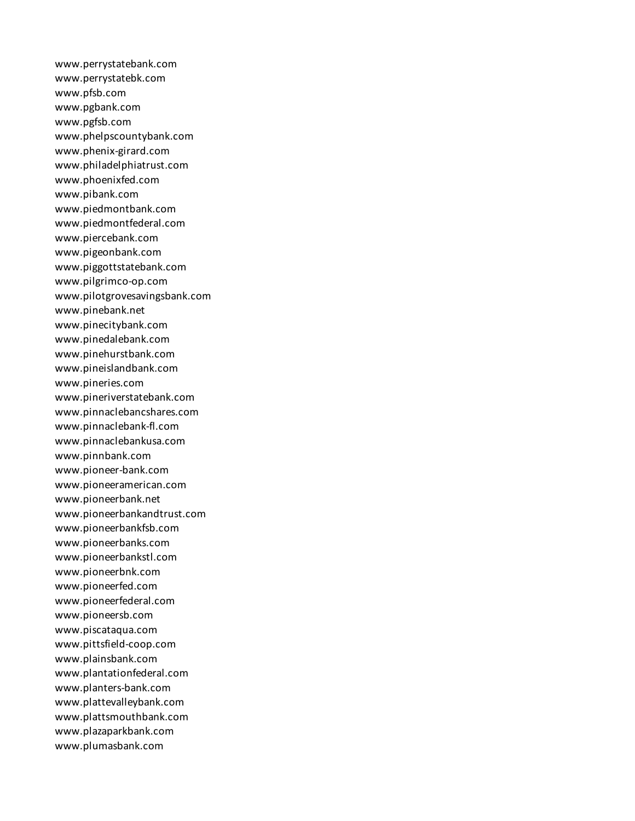www.perrystatebank.com www.perrystatebk.com www.pfsb.com www.pgbank.com www.pgfsb.com www.phelpscountybank.com www.phenix-girard.com www.philadelphiatrust.com www.phoenixfed.com www.pibank.com www.piedmontbank.com www.piedmontfederal.com www.piercebank.com www.pigeonbank.com www.piggottstatebank.com www.pilgrimco-op.com www.pilotgrovesavingsbank.com www.pinebank.net www.pinecitybank.com www.pinedalebank.com www.pinehurstbank.com www.pineislandbank.com www.pineries.com www.pineriverstatebank.com www.pinnaclebancshares.com www.pinnaclebank-fl.com www.pinnaclebankusa.com www.pinnbank.com www.pioneer-bank.com www.pioneeramerican.com www.pioneerbank.net www.pioneerbankandtrust.com www.pioneerbankfsb.com www.pioneerbanks.com www.pioneerbankstl.com www.pioneerbnk.com www.pioneerfed.com www.pioneerfederal.com www.pioneersb.com www.piscataqua.com www.pittsfield-coop.com www.plainsbank.com www.plantationfederal.com www.planters-bank.com www.plattevalleybank.com www.plattsmouthbank.com www.plazaparkbank.com www.plumasbank.com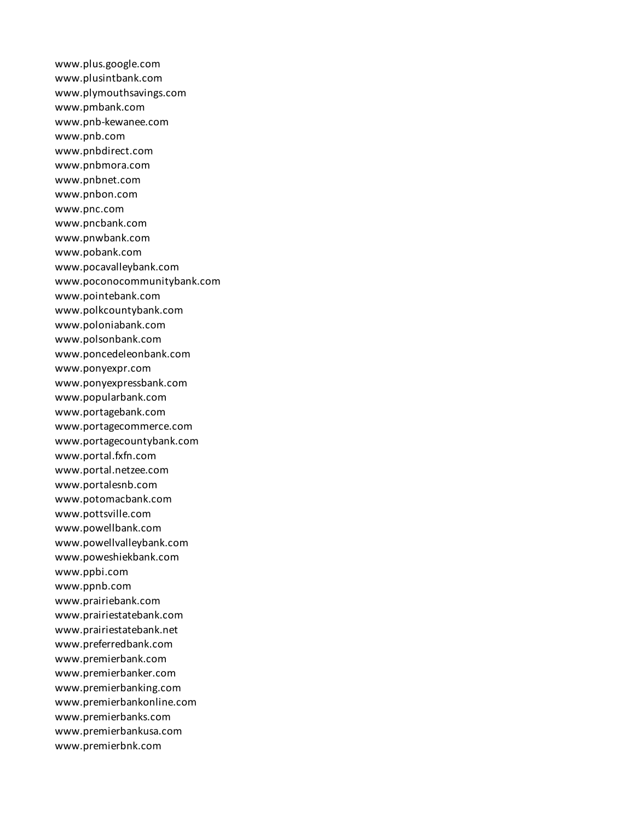www.plus.google.com www.plusintbank.com www.plymouthsavings.com www.pmbank.com www.pnb-kewanee.com www.pnb.com www.pnbdirect.com www.pnbmora.com www.pnbnet.com www.pnbon.com www.pnc.com www.pncbank.com www.pnwbank.com www.pobank.com www.pocavalleybank.com www.poconocommunitybank.com www.pointebank.com www.polkcountybank.com www.poloniabank.com www.polsonbank.com www.poncedeleonbank.com www.ponyexpr.com www.ponyexpressbank.com www.popularbank.com www.portagebank.com www.portagecommerce.com www.portagecountybank.com www.portal.fxfn.com www.portal.netzee.com www.portalesnb.com www.potomacbank.com www.pottsville.com www.powellbank.com www.powellvalleybank.com www.poweshiekbank.com www.ppbi.com www.ppnb.com www.prairiebank.com www.prairiestatebank.com www.prairiestatebank.net www.preferredbank.com www.premierbank.com www.premierbanker.com www.premierbanking.com www.premierbankonline.com www.premierbanks.com www.premierbankusa.com www.premierbnk.com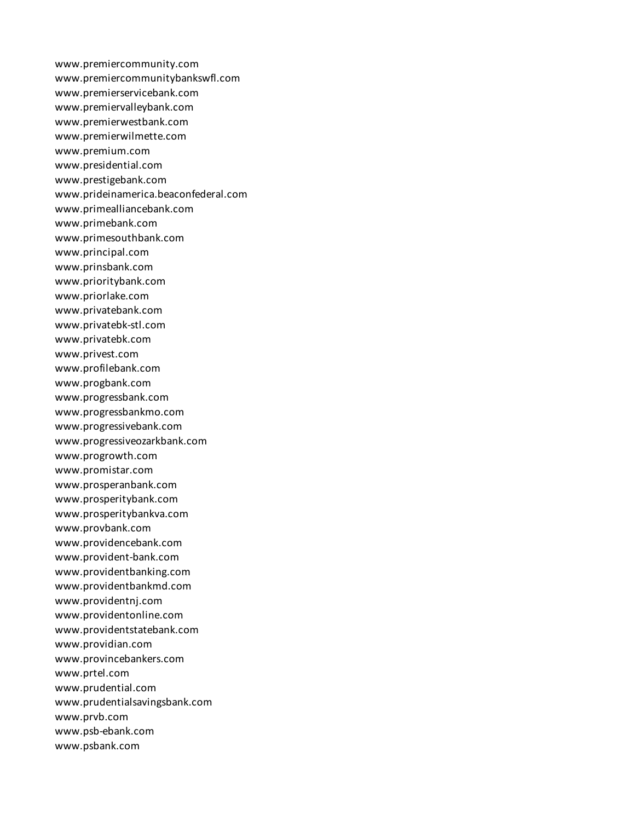www.premiercommunity.com www.premiercommunitybankswfl.com www.premierservicebank.com www.premiervalleybank.com www.premierwestbank.com www.premierwilmette.com www.premium.com www.presidential.com www.prestigebank.com www.prideinamerica.beaconfederal.com www.primealliancebank.com www.primebank.com www.primesouthbank.com www.principal.com www.prinsbank.com www.prioritybank.com www.priorlake.com www.privatebank.com www.privatebk-stl.com www.privatebk.com www.privest.com www.profilebank.com www.progbank.com www.progressbank.com www.progressbankmo.com www.progressivebank.com www.progressiveozarkbank.com www.progrowth.com www.promistar.com www.prosperanbank.com www.prosperitybank.com www.prosperitybankva.com www.provbank.com www.providencebank.com www.provident-bank.com www.providentbanking.com www.providentbankmd.com www.providentnj.com www.providentonline.com www.providentstatebank.com www.providian.com www.provincebankers.com www.prtel.com www.prudential.com www.prudentialsavingsbank.com www.prvb.com www.psb-ebank.com www.psbank.com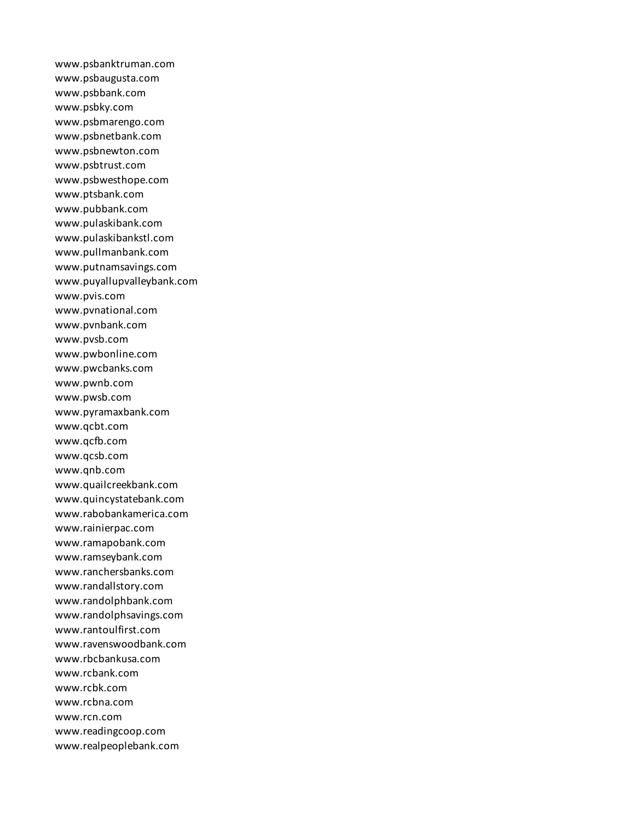www.psbanktruman.com www.psbaugusta.com www.psbbank.com www.psbky.com www.psbmarengo.com www.psbnetbank.com www.psbnewton.com www.psbtrust.com www.psbwesthope.com www.ptsbank.com www.pubbank.com www.pulaskibank.com www.pulaskibankstl.com www.pullmanbank.com www.putnamsavings.com www.puyallupvalleybank.com www.pvis.com www.pvnational.com www.pvnbank.com www.pvsb.com www.pwbonline.com www.pwcbanks.com www.pwnb.com www.pwsb.com www.pyramaxbank.com www.qcbt.com www.qcfb.com www.qcsb.com www.qnb.com www.quailcreekbank.com www.quincystatebank.com www.rabobankamerica.com www.rainierpac.com www.ramapobank.com www.ramseybank.com www.ranchersbanks.com www.randallstory.com www.randolphbank.com www.randolphsavings.com www.rantoulfirst.com www.ravenswoodbank.com www.rbcbankusa.com www.rcbank.com www.rcbk.com www.rcbna.com www.rcn.com www.readingcoop.com www.realpeoplebank.com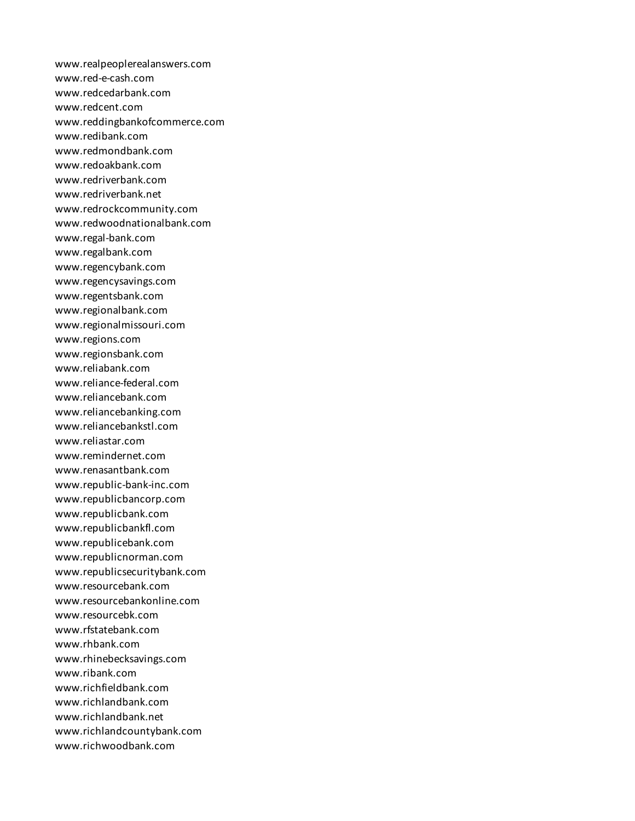www.realpeoplerealanswers.com www.red-e-cash.com www.redcedarbank.com www.redcent.com www.reddingbankofcommerce.com www.redibank.com www.redmondbank.com www.redoakbank.com www.redriverbank.com www.redriverbank.net www.redrockcommunity.com www.redwoodnationalbank.com www.regal-bank.com www.regalbank.com www.regencybank.com www.regencysavings.com www.regentsbank.com www.regionalbank.com www.regionalmissouri.com www.regions.com www.regionsbank.com www.reliabank.com www.reliance-federal.com www.reliancebank.com www.reliancebanking.com www.reliancebankstl.com www.reliastar.com www.remindernet.com www.renasantbank.com www.republic-bank-inc.com www.republicbancorp.com www.republicbank.com www.republicbankfl.com www.republicebank.com www.republicnorman.com www.republicsecuritybank.com www.resourcebank.com www.resourcebankonline.com www.resourcebk.com www.rfstatebank.com www.rhbank.com www.rhinebecksavings.com www.ribank.com www.richfieldbank.com www.richlandbank.com www.richlandbank.net www.richlandcountybank.com www.richwoodbank.com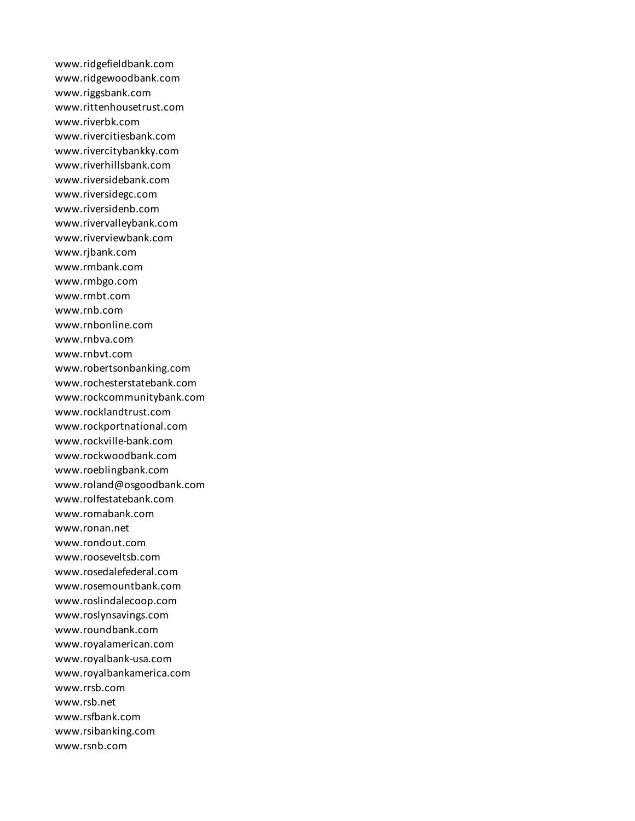www.ridgefieldbank.com www.ridgewoodbank.com www.riggsbank.com www.rittenhousetrust.com www.riverbk.com www.rivercitiesbank.com www.rivercitybankky.com www.riverhillsbank.com www.riversidebank.com www.riversidegc.com www.riversidenb.com www.rivervalleybank.com www.riverviewbank.com www.rjbank.com www.rmbank.com www.rmbgo.com www.rmbt.com www.rnb.com www.rnbonline.com www.rnbva.com www.rnbvt.com www.robertsonbanking.com www.rochesterstatebank.com www.rockcommunitybank.com www.rocklandtrust.com www.rockportnational.com www.rockville-bank.com www.rockwoodbank.com www.roeblingbank.com www.roland@osgoodbank.com www.rolfestatebank.com www.romabank.com www.ronan.net www.rondout.com www.rooseveltsb.com www.rosedalefederal.com www.rosemountbank.com www.roslindalecoop.com www.roslynsavings.com www.roundbank.com www.royalamerican.com www.royalbank-usa.com www.royalbankamerica.com www.rrsb.com www.rsb.net www.rsfbank.com www.rsibanking.com www.rsnb.com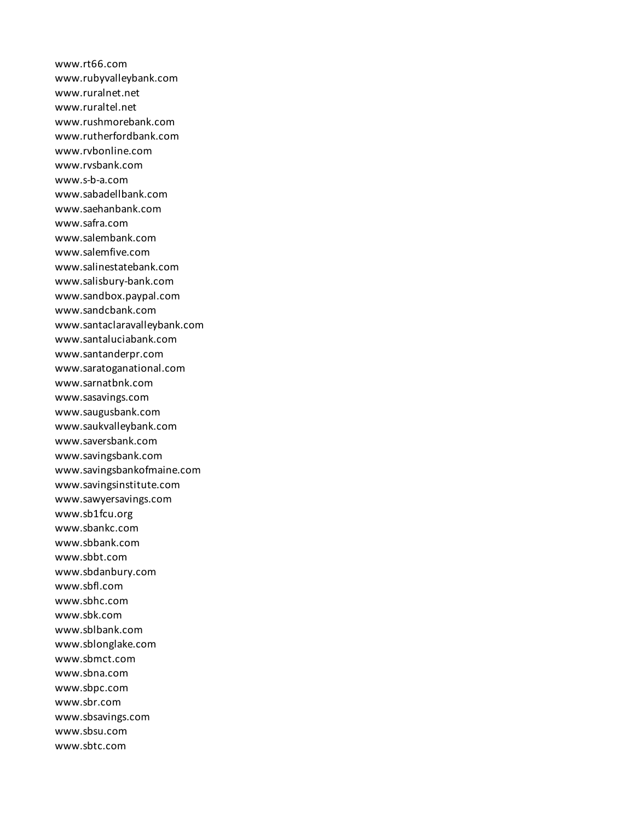www.rt66.com www.rubyvalleybank.com www.ruralnet.net www.ruraltel.net www.rushmorebank.com www.rutherfordbank.com www.rvbonline.com www.rvsbank.com www.s-b-a.com www.sabadellbank.com www.saehanbank.com www.safra.com www.salembank.com www.salemfive.com www.salinestatebank.com www.salisbury-bank.com www.sandbox.paypal.com www.sandcbank.com www.santaclaravalleybank.com www.santaluciabank.com www.santanderpr.com www.saratoganational.com www.sarnatbnk.com www.sasavings.com www.saugusbank.com www.saukvalleybank.com www.saversbank.com www.savingsbank.com www.savingsbankofmaine.com www.savingsinstitute.com www.sawyersavings.com www.sb1fcu.org www.sbankc.com www.sbbank.com www.sbbt.com www.sbdanbury.com www.sbfl.com www.sbhc.com www.sbk.com www.sblbank.com www.sblonglake.com www.sbmct.com www.sbna.com www.sbpc.com www.sbr.com www.sbsavings.com www.sbsu.com www.sbtc.com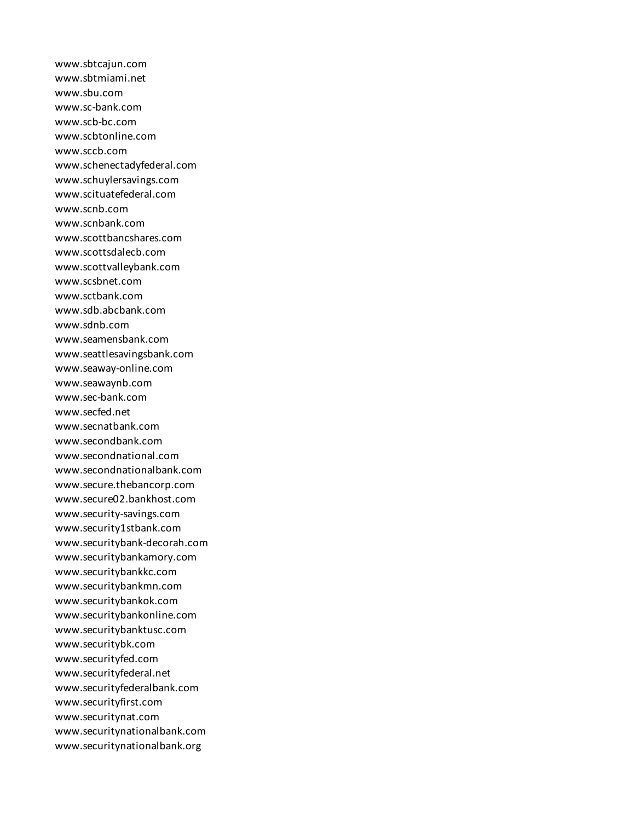www.sbtcajun.com www.sbtmiami.net www.sbu.com www.sc-bank.com www.scb-bc.com www.scbtonline.com www.sccb.com www.schenectadyfederal.com www.schuylersavings.com www.scituatefederal.com www.scnb.com www.scnbank.com www.scottbancshares.com www.scottsdalecb.com www.scottvalleybank.com www.scsbnet.com www.sctbank.com www.sdb.abcbank.com www.sdnb.com www.seamensbank.com www.seattlesavingsbank.com www.seaway-online.com www.seawaynb.com www.sec-bank.com www.secfed.net www.secnatbank.com www.secondbank.com www.secondnational.com www.secondnationalbank.com www.secure.thebancorp.com www.secure02.bankhost.com www.security-savings.com www.security1stbank.com www.securitybank-decorah.com www.securitybankamory.com www.securitybankkc.com www.securitybankmn.com www.securitybankok.com www.securitybankonline.com www.securitybanktusc.com www.securitybk.com www.securityfed.com www.securityfederal.net www.securityfederalbank.com www.securityfirst.com www.securitynat.com www.securitynationalbank.com www.securitynationalbank.org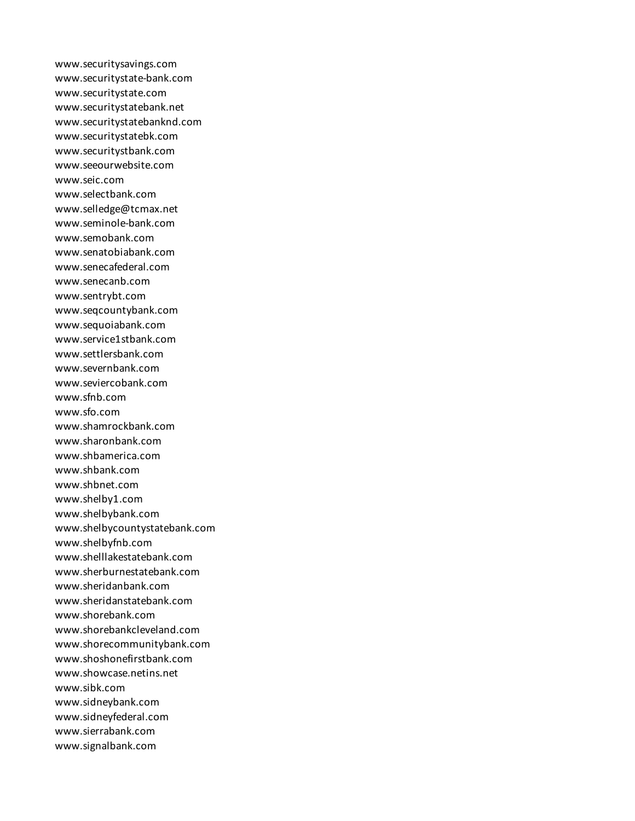www.securitysavings.com www.securitystate-bank.com www.securitystate.com www.securitystatebank.net www.securitystatebanknd.com www.securitystatebk.com www.securitystbank.com www.seeourwebsite.com www.seic.com www.selectbank.com www.selledge@tcmax.net www.seminole-bank.com www.semobank.com www.senatobiabank.com www.senecafederal.com www.senecanb.com www.sentrybt.com www.seqcountybank.com www.sequoiabank.com www.service1stbank.com www.settlersbank.com www.severnbank.com www.seviercobank.com www.sfnb.com www.sfo.com www.shamrockbank.com www.sharonbank.com www.shbamerica.com www.shbank.com www.shbnet.com www.shelby1.com www.shelbybank.com www.shelbycountystatebank.com www.shelbyfnb.com www.shelllakestatebank.com www.sherburnestatebank.com www.sheridanbank.com www.sheridanstatebank.com www.shorebank.com www.shorebankcleveland.com www.shorecommunitybank.com www.shoshonefirstbank.com www.showcase.netins.net www.sibk.com www.sidneybank.com www.sidneyfederal.com www.sierrabank.com www.signalbank.com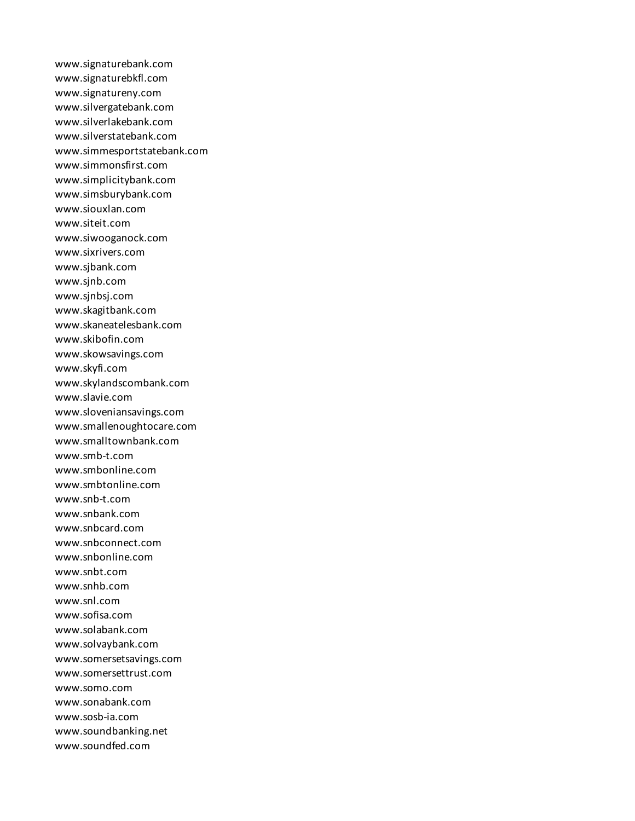www.signaturebank.com www.signaturebkfl.com www.signatureny.com www.silvergatebank.com www.silverlakebank.com www.silverstatebank.com www.simmesportstatebank.com www.simmonsfirst.com www.simplicitybank.com www.simsburybank.com www.siouxlan.com www.siteit.com www.siwooganock.com www.sixrivers.com www.sjbank.com www.sjnb.com www.sjnbsj.com www.skagitbank.com www.skaneatelesbank.com www.skibofin.com www.skowsavings.com www.skyfi.com www.skylandscombank.com www.slavie.com www.sloveniansavings.com www.smallenoughtocare.com www.smalltownbank.com www.smb-t.com www.smbonline.com www.smbtonline.com www.snb-t.com www.snbank.com www.snbcard.com www.snbconnect.com www.snbonline.com www.snbt.com www.snhb.com www.snl.com www.sofisa.com www.solabank.com www.solvaybank.com www.somersetsavings.com www.somersettrust.com www.somo.com www.sonabank.com www.sosb-ia.com www.soundbanking.net www.soundfed.com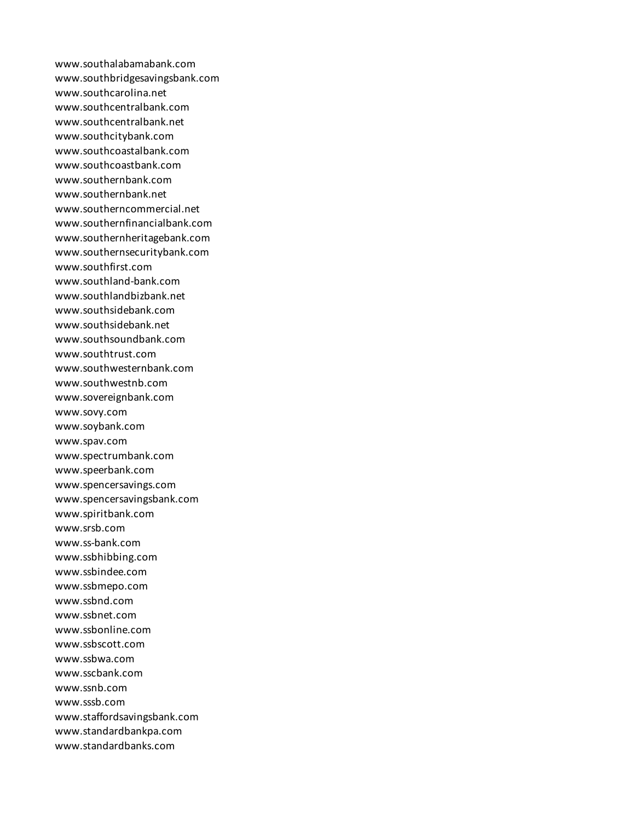www.southalabamabank.com www.southbridgesavingsbank.com www.southcarolina.net www.southcentralbank.com www.southcentralbank.net www.southcitybank.com www.southcoastalbank.com www.southcoastbank.com www.southernbank.com www.southernbank.net www.southerncommercial.net www.southernfinancialbank.com www.southernheritagebank.com www.southernsecuritybank.com www.southfirst.com www.southland-bank.com www.southlandbizbank.net www.southsidebank.com www.southsidebank.net www.southsoundbank.com www.southtrust.com www.southwesternbank.com www.southwestnb.com www.sovereignbank.com www.sovy.com www.soybank.com www.spav.com www.spectrumbank.com www.speerbank.com www.spencersavings.com www.spencersavingsbank.com www.spiritbank.com www.srsb.com www.ss-bank.com www.ssbhibbing.com www.ssbindee.com www.ssbmepo.com www.ssbnd.com www.ssbnet.com www.ssbonline.com www.ssbscott.com www.ssbwa.com www.sscbank.com www.ssnb.com www.sssb.com www.staffordsavingsbank.com www.standardbankpa.com www.standardbanks.com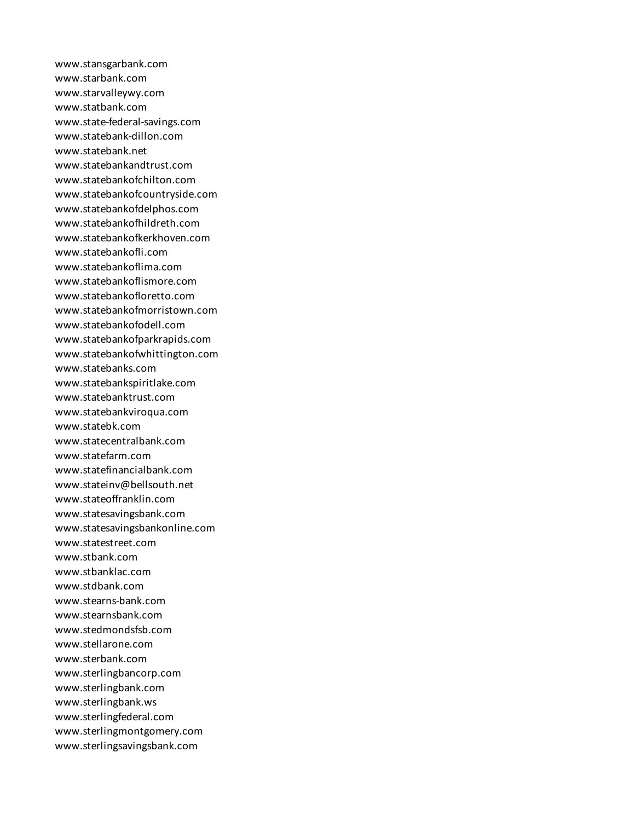www.stansgarbank.com www.starbank.com www.starvalleywy.com www.statbank.com www.state-federal-savings.com www.statebank-dillon.com www.statebank.net www.statebankandtrust.com www.statebankofchilton.com www.statebankofcountryside.com www.statebankofdelphos.com www.statebankofhildreth.com www.statebankofkerkhoven.com www.statebankofli.com www.statebankoflima.com www.statebankoflismore.com www.statebankofloretto.com www.statebankofmorristown.com www.statebankofodell.com www.statebankofparkrapids.com www.statebankofwhittington.com www.statebanks.com www.statebankspiritlake.com www.statebanktrust.com www.statebankviroqua.com www.statebk.com www.statecentralbank.com www.statefarm.com www.statefinancialbank.com www.stateinv@bellsouth.net www.stateoffranklin.com www.statesavingsbank.com www.statesavingsbankonline.com www.statestreet.com www.stbank.com www.stbanklac.com www.stdbank.com www.stearns-bank.com www.stearnsbank.com www.stedmondsfsb.com www.stellarone.com www.sterbank.com www.sterlingbancorp.com www.sterlingbank.com www.sterlingbank.ws www.sterlingfederal.com www.sterlingmontgomery.com www.sterlingsavingsbank.com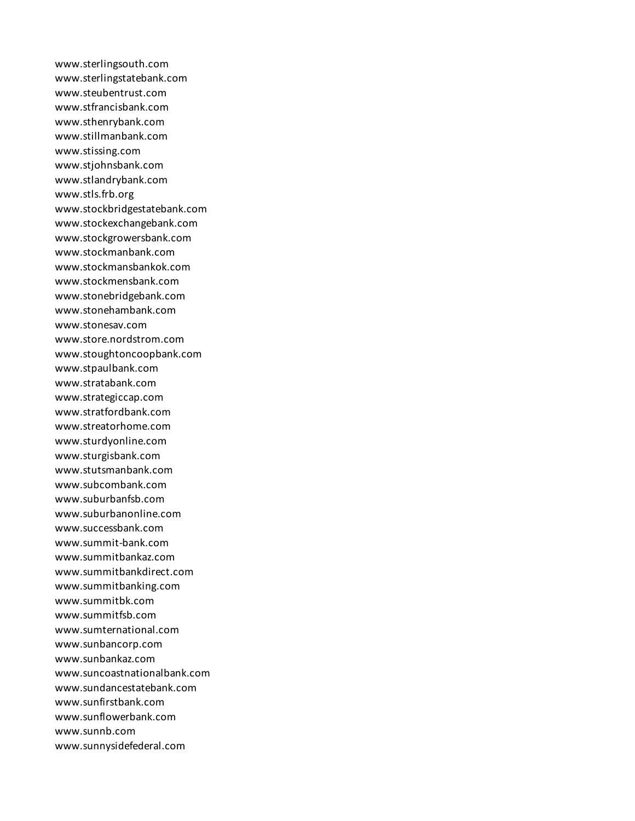www.sterlingsouth.com www.sterlingstatebank.com www.steubentrust.com www.stfrancisbank.com www.sthenrybank.com www.stillmanbank.com www.stissing.com www.stjohnsbank.com www.stlandrybank.com www.stls.frb.org www.stockbridgestatebank.com www.stockexchangebank.com www.stockgrowersbank.com www.stockmanbank.com www.stockmansbankok.com www.stockmensbank.com www.stonebridgebank.com www.stonehambank.com www.stonesav.com www.store.nordstrom.com www.stoughtoncoopbank.com www.stpaulbank.com www.stratabank.com www.strategiccap.com www.stratfordbank.com www.streatorhome.com www.sturdyonline.com www.sturgisbank.com www.stutsmanbank.com www.subcombank.com www.suburbanfsb.com www.suburbanonline.com www.successbank.com www.summit-bank.com www.summitbankaz.com www.summitbankdirect.com www.summitbanking.com www.summitbk.com www.summitfsb.com www.sumternational.com www.sunbancorp.com www.sunbankaz.com www.suncoastnationalbank.com www.sundancestatebank.com www.sunfirstbank.com www.sunflowerbank.com www.sunnb.com www.sunnysidefederal.com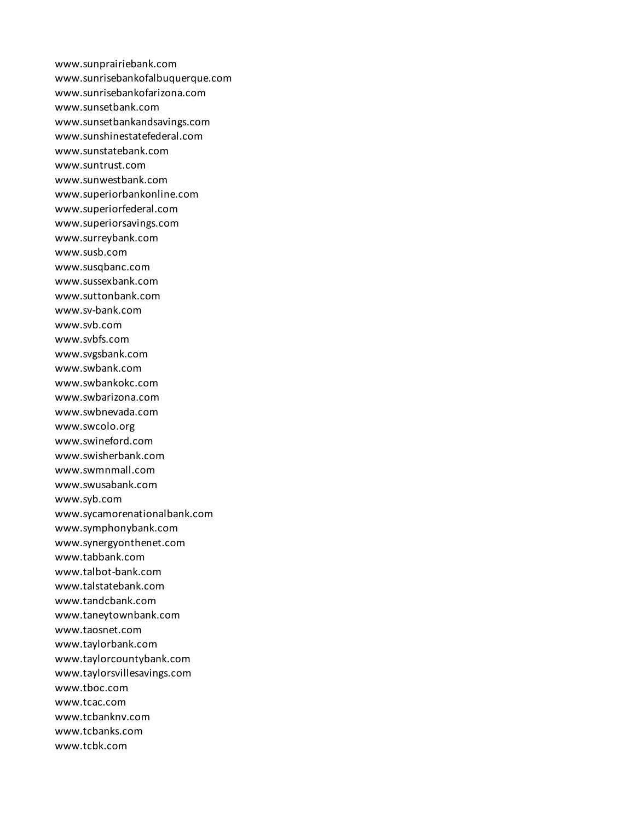www.sunprairiebank.com www.sunrisebankofalbuquerque.com www.sunrisebankofarizona.com www.sunsetbank.com www.sunsetbankandsavings.com www.sunshinestatefederal.com www.sunstatebank.com www.suntrust.com www.sunwestbank.com www.superiorbankonline.com www.superiorfederal.com www.superiorsavings.com www.surreybank.com www.susb.com www.susqbanc.com www.sussexbank.com www.suttonbank.com www.sv-bank.com www.svb.com www.svbfs.com www.svgsbank.com www.swbank.com www.swbankokc.com www.swbarizona.com www.swbnevada.com www.swcolo.org www.swineford.com www.swisherbank.com www.swmnmall.com www.swusabank.com www.syb.com www.sycamorenationalbank.com www.symphonybank.com www.synergyonthenet.com www.tabbank.com www.talbot-bank.com www.talstatebank.com www.tandcbank.com www.taneytownbank.com www.taosnet.com www.taylorbank.com www.taylorcountybank.com www.taylorsvillesavings.com www.tboc.com www.tcac.com www.tcbanknv.com www.tcbanks.com www.tcbk.com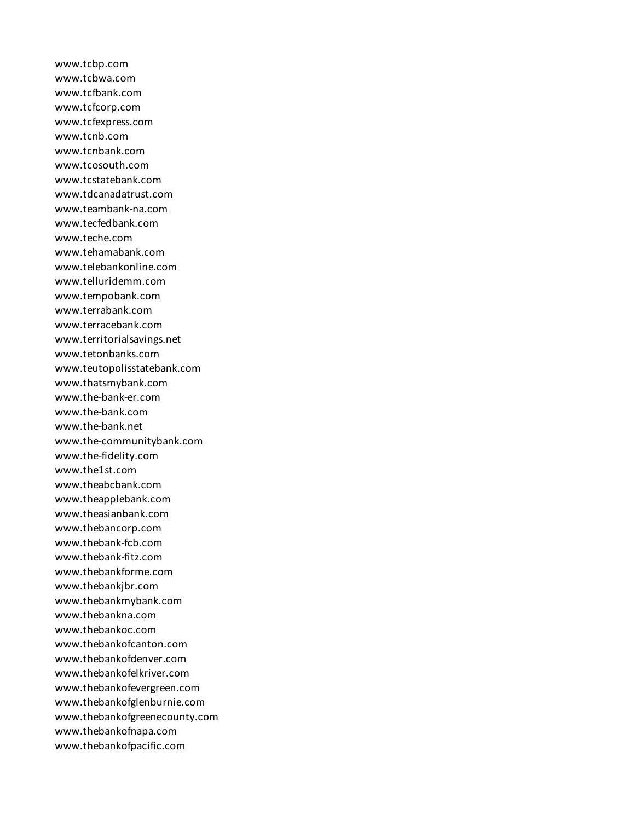www.tcbp.com www.tcbwa.com www.tcfbank.com www.tcfcorp.com www.tcfexpress.com www.tcnb.com www.tcnbank.com www.tcosouth.com www.tcstatebank.com www.tdcanadatrust.com www.teambank-na.com www.tecfedbank.com www.teche.com www.tehamabank.com www.telebankonline.com www.telluridemm.com www.tempobank.com www.terrabank.com www.terracebank.com www.territorialsavings.net www.tetonbanks.com www.teutopolisstatebank.com www.thatsmybank.com www.the-bank-er.com www.the-bank.com www.the-bank.net www.the-communitybank.com www.the-fidelity.com www.the1st.com www.theabcbank.com www.theapplebank.com www.theasianbank.com www.thebancorp.com www.thebank-fcb.com www.thebank-fitz.com www.thebankforme.com www.thebankjbr.com www.thebankmybank.com www.thebankna.com www.thebankoc.com www.thebankofcanton.com www.thebankofdenver.com www.thebankofelkriver.com www.thebankofevergreen.com www.thebankofglenburnie.com www.thebankofgreenecounty.com www.thebankofnapa.com www.thebankofpacific.com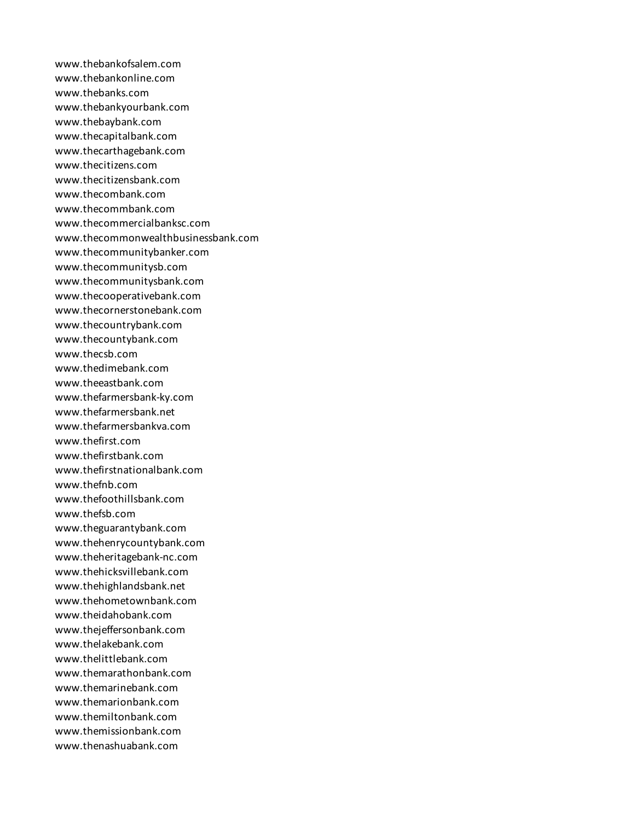www.thebankofsalem.com www.thebankonline.com www.thebanks.com www.thebankyourbank.com www.thebaybank.com www.thecapitalbank.com www.thecarthagebank.com www.thecitizens.com www.thecitizensbank.com www.thecombank.com www.thecommbank.com www.thecommercialbanksc.com www.thecommonwealthbusinessbank.com www.thecommunitybanker.com www.thecommunitysb.com www.thecommunitysbank.com www.thecooperativebank.com www.thecornerstonebank.com www.thecountrybank.com www.thecountybank.com www.thecsb.com www.thedimebank.com www.theeastbank.com www.thefarmersbank-ky.com www.thefarmersbank.net www.thefarmersbankva.com www.thefirst.com www.thefirstbank.com www.thefirstnationalbank.com www.thefnb.com www.thefoothillsbank.com www.thefsb.com www.theguarantybank.com www.thehenrycountybank.com www.theheritagebank-nc.com www.thehicksvillebank.com www.thehighlandsbank.net www.thehometownbank.com www.theidahobank.com www.thejeffersonbank.com www.thelakebank.com www.thelittlebank.com www.themarathonbank.com www.themarinebank.com www.themarionbank.com www.themiltonbank.com www.themissionbank.com www.thenashuabank.com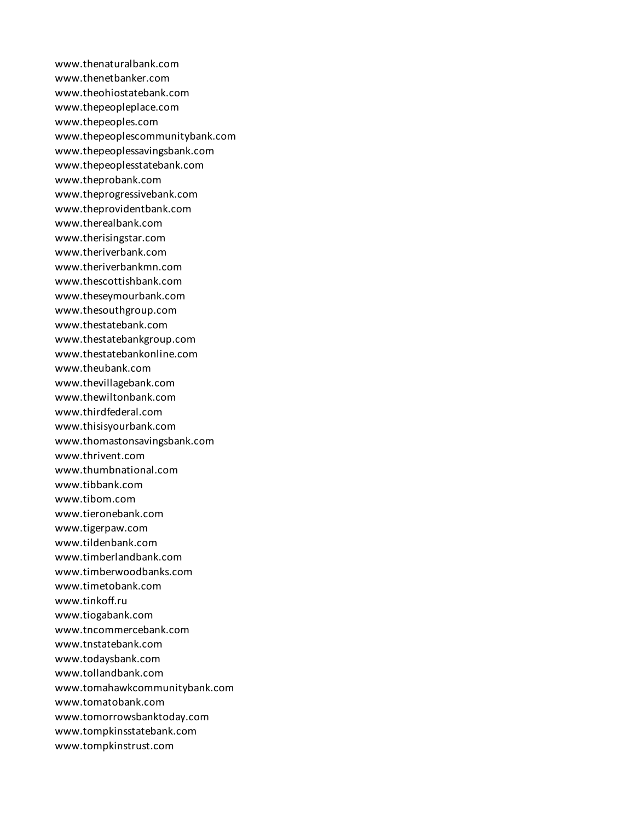www.thenaturalbank.com www.thenetbanker.com www.theohiostatebank.com www.thepeopleplace.com www.thepeoples.com www.thepeoplescommunitybank.com www.thepeoplessavingsbank.com www.thepeoplesstatebank.com www.theprobank.com www.theprogressivebank.com www.theprovidentbank.com www.therealbank.com www.therisingstar.com www.theriverbank.com www.theriverbankmn.com www.thescottishbank.com www.theseymourbank.com www.thesouthgroup.com www.thestatebank.com www.thestatebankgroup.com www.thestatebankonline.com www.theubank.com www.thevillagebank.com www.thewiltonbank.com www.thirdfederal.com www.thisisyourbank.com www.thomastonsavingsbank.com www.thrivent.com www.thumbnational.com www.tibbank.com www.tibom.com www.tieronebank.com www.tigerpaw.com www.tildenbank.com www.timberlandbank.com www.timberwoodbanks.com www.timetobank.com www.tinkoff.ru www.tiogabank.com www.tncommercebank.com www.tnstatebank.com www.todaysbank.com www.tollandbank.com www.tomahawkcommunitybank.com www.tomatobank.com www.tomorrowsbanktoday.com www.tompkinsstatebank.com www.tompkinstrust.com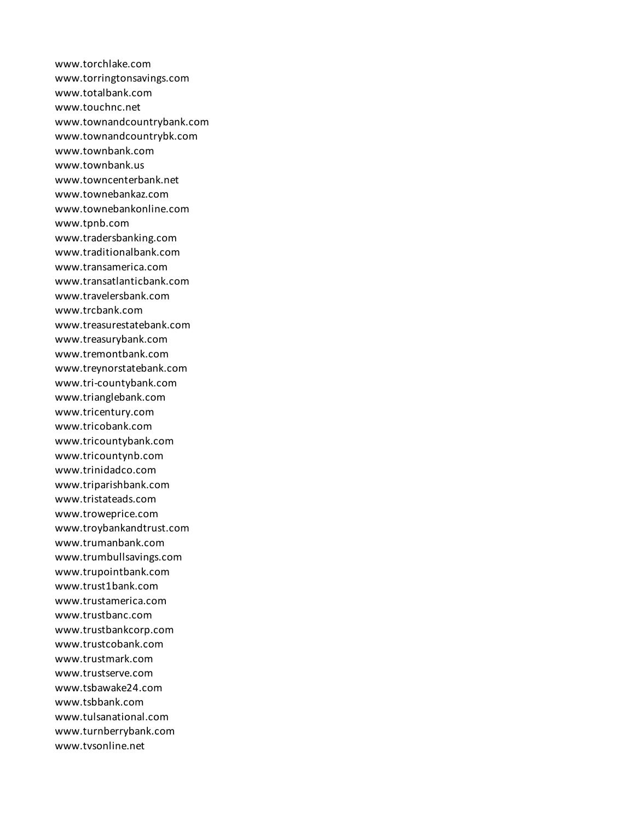www.torchlake.com www.torringtonsavings.com www.totalbank.com www.touchnc.net www.townandcountrybank.com www.townandcountrybk.com www.townbank.com www.townbank.us www.towncenterbank.net www.townebankaz.com www.townebankonline.com www.tpnb.com www.tradersbanking.com www.traditionalbank.com www.transamerica.com www.transatlanticbank.com www.travelersbank.com www.trcbank.com www.treasurestatebank.com www.treasurybank.com www.tremontbank.com www.treynorstatebank.com www.tri-countybank.com www.trianglebank.com www.tricentury.com www.tricobank.com www.tricountybank.com www.tricountynb.com www.trinidadco.com www.triparishbank.com www.tristateads.com www.troweprice.com www.troybankandtrust.com www.trumanbank.com www.trumbullsavings.com www.trupointbank.com www.trust1bank.com www.trustamerica.com www.trustbanc.com www.trustbankcorp.com www.trustcobank.com www.trustmark.com www.trustserve.com www.tsbawake24.com www.tsbbank.com www.tulsanational.com www.turnberrybank.com www.tvsonline.net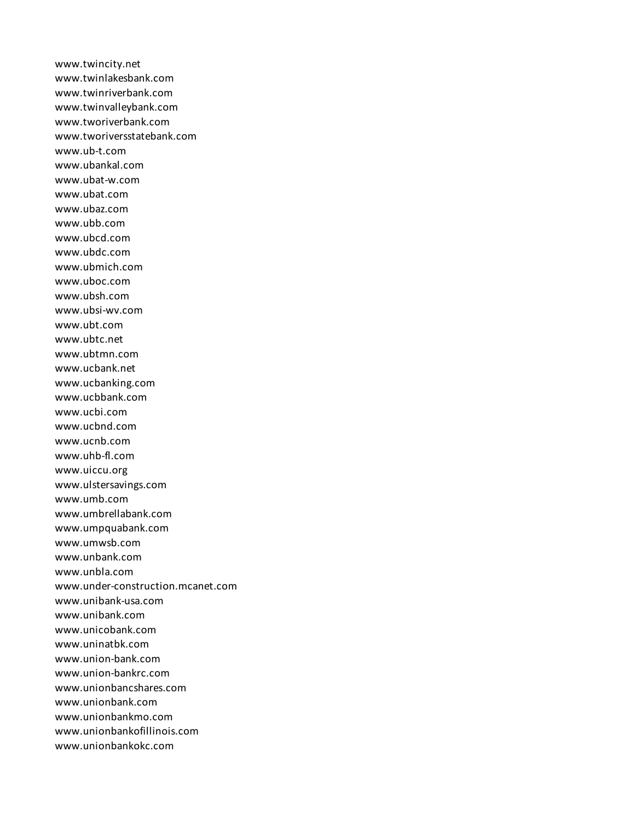www.twincity.net www.twinlakesbank.com www.twinriverbank.com www.twinvalleybank.com www.tworiverbank.com www.tworiversstatebank.com www.ub-t.com www.ubankal.com www.ubat-w.com www.ubat.com www.ubaz.com www.ubb.com www.ubcd.com www.ubdc.com www.ubmich.com www.uboc.com www.ubsh.com www.ubsi-wv.com www.ubt.com www.ubtc.net www.ubtmn.com www.ucbank.net www.ucbanking.com www.ucbbank.com www.ucbi.com www.ucbnd.com www.ucnb.com www.uhb-fl.com www.uiccu.org www.ulstersavings.com www.umb.com www.umbrellabank.com www.umpquabank.com www.umwsb.com www.unbank.com www.unbla.com www.under-construction.mcanet.com www.unibank-usa.com www.unibank.com www.unicobank.com www.uninatbk.com www.union-bank.com www.union-bankrc.com www.unionbancshares.com www.unionbank.com www.unionbankmo.com www.unionbankofillinois.com www.unionbankokc.com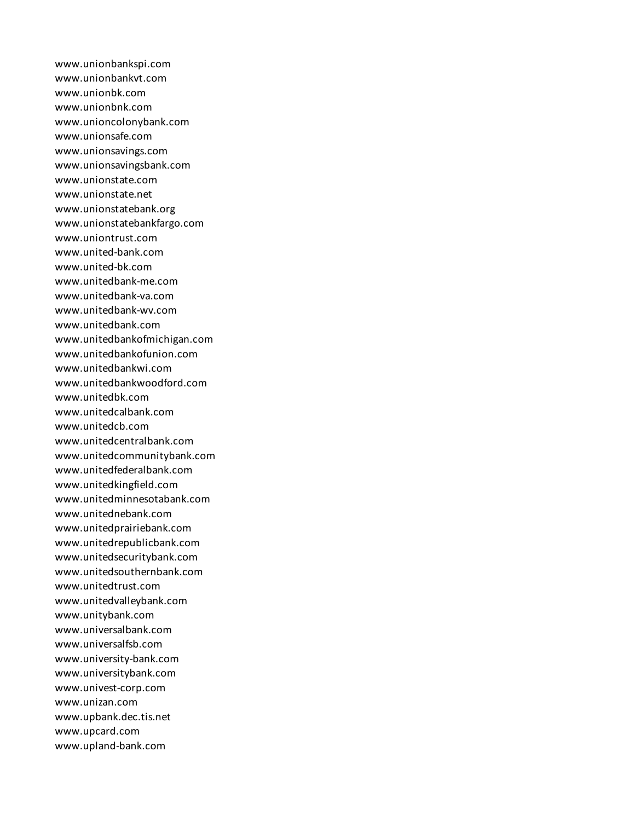www.unionbankspi.com www.unionbankvt.com www.unionbk.com www.unionbnk.com www.unioncolonybank.com www.unionsafe.com www.unionsavings.com www.unionsavingsbank.com www.unionstate.com www.unionstate.net www.unionstatebank.org www.unionstatebankfargo.com www.uniontrust.com www.united-bank.com www.united-bk.com www.unitedbank-me.com www.unitedbank-va.com www.unitedbank-wv.com www.unitedbank.com www.unitedbankofmichigan.com www.unitedbankofunion.com www.unitedbankwi.com www.unitedbankwoodford.com www.unitedbk.com www.unitedcalbank.com www.unitedcb.com www.unitedcentralbank.com www.unitedcommunitybank.com www.unitedfederalbank.com www.unitedkingfield.com www.unitedminnesotabank.com www.unitednebank.com www.unitedprairiebank.com www.unitedrepublicbank.com www.unitedsecuritybank.com www.unitedsouthernbank.com www.unitedtrust.com www.unitedvalleybank.com www.unitybank.com www.universalbank.com www.universalfsb.com www.university-bank.com www.universitybank.com www.univest-corp.com www.unizan.com www.upbank.dec.tis.net www.upcard.com www.upland-bank.com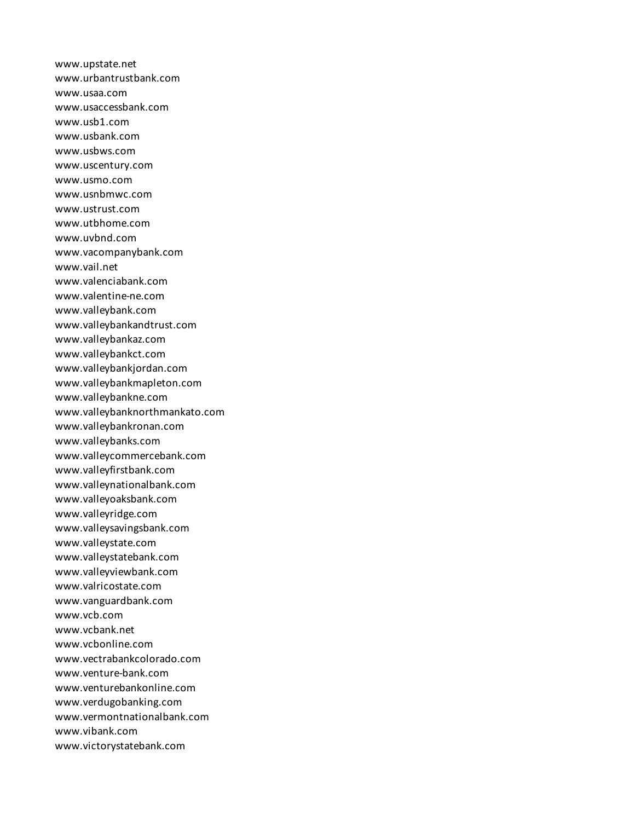www.upstate.net www.urbantrustbank.com www.usaa.com www.usaccessbank.com www.usb1.com www.usbank.com www.usbws.com www.uscentury.com www.usmo.com www.usnbmwc.com www.ustrust.com www.utbhome.com www.uvbnd.com www.vacompanybank.com www.vail.net www.valenciabank.com www.valentine-ne.com www.valleybank.com www.valleybankandtrust.com www.valleybankaz.com www.valleybankct.com www.valleybankjordan.com www.valleybankmapleton.com www.valleybankne.com www.valleybanknorthmankato.com www.valleybankronan.com www.valleybanks.com www.valleycommercebank.com www.valleyfirstbank.com www.valleynationalbank.com www.valleyoaksbank.com www.valleyridge.com www.valleysavingsbank.com www.valleystate.com www.valleystatebank.com www.valleyviewbank.com www.valricostate.com www.vanguardbank.com www.vcb.com www.vcbank.net www.vcbonline.com www.vectrabankcolorado.com www.venture-bank.com www.venturebankonline.com www.verdugobanking.com www.vermontnationalbank.com www.vibank.com www.victorystatebank.com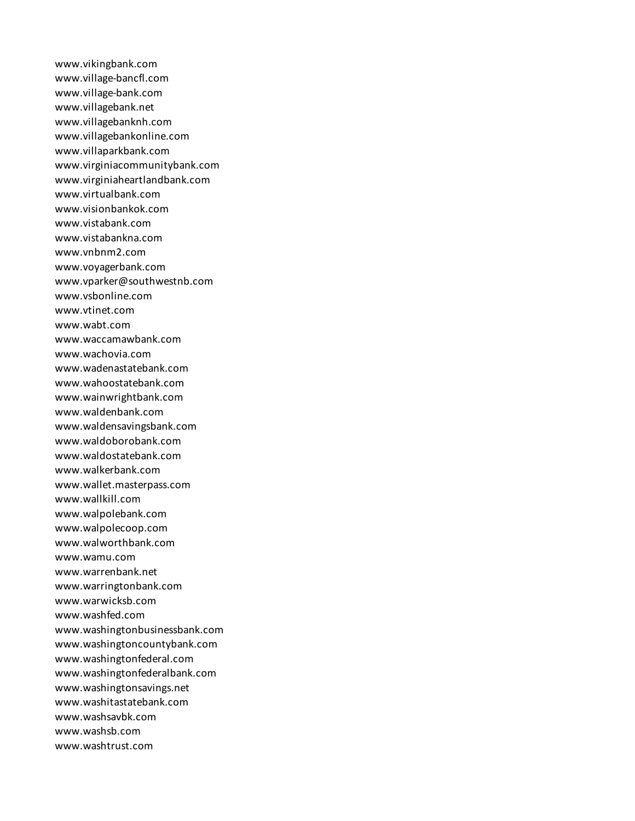www.vikingbank.com www.village-bancfl.com www.village-bank.com www.villagebank.net www.villagebanknh.com www.villagebankonline.com www.villaparkbank.com www.virginiacommunitybank.com www.virginiaheartlandbank.com www.virtualbank.com www.visionbankok.com www.vistabank.com www.vistabankna.com www.vnbnm2.com www.voyagerbank.com www.vparker@southwestnb.com www.vsbonline.com www.vtinet.com www.wabt.com www.waccamawbank.com www.wachovia.com www.wadenastatebank.com www.wahoostatebank.com www.wainwrightbank.com www.waldenbank.com www.waldensavingsbank.com www.waldoborobank.com www.waldostatebank.com www.walkerbank.com www.wallet.masterpass.com www.wallkill.com www.walpolebank.com www.walpolecoop.com www.walworthbank.com www.wamu.com www.warrenbank.net www.warringtonbank.com www.warwicksb.com www.washfed.com www.washingtonbusinessbank.com www.washingtoncountybank.com www.washingtonfederal.com www.washingtonfederalbank.com www.washingtonsavings.net www.washitastatebank.com www.washsavbk.com www.washsb.com www.washtrust.com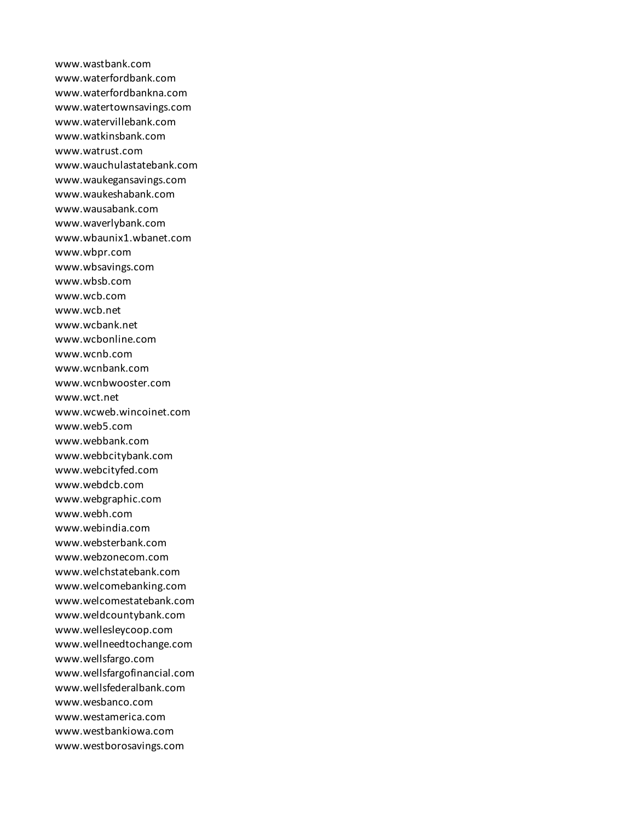www.wastbank.com www.waterfordbank.com www.waterfordbankna.com www.watertownsavings.com www.watervillebank.com www.watkinsbank.com www.watrust.com www.wauchulastatebank.com www.waukegansavings.com www.waukeshabank.com www.wausabank.com www.waverlybank.com www.wbaunix1.wbanet.com www.wbpr.com www.wbsavings.com www.wbsb.com www.wcb.com www.wcb.net www.wcbank.net www.wcbonline.com www.wcnb.com www.wcnbank.com www.wcnbwooster.com www.wct.net www.wcweb.wincoinet.com www.web5.com www.webbank.com www.webbcitybank.com www.webcityfed.com www.webdcb.com www.webgraphic.com www.webh.com www.webindia.com www.websterbank.com www.webzonecom.com www.welchstatebank.com www.welcomebanking.com www.welcomestatebank.com www.weldcountybank.com www.wellesleycoop.com www.wellneedtochange.com www.wellsfargo.com www.wellsfargofinancial.com www.wellsfederalbank.com www.wesbanco.com www.westamerica.com www.westbankiowa.com www.westborosavings.com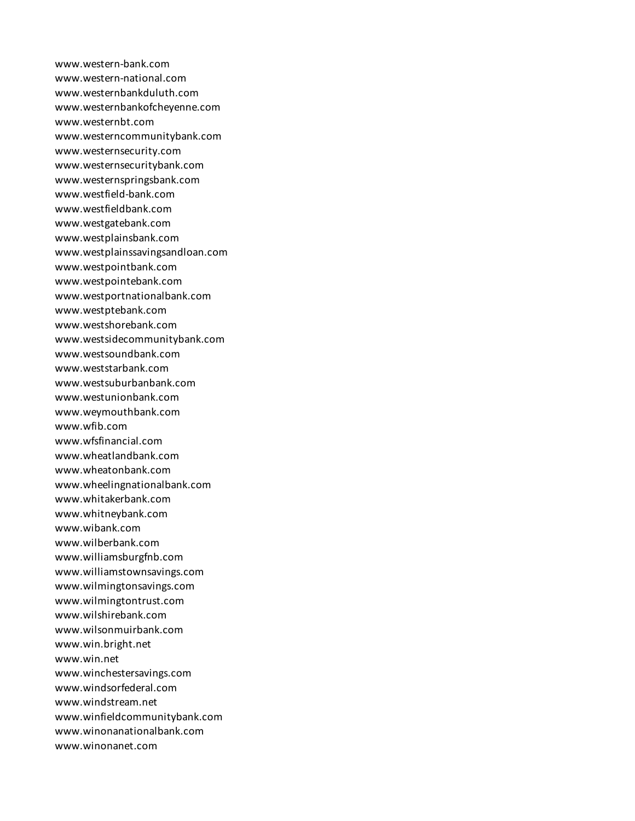www.western-bank.com www.western-national.com www.westernbankduluth.com www.westernbankofcheyenne.com www.westernbt.com www.westerncommunitybank.com www.westernsecurity.com www.westernsecuritybank.com www.westernspringsbank.com www.westfield-bank.com www.westfieldbank.com www.westgatebank.com www.westplainsbank.com www.westplainssavingsandloan.com www.westpointbank.com www.westpointebank.com www.westportnationalbank.com www.westptebank.com www.westshorebank.com www.westsidecommunitybank.com www.westsoundbank.com www.weststarbank.com www.westsuburbanbank.com www.westunionbank.com www.weymouthbank.com www.wfib.com www.wfsfinancial.com www.wheatlandbank.com www.wheatonbank.com www.wheelingnationalbank.com www.whitakerbank.com www.whitneybank.com www.wibank.com www.wilberbank.com www.williamsburgfnb.com www.williamstownsavings.com www.wilmingtonsavings.com www.wilmingtontrust.com www.wilshirebank.com www.wilsonmuirbank.com www.win.bright.net www.win.net www.winchestersavings.com www.windsorfederal.com www.windstream.net www.winfieldcommunitybank.com www.winonanationalbank.com www.winonanet.com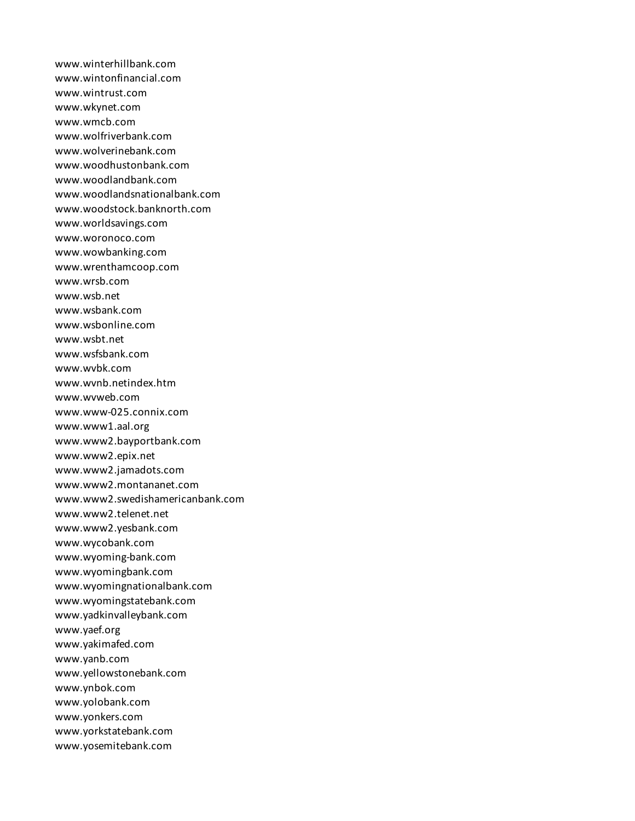www.winterhillbank.com www.wintonfinancial.com www.wintrust.com www.wkynet.com www.wmcb.com www.wolfriverbank.com www.wolverinebank.com www.woodhustonbank.com www.woodlandbank.com www.woodlandsnationalbank.com www.woodstock.banknorth.com www.worldsavings.com www.woronoco.com www.wowbanking.com www.wrenthamcoop.com www.wrsb.com www.wsb.net www.wsbank.com www.wsbonline.com www.wsbt.net www.wsfsbank.com www.wvbk.com www.wvnb.netindex.htm www.wvweb.com www.www-025.connix.com www.www1.aal.org www.www2.bayportbank.com www.www2.epix.net www.www2.jamadots.com www.www2.montananet.com www.www2.swedishamericanbank.com www.www2.telenet.net www.www2.yesbank.com www.wycobank.com www.wyoming-bank.com www.wyomingbank.com www.wyomingnationalbank.com www.wyomingstatebank.com www.yadkinvalleybank.com www.yaef.org www.yakimafed.com www.yanb.com www.yellowstonebank.com www.ynbok.com www.yolobank.com www.yonkers.com www.yorkstatebank.com www.yosemitebank.com